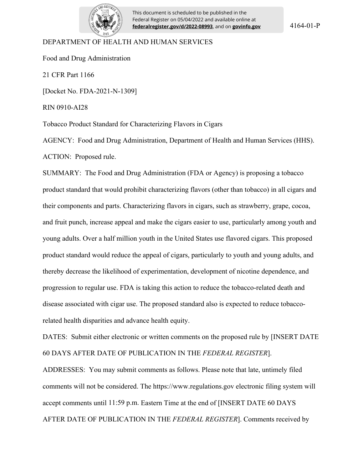

This document is scheduled to be published in the Federal Register on 05/04/2022 and available online at **federalregister.gov/d/2022-08993**, and on **govinfo.gov**

#### DEPARTMENT OF HEALTH AND HUMAN SERVICES

Food and Drug Administration

21 CFR Part 1166

[Docket No. FDA-2021-N-1309]

RIN 0910-AI28

Tobacco Product Standard for Characterizing Flavors in Cigars

AGENCY: Food and Drug Administration, Department of Health and Human Services (HHS). ACTION: Proposed rule.

SUMMARY: The Food and Drug Administration (FDA or Agency) is proposing a tobacco product standard that would prohibit characterizing flavors (other than tobacco) in all cigars and their components and parts. Characterizing flavors in cigars, such as strawberry, grape, cocoa, and fruit punch, increase appeal and make the cigars easier to use, particularly among youth and young adults. Over a half million youth in the United States use flavored cigars. This proposed product standard would reduce the appeal of cigars, particularly to youth and young adults, and thereby decrease the likelihood of experimentation, development of nicotine dependence, and progression to regular use. FDA is taking this action to reduce the tobacco-related death and disease associated with cigar use. The proposed standard also is expected to reduce tobaccorelated health disparities and advance health equity.

DATES: Submit either electronic or written comments on the proposed rule by [INSERT DATE 60 DAYS AFTER DATE OF PUBLICATION IN THE *FEDERAL REGISTER*].

ADDRESSES: You may submit comments as follows. Please note that late, untimely filed comments will not be considered. The https://www.regulations.gov electronic filing system will accept comments until 11:59 p.m. Eastern Time at the end of [INSERT DATE 60 DAYS AFTER DATE OF PUBLICATION IN THE *FEDERAL REGISTER*]. Comments received by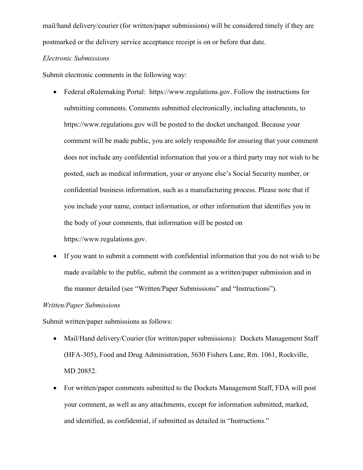mail/hand delivery/courier (for written/paper submissions) will be considered timely if they are postmarked or the delivery service acceptance receipt is on or before that date.

## *Electronic Submissions*

Submit electronic comments in the following way:

- Federal eRulemaking Portal: https://www.regulations.gov. Follow the instructions for submitting comments. Comments submitted electronically, including attachments, to https://www.regulations.gov will be posted to the docket unchanged. Because your comment will be made public, you are solely responsible for ensuring that your comment does not include any confidential information that you or a third party may not wish to be posted, such as medical information, your or anyone else's Social Security number, or confidential business information, such as a manufacturing process. Please note that if you include your name, contact information, or other information that identifies you in the body of your comments, that information will be posted on https://www.regulations.gov.
- If you want to submit a comment with confidential information that you do not wish to be made available to the public, submit the comment as a written/paper submission and in the manner detailed (see "Written/Paper Submissions" and "Instructions").

#### *Written/Paper Submissions*

Submit written/paper submissions as follows:

- Mail/Hand delivery/Courier (for written/paper submissions): Dockets Management Staff (HFA-305), Food and Drug Administration, 5630 Fishers Lane, Rm. 1061, Rockville, MD 20852.
- For written/paper comments submitted to the Dockets Management Staff, FDA will post your comment, as well as any attachments, except for information submitted, marked, and identified, as confidential, if submitted as detailed in "Instructions."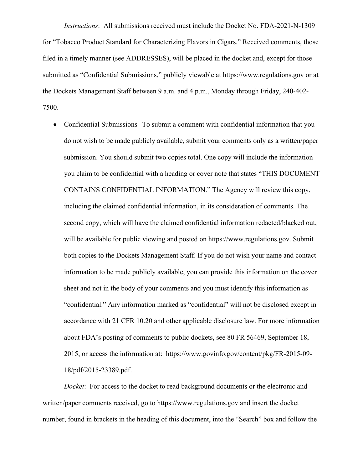*Instructions*: All submissions received must include the Docket No. FDA-2021-N-1309 for "Tobacco Product Standard for Characterizing Flavors in Cigars." Received comments, those filed in a timely manner (see ADDRESSES), will be placed in the docket and, except for those submitted as "Confidential Submissions," publicly viewable at https://www.regulations.gov or at the Dockets Management Staff between 9 a.m. and 4 p.m., Monday through Friday, 240-402- 7500.

 Confidential Submissions--To submit a comment with confidential information that you do not wish to be made publicly available, submit your comments only as a written/paper submission. You should submit two copies total. One copy will include the information you claim to be confidential with a heading or cover note that states "THIS DOCUMENT CONTAINS CONFIDENTIAL INFORMATION." The Agency will review this copy, including the claimed confidential information, in its consideration of comments. The second copy, which will have the claimed confidential information redacted/blacked out, will be available for public viewing and posted on https://www.regulations.gov. Submit both copies to the Dockets Management Staff. If you do not wish your name and contact information to be made publicly available, you can provide this information on the cover sheet and not in the body of your comments and you must identify this information as "confidential." Any information marked as "confidential" will not be disclosed except in accordance with 21 CFR 10.20 and other applicable disclosure law. For more information about FDA's posting of comments to public dockets, see 80 FR 56469, September 18, 2015, or access the information at: https://www.govinfo.gov/content/pkg/FR-2015-09- 18/pdf/2015-23389.pdf.

*Docket*: For access to the docket to read background documents or the electronic and written/paper comments received, go to https://www.regulations.gov and insert the docket number, found in brackets in the heading of this document, into the "Search" box and follow the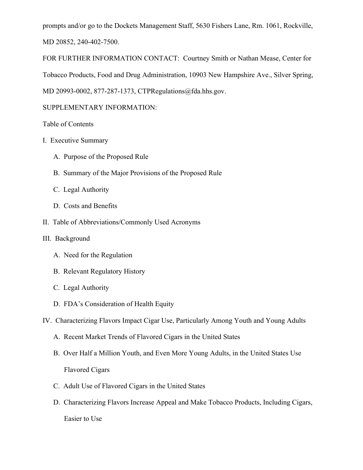prompts and/or go to the Dockets Management Staff, 5630 Fishers Lane, Rm. 1061, Rockville, MD 20852, 240-402-7500.

FOR FURTHER INFORMATION CONTACT: Courtney Smith or Nathan Mease, Center for Tobacco Products, Food and Drug Administration, 10903 New Hampshire Ave., Silver Spring, MD 20993-0002, 877-287-1373, CTPRegulations@fda.hhs.gov.

# SUPPLEMENTARY INFORMATION:

# Table of Contents

- I. Executive Summary
	- A. Purpose of the Proposed Rule
	- B. Summary of the Major Provisions of the Proposed Rule
	- C. Legal Authority
	- D. Costs and Benefits
- II. Table of Abbreviations/Commonly Used Acronyms

## III. Background

- A. Need for the Regulation
- B. Relevant Regulatory History
- C. Legal Authority
- D. FDA's Consideration of Health Equity
- IV. Characterizing Flavors Impact Cigar Use, Particularly Among Youth and Young Adults
	- A. Recent Market Trends of Flavored Cigars in the United States
	- B. Over Half a Million Youth, and Even More Young Adults, in the United States Use Flavored Cigars
	- C. Adult Use of Flavored Cigars in the United States
	- D. Characterizing Flavors Increase Appeal and Make Tobacco Products, Including Cigars, Easier to Use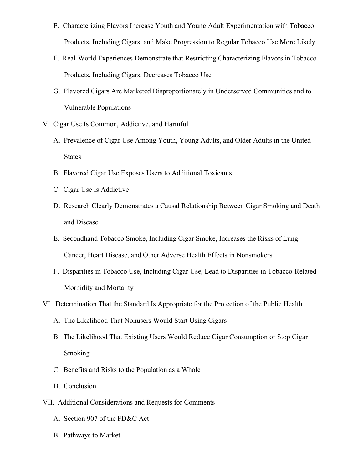- E. Characterizing Flavors Increase Youth and Young Adult Experimentation with Tobacco Products, Including Cigars, and Make Progression to Regular Tobacco Use More Likely
- F. Real-World Experiences Demonstrate that Restricting Characterizing Flavors in Tobacco Products, Including Cigars, Decreases Tobacco Use
- G. Flavored Cigars Are Marketed Disproportionately in Underserved Communities and to Vulnerable Populations
- V. Cigar Use Is Common, Addictive, and Harmful
	- A. Prevalence of Cigar Use Among Youth, Young Adults, and Older Adults in the United **States**
	- B. Flavored Cigar Use Exposes Users to Additional Toxicants
	- C. Cigar Use Is Addictive
	- D. Research Clearly Demonstrates a Causal Relationship Between Cigar Smoking and Death and Disease
	- E. Secondhand Tobacco Smoke, Including Cigar Smoke, Increases the Risks of Lung Cancer, Heart Disease, and Other Adverse Health Effects in Nonsmokers
	- F. Disparities in Tobacco Use, Including Cigar Use, Lead to Disparities in Tobacco-Related Morbidity and Mortality
- VI. Determination That the Standard Is Appropriate for the Protection of the Public Health
	- A. The Likelihood That Nonusers Would Start Using Cigars
	- B. The Likelihood That Existing Users Would Reduce Cigar Consumption or Stop Cigar Smoking
	- C. Benefits and Risks to the Population as a Whole
	- D. Conclusion
- VII. Additional Considerations and Requests for Comments
	- A. Section 907 of the FD&C Act
	- B. Pathways to Market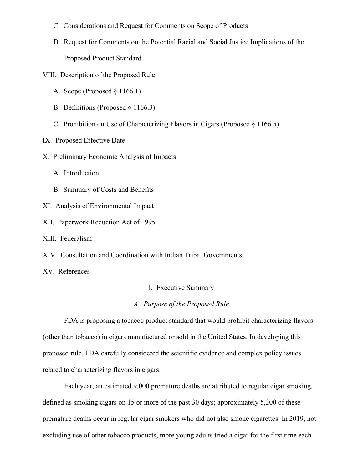- C. Considerations and Request for Comments on Scope of Products
- D. Request for Comments on the Potential Racial and Social Justice Implications of the Proposed Product Standard
- VIII. Description of the Proposed Rule
	- A. Scope (Proposed § 1166.1)
	- B. Definitions (Proposed § 1166.3)
	- C. Prohibition on Use of Characterizing Flavors in Cigars (Proposed § 1166.5)
- IX. Proposed Effective Date
- X. Preliminary Economic Analysis of Impacts
	- A. Introduction
	- B. Summary of Costs and Benefits
- XI. Analysis of Environmental Impact
- XII. Paperwork Reduction Act of 1995
- XIII. Federalism
- XIV. Consultation and Coordination with Indian Tribal Governments
- XV. References

I. Executive Summary

## *A. Purpose of the Proposed Rule*

FDA is proposing a tobacco product standard that would prohibit characterizing flavors (other than tobacco) in cigars manufactured or sold in the United States. In developing this proposed rule, FDA carefully considered the scientific evidence and complex policy issues related to characterizing flavors in cigars.

Each year, an estimated 9,000 premature deaths are attributed to regular cigar smoking, defined as smoking cigars on 15 or more of the past 30 days; approximately 5,200 of these premature deaths occur in regular cigar smokers who did not also smoke cigarettes. In 2019, not excluding use of other tobacco products, more young adults tried a cigar for the first time each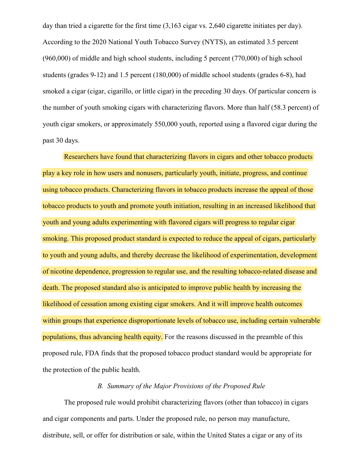day than tried a cigarette for the first time  $(3,163 \text{ cigar vs. } 2,640 \text{ cigar et the initial test per day}).$ According to the 2020 National Youth Tobacco Survey (NYTS), an estimated 3.5 percent (960,000) of middle and high school students, including 5 percent (770,000) of high school students (grades 9-12) and 1.5 percent (180,000) of middle school students (grades 6-8), had smoked a cigar (cigar, cigarillo, or little cigar) in the preceding 30 days. Of particular concern is the number of youth smoking cigars with characterizing flavors. More than half (58.3 percent) of youth cigar smokers, or approximately 550,000 youth, reported using a flavored cigar during the past 30 days.

Researchers have found that characterizing flavors in cigars and other tobacco products play a key role in how users and nonusers, particularly youth, initiate, progress, and continue using tobacco products. Characterizing flavors in tobacco products increase the appeal of those tobacco products to youth and promote youth initiation, resulting in an increased likelihood that youth and young adults experimenting with flavored cigars will progress to regular cigar smoking. This proposed product standard is expected to reduce the appeal of cigars, particularly to youth and young adults, and thereby decrease the likelihood of experimentation, development of nicotine dependence, progression to regular use, and the resulting tobacco-related disease and death. The proposed standard also is anticipated to improve public health by increasing the likelihood of cessation among existing cigar smokers. And it will improve health outcomes within groups that experience disproportionate levels of tobacco use, including certain vulnerable populations, thus advancing health equity. For the reasons discussed in the preamble of this proposed rule, FDA finds that the proposed tobacco product standard would be appropriate for the protection of the public health.

## *B. Summary of the Major Provisions of the Proposed Rule*

The proposed rule would prohibit characterizing flavors (other than tobacco) in cigars and cigar components and parts. Under the proposed rule, no person may manufacture, distribute, sell, or offer for distribution or sale, within the United States a cigar or any of its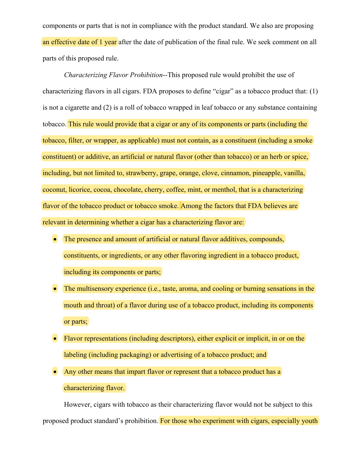components or parts that is not in compliance with the product standard. We also are proposing an effective date of 1 year after the date of publication of the final rule. We seek comment on all parts of this proposed rule.

*Characterizing Flavor Prohibition*--This proposed rule would prohibit the use of characterizing flavors in all cigars. FDA proposes to define "cigar" as a tobacco product that: (1) is not a cigarette and (2) is a roll of tobacco wrapped in leaf tobacco or any substance containing tobacco. This rule would provide that a cigar or any of its components or parts (including the tobacco, filter, or wrapper, as applicable) must not contain, as a constituent (including a smoke constituent) or additive, an artificial or natural flavor (other than tobacco) or an herb or spice, including, but not limited to, strawberry, grape, orange, clove, cinnamon, pineapple, vanilla, coconut, licorice, cocoa, chocolate, cherry, coffee, mint, or menthol, that is a characterizing flavor of the tobacco product or tobacco smoke. Among the factors that FDA believes are relevant in determining whether a cigar has a characterizing flavor are:

- The presence and amount of artificial or natural flavor additives, compounds, constituents, or ingredients, or any other flavoring ingredient in a tobacco product, including its components or parts;
- The multisensory experience (i.e., taste, aroma, and cooling or burning sensations in the mouth and throat) of a flavor during use of a tobacco product, including its components or parts;
- Flavor representations (including descriptors), either explicit or implicit, in or on the labeling (including packaging) or advertising of a tobacco product; and
- Any other means that impart flavor or represent that a tobacco product has a characterizing flavor.

However, cigars with tobacco as their characterizing flavor would not be subject to this proposed product standard's prohibition. For those who experiment with cigars, especially youth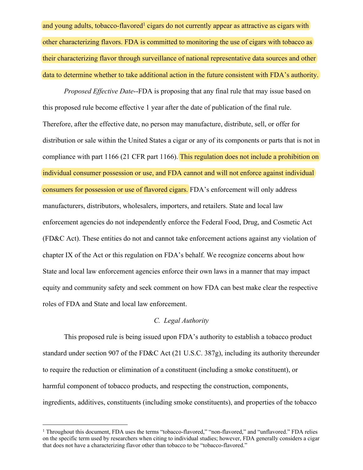and young adults, tobacco-flavored<sup>1</sup> cigars do not currently appear as attractive as cigars with other characterizing flavors. FDA is committed to monitoring the use of cigars with tobacco as their characterizing flavor through surveillance of national representative data sources and other data to determine whether to take additional action in the future consistent with FDA's authority.

*Proposed Effective Date*--FDA is proposing that any final rule that may issue based on this proposed rule become effective 1 year after the date of publication of the final rule. Therefore, after the effective date, no person may manufacture, distribute, sell, or offer for distribution or sale within the United States a cigar or any of its components or parts that is not in compliance with part 1166 (21 CFR part 1166). This regulation does not include a prohibition on individual consumer possession or use, and FDA cannot and will not enforce against individual consumers for possession or use of flavored cigars. FDA's enforcement will only address manufacturers, distributors, wholesalers, importers, and retailers. State and local law enforcement agencies do not independently enforce the Federal Food, Drug, and Cosmetic Act (FD&C Act). These entities do not and cannot take enforcement actions against any violation of chapter IX of the Act or this regulation on FDA's behalf. We recognize concerns about how State and local law enforcement agencies enforce their own laws in a manner that may impact equity and community safety and seek comment on how FDA can best make clear the respective roles of FDA and State and local law enforcement.

#### *C. Legal Authority*

This proposed rule is being issued upon FDA's authority to establish a tobacco product standard under section 907 of the FD&C Act (21 U.S.C. 387g), including its authority thereunder to require the reduction or elimination of a constituent (including a smoke constituent), or harmful component of tobacco products, and respecting the construction, components, ingredients, additives, constituents (including smoke constituents), and properties of the tobacco

<sup>&</sup>lt;sup>1</sup> Throughout this document, FDA uses the terms "tobacco-flavored," "non-flavored," and "unflavored." FDA relies on the specific term used by researchers when citing to individual studies; however, FDA generally considers a cigar that does not have a characterizing flavor other than tobacco to be "tobacco-flavored."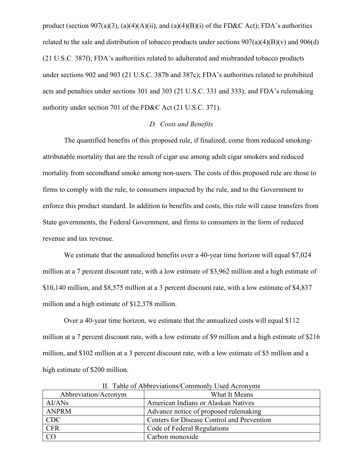product (section 907(a)(3), (a)(4)(A)(ii), and (a)(4)(B)(i) of the FD&C Act); FDA's authorities related to the sale and distribution of tobacco products under sections  $907(a)(4)(B)(v)$  and  $906(d)$ (21 U.S.C. 387f); FDA's authorities related to adulterated and misbranded tobacco products under sections 902 and 903 (21 U.S.C. 387b and 387c); FDA's authorities related to prohibited acts and penalties under sections 301 and 303 (21 U.S.C. 331 and 333); and FDA's rulemaking authority under section 701 of the FD&C Act (21 U.S.C. 371).

## *D. Costs and Benefits*

The quantified benefits of this proposed rule, if finalized, come from reduced smokingattributable mortality that are the result of cigar use among adult cigar smokers and reduced mortality from secondhand smoke among non-users. The costs of this proposed rule are those to firms to comply with the rule, to consumers impacted by the rule, and to the Government to enforce this product standard. In addition to benefits and costs, this rule will cause transfers from State governments, the Federal Government, and firms to consumers in the form of reduced revenue and tax revenue.

We estimate that the annualized benefits over a 40-year time horizon will equal \$7,024 million at a 7 percent discount rate, with a low estimate of \$3,962 million and a high estimate of \$10,140 million, and \$8,575 million at a 3 percent discount rate, with a low estimate of \$4,837 million and a high estimate of \$12,378 million.

Over a 40-year time horizon, we estimate that the annualized costs will equal \$112 million at a 7 percent discount rate, with a low estimate of \$9 million and a high estimate of \$216 million, and \$102 million at a 3 percent discount rate, with a low estimate of \$5 million and a high estimate of \$200 million.

| Abbreviation/Acronym | What It Means                              |
|----------------------|--------------------------------------------|
| AI/ANS               | American Indians or Alaskan Natives        |
| <b>ANPRM</b>         | Advance notice of proposed rulemaking      |
| <b>CDC</b>           | Centers for Disease Control and Prevention |
| <b>CFR</b>           | Code of Federal Regulations                |
| CO                   | Carbon monoxide                            |

II. Table of Abbreviations/Commonly Used Acronyms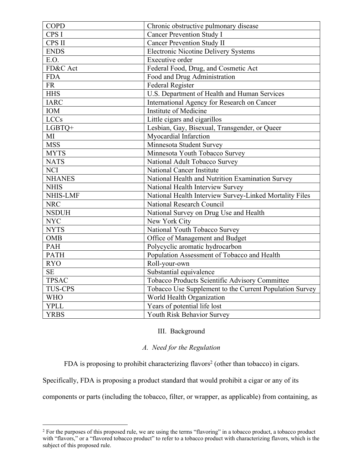| <b>COPD</b>    | Chronic obstructive pulmonary disease                   |
|----------------|---------------------------------------------------------|
| CPS I          | <b>Cancer Prevention Study I</b>                        |
| CPS II         | <b>Cancer Prevention Study II</b>                       |
| <b>ENDS</b>    | <b>Electronic Nicotine Delivery Systems</b>             |
| E.O.           | Executive order                                         |
| FD&C Act       | Federal Food, Drug, and Cosmetic Act                    |
| <b>FDA</b>     | Food and Drug Administration                            |
| <b>FR</b>      | <b>Federal Register</b>                                 |
| <b>HHS</b>     | U.S. Department of Health and Human Services            |
| <b>IARC</b>    | International Agency for Research on Cancer             |
| IOM            | Institute of Medicine                                   |
| <b>LCCs</b>    | Little cigars and cigarillos                            |
| LGBTQ+         | Lesbian, Gay, Bisexual, Transgender, or Queer           |
| MI             | Myocardial Infarction                                   |
| <b>MSS</b>     | Minnesota Student Survey                                |
| <b>MYTS</b>    | Minnesota Youth Tobacco Survey                          |
| <b>NATS</b>    | National Adult Tobacco Survey                           |
| <b>NCI</b>     | National Cancer Institute                               |
| <b>NHANES</b>  | National Health and Nutrition Examination Survey        |
| <b>NHIS</b>    | National Health Interview Survey                        |
| NHIS-LMF       | National Health Interview Survey-Linked Mortality Files |
| <b>NRC</b>     | National Research Council                               |
| <b>NSDUH</b>   | National Survey on Drug Use and Health                  |
| <b>NYC</b>     | New York City                                           |
| <b>NYTS</b>    | National Youth Tobacco Survey                           |
| <b>OMB</b>     | Office of Management and Budget                         |
| PAH            | Polycyclic aromatic hydrocarbon                         |
| <b>PATH</b>    | Population Assessment of Tobacco and Health             |
| <b>RYO</b>     | Roll-your-own                                           |
| <b>SE</b>      | Substantial equivalence                                 |
| <b>TPSAC</b>   | Tobacco Products Scientific Advisory Committee          |
| <b>TUS-CPS</b> | Tobacco Use Supplement to the Current Population Survey |
| <b>WHO</b>     | World Health Organization                               |
| <b>YPLL</b>    | Years of potential life lost                            |
| <b>YRBS</b>    | Youth Risk Behavior Survey                              |

## III. Background

## *A. Need for the Regulation*

FDA is proposing to prohibit characterizing flavors<sup>2</sup> (other than tobacco) in cigars.

Specifically, FDA is proposing a product standard that would prohibit a cigar or any of its

components or parts (including the tobacco, filter, or wrapper, as applicable) from containing, as

<sup>&</sup>lt;sup>2</sup> For the purposes of this proposed rule, we are using the terms "flavoring" in a tobacco product, a tobacco product with "flavors," or a "flavored tobacco product" to refer to a tobacco product with characterizing flavors, which is the subject of this proposed rule.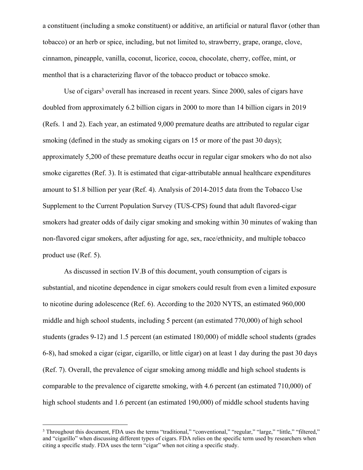a constituent (including a smoke constituent) or additive, an artificial or natural flavor (other than tobacco) or an herb or spice, including, but not limited to, strawberry, grape, orange, clove, cinnamon, pineapple, vanilla, coconut, licorice, cocoa, chocolate, cherry, coffee, mint, or menthol that is a characterizing flavor of the tobacco product or tobacco smoke.

Use of cigars<sup>3</sup> overall has increased in recent years. Since 2000, sales of cigars have doubled from approximately 6.2 billion cigars in 2000 to more than 14 billion cigars in 2019 (Refs. 1 and 2). Each year, an estimated 9,000 premature deaths are attributed to regular cigar smoking (defined in the study as smoking cigars on 15 or more of the past 30 days); approximately 5,200 of these premature deaths occur in regular cigar smokers who do not also smoke cigarettes (Ref. 3). It is estimated that cigar-attributable annual healthcare expenditures amount to \$1.8 billion per year (Ref. 4). Analysis of 2014-2015 data from the Tobacco Use Supplement to the Current Population Survey (TUS-CPS) found that adult flavored-cigar smokers had greater odds of daily cigar smoking and smoking within 30 minutes of waking than non-flavored cigar smokers, after adjusting for age, sex, race/ethnicity, and multiple tobacco product use (Ref. 5).

As discussed in section IV.B of this document, youth consumption of cigars is substantial, and nicotine dependence in cigar smokers could result from even a limited exposure to nicotine during adolescence (Ref. 6). According to the 2020 NYTS, an estimated 960,000 middle and high school students, including 5 percent (an estimated 770,000) of high school students (grades 9-12) and 1.5 percent (an estimated 180,000) of middle school students (grades 6-8), had smoked a cigar (cigar, cigarillo, or little cigar) on at least 1 day during the past 30 days (Ref. 7). Overall, the prevalence of cigar smoking among middle and high school students is comparable to the prevalence of cigarette smoking, with 4.6 percent (an estimated 710,000) of high school students and 1.6 percent (an estimated 190,000) of middle school students having

<sup>&</sup>lt;sup>3</sup> Throughout this document, FDA uses the terms "traditional," "conventional," "regular," "large," "little," "filtered," and "cigarillo" when discussing different types of cigars. FDA relies on the specific term used by researchers when citing a specific study. FDA uses the term "cigar" when not citing a specific study.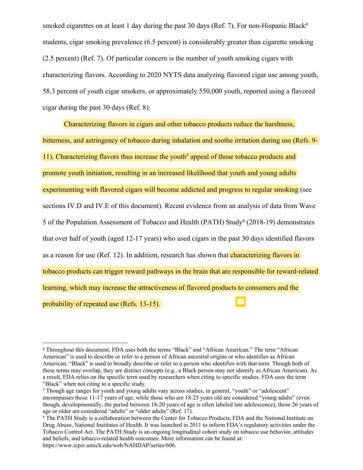smoked cigarettes on at least 1 day during the past 30 days (Ref. 7). For non-Hispanic Black<sup>4</sup> students, cigar smoking prevalence (6.5 percent) is considerably greater than cigarette smoking (2.5 percent) (Ref. 7). Of particular concern is the number of youth smoking cigars with characterizing flavors. According to 2020 NYTS data analyzing flavored cigar use among youth, 58.3 percent of youth cigar smokers, or approximately 550,000 youth, reported using a flavored cigar during the past 30 days (Ref. 8).

Characterizing flavors in cigars and other tobacco products reduce the harshness, bitterness, and astringency of tobacco during inhalation and soothe irritation during use (Refs. 9-11). Characterizing flavors thus increase the youth<sup>5</sup> appeal of those tobacco products and promote youth initiation, resulting in an increased likelihood that youth and young adults experimenting with flavored cigars will become addicted and progress to regular smoking (see sections IV.D and IV.E of this document). Recent evidence from an analysis of data from Wave 5 of the Population Assessment of Tobacco and Health (PATH) Study<sup>6</sup> (2018-19) demonstrates that over half of youth (aged 12-17 years) who used cigars in the past 30 days identified flavors as a reason for use (Ref. 12). In addition, research has shown that *characterizing flavors in* tobacco products can trigger reward pathways in the brain that are responsible for reward-related learning, which may increase the attractiveness of flavored products to consumers and the probability of repeated use (Refs. 13-15).

<sup>4</sup> Throughout this document, FDA uses both the terms "Black" and "African American." The term "African American" is used to describe or refer to a person of African ancestral origins or who identifies as African American. "Black" is used to broadly describe or refer to a person who identifies with that term. Though both of these terms may overlap, they are distinct concepts (e.g., a Black person may not identify as African American). As a result, FDA relies on the specific term used by researchers when citing to specific studies. FDA uses the term "Black" when not citing to a specific study.

<sup>&</sup>lt;sup>5</sup> Though age ranges for youth and young adults vary across studies, in general, "youth" or "adolescent" encompasses those 11-17 years of age, while those who are 18-25 years old are considered "young adults" (even though, developmentally, the period between 18-20 years of age is often labeled late adolescence); those 26 years of age or older are considered "adults" or "older adults" (Ref. 17).

<sup>&</sup>lt;sup>6</sup> The PATH Study is a collaboration between the Center for Tobacco Products, FDA and the National Institute on Drug Abuse, National Institutes of Health. It was launched in 2011 to inform FDA's regulatory activities under the Tobacco Control Act. The PATH Study is an ongoing longitudinal cohort study on tobacco use behavior, attitudes and beliefs, and tobacco-related health outcomes. More information can be found at: https://www.icpsr.umich.edu/web/NAHDAP/series/606.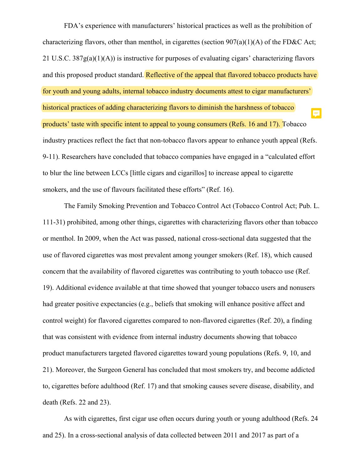FDA's experience with manufacturers' historical practices as well as the prohibition of characterizing flavors, other than menthol, in cigarettes (section  $907(a)(1)(A)$  of the FD&C Act; 21 U.S.C. 387g(a)(1)(A)) is instructive for purposes of evaluating cigars' characterizing flavors and this proposed product standard. Reflective of the appeal that flavored tobacco products have for youth and young adults, internal tobacco industry documents attest to cigar manufacturers' historical practices of adding characterizing flavors to diminish the harshness of tobacco E products' taste with specific intent to appeal to young consumers (Refs. 16 and 17). Tobacco industry practices reflect the fact that non-tobacco flavors appear to enhance youth appeal (Refs. 9-11). Researchers have concluded that tobacco companies have engaged in a "calculated effort to blur the line between LCCs [little cigars and cigarillos] to increase appeal to cigarette smokers, and the use of flavours facilitated these efforts" (Ref. 16).

The Family Smoking Prevention and Tobacco Control Act (Tobacco Control Act; Pub. L. 111-31) prohibited, among other things, cigarettes with characterizing flavors other than tobacco or menthol. In 2009, when the Act was passed, national cross-sectional data suggested that the use of flavored cigarettes was most prevalent among younger smokers (Ref. 18), which caused concern that the availability of flavored cigarettes was contributing to youth tobacco use (Ref. 19). Additional evidence available at that time showed that younger tobacco users and nonusers had greater positive expectancies (e.g., beliefs that smoking will enhance positive affect and control weight) for flavored cigarettes compared to non-flavored cigarettes (Ref. 20), a finding that was consistent with evidence from internal industry documents showing that tobacco product manufacturers targeted flavored cigarettes toward young populations (Refs. 9, 10, and 21). Moreover, the Surgeon General has concluded that most smokers try, and become addicted to, cigarettes before adulthood (Ref. 17) and that smoking causes severe disease, disability, and death (Refs. 22 and 23).

As with cigarettes, first cigar use often occurs during youth or young adulthood (Refs. 24 and 25). In a cross-sectional analysis of data collected between 2011 and 2017 as part of a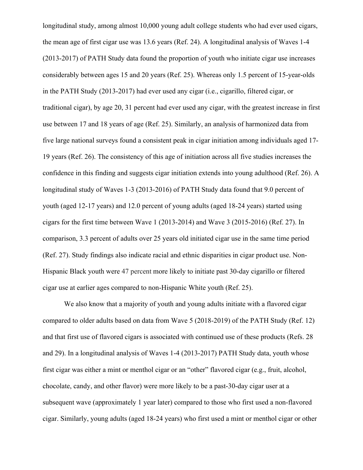longitudinal study, among almost 10,000 young adult college students who had ever used cigars, the mean age of first cigar use was 13.6 years (Ref. 24). A longitudinal analysis of Waves 1-4 (2013-2017) of PATH Study data found the proportion of youth who initiate cigar use increases considerably between ages 15 and 20 years (Ref. 25). Whereas only 1.5 percent of 15-year-olds in the PATH Study (2013-2017) had ever used any cigar (i.e., cigarillo, filtered cigar, or traditional cigar), by age 20, 31 percent had ever used any cigar, with the greatest increase in first use between 17 and 18 years of age (Ref. 25). Similarly, an analysis of harmonized data from five large national surveys found a consistent peak in cigar initiation among individuals aged 17- 19 years (Ref. 26). The consistency of this age of initiation across all five studies increases the confidence in this finding and suggests cigar initiation extends into young adulthood (Ref. 26). A longitudinal study of Waves 1-3 (2013-2016) of PATH Study data found that 9.0 percent of youth (aged 12-17 years) and 12.0 percent of young adults (aged 18-24 years) started using cigars for the first time between Wave 1 (2013-2014) and Wave 3 (2015-2016) (Ref. 27). In comparison, 3.3 percent of adults over 25 years old initiated cigar use in the same time period (Ref. 27). Study findings also indicate racial and ethnic disparities in cigar product use. Non-Hispanic Black youth were 47 percent more likely to initiate past 30-day cigarillo or filtered cigar use at earlier ages compared to non-Hispanic White youth (Ref. 25).

We also know that a majority of youth and young adults initiate with a flavored cigar compared to older adults based on data from Wave 5 (2018-2019) of the PATH Study (Ref. 12) and that first use of flavored cigars is associated with continued use of these products (Refs. 28 and 29). In a longitudinal analysis of Waves 1-4 (2013-2017) PATH Study data, youth whose first cigar was either a mint or menthol cigar or an "other" flavored cigar (e.g., fruit, alcohol, chocolate, candy, and other flavor) were more likely to be a past-30-day cigar user at a subsequent wave (approximately 1 year later) compared to those who first used a non-flavored cigar. Similarly, young adults (aged 18-24 years) who first used a mint or menthol cigar or other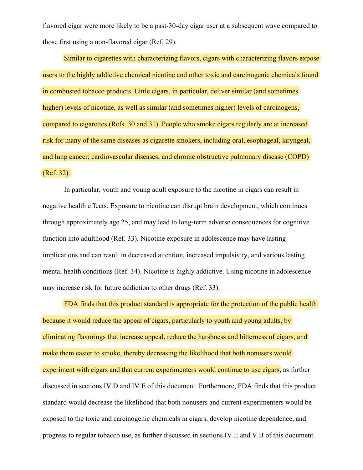flavored cigar were more likely to be a past-30-day cigar user at a subsequent wave compared to those first using a non-flavored cigar (Ref. 29).

Similar to cigarettes with characterizing flavors, cigars with characterizing flavors expose users to the highly addictive chemical nicotine and other toxic and carcinogenic chemicals found in combusted tobacco products. Little cigars, in particular, deliver similar (and sometimes higher) levels of nicotine, as well as similar (and sometimes higher) levels of carcinogens, compared to cigarettes (Refs. 30 and 31). People who smoke cigars regularly are at increased risk for many of the same diseases as cigarette smokers, including oral, esophageal, laryngeal, and lung cancer; cardiovascular diseases; and chronic obstructive pulmonary disease (COPD) (Ref. 32).

In particular, youth and young adult exposure to the nicotine in cigars can result in negative health effects. Exposure to nicotine can disrupt brain development, which continues through approximately age 25, and may lead to long-term adverse consequences for cognitive function into adulthood (Ref. 33). Nicotine exposure in adolescence may have lasting implications and can result in decreased attention, increased impulsivity, and various lasting mental health conditions (Ref. 34). Nicotine is highly addictive. Using nicotine in adolescence may increase risk for future addiction to other drugs (Ref. 33).

FDA finds that this product standard is appropriate for the protection of the public health because it would reduce the appeal of cigars, particularly to youth and young adults, by eliminating flavorings that increase appeal, reduce the harshness and bitterness of cigars, and make them easier to smoke, thereby decreasing the likelihood that both nonusers would experiment with cigars and that current experimenters would continue to use cigars, as further discussed in sections IV.D and IV.E of this document. Furthermore, FDA finds that this product standard would decrease the likelihood that both nonusers and current experimenters would be exposed to the toxic and carcinogenic chemicals in cigars, develop nicotine dependence, and progress to regular tobacco use, as further discussed in sections IV.E and V.B of this document.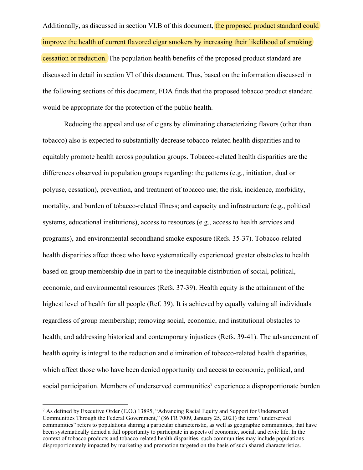Additionally, as discussed in section VI.B of this document, the proposed product standard could improve the health of current flavored cigar smokers by increasing their likelihood of smoking cessation or reduction. The population health benefits of the proposed product standard are discussed in detail in section VI of this document. Thus, based on the information discussed in the following sections of this document, FDA finds that the proposed tobacco product standard would be appropriate for the protection of the public health.

Reducing the appeal and use of cigars by eliminating characterizing flavors (other than tobacco) also is expected to substantially decrease tobacco-related health disparities and to equitably promote health across population groups. Tobacco-related health disparities are the differences observed in population groups regarding: the patterns (e.g., initiation, dual or polyuse, cessation), prevention, and treatment of tobacco use; the risk, incidence, morbidity, mortality, and burden of tobacco-related illness; and capacity and infrastructure (e.g., political systems, educational institutions), access to resources (e.g., access to health services and programs), and environmental secondhand smoke exposure (Refs. 35-37). Tobacco-related health disparities affect those who have systematically experienced greater obstacles to health based on group membership due in part to the inequitable distribution of social, political, economic, and environmental resources (Refs. 37-39). Health equity is the attainment of the highest level of health for all people (Ref. 39). It is achieved by equally valuing all individuals regardless of group membership; removing social, economic, and institutional obstacles to health; and addressing historical and contemporary injustices (Refs. 39-41). The advancement of health equity is integral to the reduction and elimination of tobacco-related health disparities, which affect those who have been denied opportunity and access to economic, political, and social participation. Members of underserved communities<sup>7</sup> experience a disproportionate burden

<sup>7</sup> As defined by Executive Order (E.O.) 13895, "Advancing Racial Equity and Support for Underserved Communities Through the Federal Government," (86 FR 7009, January 25, 2021) the term "underserved communities" refers to populations sharing a particular characteristic, as well as geographic communities, that have been systematically denied a full opportunity to participate in aspects of economic, social, and civic life. In the context of tobacco products and tobacco-related health disparities, such communities may include populations disproportionately impacted by marketing and promotion targeted on the basis of such shared characteristics.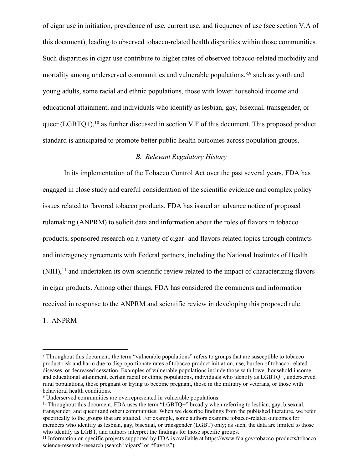of cigar use in initiation, prevalence of use, current use, and frequency of use (see section V.A of this document), leading to observed tobacco-related health disparities within those communities. Such disparities in cigar use contribute to higher rates of observed tobacco-related morbidity and mortality among underserved communities and vulnerable populations,  $8,9$  such as youth and young adults, some racial and ethnic populations, those with lower household income and educational attainment, and individuals who identify as lesbian, gay, bisexual, transgender, or queer (LGBTQ+),<sup>10</sup> as further discussed in section V.F of this document. This proposed product standard is anticipated to promote better public health outcomes across population groups.

## *B. Relevant Regulatory History*

In its implementation of the Tobacco Control Act over the past several years, FDA has engaged in close study and careful consideration of the scientific evidence and complex policy issues related to flavored tobacco products. FDA has issued an advance notice of proposed rulemaking (ANPRM) to solicit data and information about the roles of flavors in tobacco products, sponsored research on a variety of cigar- and flavors-related topics through contracts and interagency agreements with Federal partners, including the National Institutes of Health  $(NIH),<sup>11</sup>$  and undertaken its own scientific review related to the impact of characterizing flavors in cigar products. Among other things, FDA has considered the comments and information received in response to the ANPRM and scientific review in developing this proposed rule.

1. ANPRM

<sup>&</sup>lt;sup>8</sup> Throughout this document, the term "vulnerable populations" refers to groups that are susceptible to tobacco product risk and harm due to disproportionate rates of tobacco product initiation, use, burden of tobacco-related diseases, or decreased cessation. Examples of vulnerable populations include those with lower household income and educational attainment, certain racial or ethnic populations, individuals who identify as LGBTQ+, underserved rural populations, those pregnant or trying to become pregnant, those in the military or veterans, or those with behavioral health conditions.

<sup>&</sup>lt;sup>9</sup> Underserved communities are overrepresented in vulnerable populations.

<sup>&</sup>lt;sup>10</sup> Throughout this document, FDA uses the term "LGBTQ+" broadly when referring to lesbian, gay, bisexual, transgender, and queer (and other) communities. When we describe findings from the published literature, we refer specifically to the groups that are studied. For example, some authors examine tobacco-related outcomes for members who identify as lesbian, gay, bisexual, or transgender (LGBT) only; as such, the data are limited to those who identify as LGBT, and authors interpret the findings for those specific groups.

<sup>&</sup>lt;sup>11</sup> Information on specific projects supported by FDA is available at https://www.fda.gov/tobacco-products/tobaccoscience-research/research (search "cigars" or "flavors").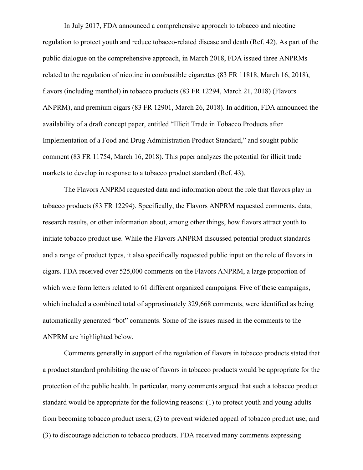In July 2017, FDA announced a comprehensive approach to tobacco and nicotine regulation to protect youth and reduce tobacco-related disease and death (Ref. 42). As part of the public dialogue on the comprehensive approach, in March 2018, FDA issued three ANPRMs related to the regulation of nicotine in combustible cigarettes (83 FR 11818, March 16, 2018), flavors (including menthol) in tobacco products (83 FR 12294, March 21, 2018) (Flavors ANPRM), and premium cigars (83 FR 12901, March 26, 2018). In addition, FDA announced the availability of a draft concept paper, entitled "Illicit Trade in Tobacco Products after Implementation of a Food and Drug Administration Product Standard," and sought public comment (83 FR 11754, March 16, 2018). This paper analyzes the potential for illicit trade markets to develop in response to a tobacco product standard (Ref. 43).

The Flavors ANPRM requested data and information about the role that flavors play in tobacco products (83 FR 12294). Specifically, the Flavors ANPRM requested comments, data, research results, or other information about, among other things, how flavors attract youth to initiate tobacco product use. While the Flavors ANPRM discussed potential product standards and a range of product types, it also specifically requested public input on the role of flavors in cigars. FDA received over 525,000 comments on the Flavors ANPRM, a large proportion of which were form letters related to 61 different organized campaigns. Five of these campaigns, which included a combined total of approximately 329,668 comments, were identified as being automatically generated "bot" comments. Some of the issues raised in the comments to the ANPRM are highlighted below.

Comments generally in support of the regulation of flavors in tobacco products stated that a product standard prohibiting the use of flavors in tobacco products would be appropriate for the protection of the public health. In particular, many comments argued that such a tobacco product standard would be appropriate for the following reasons: (1) to protect youth and young adults from becoming tobacco product users; (2) to prevent widened appeal of tobacco product use; and (3) to discourage addiction to tobacco products. FDA received many comments expressing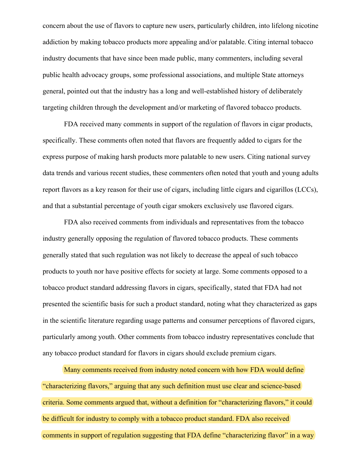concern about the use of flavors to capture new users, particularly children, into lifelong nicotine addiction by making tobacco products more appealing and/or palatable. Citing internal tobacco industry documents that have since been made public, many commenters, including several public health advocacy groups, some professional associations, and multiple State attorneys general, pointed out that the industry has a long and well-established history of deliberately targeting children through the development and/or marketing of flavored tobacco products.

FDA received many comments in support of the regulation of flavors in cigar products, specifically. These comments often noted that flavors are frequently added to cigars for the express purpose of making harsh products more palatable to new users. Citing national survey data trends and various recent studies, these commenters often noted that youth and young adults report flavors as a key reason for their use of cigars, including little cigars and cigarillos (LCCs), and that a substantial percentage of youth cigar smokers exclusively use flavored cigars.

FDA also received comments from individuals and representatives from the tobacco industry generally opposing the regulation of flavored tobacco products. These comments generally stated that such regulation was not likely to decrease the appeal of such tobacco products to youth nor have positive effects for society at large. Some comments opposed to a tobacco product standard addressing flavors in cigars, specifically, stated that FDA had not presented the scientific basis for such a product standard, noting what they characterized as gaps in the scientific literature regarding usage patterns and consumer perceptions of flavored cigars, particularly among youth. Other comments from tobacco industry representatives conclude that any tobacco product standard for flavors in cigars should exclude premium cigars.

Many comments received from industry noted concern with how FDA would define "characterizing flavors," arguing that any such definition must use clear and science-based criteria. Some comments argued that, without a definition for "characterizing flavors," it could be difficult for industry to comply with a tobacco product standard. FDA also received comments in support of regulation suggesting that FDA define "characterizing flavor" in a way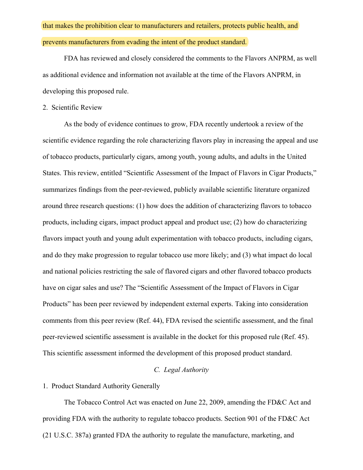# that makes the prohibition clear to manufacturers and retailers, protects public health, and prevents manufacturers from evading the intent of the product standard.

FDA has reviewed and closely considered the comments to the Flavors ANPRM, as well as additional evidence and information not available at the time of the Flavors ANPRM, in developing this proposed rule.

#### 2. Scientific Review

As the body of evidence continues to grow, FDA recently undertook a review of the scientific evidence regarding the role characterizing flavors play in increasing the appeal and use of tobacco products, particularly cigars, among youth, young adults, and adults in the United States. This review, entitled "Scientific Assessment of the Impact of Flavors in Cigar Products," summarizes findings from the peer-reviewed, publicly available scientific literature organized around three research questions: (1) how does the addition of characterizing flavors to tobacco products, including cigars, impact product appeal and product use; (2) how do characterizing flavors impact youth and young adult experimentation with tobacco products, including cigars, and do they make progression to regular tobacco use more likely; and (3) what impact do local and national policies restricting the sale of flavored cigars and other flavored tobacco products have on cigar sales and use? The "Scientific Assessment of the Impact of Flavors in Cigar Products" has been peer reviewed by independent external experts. Taking into consideration comments from this peer review (Ref. 44), FDA revised the scientific assessment, and the final peer-reviewed scientific assessment is available in the docket for this proposed rule (Ref. 45). This scientific assessment informed the development of this proposed product standard.

## *C. Legal Authority*

## 1. Product Standard Authority Generally

The Tobacco Control Act was enacted on June 22, 2009, amending the FD&C Act and providing FDA with the authority to regulate tobacco products. Section 901 of the FD&C Act (21 U.S.C. 387a) granted FDA the authority to regulate the manufacture, marketing, and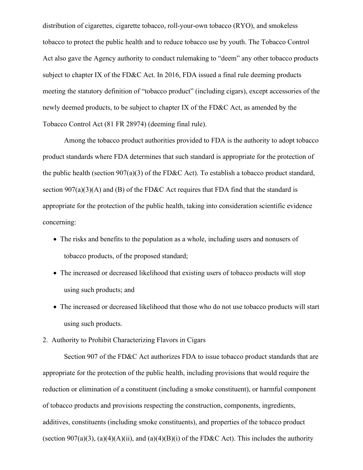distribution of cigarettes, cigarette tobacco, roll-your-own tobacco (RYO), and smokeless tobacco to protect the public health and to reduce tobacco use by youth. The Tobacco Control Act also gave the Agency authority to conduct rulemaking to "deem" any other tobacco products subject to chapter IX of the FD&C Act. In 2016, FDA issued a final rule deeming products meeting the statutory definition of "tobacco product" (including cigars), except accessories of the newly deemed products, to be subject to chapter IX of the FD&C Act, as amended by the Tobacco Control Act (81 FR 28974) (deeming final rule).

Among the tobacco product authorities provided to FDA is the authority to adopt tobacco product standards where FDA determines that such standard is appropriate for the protection of the public health (section  $907(a)(3)$  of the FD&C Act). To establish a tobacco product standard, section  $907(a)(3)(A)$  and (B) of the FD&C Act requires that FDA find that the standard is appropriate for the protection of the public health, taking into consideration scientific evidence concerning:

- The risks and benefits to the population as a whole, including users and nonusers of tobacco products, of the proposed standard;
- The increased or decreased likelihood that existing users of tobacco products will stop using such products; and
- The increased or decreased likelihood that those who do not use tobacco products will start using such products.

2. Authority to Prohibit Characterizing Flavors in Cigars

Section 907 of the FD&C Act authorizes FDA to issue tobacco product standards that are appropriate for the protection of the public health, including provisions that would require the reduction or elimination of a constituent (including a smoke constituent), or harmful component of tobacco products and provisions respecting the construction, components, ingredients, additives, constituents (including smoke constituents), and properties of the tobacco product (section 907(a)(3), (a)(4)(A)(ii), and (a)(4)(B)(i) of the FD&C Act). This includes the authority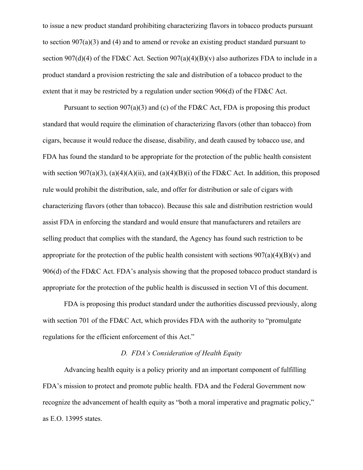to issue a new product standard prohibiting characterizing flavors in tobacco products pursuant to section 907(a)(3) and (4) and to amend or revoke an existing product standard pursuant to section 907(d)(4) of the FD&C Act. Section  $907(a)(4)(B)(v)$  also authorizes FDA to include in a product standard a provision restricting the sale and distribution of a tobacco product to the extent that it may be restricted by a regulation under section 906(d) of the FD&C Act.

Pursuant to section  $907(a)(3)$  and (c) of the FD&C Act, FDA is proposing this product standard that would require the elimination of characterizing flavors (other than tobacco) from cigars, because it would reduce the disease, disability, and death caused by tobacco use, and FDA has found the standard to be appropriate for the protection of the public health consistent with section 907(a)(3), (a)(4)(A)(ii), and (a)(4)(B)(i) of the FD&C Act. In addition, this proposed rule would prohibit the distribution, sale, and offer for distribution or sale of cigars with characterizing flavors (other than tobacco). Because this sale and distribution restriction would assist FDA in enforcing the standard and would ensure that manufacturers and retailers are selling product that complies with the standard, the Agency has found such restriction to be appropriate for the protection of the public health consistent with sections  $907(a)(4)(B)(v)$  and 906(d) of the FD&C Act. FDA's analysis showing that the proposed tobacco product standard is appropriate for the protection of the public health is discussed in section VI of this document.

FDA is proposing this product standard under the authorities discussed previously, along with section 701 of the FD&C Act, which provides FDA with the authority to "promulgate" regulations for the efficient enforcement of this Act."

## *D. FDA's Consideration of Health Equity*

Advancing health equity is a policy priority and an important component of fulfilling FDA's mission to protect and promote public health. FDA and the Federal Government now recognize the advancement of health equity as "both a moral imperative and pragmatic policy," as E.O. 13995 states.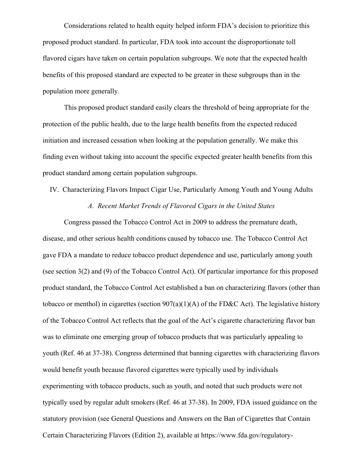Considerations related to health equity helped inform FDA's decision to prioritize this proposed product standard. In particular, FDA took into account the disproportionate toll flavored cigars have taken on certain population subgroups. We note that the expected health benefits of this proposed standard are expected to be greater in these subgroups than in the population more generally.

This proposed product standard easily clears the threshold of being appropriate for the protection of the public health, due to the large health benefits from the expected reduced initiation and increased cessation when looking at the population generally. We make this finding even without taking into account the specific expected greater health benefits from this product standard among certain population subgroups.

IV. Characterizing Flavors Impact Cigar Use, Particularly Among Youth and Young Adults

#### *A. Recent Market Trends of Flavored Cigars in the United States*

Congress passed the Tobacco Control Act in 2009 to address the premature death, disease, and other serious health conditions caused by tobacco use. The Tobacco Control Act gave FDA a mandate to reduce tobacco product dependence and use, particularly among youth (see section 3(2) and (9) of the Tobacco Control Act). Of particular importance for this proposed product standard, the Tobacco Control Act established a ban on characterizing flavors (other than tobacco or menthol) in cigarettes (section  $907(a)(1)(A)$  of the FD&C Act). The legislative history of the Tobacco Control Act reflects that the goal of the Act's cigarette characterizing flavor ban was to eliminate one emerging group of tobacco products that was particularly appealing to youth (Ref. 46 at 37-38). Congress determined that banning cigarettes with characterizing flavors would benefit youth because flavored cigarettes were typically used by individuals experimenting with tobacco products, such as youth, and noted that such products were not typically used by regular adult smokers (Ref. 46 at 37-38). In 2009, FDA issued guidance on the statutory provision (see General Questions and Answers on the Ban of Cigarettes that Contain Certain Characterizing Flavors (Edition 2), available at https://www.fda.gov/regulatory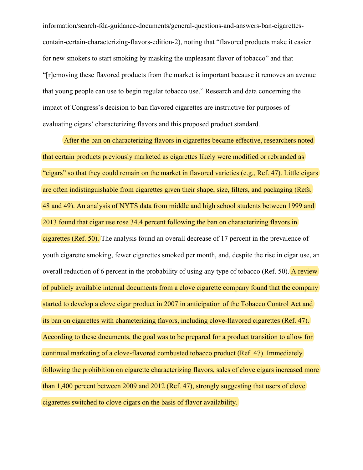information/search-fda-guidance-documents/general-questions-and-answers-ban-cigarettescontain-certain-characterizing-flavors-edition-2), noting that "flavored products make it easier for new smokers to start smoking by masking the unpleasant flavor of tobacco" and that "[r]emoving these flavored products from the market is important because it removes an avenue that young people can use to begin regular tobacco use." Research and data concerning the impact of Congress's decision to ban flavored cigarettes are instructive for purposes of evaluating cigars' characterizing flavors and this proposed product standard.

After the ban on characterizing flavors in cigarettes became effective, researchers noted that certain products previously marketed as cigarettes likely were modified or rebranded as "cigars" so that they could remain on the market in flavored varieties (e.g., Ref. 47). Little cigars are often indistinguishable from cigarettes given their shape, size, filters, and packaging (Refs. 48 and 49). An analysis of NYTS data from middle and high school students between 1999 and 2013 found that cigar use rose 34.4 percent following the ban on characterizing flavors in cigarettes (Ref. 50). The analysis found an overall decrease of 17 percent in the prevalence of youth cigarette smoking, fewer cigarettes smoked per month, and, despite the rise in cigar use, an overall reduction of 6 percent in the probability of using any type of tobacco (Ref. 50). A review of publicly available internal documents from a clove cigarette company found that the company started to develop a clove cigar product in 2007 in anticipation of the Tobacco Control Act and its ban on cigarettes with characterizing flavors, including clove-flavored cigarettes (Ref. 47). According to these documents, the goal was to be prepared for a product transition to allow for continual marketing of a clove-flavored combusted tobacco product (Ref. 47). Immediately following the prohibition on cigarette characterizing flavors, sales of clove cigars increased more than 1,400 percent between 2009 and 2012 (Ref. 47), strongly suggesting that users of clove cigarettes switched to clove cigars on the basis of flavor availability.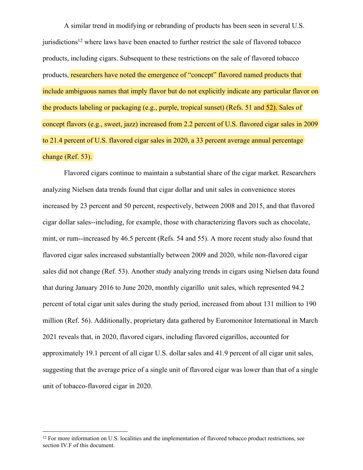A similar trend in modifying or rebranding of products has been seen in several U.S. jurisdictions<sup>12</sup> where laws have been enacted to further restrict the sale of flavored tobacco products, including cigars. Subsequent to these restrictions on the sale of flavored tobacco products, researchers have noted the emergence of "concept" flavored named products that include ambiguous names that imply flavor but do not explicitly indicate any particular flavor on the products labeling or packaging (e.g., purple, tropical sunset) (Refs. 51 and 52). Sales of concept flavors (e.g., sweet, jazz) increased from 2.2 percent of U.S. flavored cigar sales in 2009 to 21.4 percent of U.S. flavored cigar sales in 2020, a 33 percent average annual percentage change (Ref. 53).

Flavored cigars continue to maintain a substantial share of the cigar market. Researchers analyzing Nielsen data trends found that cigar dollar and unit sales in convenience stores increased by 23 percent and 50 percent, respectively, between 2008 and 2015, and that flavored cigar dollar sales--including, for example, those with characterizing flavors such as chocolate, mint, or rum--increased by 46.5 percent (Refs. 54 and 55). A more recent study also found that flavored cigar sales increased substantially between 2009 and 2020, while non-flavored cigar sales did not change (Ref. 53). Another study analyzing trends in cigars using Nielsen data found that during January 2016 to June 2020, monthly cigarillo unit sales, which represented 94.2 percent of total cigar unit sales during the study period, increased from about 131 million to 190 million (Ref. 56). Additionally, proprietary data gathered by Euromonitor International in March 2021 reveals that, in 2020, flavored cigars, including flavored cigarillos, accounted for approximately 19.1 percent of all cigar U.S. dollar sales and 41.9 percent of all cigar unit sales, suggesting that the average price of a single unit of flavored cigar was lower than that of a single unit of tobacco-flavored cigar in 2020.

<sup>&</sup>lt;sup>12</sup> For more information on U.S. localities and the implementation of flavored tobacco product restrictions, see section IV.F of this document.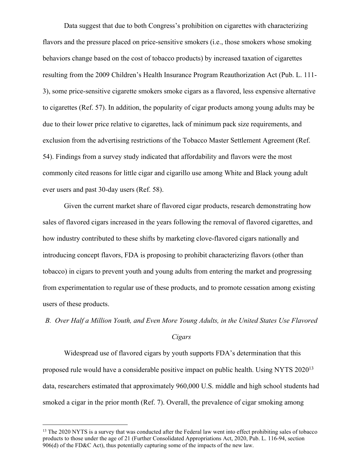Data suggest that due to both Congress's prohibition on cigarettes with characterizing flavors and the pressure placed on price-sensitive smokers (i.e., those smokers whose smoking behaviors change based on the cost of tobacco products) by increased taxation of cigarettes resulting from the 2009 Children's Health Insurance Program Reauthorization Act (Pub. L. 111- 3), some price-sensitive cigarette smokers smoke cigars as a flavored, less expensive alternative to cigarettes (Ref. 57). In addition, the popularity of cigar products among young adults may be due to their lower price relative to cigarettes, lack of minimum pack size requirements, and exclusion from the advertising restrictions of the Tobacco Master Settlement Agreement (Ref. 54). Findings from a survey study indicated that affordability and flavors were the most commonly cited reasons for little cigar and cigarillo use among White and Black young adult ever users and past 30-day users (Ref. 58).

Given the current market share of flavored cigar products, research demonstrating how sales of flavored cigars increased in the years following the removal of flavored cigarettes, and how industry contributed to these shifts by marketing clove-flavored cigars nationally and introducing concept flavors, FDA is proposing to prohibit characterizing flavors (other than tobacco) in cigars to prevent youth and young adults from entering the market and progressing from experimentation to regular use of these products, and to promote cessation among existing users of these products.

*B. Over Half a Million Youth, and Even More Young Adults, in the United States Use Flavored* 

#### *Cigars*

Widespread use of flavored cigars by youth supports FDA's determination that this proposed rule would have a considerable positive impact on public health. Using NYTS 2020<sup>13</sup> data, researchers estimated that approximately 960,000 U.S. middle and high school students had smoked a cigar in the prior month (Ref. 7). Overall, the prevalence of cigar smoking among

<sup>&</sup>lt;sup>13</sup> The 2020 NYTS is a survey that was conducted after the Federal law went into effect prohibiting sales of tobacco products to those under the age of 21 (Further Consolidated Appropriations Act, 2020, Pub. L. 116-94, section 906(d) of the FD&C Act), thus potentially capturing some of the impacts of the new law.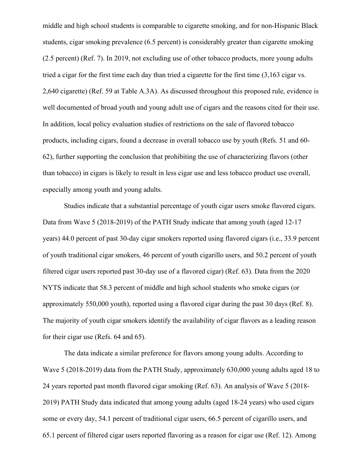middle and high school students is comparable to cigarette smoking, and for non-Hispanic Black students, cigar smoking prevalence (6.5 percent) is considerably greater than cigarette smoking (2.5 percent) (Ref. 7). In 2019, not excluding use of other tobacco products, more young adults tried a cigar for the first time each day than tried a cigarette for the first time (3,163 cigar vs. 2,640 cigarette) (Ref. 59 at Table A.3A). As discussed throughout this proposed rule, evidence is well documented of broad youth and young adult use of cigars and the reasons cited for their use. In addition, local policy evaluation studies of restrictions on the sale of flavored tobacco products, including cigars, found a decrease in overall tobacco use by youth (Refs. 51 and 60- 62), further supporting the conclusion that prohibiting the use of characterizing flavors (other than tobacco) in cigars is likely to result in less cigar use and less tobacco product use overall, especially among youth and young adults.

Studies indicate that a substantial percentage of youth cigar users smoke flavored cigars. Data from Wave 5 (2018-2019) of the PATH Study indicate that among youth (aged 12-17 years) 44.0 percent of past 30-day cigar smokers reported using flavored cigars (i.e., 33.9 percent of youth traditional cigar smokers, 46 percent of youth cigarillo users, and 50.2 percent of youth filtered cigar users reported past 30-day use of a flavored cigar) (Ref. 63). Data from the 2020 NYTS indicate that 58.3 percent of middle and high school students who smoke cigars (or approximately 550,000 youth), reported using a flavored cigar during the past 30 days (Ref. 8). The majority of youth cigar smokers identify the availability of cigar flavors as a leading reason for their cigar use (Refs. 64 and 65).

The data indicate a similar preference for flavors among young adults. According to Wave 5 (2018-2019) data from the PATH Study, approximately 630,000 young adults aged 18 to 24 years reported past month flavored cigar smoking (Ref. 63). An analysis of Wave 5 (2018- 2019) PATH Study data indicated that among young adults (aged 18-24 years) who used cigars some or every day, 54.1 percent of traditional cigar users, 66.5 percent of cigarillo users, and 65.1 percent of filtered cigar users reported flavoring as a reason for cigar use (Ref. 12). Among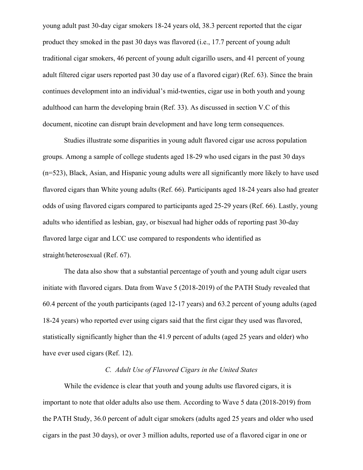young adult past 30-day cigar smokers 18-24 years old, 38.3 percent reported that the cigar product they smoked in the past 30 days was flavored (i.e., 17.7 percent of young adult traditional cigar smokers, 46 percent of young adult cigarillo users, and 41 percent of young adult filtered cigar users reported past 30 day use of a flavored cigar) (Ref. 63). Since the brain continues development into an individual's mid-twenties, cigar use in both youth and young adulthood can harm the developing brain (Ref. 33). As discussed in section V.C of this document, nicotine can disrupt brain development and have long term consequences.

Studies illustrate some disparities in young adult flavored cigar use across population groups. Among a sample of college students aged 18-29 who used cigars in the past 30 days (n=523), Black, Asian, and Hispanic young adults were all significantly more likely to have used flavored cigars than White young adults (Ref. 66). Participants aged 18-24 years also had greater odds of using flavored cigars compared to participants aged 25-29 years (Ref. 66). Lastly, young adults who identified as lesbian, gay, or bisexual had higher odds of reporting past 30-day flavored large cigar and LCC use compared to respondents who identified as straight/heterosexual (Ref. 67).

The data also show that a substantial percentage of youth and young adult cigar users initiate with flavored cigars. Data from Wave 5 (2018-2019) of the PATH Study revealed that 60.4 percent of the youth participants (aged 12-17 years) and 63.2 percent of young adults (aged 18-24 years) who reported ever using cigars said that the first cigar they used was flavored, statistically significantly higher than the 41.9 percent of adults (aged 25 years and older) who have ever used cigars (Ref. 12).

## *C. Adult Use of Flavored Cigars in the United States*

While the evidence is clear that youth and young adults use flavored cigars, it is important to note that older adults also use them. According to Wave 5 data (2018-2019) from the PATH Study, 36.0 percent of adult cigar smokers (adults aged 25 years and older who used cigars in the past 30 days), or over 3 million adults, reported use of a flavored cigar in one or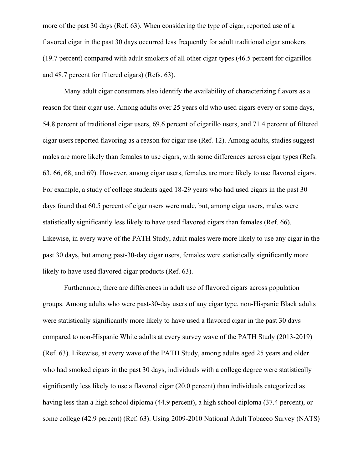more of the past 30 days (Ref. 63). When considering the type of cigar, reported use of a flavored cigar in the past 30 days occurred less frequently for adult traditional cigar smokers (19.7 percent) compared with adult smokers of all other cigar types (46.5 percent for cigarillos and 48.7 percent for filtered cigars) (Refs. 63).

Many adult cigar consumers also identify the availability of characterizing flavors as a reason for their cigar use. Among adults over 25 years old who used cigars every or some days, 54.8 percent of traditional cigar users, 69.6 percent of cigarillo users, and 71.4 percent of filtered cigar users reported flavoring as a reason for cigar use (Ref. 12). Among adults, studies suggest males are more likely than females to use cigars, with some differences across cigar types (Refs. 63, 66, 68, and 69). However, among cigar users, females are more likely to use flavored cigars. For example, a study of college students aged 18-29 years who had used cigars in the past 30 days found that 60.5 percent of cigar users were male, but, among cigar users, males were statistically significantly less likely to have used flavored cigars than females (Ref. 66). Likewise, in every wave of the PATH Study, adult males were more likely to use any cigar in the past 30 days, but among past-30-day cigar users, females were statistically significantly more likely to have used flavored cigar products (Ref. 63).

Furthermore, there are differences in adult use of flavored cigars across population groups. Among adults who were past-30-day users of any cigar type, non-Hispanic Black adults were statistically significantly more likely to have used a flavored cigar in the past 30 days compared to non-Hispanic White adults at every survey wave of the PATH Study (2013-2019) (Ref. 63). Likewise, at every wave of the PATH Study, among adults aged 25 years and older who had smoked cigars in the past 30 days, individuals with a college degree were statistically significantly less likely to use a flavored cigar (20.0 percent) than individuals categorized as having less than a high school diploma (44.9 percent), a high school diploma (37.4 percent), or some college (42.9 percent) (Ref. 63). Using 2009-2010 National Adult Tobacco Survey (NATS)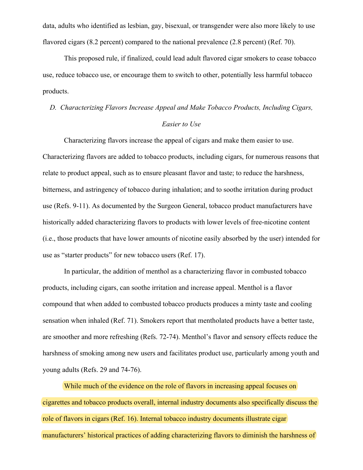data, adults who identified as lesbian, gay, bisexual, or transgender were also more likely to use flavored cigars (8.2 percent) compared to the national prevalence (2.8 percent) (Ref. 70).

This proposed rule, if finalized, could lead adult flavored cigar smokers to cease tobacco use, reduce tobacco use, or encourage them to switch to other, potentially less harmful tobacco products.

## *D. Characterizing Flavors Increase Appeal and Make Tobacco Products, Including Cigars,*

### *Easier to Use*

Characterizing flavors increase the appeal of cigars and make them easier to use. Characterizing flavors are added to tobacco products, including cigars, for numerous reasons that relate to product appeal, such as to ensure pleasant flavor and taste; to reduce the harshness, bitterness, and astringency of tobacco during inhalation; and to soothe irritation during product use (Refs. 9-11). As documented by the Surgeon General, tobacco product manufacturers have historically added characterizing flavors to products with lower levels of free-nicotine content (i.e., those products that have lower amounts of nicotine easily absorbed by the user) intended for use as "starter products" for new tobacco users (Ref. 17).

In particular, the addition of menthol as a characterizing flavor in combusted tobacco products, including cigars, can soothe irritation and increase appeal. Menthol is a flavor compound that when added to combusted tobacco products produces a minty taste and cooling sensation when inhaled (Ref. 71). Smokers report that mentholated products have a better taste, are smoother and more refreshing (Refs. 72-74). Menthol's flavor and sensory effects reduce the harshness of smoking among new users and facilitates product use, particularly among youth and young adults (Refs. 29 and 74-76).

While much of the evidence on the role of flavors in increasing appeal focuses on cigarettes and tobacco products overall, internal industry documents also specifically discuss the role of flavors in cigars (Ref. 16). Internal tobacco industry documents illustrate cigar manufacturers' historical practices of adding characterizing flavors to diminish the harshness of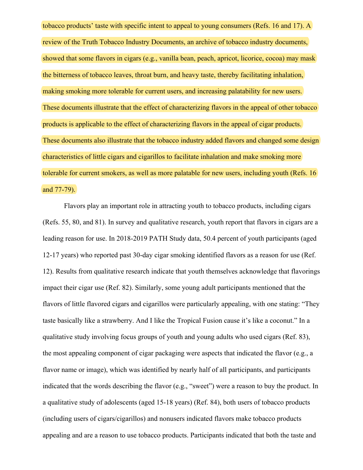tobacco products' taste with specific intent to appeal to young consumers (Refs. 16 and 17). A review of the Truth Tobacco Industry Documents, an archive of tobacco industry documents, showed that some flavors in cigars (e.g., vanilla bean, peach, apricot, licorice, cocoa) may mask the bitterness of tobacco leaves, throat burn, and heavy taste, thereby facilitating inhalation, making smoking more tolerable for current users, and increasing palatability for new users. These documents illustrate that the effect of characterizing flavors in the appeal of other tobacco products is applicable to the effect of characterizing flavors in the appeal of cigar products. These documents also illustrate that the tobacco industry added flavors and changed some design characteristics of little cigars and cigarillos to facilitate inhalation and make smoking more tolerable for current smokers, as well as more palatable for new users, including youth (Refs. 16 and 77-79).

Flavors play an important role in attracting youth to tobacco products, including cigars (Refs. 55, 80, and 81). In survey and qualitative research, youth report that flavors in cigars are a leading reason for use. In 2018-2019 PATH Study data, 50.4 percent of youth participants (aged 12-17 years) who reported past 30-day cigar smoking identified flavors as a reason for use (Ref. 12). Results from qualitative research indicate that youth themselves acknowledge that flavorings impact their cigar use (Ref. 82). Similarly, some young adult participants mentioned that the flavors of little flavored cigars and cigarillos were particularly appealing, with one stating: "They taste basically like a strawberry. And I like the Tropical Fusion cause it's like a coconut." In a qualitative study involving focus groups of youth and young adults who used cigars (Ref. 83), the most appealing component of cigar packaging were aspects that indicated the flavor (e.g., a flavor name or image), which was identified by nearly half of all participants, and participants indicated that the words describing the flavor (e.g., "sweet") were a reason to buy the product. In a qualitative study of adolescents (aged 15-18 years) (Ref. 84), both users of tobacco products (including users of cigars/cigarillos) and nonusers indicated flavors make tobacco products appealing and are a reason to use tobacco products. Participants indicated that both the taste and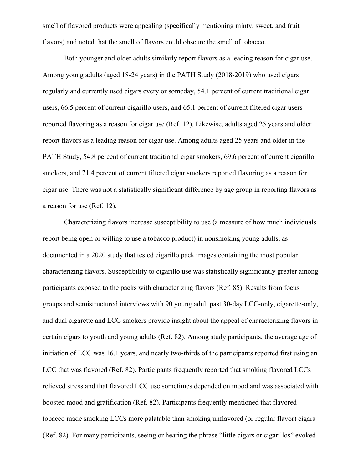smell of flavored products were appealing (specifically mentioning minty, sweet, and fruit flavors) and noted that the smell of flavors could obscure the smell of tobacco.

Both younger and older adults similarly report flavors as a leading reason for cigar use. Among young adults (aged 18-24 years) in the PATH Study (2018-2019) who used cigars regularly and currently used cigars every or someday, 54.1 percent of current traditional cigar users, 66.5 percent of current cigarillo users, and 65.1 percent of current filtered cigar users reported flavoring as a reason for cigar use (Ref. 12). Likewise, adults aged 25 years and older report flavors as a leading reason for cigar use. Among adults aged 25 years and older in the PATH Study, 54.8 percent of current traditional cigar smokers, 69.6 percent of current cigarillo smokers, and 71.4 percent of current filtered cigar smokers reported flavoring as a reason for cigar use. There was not a statistically significant difference by age group in reporting flavors as a reason for use (Ref. 12).

Characterizing flavors increase susceptibility to use (a measure of how much individuals report being open or willing to use a tobacco product) in nonsmoking young adults, as documented in a 2020 study that tested cigarillo pack images containing the most popular characterizing flavors. Susceptibility to cigarillo use was statistically significantly greater among participants exposed to the packs with characterizing flavors (Ref. 85). Results from focus groups and semistructured interviews with 90 young adult past 30-day LCC-only, cigarette-only, and dual cigarette and LCC smokers provide insight about the appeal of characterizing flavors in certain cigars to youth and young adults (Ref. 82). Among study participants, the average age of initiation of LCC was 16.1 years, and nearly two-thirds of the participants reported first using an LCC that was flavored (Ref. 82). Participants frequently reported that smoking flavored LCCs relieved stress and that flavored LCC use sometimes depended on mood and was associated with boosted mood and gratification (Ref. 82). Participants frequently mentioned that flavored tobacco made smoking LCCs more palatable than smoking unflavored (or regular flavor) cigars (Ref. 82). For many participants, seeing or hearing the phrase "little cigars or cigarillos" evoked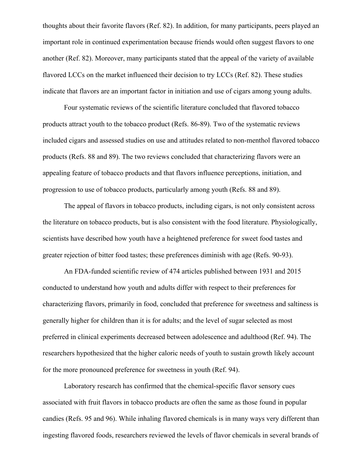thoughts about their favorite flavors (Ref. 82). In addition, for many participants, peers played an important role in continued experimentation because friends would often suggest flavors to one another (Ref. 82). Moreover, many participants stated that the appeal of the variety of available flavored LCCs on the market influenced their decision to try LCCs (Ref. 82). These studies indicate that flavors are an important factor in initiation and use of cigars among young adults.

Four systematic reviews of the scientific literature concluded that flavored tobacco products attract youth to the tobacco product (Refs. 86-89). Two of the systematic reviews included cigars and assessed studies on use and attitudes related to non-menthol flavored tobacco products (Refs. 88 and 89). The two reviews concluded that characterizing flavors were an appealing feature of tobacco products and that flavors influence perceptions, initiation, and progression to use of tobacco products, particularly among youth (Refs. 88 and 89).

The appeal of flavors in tobacco products, including cigars, is not only consistent across the literature on tobacco products, but is also consistent with the food literature. Physiologically, scientists have described how youth have a heightened preference for sweet food tastes and greater rejection of bitter food tastes; these preferences diminish with age (Refs. 90-93).

An FDA-funded scientific review of 474 articles published between 1931 and 2015 conducted to understand how youth and adults differ with respect to their preferences for characterizing flavors, primarily in food, concluded that preference for sweetness and saltiness is generally higher for children than it is for adults; and the level of sugar selected as most preferred in clinical experiments decreased between adolescence and adulthood (Ref. 94). The researchers hypothesized that the higher caloric needs of youth to sustain growth likely account for the more pronounced preference for sweetness in youth (Ref. 94).

Laboratory research has confirmed that the chemical-specific flavor sensory cues associated with fruit flavors in tobacco products are often the same as those found in popular candies (Refs. 95 and 96). While inhaling flavored chemicals is in many ways very different than ingesting flavored foods, researchers reviewed the levels of flavor chemicals in several brands of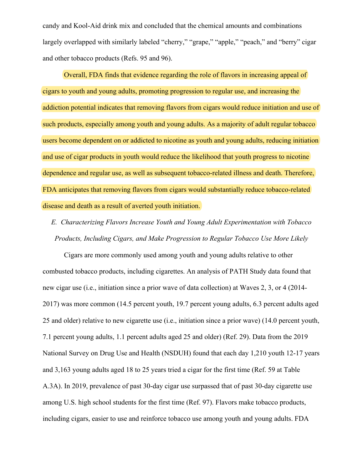candy and Kool-Aid drink mix and concluded that the chemical amounts and combinations largely overlapped with similarly labeled "cherry," "grape," "apple," "peach," and "berry" cigar and other tobacco products (Refs. 95 and 96).

Overall, FDA finds that evidence regarding the role of flavors in increasing appeal of cigars to youth and young adults, promoting progression to regular use, and increasing the addiction potential indicates that removing flavors from cigars would reduce initiation and use of such products, especially among youth and young adults. As a majority of adult regular tobacco users become dependent on or addicted to nicotine as youth and young adults, reducing initiation and use of cigar products in youth would reduce the likelihood that youth progress to nicotine dependence and regular use, as well as subsequent tobacco-related illness and death. Therefore, FDA anticipates that removing flavors from cigars would substantially reduce tobacco-related disease and death as a result of averted youth initiation.

*E. Characterizing Flavors Increase Youth and Young Adult Experimentation with Tobacco Products, Including Cigars, and Make Progression to Regular Tobacco Use More Likely*

Cigars are more commonly used among youth and young adults relative to other combusted tobacco products, including cigarettes. An analysis of PATH Study data found that new cigar use (i.e., initiation since a prior wave of data collection) at Waves 2, 3, or 4 (2014- 2017) was more common (14.5 percent youth, 19.7 percent young adults, 6.3 percent adults aged 25 and older) relative to new cigarette use (i.e., initiation since a prior wave) (14.0 percent youth, 7.1 percent young adults, 1.1 percent adults aged 25 and older) (Ref. 29). Data from the 2019 National Survey on Drug Use and Health (NSDUH) found that each day 1,210 youth 12-17 years and 3,163 young adults aged 18 to 25 years tried a cigar for the first time (Ref. 59 at Table A.3A). In 2019, prevalence of past 30-day cigar use surpassed that of past 30-day cigarette use among U.S. high school students for the first time (Ref. 97). Flavors make tobacco products, including cigars, easier to use and reinforce tobacco use among youth and young adults. FDA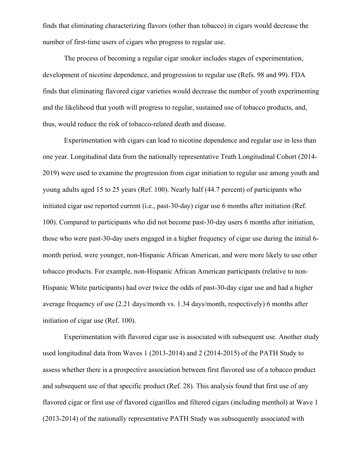finds that eliminating characterizing flavors (other than tobacco) in cigars would decrease the number of first-time users of cigars who progress to regular use.

The process of becoming a regular cigar smoker includes stages of experimentation, development of nicotine dependence, and progression to regular use (Refs. 98 and 99). FDA finds that eliminating flavored cigar varieties would decrease the number of youth experimenting and the likelihood that youth will progress to regular, sustained use of tobacco products, and, thus, would reduce the risk of tobacco-related death and disease.

Experimentation with cigars can lead to nicotine dependence and regular use in less than one year. Longitudinal data from the nationally representative Truth Longitudinal Cohort (2014- 2019) were used to examine the progression from cigar initiation to regular use among youth and young adults aged 15 to 25 years (Ref. 100). Nearly half (44.7 percent) of participants who initiated cigar use reported current (i.e., past-30-day) cigar use 6 months after initiation (Ref. 100). Compared to participants who did not become past-30-day users 6 months after initiation, those who were past-30-day users engaged in a higher frequency of cigar use during the initial 6 month period, were younger, non-Hispanic African American, and were more likely to use other tobacco products. For example, non-Hispanic African American participants (relative to non-Hispanic White participants) had over twice the odds of past-30-day cigar use and had a higher average frequency of use (2.21 days/month vs. 1.34 days/month, respectively) 6 months after initiation of cigar use (Ref. 100).

Experimentation with flavored cigar use is associated with subsequent use. Another study used longitudinal data from Waves 1 (2013-2014) and 2 (2014-2015) of the PATH Study to assess whether there is a prospective association between first flavored use of a tobacco product and subsequent use of that specific product (Ref. 28). This analysis found that first use of any flavored cigar or first use of flavored cigarillos and filtered cigars (including menthol) at Wave 1 (2013-2014) of the nationally representative PATH Study was subsequently associated with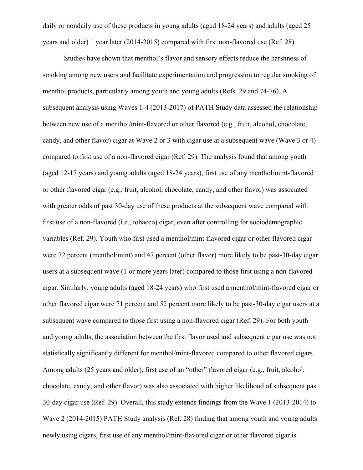daily or nondaily use of these products in young adults (aged 18-24 years) and adults (aged 25 years and older) 1 year later (2014-2015) compared with first non-flavored use (Ref. 28).

Studies have shown that menthol's flavor and sensory effects reduce the harshness of smoking among new users and facilitate experimentation and progression to regular smoking of menthol products, particularly among youth and young adults (Refs. 29 and 74-76). A subsequent analysis using Waves 1-4 (2013-2017) of PATH Study data assessed the relationship between new use of a menthol/mint-flavored or other flavored (e.g., fruit, alcohol, chocolate, candy, and other flavor) cigar at Wave 2 or 3 with cigar use at a subsequent wave (Wave 3 or 4) compared to first use of a non-flavored cigar (Ref. 29). The analysis found that among youth (aged 12-17 years) and young adults (aged 18-24 years), first use of any menthol/mint-flavored or other flavored cigar (e.g., fruit, alcohol, chocolate, candy, and other flavor) was associated with greater odds of past 30-day use of these products at the subsequent wave compared with first use of a non-flavored (i.e., tobacco) cigar, even after controlling for sociodemographic variables (Ref. 29). Youth who first used a menthol/mint-flavored cigar or other flavored cigar were 72 percent (menthol/mint) and 47 percent (other flavor) more likely to be past-30-day cigar users at a subsequent wave (1 or more years later) compared to those first using a non-flavored cigar. Similarly, young adults (aged 18-24 years) who first used a menthol/mint-flavored cigar or other flavored cigar were 71 percent and 52 percent more likely to be past-30-day cigar users at a subsequent wave compared to those first using a non-flavored cigar (Ref. 29). For both youth and young adults, the association between the first flavor used and subsequent cigar use was not statistically significantly different for menthol/mint-flavored compared to other flavored cigars. Among adults (25 years and older), first use of an "other" flavored cigar (e.g., fruit, alcohol, chocolate, candy, and other flavor) was also associated with higher likelihood of subsequent past 30-day cigar use (Ref. 29). Overall, this study extends findings from the Wave 1 (2013-2014) to Wave 2 (2014-2015) PATH Study analysis (Ref. 28) finding that among youth and young adults newly using cigars, first use of any menthol/mint-flavored cigar or other flavored cigar is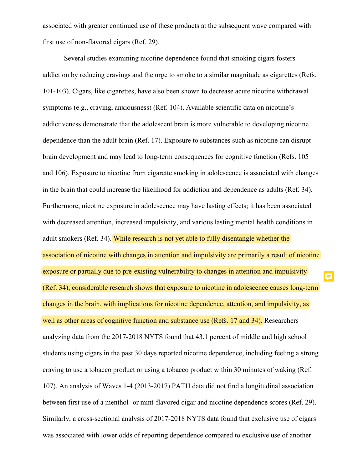associated with greater continued use of these products at the subsequent wave compared with first use of non-flavored cigars (Ref. 29).

Several studies examining nicotine dependence found that smoking cigars fosters addiction by reducing cravings and the urge to smoke to a similar magnitude as cigarettes (Refs. 101-103). Cigars, like cigarettes, have also been shown to decrease acute nicotine withdrawal symptoms (e.g., craving, anxiousness) (Ref. 104). Available scientific data on nicotine's addictiveness demonstrate that the adolescent brain is more vulnerable to developing nicotine dependence than the adult brain (Ref. 17). Exposure to substances such as nicotine can disrupt brain development and may lead to long-term consequences for cognitive function (Refs. 105 and 106). Exposure to nicotine from cigarette smoking in adolescence is associated with changes in the brain that could increase the likelihood for addiction and dependence as adults (Ref. 34). Furthermore, nicotine exposure in adolescence may have lasting effects; it has been associated with decreased attention, increased impulsivity, and various lasting mental health conditions in adult smokers (Ref. 34). While research is not yet able to fully disentangle whether the association of nicotine with changes in attention and impulsivity are primarily a result of nicotine exposure or partially due to pre-existing vulnerability to changes in attention and impulsivity (Ref. 34), considerable research shows that exposure to nicotine in adolescence causes long-term changes in the brain, with implications for nicotine dependence, attention, and impulsivity, as well as other areas of cognitive function and substance use (Refs. 17 and 34). Researchers analyzing data from the 2017-2018 NYTS found that 43.1 percent of middle and high school students using cigars in the past 30 days reported nicotine dependence, including feeling a strong craving to use a tobacco product or using a tobacco product within 30 minutes of waking (Ref. 107). An analysis of Waves 1-4 (2013-2017) PATH data did not find a longitudinal association between first use of a menthol- or mint-flavored cigar and nicotine dependence scores (Ref. 29). Similarly, a cross-sectional analysis of 2017-2018 NYTS data found that exclusive use of cigars was associated with lower odds of reporting dependence compared to exclusive use of another

Ę.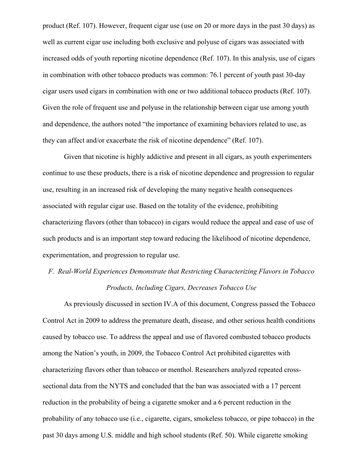product (Ref. 107). However, frequent cigar use (use on 20 or more days in the past 30 days) as well as current cigar use including both exclusive and polyuse of cigars was associated with increased odds of youth reporting nicotine dependence (Ref. 107). In this analysis, use of cigars in combination with other tobacco products was common: 76.1 percent of youth past 30-day cigar users used cigars in combination with one or two additional tobacco products (Ref. 107). Given the role of frequent use and polyuse in the relationship between cigar use among youth and dependence, the authors noted "the importance of examining behaviors related to use, as they can affect and/or exacerbate the risk of nicotine dependence" (Ref. 107).

Given that nicotine is highly addictive and present in all cigars, as youth experimenters continue to use these products, there is a risk of nicotine dependence and progression to regular use, resulting in an increased risk of developing the many negative health consequences associated with regular cigar use. Based on the totality of the evidence, prohibiting characterizing flavors (other than tobacco) in cigars would reduce the appeal and ease of use of such products and is an important step toward reducing the likelihood of nicotine dependence, experimentation, and progression to regular use.

## *F. Real-World Experiences Demonstrate that Restricting Characterizing Flavors in Tobacco Products, Including Cigars, Decreases Tobacco Use*

As previously discussed in section IV.A of this document, Congress passed the Tobacco Control Act in 2009 to address the premature death, disease, and other serious health conditions caused by tobacco use. To address the appeal and use of flavored combusted tobacco products among the Nation's youth, in 2009, the Tobacco Control Act prohibited cigarettes with characterizing flavors other than tobacco or menthol. Researchers analyzed repeated crosssectional data from the NYTS and concluded that the ban was associated with a 17 percent reduction in the probability of being a cigarette smoker and a 6 percent reduction in the probability of any tobacco use (i.e., cigarette, cigars, smokeless tobacco, or pipe tobacco) in the past 30 days among U.S. middle and high school students (Ref. 50). While cigarette smoking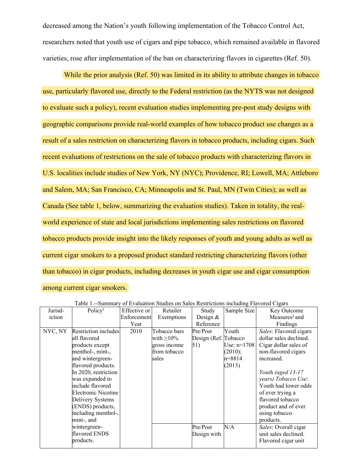decreased among the Nation's youth following implementation of the Tobacco Control Act, researchers noted that youth use of cigars and pipe tobacco, which remained available in flavored varieties, rose after implementation of the ban on characterizing flavors in cigarettes (Ref. 50).

While the prior analysis (Ref. 50) was limited in its ability to attribute changes in tobacco use, particularly flavored use, directly to the Federal restriction (as the NYTS was not designed to evaluate such a policy), recent evaluation studies implementing pre-post study designs with geographic comparisons provide real-world examples of how tobacco product use changes as a result of a sales restriction on characterizing flavors in tobacco products, including cigars. Such recent evaluations of restrictions on the sale of tobacco products with characterizing flavors in U.S. localities include studies of New York, NY (NYC); Providence, RI; Lowell, MA; Attleboro and Salem, MA; San Francisco, CA; Minneapolis and St. Paul, MN (Twin Cities); as well as Canada (See table 1, below, summarizing the evaluation studies). Taken in totality, the realworld experience of state and local jurisdictions implementing sales restrictions on flavored tobacco products provide insight into the likely responses of youth and young adults as well as current cigar smokers to a proposed product standard restricting characterizing flavors (other than tobacco) in cigar products, including decreases in youth cigar use and cigar consumption among current cigar smokers.

|         | таото т. раницату          |              | of Evaluation bludies on bales Restrictions including I favored Cigars |                      |               |                           |
|---------|----------------------------|--------------|------------------------------------------------------------------------|----------------------|---------------|---------------------------|
| Jurisd- | Policy <sup>1</sup>        | Effective or | Retailer                                                               | Study                | Sample Size   | Key Outcome               |
| iction  |                            | Enforcement  | Exemptions                                                             | Design $&$           |               | Measures <sup>2</sup> and |
|         |                            | Year         |                                                                        | Reference            |               | Findings                  |
| NYC, NY | Restriction includes       | 2010         | Tobacco bars                                                           | Pre/Post             | Youth         | Sales: Flavored cigars    |
|         | all flavored               |              | with $\geq$ 10%                                                        | Design (Ref. Tobacco |               | dollar sales declined.    |
|         | products except            |              | gross income                                                           | $\vert 51)$          | Use: $n=1708$ | Cigar dollar sales of     |
|         | menthol-, mint-,           |              | from tobacco                                                           |                      | (2010);       | non-flavored cigars       |
|         | and wintergreen-           |              | sales                                                                  |                      | n=8814        | increased.                |
|         | flavored products.         |              |                                                                        |                      | (2013)        |                           |
|         | In 2020, restriction       |              |                                                                        |                      |               | Youth (aged 13-17         |
|         | was expanded to            |              |                                                                        |                      |               | years) Tobacco Use:       |
|         | include flavored           |              |                                                                        |                      |               | Youth had lower odds      |
|         | <b>Electronic Nicotine</b> |              |                                                                        |                      |               | of ever trying a          |
|         | Delivery Systems           |              |                                                                        |                      |               | flavored tobacco          |
|         | (ENDS) products,           |              |                                                                        |                      |               | product and of ever       |
|         | including menthol-,        |              |                                                                        |                      |               | using tobacco             |
|         | mint-, and                 |              |                                                                        |                      |               | products.                 |
|         | wintergreen-               |              |                                                                        | Pre/Post             | N/A           | Sales: Overall cigar      |
|         | flavored ENDS              |              |                                                                        | Design with          |               | unit sales declined.      |
|         | products.                  |              |                                                                        |                      |               | Flavored cigar unit       |
|         |                            |              |                                                                        |                      |               |                           |

Table 1.--Summary of Evaluation Studies on Sales Restrictions including Flavored Cigars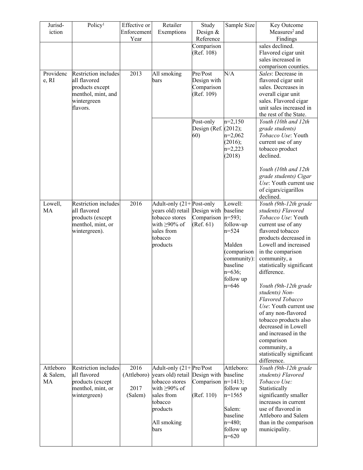| Jurisd-               | Policy <sup>1</sup>              | Effective or        | Retailer                                                        | Study                | Sample Size             | Key Outcome                                       |
|-----------------------|----------------------------------|---------------------|-----------------------------------------------------------------|----------------------|-------------------------|---------------------------------------------------|
| iction                |                                  | Enforcement         | Exemptions                                                      | Design $&$           |                         | Measures <sup>2</sup> and                         |
|                       |                                  | Year                |                                                                 | Reference            |                         | Findings                                          |
|                       |                                  |                     |                                                                 | Comparison           |                         | sales declined.                                   |
|                       |                                  |                     |                                                                 | (Ref. 108)           |                         | Flavored cigar unit<br>sales increased in         |
|                       |                                  |                     |                                                                 |                      |                         | comparison counties.                              |
| Providenc             | Restriction includes             | 2013                | All smoking                                                     | Pre/Post             | N/A                     | Sales: Decrease in                                |
| e, RI                 | all flavored                     |                     | lbars                                                           | Design with          |                         | flavored cigar unit                               |
|                       | products except                  |                     |                                                                 | Comparison           |                         | sales. Decreases in                               |
|                       | menthol, mint, and               |                     |                                                                 | (Ref. 109)           |                         | overall cigar unit                                |
|                       | wintergreen                      |                     |                                                                 |                      |                         | sales. Flavored cigar                             |
|                       | flavors.                         |                     |                                                                 |                      |                         | unit sales increased in<br>the rest of the State. |
|                       |                                  |                     |                                                                 | Post-only            | $n=2,150$               | Youth (10th and 12th                              |
|                       |                                  |                     |                                                                 | Design (Ref. (2012); |                         | grade students)                                   |
|                       |                                  |                     |                                                                 | 60)                  | $n=2,062$               | Tobacco Use: Youth                                |
|                       |                                  |                     |                                                                 |                      | (2016);                 | current use of any                                |
|                       |                                  |                     |                                                                 |                      | $n=2,223$               | tobacco product                                   |
|                       |                                  |                     |                                                                 |                      | (2018)                  | declined.                                         |
|                       |                                  |                     |                                                                 |                      |                         | Youth (10th and 12th                              |
|                       |                                  |                     |                                                                 |                      |                         | grade students) Cigar                             |
|                       |                                  |                     |                                                                 |                      |                         | Use: Youth current use                            |
|                       |                                  |                     |                                                                 |                      |                         | of cigars/cigarillos                              |
|                       |                                  |                     |                                                                 |                      |                         | declined.                                         |
| Lowell,               | Restriction includes             | 2016                | Adult-only $(21 +$ Post-only                                    |                      | Lowell:                 | Youth (9th-12th grade                             |
| MA                    | all flavored<br>products (except |                     | years old) retail Design with<br>tobacco stores                 | Comparison           | baseline<br>$ n=593;$   | students) Flavored<br>Tobacco Use: Youth          |
|                       | menthol, mint, or                |                     | with $\geq 90\%$ of                                             | (Ref. 61)            | follow-up               | current use of any                                |
|                       | wintergreen).                    |                     | sales from                                                      |                      | $n=524$                 | flavored tobacco                                  |
|                       |                                  |                     | tobacco                                                         |                      |                         | products decreased in                             |
|                       |                                  |                     | products                                                        |                      | Malden                  | Lowell and increased                              |
|                       |                                  |                     |                                                                 |                      | (comparison             | in the comparison                                 |
|                       |                                  |                     |                                                                 |                      | community):<br>baseline | community, a                                      |
|                       |                                  |                     |                                                                 |                      | $n=636;$                | statistically significant<br>difference.          |
|                       |                                  |                     |                                                                 |                      | follow up               |                                                   |
|                       |                                  |                     |                                                                 |                      | $n=646$                 | Youth (9th-12th grade                             |
|                       |                                  |                     |                                                                 |                      |                         | students) Non-                                    |
|                       |                                  |                     |                                                                 |                      |                         | Flavored Tobacco                                  |
|                       |                                  |                     |                                                                 |                      |                         | Use: Youth current use                            |
|                       |                                  |                     |                                                                 |                      |                         | of any non-flavored<br>tobacco products also      |
|                       |                                  |                     |                                                                 |                      |                         | decreased in Lowell                               |
|                       |                                  |                     |                                                                 |                      |                         | and increased in the                              |
|                       |                                  |                     |                                                                 |                      |                         | comparison                                        |
|                       |                                  |                     |                                                                 |                      |                         | community, a                                      |
|                       |                                  |                     |                                                                 |                      |                         | statistically significant                         |
|                       | Restriction includes             |                     |                                                                 |                      |                         | difference.                                       |
| Attleboro<br>& Salem, | all flavored                     | 2016<br>(Attleboro) | Adult-only $(21 +   Pre/Post)$<br>years old) retail Design with |                      | Attleboro:<br>baseline  | Youth (9th-12th grade<br>students) Flavored       |
| MA                    | products (except                 |                     | tobacco stores                                                  | Comparison           | $ n=1413;$              | Tobacco Use:                                      |
|                       | menthol, mint, or                | 2017                | with $\geq 90\%$ of                                             |                      | follow up               | Statistically                                     |
|                       | wintergreen)                     | (Salem)             | sales from                                                      | (Ref. 110)           | $n=1565$                | significantly smaller                             |
|                       |                                  |                     | tobacco                                                         |                      |                         | increases in current                              |
|                       |                                  |                     | products                                                        |                      | Salem:                  | use of flavored in                                |
|                       |                                  |                     |                                                                 |                      | baseline<br>$n=480;$    | Attleboro and Salem                               |
|                       |                                  |                     | All smoking<br>bars                                             |                      | follow up               | than in the comparison<br>municipality.           |
|                       |                                  |                     |                                                                 |                      | $n=620$                 |                                                   |
|                       |                                  |                     |                                                                 |                      |                         |                                                   |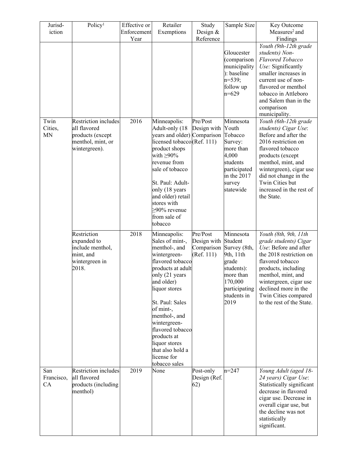| Jurisd-<br>iction            | Policy <sup>1</sup>                                                                                   | Effective or<br>Enforcement | Retailer<br>Exemptions                                                                                                                                                                                                                                                                                                              | Study<br>Design &                                   | Sample Size                                                                                                                              | Key Outcome<br>Measures <sup>2</sup> and                                                                                                                                                                                                                                    |
|------------------------------|-------------------------------------------------------------------------------------------------------|-----------------------------|-------------------------------------------------------------------------------------------------------------------------------------------------------------------------------------------------------------------------------------------------------------------------------------------------------------------------------------|-----------------------------------------------------|------------------------------------------------------------------------------------------------------------------------------------------|-----------------------------------------------------------------------------------------------------------------------------------------------------------------------------------------------------------------------------------------------------------------------------|
|                              |                                                                                                       | Year                        |                                                                                                                                                                                                                                                                                                                                     | Reference                                           |                                                                                                                                          | Findings                                                                                                                                                                                                                                                                    |
|                              |                                                                                                       |                             |                                                                                                                                                                                                                                                                                                                                     |                                                     | Gloucester<br>(comparison<br>municipality<br>): baseline<br>$n=539;$                                                                     | Youth (9th-12th grade<br>students) Non-<br>Flavored Tobacco<br>Use: Significantly<br>smaller increases in<br>current use of non-                                                                                                                                            |
|                              |                                                                                                       |                             |                                                                                                                                                                                                                                                                                                                                     |                                                     | follow up<br>$n=629$                                                                                                                     | flavored or menthol<br>tobacco in Attleboro<br>and Salem than in the<br>comparison<br>municipality.                                                                                                                                                                         |
| Twin<br>Cities,<br><b>MN</b> | <b>Restriction</b> includes<br>all flavored<br>products (except<br>menthol, mint, or<br>wintergreen). | 2016                        | Minneapolis:<br>Adult-only (18<br>years and older) Comparison<br>licensed tobacco $(Ref. 111)$<br>product shops<br>with $\geq 90\%$<br>revenue from<br>sale of tobacco<br>St. Paul: Adult-<br>only (18 years<br>and older) retail<br>stores with<br>$>90\%$ revenue<br>from sale of<br>tobacco                                      | Pre/Post<br>Design with                             | Minnesota<br>Youth<br>Tobacco<br>Survey:<br>more than<br>4,000<br>students<br>participated<br>in the 2017<br>survey<br>statewide         | Youth (6th-12th grade<br>students) Cigar Use:<br>Before and after the<br>2016 restriction on<br>flavored tobacco<br>products (except<br>menthol, mint, and<br>wintergreen), cigar use<br>did not change in the<br>Twin Cities but<br>increased in the rest of<br>the State. |
|                              | Restriction<br>expanded to<br>include menthol,<br>mint, and<br>wintergreen in<br>2018.                | 2018                        | Minneapolis:<br>Sales of mint-,<br>menthol-, and<br>wintergreen-<br>flavored tobacco<br>products at adult<br>only (21 years<br>and older)<br>liquor stores<br>St. Paul: Sales<br>of mint-,<br>menthol-, and<br>wintergreen-<br>flavored tobacco<br>products at<br>liquor stores<br>that also hold a<br>license for<br>tobacco sales | Pre/Post<br>Design with<br>Comparison<br>(Ref. 111) | Minnesota<br>Student<br>Survey (8th,<br>9th, 11th<br>grade<br>students):<br>more than<br>170,000<br>participating<br>students in<br>2019 | Youth (8th, 9th, 11th<br>grade students) Cigar<br>Use: Before and after<br>the 2018 restriction on<br>flavored tobacco<br>products, including<br>menthol, mint, and<br>wintergreen, cigar use<br>declined more in the<br>Twin Cities compared<br>to the rest of the State.  |
| San<br>Francisco,<br>CA      | Restriction includes<br>all flavored<br>products (including<br>menthol)                               | 2019                        | None                                                                                                                                                                                                                                                                                                                                | Post-only<br>Design (Ref.<br>(62)                   | $n=247$                                                                                                                                  | Young Adult (aged 18-<br>24 years) Cigar Use:<br>Statistically significant<br>decrease in flavored<br>cigar use. Decrease in<br>overall cigar use, but<br>the decline was not<br>statistically<br>significant.                                                              |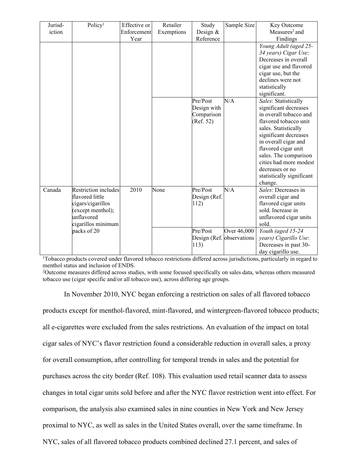| Jurisd- | Policy <sup>1</sup>         | Effective or | Retailer   | Study                     | Sample Size | Key Outcome                 |
|---------|-----------------------------|--------------|------------|---------------------------|-------------|-----------------------------|
| iction  |                             | Enforcement  | Exemptions | Design $&$                |             | Measures <sup>2</sup> and   |
|         |                             | Year         |            | Reference                 |             | Findings                    |
|         |                             |              |            |                           |             | Young Adult (aged 25-       |
|         |                             |              |            |                           |             | 34 years) Cigar Use:        |
|         |                             |              |            |                           |             | Decreases in overall        |
|         |                             |              |            |                           |             | cigar use and flavored      |
|         |                             |              |            |                           |             | cigar use, but the          |
|         |                             |              |            |                           |             | declines were not           |
|         |                             |              |            |                           |             | statistically               |
|         |                             |              |            |                           |             | significant.                |
|         |                             |              |            | Pre/Post                  | N/A         | Sales: Statistically        |
|         |                             |              |            | Design with               |             | significant decreases       |
|         |                             |              |            | Comparison                |             | in overall tobacco and      |
|         |                             |              |            | (Ref. 52)                 |             | flavored tobacco unit       |
|         |                             |              |            |                           |             | sales. Statistically        |
|         |                             |              |            |                           |             | significant decreases       |
|         |                             |              |            |                           |             | in overall cigar and        |
|         |                             |              |            |                           |             | flavored cigar unit         |
|         |                             |              |            |                           |             | sales. The comparison       |
|         |                             |              |            |                           |             | cities had more modest      |
|         |                             |              |            |                           |             | decreases or no             |
|         |                             |              |            |                           |             | statistically significant   |
|         |                             |              |            |                           |             | change.                     |
| Canada  | <b>Restriction includes</b> | 2010         | None       | Pre/Post                  | N/A         | Sales: Decreases in         |
|         | flavored little             |              |            | Design (Ref.              |             | overall cigar and           |
|         | cigars/cigarillos           |              |            | 112)                      |             | flavored cigar units        |
|         | (except menthol);           |              |            |                           |             | sold. Increase in           |
|         | unflavored                  |              |            |                           |             | unflavored cigar units      |
|         | cigarillos minimum          |              |            |                           |             | sold.                       |
|         | packs of 20                 |              |            | Pre/Post                  | Over 46,000 | $\sqrt{Y}$ Outh (aged 15-24 |
|         |                             |              |            | Design (Ref. observations |             | years) Cigarillo Use:       |
|         |                             |              |            | 113)                      |             | Decreases in past 30-       |
|         |                             |              |            |                           |             | day cigarillo use.          |

<sup>1</sup>Tobacco products covered under flavored tobacco restrictions differed across jurisdictions, particularly in regard to menthol status and inclusion of ENDS.

<sup>2</sup>Outcome measures differed across studies, with some focused specifically on sales data, whereas others measured tobacco use (cigar specific and/or all tobacco use), across differing age groups.

In November 2010, NYC began enforcing a restriction on sales of all flavored tobacco products except for menthol-flavored, mint-flavored, and wintergreen-flavored tobacco products; all e-cigarettes were excluded from the sales restrictions. An evaluation of the impact on total cigar sales of NYC's flavor restriction found a considerable reduction in overall sales, a proxy for overall consumption, after controlling for temporal trends in sales and the potential for purchases across the city border (Ref. 108). This evaluation used retail scanner data to assess changes in total cigar units sold before and after the NYC flavor restriction went into effect. For comparison, the analysis also examined sales in nine counties in New York and New Jersey proximal to NYC, as well as sales in the United States overall, over the same timeframe. In NYC, sales of all flavored tobacco products combined declined 27.1 percent, and sales of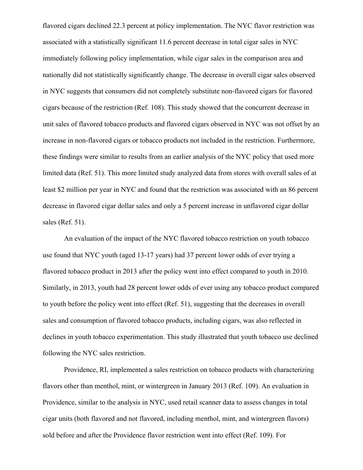flavored cigars declined 22.3 percent at policy implementation. The NYC flavor restriction was associated with a statistically significant 11.6 percent decrease in total cigar sales in NYC immediately following policy implementation, while cigar sales in the comparison area and nationally did not statistically significantly change. The decrease in overall cigar sales observed in NYC suggests that consumers did not completely substitute non-flavored cigars for flavored cigars because of the restriction (Ref. 108). This study showed that the concurrent decrease in unit sales of flavored tobacco products and flavored cigars observed in NYC was not offset by an increase in non-flavored cigars or tobacco products not included in the restriction. Furthermore, these findings were similar to results from an earlier analysis of the NYC policy that used more limited data (Ref. 51). This more limited study analyzed data from stores with overall sales of at least \$2 million per year in NYC and found that the restriction was associated with an 86 percent decrease in flavored cigar dollar sales and only a 5 percent increase in unflavored cigar dollar sales (Ref. 51).

An evaluation of the impact of the NYC flavored tobacco restriction on youth tobacco use found that NYC youth (aged 13-17 years) had 37 percent lower odds of ever trying a flavored tobacco product in 2013 after the policy went into effect compared to youth in 2010. Similarly, in 2013, youth had 28 percent lower odds of ever using any tobacco product compared to youth before the policy went into effect (Ref. 51), suggesting that the decreases in overall sales and consumption of flavored tobacco products, including cigars, was also reflected in declines in youth tobacco experimentation. This study illustrated that youth tobacco use declined following the NYC sales restriction.

Providence, RI, implemented a sales restriction on tobacco products with characterizing flavors other than menthol, mint, or wintergreen in January 2013 (Ref. 109). An evaluation in Providence, similar to the analysis in NYC, used retail scanner data to assess changes in total cigar units (both flavored and not flavored, including menthol, mint, and wintergreen flavors) sold before and after the Providence flavor restriction went into effect (Ref. 109). For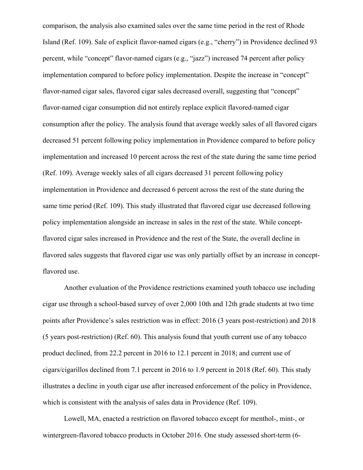comparison, the analysis also examined sales over the same time period in the rest of Rhode Island (Ref. 109). Sale of explicit flavor-named cigars (e.g., "cherry") in Providence declined 93 percent, while "concept" flavor-named cigars (e.g., "jazz") increased 74 percent after policy implementation compared to before policy implementation. Despite the increase in "concept" flavor-named cigar sales, flavored cigar sales decreased overall, suggesting that "concept" flavor-named cigar consumption did not entirely replace explicit flavored-named cigar consumption after the policy. The analysis found that average weekly sales of all flavored cigars decreased 51 percent following policy implementation in Providence compared to before policy implementation and increased 10 percent across the rest of the state during the same time period (Ref. 109). Average weekly sales of all cigars decreased 31 percent following policy implementation in Providence and decreased 6 percent across the rest of the state during the same time period (Ref. 109). This study illustrated that flavored cigar use decreased following policy implementation alongside an increase in sales in the rest of the state. While conceptflavored cigar sales increased in Providence and the rest of the State, the overall decline in flavored sales suggests that flavored cigar use was only partially offset by an increase in conceptflavored use.

Another evaluation of the Providence restrictions examined youth tobacco use including cigar use through a school-based survey of over 2,000 10th and 12th grade students at two time points after Providence's sales restriction was in effect: 2016 (3 years post-restriction) and 2018 (5 years post-restriction) (Ref. 60). This analysis found that youth current use of any tobacco product declined, from 22.2 percent in 2016 to 12.1 percent in 2018; and current use of cigars/cigarillos declined from 7.1 percent in 2016 to 1.9 percent in 2018 (Ref. 60). This study illustrates a decline in youth cigar use after increased enforcement of the policy in Providence, which is consistent with the analysis of sales data in Providence (Ref. 109).

Lowell, MA, enacted a restriction on flavored tobacco except for menthol-, mint-, or wintergreen-flavored tobacco products in October 2016. One study assessed short-term (6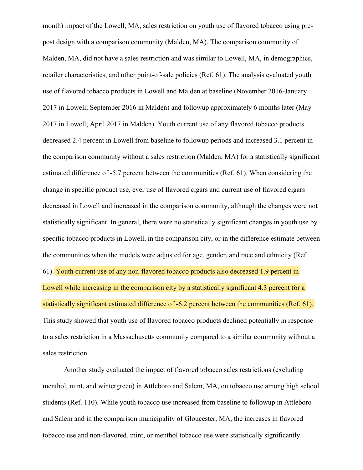month) impact of the Lowell, MA, sales restriction on youth use of flavored tobacco using prepost design with a comparison community (Malden, MA). The comparison community of Malden, MA, did not have a sales restriction and was similar to Lowell, MA, in demographics, retailer characteristics, and other point-of-sale policies (Ref. 61). The analysis evaluated youth use of flavored tobacco products in Lowell and Malden at baseline (November 2016-January 2017 in Lowell; September 2016 in Malden) and followup approximately 6 months later (May 2017 in Lowell; April 2017 in Malden). Youth current use of any flavored tobacco products decreased 2.4 percent in Lowell from baseline to followup periods and increased 3.1 percent in the comparison community without a sales restriction (Malden, MA) for a statistically significant estimated difference of -5.7 percent between the communities (Ref. 61). When considering the change in specific product use, ever use of flavored cigars and current use of flavored cigars decreased in Lowell and increased in the comparison community, although the changes were not statistically significant. In general, there were no statistically significant changes in youth use by specific tobacco products in Lowell, in the comparison city, or in the difference estimate between the communities when the models were adjusted for age, gender, and race and ethnicity (Ref. 61). Youth current use of any non-flavored tobacco products also decreased 1.9 percent in Lowell while increasing in the comparison city by a statistically significant 4.3 percent for a statistically significant estimated difference of -6.2 percent between the communities (Ref. 61). This study showed that youth use of flavored tobacco products declined potentially in response to a sales restriction in a Massachusetts community compared to a similar community without a sales restriction.

Another study evaluated the impact of flavored tobacco sales restrictions (excluding menthol, mint, and wintergreen) in Attleboro and Salem, MA, on tobacco use among high school students (Ref. 110). While youth tobacco use increased from baseline to followup in Attleboro and Salem and in the comparison municipality of Gloucester, MA, the increases in flavored tobacco use and non-flavored, mint, or menthol tobacco use were statistically significantly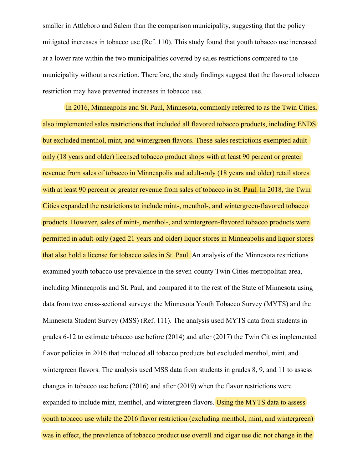smaller in Attleboro and Salem than the comparison municipality, suggesting that the policy mitigated increases in tobacco use (Ref. 110). This study found that youth tobacco use increased at a lower rate within the two municipalities covered by sales restrictions compared to the municipality without a restriction. Therefore, the study findings suggest that the flavored tobacco restriction may have prevented increases in tobacco use.

In 2016, Minneapolis and St. Paul, Minnesota, commonly referred to as the Twin Cities, also implemented sales restrictions that included all flavored tobacco products, including ENDS but excluded menthol, mint, and wintergreen flavors. These sales restrictions exempted adultonly (18 years and older) licensed tobacco product shops with at least 90 percent or greater revenue from sales of tobacco in Minneapolis and adult-only (18 years and older) retail stores with at least 90 percent or greater revenue from sales of tobacco in St. Paul. In 2018, the Twin Cities expanded the restrictions to include mint-, menthol-, and wintergreen-flavored tobacco products. However, sales of mint-, menthol-, and wintergreen-flavored tobacco products were permitted in adult-only (aged 21 years and older) liquor stores in Minneapolis and liquor stores that also hold a license for tobacco sales in St. Paul. An analysis of the Minnesota restrictions examined youth tobacco use prevalence in the seven-county Twin Cities metropolitan area, including Minneapolis and St. Paul, and compared it to the rest of the State of Minnesota using data from two cross-sectional surveys: the Minnesota Youth Tobacco Survey (MYTS) and the Minnesota Student Survey (MSS) (Ref. 111). The analysis used MYTS data from students in grades 6-12 to estimate tobacco use before (2014) and after (2017) the Twin Cities implemented flavor policies in 2016 that included all tobacco products but excluded menthol, mint, and wintergreen flavors. The analysis used MSS data from students in grades 8, 9, and 11 to assess changes in tobacco use before (2016) and after (2019) when the flavor restrictions were expanded to include mint, menthol, and wintergreen flavors. Using the MYTS data to assess youth tobacco use while the 2016 flavor restriction (excluding menthol, mint, and wintergreen) was in effect, the prevalence of tobacco product use overall and cigar use did not change in the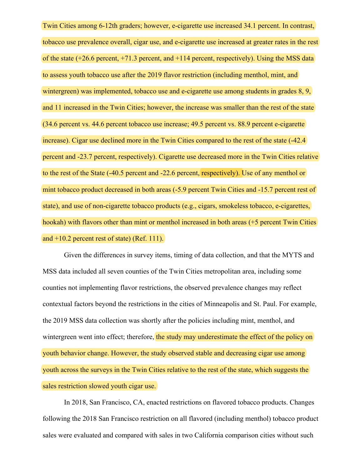Twin Cities among 6-12th graders; however, e-cigarette use increased 34.1 percent. In contrast, tobacco use prevalence overall, cigar use, and e-cigarette use increased at greater rates in the rest of the state (+26.6 percent, +71.3 percent, and +114 percent, respectively). Using the MSS data to assess youth tobacco use after the 2019 flavor restriction (including menthol, mint, and wintergreen) was implemented, tobacco use and e-cigarette use among students in grades 8, 9, and 11 increased in the Twin Cities; however, the increase was smaller than the rest of the state (34.6 percent vs. 44.6 percent tobacco use increase; 49.5 percent vs. 88.9 percent e-cigarette increase). Cigar use declined more in the Twin Cities compared to the rest of the state  $(-42.4)$ percent and -23.7 percent, respectively). Cigarette use decreased more in the Twin Cities relative to the rest of the State (-40.5 percent and -22.6 percent, respectively). Use of any menthol or mint tobacco product decreased in both areas (-5.9 percent Twin Cities and -15.7 percent rest of state), and use of non-cigarette tobacco products (e.g., cigars, smokeless tobacco, e-cigarettes, hookah) with flavors other than mint or menthol increased in both areas (+5 percent Twin Cities) and +10.2 percent rest of state) (Ref. 111).

Given the differences in survey items, timing of data collection, and that the MYTS and MSS data included all seven counties of the Twin Cities metropolitan area, including some counties not implementing flavor restrictions, the observed prevalence changes may reflect contextual factors beyond the restrictions in the cities of Minneapolis and St. Paul. For example, the 2019 MSS data collection was shortly after the policies including mint, menthol, and wintergreen went into effect; therefore, the study may underestimate the effect of the policy on youth behavior change. However, the study observed stable and decreasing cigar use among youth across the surveys in the Twin Cities relative to the rest of the state, which suggests the sales restriction slowed youth cigar use.

In 2018, San Francisco, CA, enacted restrictions on flavored tobacco products. Changes following the 2018 San Francisco restriction on all flavored (including menthol) tobacco product sales were evaluated and compared with sales in two California comparison cities without such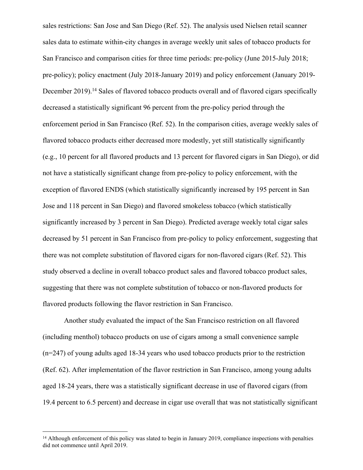sales restrictions: San Jose and San Diego (Ref. 52). The analysis used Nielsen retail scanner sales data to estimate within-city changes in average weekly unit sales of tobacco products for San Francisco and comparison cities for three time periods: pre-policy (June 2015-July 2018; pre-policy); policy enactment (July 2018-January 2019) and policy enforcement (January 2019- December 2019).<sup>14</sup> Sales of flavored tobacco products overall and of flavored cigars specifically decreased a statistically significant 96 percent from the pre-policy period through the enforcement period in San Francisco (Ref. 52). In the comparison cities, average weekly sales of flavored tobacco products either decreased more modestly, yet still statistically significantly (e.g., 10 percent for all flavored products and 13 percent for flavored cigars in San Diego), or did not have a statistically significant change from pre-policy to policy enforcement, with the exception of flavored ENDS (which statistically significantly increased by 195 percent in San Jose and 118 percent in San Diego) and flavored smokeless tobacco (which statistically significantly increased by 3 percent in San Diego). Predicted average weekly total cigar sales decreased by 51 percent in San Francisco from pre-policy to policy enforcement, suggesting that there was not complete substitution of flavored cigars for non-flavored cigars (Ref. 52). This study observed a decline in overall tobacco product sales and flavored tobacco product sales, suggesting that there was not complete substitution of tobacco or non-flavored products for flavored products following the flavor restriction in San Francisco.

Another study evaluated the impact of the San Francisco restriction on all flavored (including menthol) tobacco products on use of cigars among a small convenience sample (n=247) of young adults aged 18-34 years who used tobacco products prior to the restriction (Ref. 62). After implementation of the flavor restriction in San Francisco, among young adults aged 18-24 years, there was a statistically significant decrease in use of flavored cigars (from 19.4 percent to 6.5 percent) and decrease in cigar use overall that was not statistically significant

<sup>&</sup>lt;sup>14</sup> Although enforcement of this policy was slated to begin in January 2019, compliance inspections with penalties did not commence until April 2019.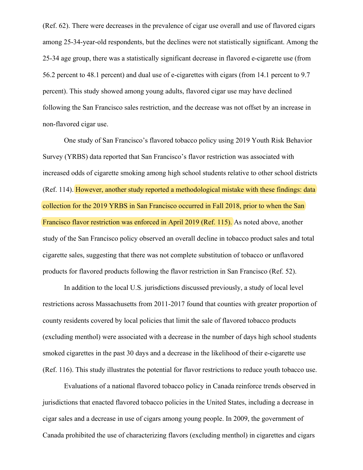(Ref. 62). There were decreases in the prevalence of cigar use overall and use of flavored cigars among 25-34-year-old respondents, but the declines were not statistically significant. Among the 25-34 age group, there was a statistically significant decrease in flavored e-cigarette use (from 56.2 percent to 48.1 percent) and dual use of e-cigarettes with cigars (from 14.1 percent to 9.7 percent). This study showed among young adults, flavored cigar use may have declined following the San Francisco sales restriction, and the decrease was not offset by an increase in non-flavored cigar use.

One study of San Francisco's flavored tobacco policy using 2019 Youth Risk Behavior Survey (YRBS) data reported that San Francisco's flavor restriction was associated with increased odds of cigarette smoking among high school students relative to other school districts (Ref. 114). However, another study reported a methodological mistake with these findings: data collection for the 2019 YRBS in San Francisco occurred in Fall 2018, prior to when the San Francisco flavor restriction was enforced in April 2019 (Ref. 115). As noted above, another study of the San Francisco policy observed an overall decline in tobacco product sales and total cigarette sales, suggesting that there was not complete substitution of tobacco or unflavored products for flavored products following the flavor restriction in San Francisco (Ref. 52).

In addition to the local U.S. jurisdictions discussed previously, a study of local level restrictions across Massachusetts from 2011-2017 found that counties with greater proportion of county residents covered by local policies that limit the sale of flavored tobacco products (excluding menthol) were associated with a decrease in the number of days high school students smoked cigarettes in the past 30 days and a decrease in the likelihood of their e-cigarette use (Ref. 116). This study illustrates the potential for flavor restrictions to reduce youth tobacco use.

Evaluations of a national flavored tobacco policy in Canada reinforce trends observed in jurisdictions that enacted flavored tobacco policies in the United States, including a decrease in cigar sales and a decrease in use of cigars among young people. In 2009, the government of Canada prohibited the use of characterizing flavors (excluding menthol) in cigarettes and cigars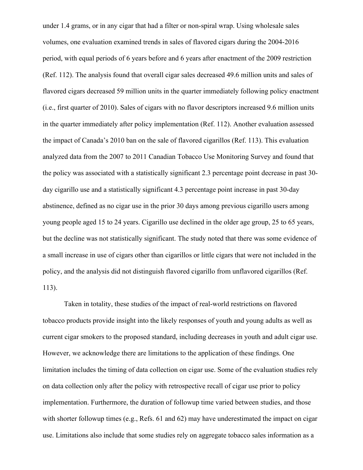under 1.4 grams, or in any cigar that had a filter or non-spiral wrap. Using wholesale sales volumes, one evaluation examined trends in sales of flavored cigars during the 2004-2016 period, with equal periods of 6 years before and 6 years after enactment of the 2009 restriction (Ref. 112). The analysis found that overall cigar sales decreased 49.6 million units and sales of flavored cigars decreased 59 million units in the quarter immediately following policy enactment (i.e., first quarter of 2010). Sales of cigars with no flavor descriptors increased 9.6 million units in the quarter immediately after policy implementation (Ref. 112). Another evaluation assessed the impact of Canada's 2010 ban on the sale of flavored cigarillos (Ref. 113). This evaluation analyzed data from the 2007 to 2011 Canadian Tobacco Use Monitoring Survey and found that the policy was associated with a statistically significant 2.3 percentage point decrease in past 30 day cigarillo use and a statistically significant 4.3 percentage point increase in past 30-day abstinence, defined as no cigar use in the prior 30 days among previous cigarillo users among young people aged 15 to 24 years. Cigarillo use declined in the older age group, 25 to 65 years, but the decline was not statistically significant. The study noted that there was some evidence of a small increase in use of cigars other than cigarillos or little cigars that were not included in the policy, and the analysis did not distinguish flavored cigarillo from unflavored cigarillos (Ref. 113).

Taken in totality, these studies of the impact of real-world restrictions on flavored tobacco products provide insight into the likely responses of youth and young adults as well as current cigar smokers to the proposed standard, including decreases in youth and adult cigar use. However, we acknowledge there are limitations to the application of these findings. One limitation includes the timing of data collection on cigar use. Some of the evaluation studies rely on data collection only after the policy with retrospective recall of cigar use prior to policy implementation. Furthermore, the duration of followup time varied between studies, and those with shorter followup times (e.g., Refs. 61 and 62) may have underestimated the impact on cigar use. Limitations also include that some studies rely on aggregate tobacco sales information as a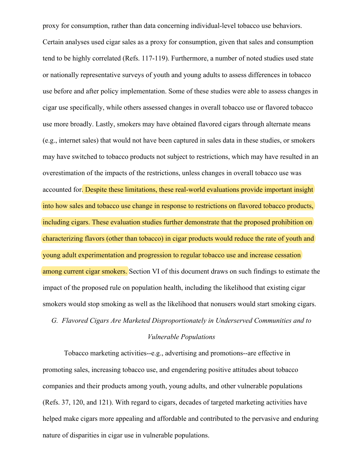proxy for consumption, rather than data concerning individual-level tobacco use behaviors. Certain analyses used cigar sales as a proxy for consumption, given that sales and consumption tend to be highly correlated (Refs. 117-119). Furthermore, a number of noted studies used state or nationally representative surveys of youth and young adults to assess differences in tobacco use before and after policy implementation. Some of these studies were able to assess changes in cigar use specifically, while others assessed changes in overall tobacco use or flavored tobacco use more broadly. Lastly, smokers may have obtained flavored cigars through alternate means (e.g., internet sales) that would not have been captured in sales data in these studies, or smokers may have switched to tobacco products not subject to restrictions, which may have resulted in an overestimation of the impacts of the restrictions, unless changes in overall tobacco use was accounted for. Despite these limitations, these real-world evaluations provide important insight into how sales and tobacco use change in response to restrictions on flavored tobacco products, including cigars. These evaluation studies further demonstrate that the proposed prohibition on characterizing flavors (other than tobacco) in cigar products would reduce the rate of youth and young adult experimentation and progression to regular tobacco use and increase cessation among current cigar smokers. Section VI of this document draws on such findings to estimate the impact of the proposed rule on population health, including the likelihood that existing cigar smokers would stop smoking as well as the likelihood that nonusers would start smoking cigars.

# *G. Flavored Cigars Are Marketed Disproportionately in Underserved Communities and to Vulnerable Populations*

Tobacco marketing activities--e.g., advertising and promotions--are effective in promoting sales, increasing tobacco use, and engendering positive attitudes about tobacco companies and their products among youth, young adults, and other vulnerable populations (Refs. 37, 120, and 121). With regard to cigars, decades of targeted marketing activities have helped make cigars more appealing and affordable and contributed to the pervasive and enduring nature of disparities in cigar use in vulnerable populations.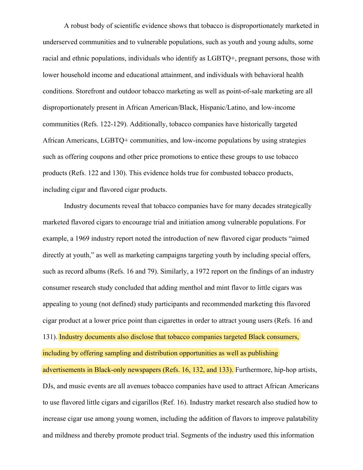A robust body of scientific evidence shows that tobacco is disproportionately marketed in underserved communities and to vulnerable populations, such as youth and young adults, some racial and ethnic populations, individuals who identify as LGBTQ+, pregnant persons, those with lower household income and educational attainment, and individuals with behavioral health conditions. Storefront and outdoor tobacco marketing as well as point-of-sale marketing are all disproportionately present in African American/Black, Hispanic/Latino, and low-income communities (Refs. 122-129). Additionally, tobacco companies have historically targeted African Americans, LGBTQ+ communities, and low-income populations by using strategies such as offering coupons and other price promotions to entice these groups to use tobacco products (Refs. 122 and 130). This evidence holds true for combusted tobacco products, including cigar and flavored cigar products.

Industry documents reveal that tobacco companies have for many decades strategically marketed flavored cigars to encourage trial and initiation among vulnerable populations. For example, a 1969 industry report noted the introduction of new flavored cigar products "aimed directly at youth," as well as marketing campaigns targeting youth by including special offers, such as record albums (Refs. 16 and 79). Similarly, a 1972 report on the findings of an industry consumer research study concluded that adding menthol and mint flavor to little cigars was appealing to young (not defined) study participants and recommended marketing this flavored cigar product at a lower price point than cigarettes in order to attract young users (Refs. 16 and 131). Industry documents also disclose that tobacco companies targeted Black consumers, including by offering sampling and distribution opportunities as well as publishing advertisements in Black-only newspapers (Refs. 16, 132, and 133). Furthermore, hip-hop artists, DJs, and music events are all avenues tobacco companies have used to attract African Americans to use flavored little cigars and cigarillos (Ref. 16). Industry market research also studied how to

increase cigar use among young women, including the addition of flavors to improve palatability and mildness and thereby promote product trial. Segments of the industry used this information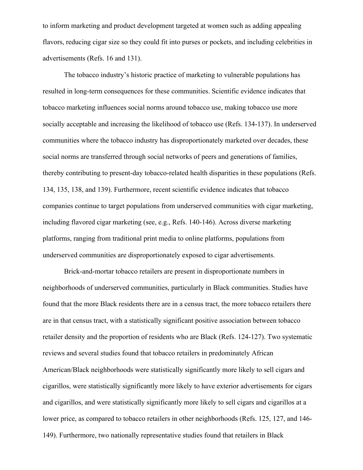to inform marketing and product development targeted at women such as adding appealing flavors, reducing cigar size so they could fit into purses or pockets, and including celebrities in advertisements (Refs. 16 and 131).

The tobacco industry's historic practice of marketing to vulnerable populations has resulted in long-term consequences for these communities. Scientific evidence indicates that tobacco marketing influences social norms around tobacco use, making tobacco use more socially acceptable and increasing the likelihood of tobacco use (Refs. 134-137). In underserved communities where the tobacco industry has disproportionately marketed over decades, these social norms are transferred through social networks of peers and generations of families, thereby contributing to present-day tobacco-related health disparities in these populations (Refs. 134, 135, 138, and 139). Furthermore, recent scientific evidence indicates that tobacco companies continue to target populations from underserved communities with cigar marketing, including flavored cigar marketing (see, e.g., Refs. 140-146). Across diverse marketing platforms, ranging from traditional print media to online platforms, populations from underserved communities are disproportionately exposed to cigar advertisements.

Brick-and-mortar tobacco retailers are present in disproportionate numbers in neighborhoods of underserved communities, particularly in Black communities. Studies have found that the more Black residents there are in a census tract, the more tobacco retailers there are in that census tract, with a statistically significant positive association between tobacco retailer density and the proportion of residents who are Black (Refs. 124-127). Two systematic reviews and several studies found that tobacco retailers in predominately African American/Black neighborhoods were statistically significantly more likely to sell cigars and cigarillos, were statistically significantly more likely to have exterior advertisements for cigars and cigarillos, and were statistically significantly more likely to sell cigars and cigarillos at a lower price, as compared to tobacco retailers in other neighborhoods (Refs. 125, 127, and 146- 149). Furthermore, two nationally representative studies found that retailers in Black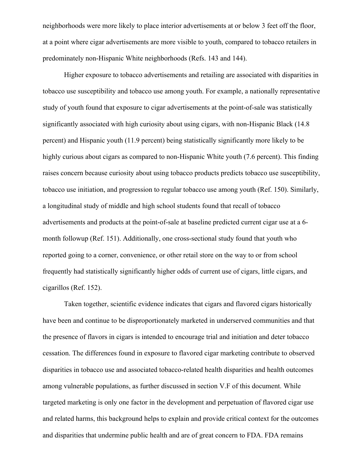neighborhoods were more likely to place interior advertisements at or below 3 feet off the floor, at a point where cigar advertisements are more visible to youth, compared to tobacco retailers in predominately non-Hispanic White neighborhoods (Refs. 143 and 144).

Higher exposure to tobacco advertisements and retailing are associated with disparities in tobacco use susceptibility and tobacco use among youth. For example, a nationally representative study of youth found that exposure to cigar advertisements at the point-of-sale was statistically significantly associated with high curiosity about using cigars, with non-Hispanic Black (14.8 percent) and Hispanic youth (11.9 percent) being statistically significantly more likely to be highly curious about cigars as compared to non-Hispanic White youth (7.6 percent). This finding raises concern because curiosity about using tobacco products predicts tobacco use susceptibility, tobacco use initiation, and progression to regular tobacco use among youth (Ref. 150). Similarly, a longitudinal study of middle and high school students found that recall of tobacco advertisements and products at the point-of-sale at baseline predicted current cigar use at a 6 month followup (Ref. 151). Additionally, one cross-sectional study found that youth who reported going to a corner, convenience, or other retail store on the way to or from school frequently had statistically significantly higher odds of current use of cigars, little cigars, and cigarillos (Ref. 152).

Taken together, scientific evidence indicates that cigars and flavored cigars historically have been and continue to be disproportionately marketed in underserved communities and that the presence of flavors in cigars is intended to encourage trial and initiation and deter tobacco cessation. The differences found in exposure to flavored cigar marketing contribute to observed disparities in tobacco use and associated tobacco-related health disparities and health outcomes among vulnerable populations, as further discussed in section V.F of this document. While targeted marketing is only one factor in the development and perpetuation of flavored cigar use and related harms, this background helps to explain and provide critical context for the outcomes and disparities that undermine public health and are of great concern to FDA. FDA remains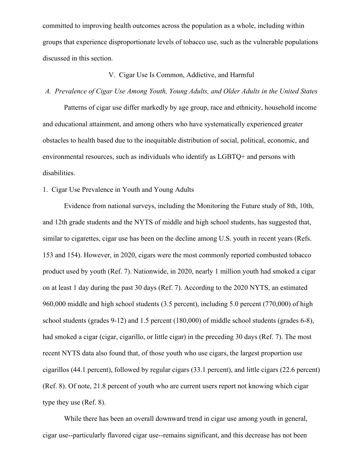committed to improving health outcomes across the population as a whole, including within groups that experience disproportionate levels of tobacco use, such as the vulnerable populations discussed in this section.

## V. Cigar Use Is Common, Addictive, and Harmful

### *A. Prevalence of Cigar Use Among Youth, Young Adults, and Older Adults in the United States*

Patterns of cigar use differ markedly by age group, race and ethnicity, household income and educational attainment, and among others who have systematically experienced greater obstacles to health based due to the inequitable distribution of social, political, economic, and environmental resources, such as individuals who identify as LGBTQ+ and persons with disabilities.

## 1. Cigar Use Prevalence in Youth and Young Adults

Evidence from national surveys, including the Monitoring the Future study of 8th, 10th, and 12th grade students and the NYTS of middle and high school students, has suggested that, similar to cigarettes, cigar use has been on the decline among U.S. youth in recent years (Refs. 153 and 154). However, in 2020, cigars were the most commonly reported combusted tobacco product used by youth (Ref. 7). Nationwide, in 2020, nearly 1 million youth had smoked a cigar on at least 1 day during the past 30 days (Ref. 7). According to the 2020 NYTS, an estimated 960,000 middle and high school students (3.5 percent), including 5.0 percent (770,000) of high school students (grades 9-12) and 1.5 percent (180,000) of middle school students (grades 6-8), had smoked a cigar (cigar, cigarillo, or little cigar) in the preceding 30 days (Ref. 7). The most recent NYTS data also found that, of those youth who use cigars, the largest proportion use cigarillos (44.1 percent), followed by regular cigars (33.1 percent), and little cigars (22.6 percent) (Ref. 8). Of note, 21.8 percent of youth who are current users report not knowing which cigar type they use (Ref. 8).

While there has been an overall downward trend in cigar use among youth in general, cigar use--particularly flavored cigar use--remains significant, and this decrease has not been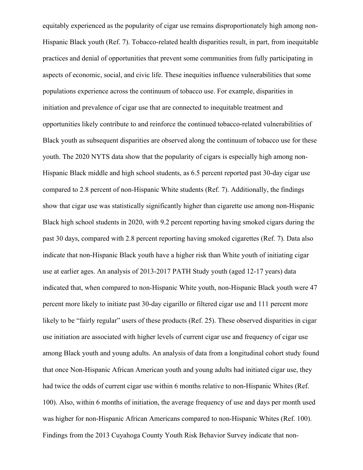equitably experienced as the popularity of cigar use remains disproportionately high among non-Hispanic Black youth (Ref. 7). Tobacco-related health disparities result, in part, from inequitable practices and denial of opportunities that prevent some communities from fully participating in aspects of economic, social, and civic life. These inequities influence vulnerabilities that some populations experience across the continuum of tobacco use. For example, disparities in initiation and prevalence of cigar use that are connected to inequitable treatment and opportunities likely contribute to and reinforce the continued tobacco-related vulnerabilities of Black youth as subsequent disparities are observed along the continuum of tobacco use for these youth. The 2020 NYTS data show that the popularity of cigars is especially high among non-Hispanic Black middle and high school students, as 6.5 percent reported past 30-day cigar use compared to 2.8 percent of non-Hispanic White students (Ref. 7). Additionally, the findings show that cigar use was statistically significantly higher than cigarette use among non-Hispanic Black high school students in 2020, with 9.2 percent reporting having smoked cigars during the past 30 days, compared with 2.8 percent reporting having smoked cigarettes (Ref. 7). Data also indicate that non-Hispanic Black youth have a higher risk than White youth of initiating cigar use at earlier ages. An analysis of 2013-2017 PATH Study youth (aged 12-17 years) data indicated that, when compared to non-Hispanic White youth, non-Hispanic Black youth were 47 percent more likely to initiate past 30-day cigarillo or filtered cigar use and 111 percent more likely to be "fairly regular" users of these products (Ref. 25). These observed disparities in cigar use initiation are associated with higher levels of current cigar use and frequency of cigar use among Black youth and young adults. An analysis of data from a longitudinal cohort study found that once Non-Hispanic African American youth and young adults had initiated cigar use, they had twice the odds of current cigar use within 6 months relative to non-Hispanic Whites (Ref. 100). Also, within 6 months of initiation, the average frequency of use and days per month used was higher for non-Hispanic African Americans compared to non-Hispanic Whites (Ref. 100). Findings from the 2013 Cuyahoga County Youth Risk Behavior Survey indicate that non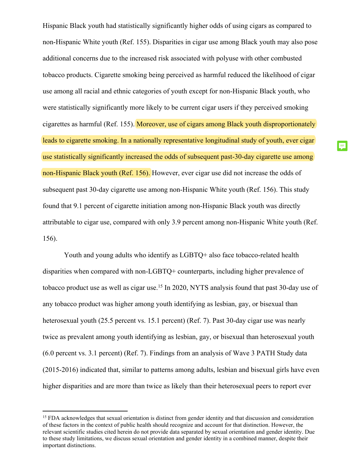Hispanic Black youth had statistically significantly higher odds of using cigars as compared to non-Hispanic White youth (Ref. 155). Disparities in cigar use among Black youth may also pose additional concerns due to the increased risk associated with polyuse with other combusted tobacco products. Cigarette smoking being perceived as harmful reduced the likelihood of cigar use among all racial and ethnic categories of youth except for non-Hispanic Black youth, who were statistically significantly more likely to be current cigar users if they perceived smoking cigarettes as harmful (Ref. 155). Moreover, use of cigars among Black youth disproportionately leads to cigarette smoking. In a nationally representative longitudinal study of youth, ever cigar use statistically significantly increased the odds of subsequent past-30-day cigarette use among non-Hispanic Black youth (Ref. 156). However, ever cigar use did not increase the odds of subsequent past 30-day cigarette use among non-Hispanic White youth (Ref. 156). This study found that 9.1 percent of cigarette initiation among non-Hispanic Black youth was directly attributable to cigar use, compared with only 3.9 percent among non-Hispanic White youth (Ref. 156).

Youth and young adults who identify as LGBTQ+ also face tobacco-related health disparities when compared with non-LGBTQ+ counterparts, including higher prevalence of tobacco product use as well as cigar use.<sup>15</sup> In 2020, NYTS analysis found that past 30-day use of any tobacco product was higher among youth identifying as lesbian, gay, or bisexual than heterosexual youth (25.5 percent vs. 15.1 percent) (Ref. 7). Past 30-day cigar use was nearly twice as prevalent among youth identifying as lesbian, gay, or bisexual than heterosexual youth (6.0 percent vs. 3.1 percent) (Ref. 7). Findings from an analysis of Wave 3 PATH Study data (2015-2016) indicated that, similar to patterns among adults, lesbian and bisexual girls have even higher disparities and are more than twice as likely than their heterosexual peers to report ever

<sup>&</sup>lt;sup>15</sup> FDA acknowledges that sexual orientation is distinct from gender identity and that discussion and consideration of these factors in the context of public health should recognize and account for that distinction. However, the relevant scientific studies cited herein do not provide data separated by sexual orientation and gender identity. Due to these study limitations, we discuss sexual orientation and gender identity in a combined manner, despite their important distinctions.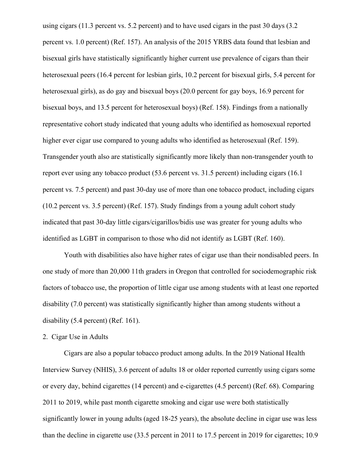using cigars (11.3 percent vs. 5.2 percent) and to have used cigars in the past 30 days (3.2 percent vs. 1.0 percent) (Ref. 157). An analysis of the 2015 YRBS data found that lesbian and bisexual girls have statistically significantly higher current use prevalence of cigars than their heterosexual peers (16.4 percent for lesbian girls, 10.2 percent for bisexual girls, 5.4 percent for heterosexual girls), as do gay and bisexual boys (20.0 percent for gay boys, 16.9 percent for bisexual boys, and 13.5 percent for heterosexual boys) (Ref. 158). Findings from a nationally representative cohort study indicated that young adults who identified as homosexual reported higher ever cigar use compared to young adults who identified as heterosexual (Ref. 159). Transgender youth also are statistically significantly more likely than non-transgender youth to report ever using any tobacco product (53.6 percent vs. 31.5 percent) including cigars (16.1 percent vs. 7.5 percent) and past 30-day use of more than one tobacco product, including cigars (10.2 percent vs. 3.5 percent) (Ref. 157). Study findings from a young adult cohort study indicated that past 30-day little cigars/cigarillos/bidis use was greater for young adults who identified as LGBT in comparison to those who did not identify as LGBT (Ref. 160).

Youth with disabilities also have higher rates of cigar use than their nondisabled peers. In one study of more than 20,000 11th graders in Oregon that controlled for sociodemographic risk factors of tobacco use, the proportion of little cigar use among students with at least one reported disability (7.0 percent) was statistically significantly higher than among students without a disability (5.4 percent) (Ref. 161).

## 2. Cigar Use in Adults

Cigars are also a popular tobacco product among adults. In the 2019 National Health Interview Survey (NHIS), 3.6 percent of adults 18 or older reported currently using cigars some or every day, behind cigarettes (14 percent) and e-cigarettes (4.5 percent) (Ref. 68). Comparing 2011 to 2019, while past month cigarette smoking and cigar use were both statistically significantly lower in young adults (aged 18-25 years), the absolute decline in cigar use was less than the decline in cigarette use (33.5 percent in 2011 to 17.5 percent in 2019 for cigarettes; 10.9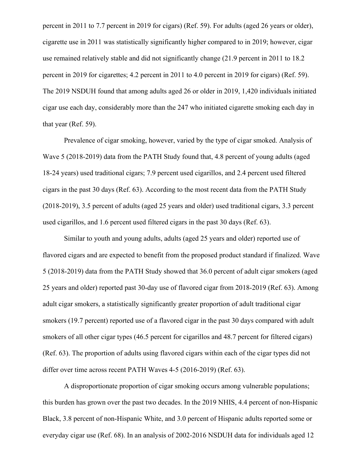percent in 2011 to 7.7 percent in 2019 for cigars) (Ref. 59). For adults (aged 26 years or older), cigarette use in 2011 was statistically significantly higher compared to in 2019; however, cigar use remained relatively stable and did not significantly change (21.9 percent in 2011 to 18.2 percent in 2019 for cigarettes; 4.2 percent in 2011 to 4.0 percent in 2019 for cigars) (Ref. 59). The 2019 NSDUH found that among adults aged 26 or older in 2019, 1,420 individuals initiated cigar use each day, considerably more than the 247 who initiated cigarette smoking each day in that year (Ref. 59).

Prevalence of cigar smoking, however, varied by the type of cigar smoked. Analysis of Wave 5 (2018-2019) data from the PATH Study found that, 4.8 percent of young adults (aged 18-24 years) used traditional cigars; 7.9 percent used cigarillos, and 2.4 percent used filtered cigars in the past 30 days (Ref. 63). According to the most recent data from the PATH Study (2018-2019), 3.5 percent of adults (aged 25 years and older) used traditional cigars, 3.3 percent used cigarillos, and 1.6 percent used filtered cigars in the past 30 days (Ref. 63).

Similar to youth and young adults, adults (aged 25 years and older) reported use of flavored cigars and are expected to benefit from the proposed product standard if finalized. Wave 5 (2018-2019) data from the PATH Study showed that 36.0 percent of adult cigar smokers (aged 25 years and older) reported past 30-day use of flavored cigar from 2018-2019 (Ref. 63). Among adult cigar smokers, a statistically significantly greater proportion of adult traditional cigar smokers (19.7 percent) reported use of a flavored cigar in the past 30 days compared with adult smokers of all other cigar types (46.5 percent for cigarillos and 48.7 percent for filtered cigars) (Ref. 63). The proportion of adults using flavored cigars within each of the cigar types did not differ over time across recent PATH Waves 4-5 (2016-2019) (Ref. 63).

A disproportionate proportion of cigar smoking occurs among vulnerable populations; this burden has grown over the past two decades. In the 2019 NHIS, 4.4 percent of non-Hispanic Black, 3.8 percent of non-Hispanic White, and 3.0 percent of Hispanic adults reported some or everyday cigar use (Ref. 68). In an analysis of 2002-2016 NSDUH data for individuals aged 12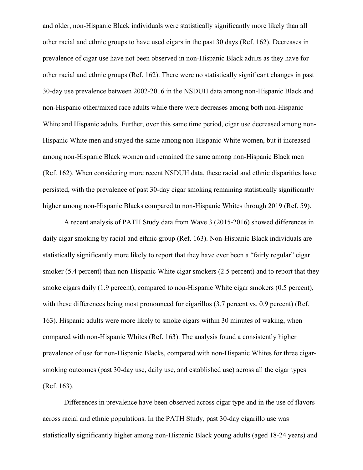and older, non-Hispanic Black individuals were statistically significantly more likely than all other racial and ethnic groups to have used cigars in the past 30 days (Ref. 162). Decreases in prevalence of cigar use have not been observed in non-Hispanic Black adults as they have for other racial and ethnic groups (Ref. 162). There were no statistically significant changes in past 30-day use prevalence between 2002-2016 in the NSDUH data among non-Hispanic Black and non-Hispanic other/mixed race adults while there were decreases among both non-Hispanic White and Hispanic adults. Further, over this same time period, cigar use decreased among non-Hispanic White men and stayed the same among non-Hispanic White women, but it increased among non-Hispanic Black women and remained the same among non-Hispanic Black men (Ref. 162). When considering more recent NSDUH data, these racial and ethnic disparities have persisted, with the prevalence of past 30-day cigar smoking remaining statistically significantly higher among non-Hispanic Blacks compared to non-Hispanic Whites through 2019 (Ref. 59).

A recent analysis of PATH Study data from Wave 3 (2015-2016) showed differences in daily cigar smoking by racial and ethnic group (Ref. 163). Non-Hispanic Black individuals are statistically significantly more likely to report that they have ever been a "fairly regular" cigar smoker (5.4 percent) than non-Hispanic White cigar smokers (2.5 percent) and to report that they smoke cigars daily (1.9 percent), compared to non-Hispanic White cigar smokers (0.5 percent), with these differences being most pronounced for cigarillos (3.7 percent vs. 0.9 percent) (Ref. 163). Hispanic adults were more likely to smoke cigars within 30 minutes of waking, when compared with non-Hispanic Whites (Ref. 163). The analysis found a consistently higher prevalence of use for non-Hispanic Blacks, compared with non-Hispanic Whites for three cigarsmoking outcomes (past 30-day use, daily use, and established use) across all the cigar types (Ref. 163).

Differences in prevalence have been observed across cigar type and in the use of flavors across racial and ethnic populations. In the PATH Study, past 30-day cigarillo use was statistically significantly higher among non-Hispanic Black young adults (aged 18-24 years) and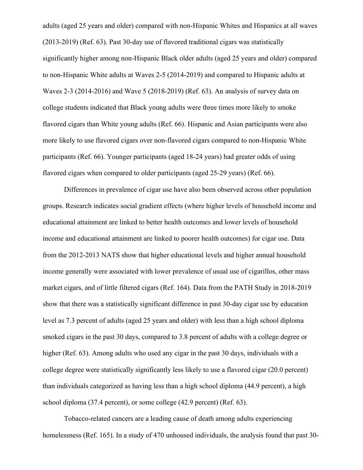adults (aged 25 years and older) compared with non-Hispanic Whites and Hispanics at all waves (2013-2019) (Ref. 63). Past 30-day use of flavored traditional cigars was statistically significantly higher among non-Hispanic Black older adults (aged 25 years and older) compared to non-Hispanic White adults at Waves 2-5 (2014-2019) and compared to Hispanic adults at Waves 2-3 (2014-2016) and Wave 5 (2018-2019) (Ref. 63). An analysis of survey data on college students indicated that Black young adults were three times more likely to smoke flavored cigars than White young adults (Ref. 66). Hispanic and Asian participants were also more likely to use flavored cigars over non-flavored cigars compared to non-Hispanic White participants (Ref. 66). Younger participants (aged 18-24 years) had greater odds of using flavored cigars when compared to older participants (aged 25-29 years) (Ref. 66).

Differences in prevalence of cigar use have also been observed across other population groups. Research indicates social gradient effects (where higher levels of household income and educational attainment are linked to better health outcomes and lower levels of household income and educational attainment are linked to poorer health outcomes) for cigar use. Data from the 2012-2013 NATS show that higher educational levels and higher annual household income generally were associated with lower prevalence of usual use of cigarillos, other mass market cigars, and of little filtered cigars (Ref. 164). Data from the PATH Study in 2018-2019 show that there was a statistically significant difference in past 30-day cigar use by education level as 7.3 percent of adults (aged 25 years and older) with less than a high school diploma smoked cigars in the past 30 days, compared to 3.8 percent of adults with a college degree or higher (Ref. 63). Among adults who used any cigar in the past 30 days, individuals with a college degree were statistically significantly less likely to use a flavored cigar (20.0 percent) than individuals categorized as having less than a high school diploma (44.9 percent), a high school diploma (37.4 percent), or some college (42.9 percent) (Ref. 63).

Tobacco-related cancers are a leading cause of death among adults experiencing homelessness (Ref. 165). In a study of 470 unhoused individuals, the analysis found that past 30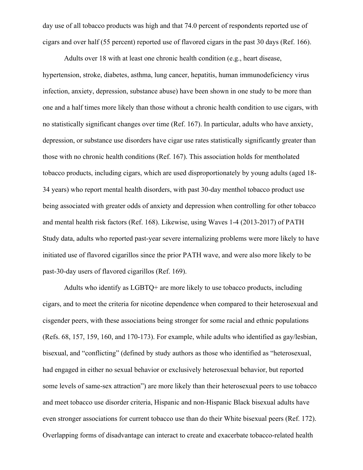day use of all tobacco products was high and that 74.0 percent of respondents reported use of cigars and over half (55 percent) reported use of flavored cigars in the past 30 days (Ref. 166).

Adults over 18 with at least one chronic health condition (e.g., heart disease, hypertension, stroke, diabetes, asthma, lung cancer, hepatitis, human immunodeficiency virus infection, anxiety, depression, substance abuse) have been shown in one study to be more than one and a half times more likely than those without a chronic health condition to use cigars, with no statistically significant changes over time (Ref. 167). In particular, adults who have anxiety, depression, or substance use disorders have cigar use rates statistically significantly greater than those with no chronic health conditions (Ref. 167). This association holds for mentholated tobacco products, including cigars, which are used disproportionately by young adults (aged 18- 34 years) who report mental health disorders, with past 30-day menthol tobacco product use being associated with greater odds of anxiety and depression when controlling for other tobacco and mental health risk factors (Ref. 168). Likewise, using Waves 1-4 (2013-2017) of PATH Study data, adults who reported past-year severe internalizing problems were more likely to have initiated use of flavored cigarillos since the prior PATH wave, and were also more likely to be past-30-day users of flavored cigarillos (Ref. 169).

Adults who identify as LGBTQ+ are more likely to use tobacco products, including cigars, and to meet the criteria for nicotine dependence when compared to their heterosexual and cisgender peers, with these associations being stronger for some racial and ethnic populations (Refs. 68, 157, 159, 160, and 170-173). For example, while adults who identified as gay/lesbian, bisexual, and "conflicting" (defined by study authors as those who identified as "heterosexual, had engaged in either no sexual behavior or exclusively heterosexual behavior, but reported some levels of same-sex attraction") are more likely than their heterosexual peers to use tobacco and meet tobacco use disorder criteria, Hispanic and non-Hispanic Black bisexual adults have even stronger associations for current tobacco use than do their White bisexual peers (Ref. 172). Overlapping forms of disadvantage can interact to create and exacerbate tobacco-related health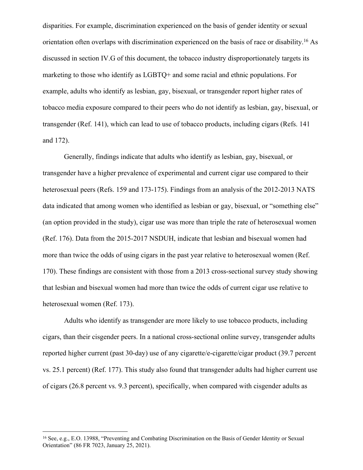disparities. For example, discrimination experienced on the basis of gender identity or sexual orientation often overlaps with discrimination experienced on the basis of race or disability.<sup>16</sup> As discussed in section IV.G of this document, the tobacco industry disproportionately targets its marketing to those who identify as LGBTQ+ and some racial and ethnic populations. For example, adults who identify as lesbian, gay, bisexual, or transgender report higher rates of tobacco media exposure compared to their peers who do not identify as lesbian, gay, bisexual, or transgender (Ref. 141), which can lead to use of tobacco products, including cigars (Refs. 141 and 172).

Generally, findings indicate that adults who identify as lesbian, gay, bisexual, or transgender have a higher prevalence of experimental and current cigar use compared to their heterosexual peers (Refs. 159 and 173-175). Findings from an analysis of the 2012-2013 NATS data indicated that among women who identified as lesbian or gay, bisexual, or "something else" (an option provided in the study), cigar use was more than triple the rate of heterosexual women (Ref. 176). Data from the 2015-2017 NSDUH, indicate that lesbian and bisexual women had more than twice the odds of using cigars in the past year relative to heterosexual women (Ref. 170). These findings are consistent with those from a 2013 cross-sectional survey study showing that lesbian and bisexual women had more than twice the odds of current cigar use relative to heterosexual women (Ref. 173).

Adults who identify as transgender are more likely to use tobacco products, including cigars, than their cisgender peers. In a national cross-sectional online survey, transgender adults reported higher current (past 30-day) use of any cigarette/e-cigarette/cigar product (39.7 percent vs. 25.1 percent) (Ref. 177). This study also found that transgender adults had higher current use of cigars (26.8 percent vs. 9.3 percent), specifically, when compared with cisgender adults as

<sup>16</sup> See, e.g., E.O. 13988, "Preventing and Combating Discrimination on the Basis of Gender Identity or Sexual Orientation" (86 FR 7023, January 25, 2021).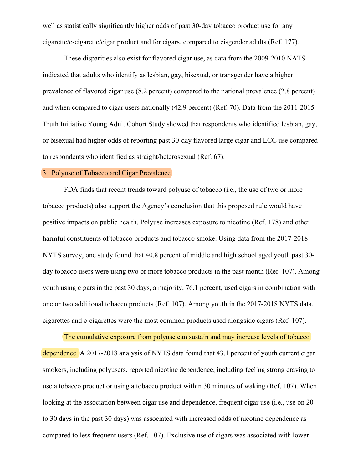well as statistically significantly higher odds of past 30-day tobacco product use for any cigarette/e-cigarette/cigar product and for cigars, compared to cisgender adults (Ref. 177).

These disparities also exist for flavored cigar use, as data from the 2009-2010 NATS indicated that adults who identify as lesbian, gay, bisexual, or transgender have a higher prevalence of flavored cigar use (8.2 percent) compared to the national prevalence (2.8 percent) and when compared to cigar users nationally (42.9 percent) (Ref. 70). Data from the 2011-2015 Truth Initiative Young Adult Cohort Study showed that respondents who identified lesbian, gay, or bisexual had higher odds of reporting past 30-day flavored large cigar and LCC use compared to respondents who identified as straight/heterosexual (Ref. 67).

## 3. Polyuse of Tobacco and Cigar Prevalence

FDA finds that recent trends toward polyuse of tobacco (i.e., the use of two or more tobacco products) also support the Agency's conclusion that this proposed rule would have positive impacts on public health. Polyuse increases exposure to nicotine (Ref. 178) and other harmful constituents of tobacco products and tobacco smoke. Using data from the 2017-2018 NYTS survey, one study found that 40.8 percent of middle and high school aged youth past 30 day tobacco users were using two or more tobacco products in the past month (Ref. 107). Among youth using cigars in the past 30 days, a majority, 76.1 percent, used cigars in combination with one or two additional tobacco products (Ref. 107). Among youth in the 2017-2018 NYTS data, cigarettes and e-cigarettes were the most common products used alongside cigars (Ref. 107).

The cumulative exposure from polyuse can sustain and may increase levels of tobacco dependence. A 2017-2018 analysis of NYTS data found that 43.1 percent of youth current cigar smokers, including polyusers, reported nicotine dependence, including feeling strong craving to use a tobacco product or using a tobacco product within 30 minutes of waking (Ref. 107). When looking at the association between cigar use and dependence, frequent cigar use (i.e., use on 20 to 30 days in the past 30 days) was associated with increased odds of nicotine dependence as compared to less frequent users (Ref. 107). Exclusive use of cigars was associated with lower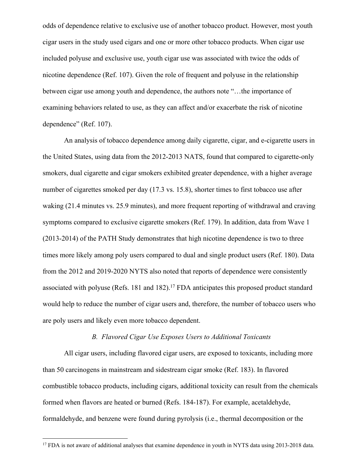odds of dependence relative to exclusive use of another tobacco product. However, most youth cigar users in the study used cigars and one or more other tobacco products. When cigar use included polyuse and exclusive use, youth cigar use was associated with twice the odds of nicotine dependence (Ref. 107). Given the role of frequent and polyuse in the relationship between cigar use among youth and dependence, the authors note "…the importance of examining behaviors related to use, as they can affect and/or exacerbate the risk of nicotine dependence" (Ref. 107).

An analysis of tobacco dependence among daily cigarette, cigar, and e-cigarette users in the United States, using data from the 2012-2013 NATS, found that compared to cigarette-only smokers, dual cigarette and cigar smokers exhibited greater dependence, with a higher average number of cigarettes smoked per day (17.3 vs. 15.8), shorter times to first tobacco use after waking (21.4 minutes vs. 25.9 minutes), and more frequent reporting of withdrawal and craving symptoms compared to exclusive cigarette smokers (Ref. 179). In addition, data from Wave 1 (2013-2014) of the PATH Study demonstrates that high nicotine dependence is two to three times more likely among poly users compared to dual and single product users (Ref. 180). Data from the 2012 and 2019-2020 NYTS also noted that reports of dependence were consistently associated with polyuse (Refs. 181 and 182).<sup>17</sup> FDA anticipates this proposed product standard would help to reduce the number of cigar users and, therefore, the number of tobacco users who are poly users and likely even more tobacco dependent.

## *B. Flavored Cigar Use Exposes Users to Additional Toxicants*

All cigar users, including flavored cigar users, are exposed to toxicants, including more than 50 carcinogens in mainstream and sidestream cigar smoke (Ref. 183). In flavored combustible tobacco products, including cigars, additional toxicity can result from the chemicals formed when flavors are heated or burned (Refs. 184-187). For example, acetaldehyde, formaldehyde, and benzene were found during pyrolysis (i.e., thermal decomposition or the

<sup>&</sup>lt;sup>17</sup> FDA is not aware of additional analyses that examine dependence in youth in NYTS data using 2013-2018 data.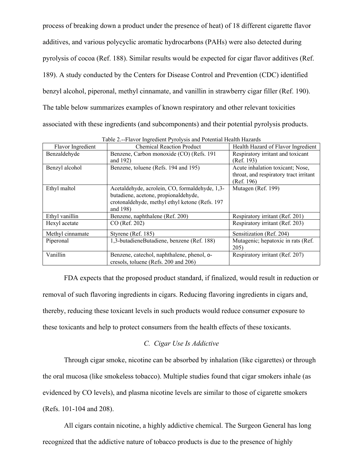process of breaking down a product under the presence of heat) of 18 different cigarette flavor additives, and various polycyclic aromatic hydrocarbons (PAHs) were also detected during pyrolysis of cocoa (Ref. 188). Similar results would be expected for cigar flavor additives (Ref. 189). A study conducted by the Centers for Disease Control and Prevention (CDC) identified benzyl alcohol, piperonal, methyl cinnamate, and vanillin in strawberry cigar filler (Ref. 190). The table below summarizes examples of known respiratory and other relevant toxicities associated with these ingredients (and subcomponents) and their potential pyrolysis products.

| Flavor Ingredient | <b>Chemical Reaction Product</b>               | Health Hazard of Flavor Ingredient     |
|-------------------|------------------------------------------------|----------------------------------------|
| Benzaldehyde      | Benzene, Carbon monoxide (CO) (Refs. 191       | Respiratory irritant and toxicant      |
|                   | and 192)                                       | (Ref. 193)                             |
| Benzyl alcohol    | Benzene, toluene (Refs. 194 and 195)           | Acute inhalation toxicant; Nose,       |
|                   |                                                | throat, and respiratory tract irritant |
|                   |                                                | (Ref. 196)                             |
| Ethyl maltol      | Acetaldehyde, acrolein, CO, formaldehyde, 1,3- | Mutagen (Ref. 199)                     |
|                   | butadiene, acetone, propionaldehyde,           |                                        |
|                   | crotonaldehyde, methyl ethyl ketone (Refs. 197 |                                        |
|                   | and 198)                                       |                                        |
| Ethyl vanillin    | Benzene, naphthalene (Ref. 200)                | Respiratory irritant (Ref. 201)        |
| Hexyl acetate     | CO (Ref. 202)                                  | Respiratory irritant (Ref. 203)        |
| Methyl cinnamate  | Styrene (Ref. 185)                             | Sensitization (Ref. 204)               |
| Piperonal         | 1,3-butadieneButadiene, benzene (Ref. 188)     | Mutagenic; hepatoxic in rats (Ref.     |
|                   |                                                | 205)                                   |
| Vanillin          | Benzene, catechol, naphthalene, phenol, o-     | Respiratory irritant (Ref. 207)        |
|                   | cresols, toluene (Refs. 200 and 206)           |                                        |

Table 2.--Flavor Ingredient Pyrolysis and Potential Health Hazards

FDA expects that the proposed product standard, if finalized, would result in reduction or removal of such flavoring ingredients in cigars. Reducing flavoring ingredients in cigars and, thereby, reducing these toxicant levels in such products would reduce consumer exposure to these toxicants and help to protect consumers from the health effects of these toxicants.

### *C. Cigar Use Is Addictive*

Through cigar smoke, nicotine can be absorbed by inhalation (like cigarettes) or through the oral mucosa (like smokeless tobacco). Multiple studies found that cigar smokers inhale (as evidenced by CO levels), and plasma nicotine levels are similar to those of cigarette smokers (Refs. 101-104 and 208).

All cigars contain nicotine, a highly addictive chemical. The Surgeon General has long recognized that the addictive nature of tobacco products is due to the presence of highly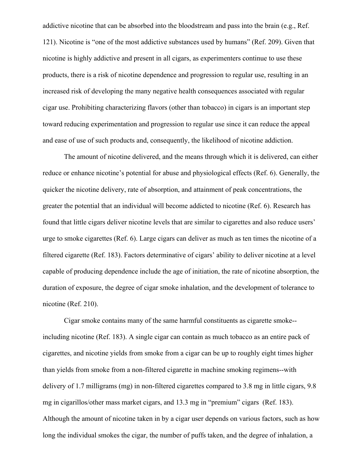addictive nicotine that can be absorbed into the bloodstream and pass into the brain (e.g., Ref. 121). Nicotine is "one of the most addictive substances used by humans" (Ref. 209). Given that nicotine is highly addictive and present in all cigars, as experimenters continue to use these products, there is a risk of nicotine dependence and progression to regular use, resulting in an increased risk of developing the many negative health consequences associated with regular cigar use. Prohibiting characterizing flavors (other than tobacco) in cigars is an important step toward reducing experimentation and progression to regular use since it can reduce the appeal and ease of use of such products and, consequently, the likelihood of nicotine addiction.

The amount of nicotine delivered, and the means through which it is delivered, can either reduce or enhance nicotine's potential for abuse and physiological effects (Ref. 6). Generally, the quicker the nicotine delivery, rate of absorption, and attainment of peak concentrations, the greater the potential that an individual will become addicted to nicotine (Ref. 6). Research has found that little cigars deliver nicotine levels that are similar to cigarettes and also reduce users' urge to smoke cigarettes (Ref. 6). Large cigars can deliver as much as ten times the nicotine of a filtered cigarette (Ref. 183). Factors determinative of cigars' ability to deliver nicotine at a level capable of producing dependence include the age of initiation, the rate of nicotine absorption, the duration of exposure, the degree of cigar smoke inhalation, and the development of tolerance to nicotine (Ref. 210).

Cigar smoke contains many of the same harmful constituents as cigarette smoke- including nicotine (Ref. 183). A single cigar can contain as much tobacco as an entire pack of cigarettes, and nicotine yields from smoke from a cigar can be up to roughly eight times higher than yields from smoke from a non-filtered cigarette in machine smoking regimens--with delivery of 1.7 milligrams (mg) in non-filtered cigarettes compared to 3.8 mg in little cigars, 9.8 mg in cigarillos/other mass market cigars, and 13.3 mg in "premium" cigars (Ref. 183). Although the amount of nicotine taken in by a cigar user depends on various factors, such as how long the individual smokes the cigar, the number of puffs taken, and the degree of inhalation, a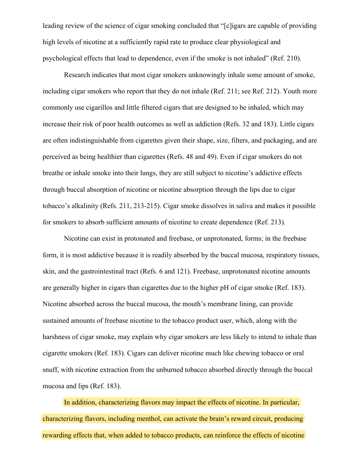leading review of the science of cigar smoking concluded that "[c]igars are capable of providing high levels of nicotine at a sufficiently rapid rate to produce clear physiological and psychological effects that lead to dependence, even if the smoke is not inhaled" (Ref. 210).

Research indicates that most cigar smokers unknowingly inhale some amount of smoke, including cigar smokers who report that they do not inhale (Ref. 211; see Ref. 212). Youth more commonly use cigarillos and little filtered cigars that are designed to be inhaled, which may increase their risk of poor health outcomes as well as addiction (Refs. 32 and 183). Little cigars are often indistinguishable from cigarettes given their shape, size, filters, and packaging, and are perceived as being healthier than cigarettes (Refs. 48 and 49). Even if cigar smokers do not breathe or inhale smoke into their lungs, they are still subject to nicotine's addictive effects through buccal absorption of nicotine or nicotine absorption through the lips due to cigar tobacco's alkalinity (Refs. 211, 213-215). Cigar smoke dissolves in saliva and makes it possible for smokers to absorb sufficient amounts of nicotine to create dependence (Ref. 213).

Nicotine can exist in protonated and freebase, or unprotonated, forms; in the freebase form, it is most addictive because it is readily absorbed by the buccal mucosa, respiratory tissues, skin, and the gastrointestinal tract (Refs. 6 and 121). Freebase, unprotonated nicotine amounts are generally higher in cigars than cigarettes due to the higher pH of cigar smoke (Ref. 183). Nicotine absorbed across the buccal mucosa, the mouth's membrane lining, can provide sustained amounts of freebase nicotine to the tobacco product user, which, along with the harshness of cigar smoke, may explain why cigar smokers are less likely to intend to inhale than cigarette smokers (Ref. 183). Cigars can deliver nicotine much like chewing tobacco or oral snuff, with nicotine extraction from the unburned tobacco absorbed directly through the buccal mucosa and lips (Ref. 183).

In addition, characterizing flavors may impact the effects of nicotine. In particular, characterizing flavors, including menthol, can activate the brain's reward circuit, producing rewarding effects that, when added to tobacco products, can reinforce the effects of nicotine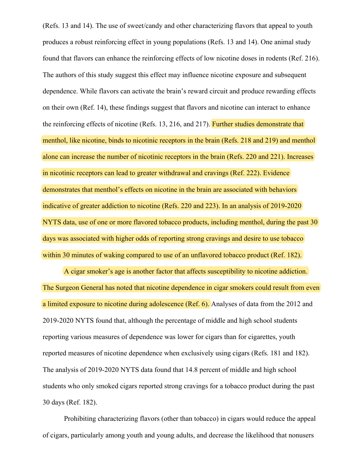(Refs. 13 and 14). The use of sweet/candy and other characterizing flavors that appeal to youth produces a robust reinforcing effect in young populations (Refs. 13 and 14). One animal study found that flavors can enhance the reinforcing effects of low nicotine doses in rodents (Ref. 216). The authors of this study suggest this effect may influence nicotine exposure and subsequent dependence. While flavors can activate the brain's reward circuit and produce rewarding effects on their own (Ref. 14), these findings suggest that flavors and nicotine can interact to enhance the reinforcing effects of nicotine (Refs. 13, 216, and 217). Further studies demonstrate that menthol, like nicotine, binds to nicotinic receptors in the brain (Refs. 218 and 219) and menthol alone can increase the number of nicotinic receptors in the brain (Refs. 220 and 221). Increases in nicotinic receptors can lead to greater withdrawal and cravings (Ref. 222). Evidence demonstrates that menthol's effects on nicotine in the brain are associated with behaviors indicative of greater addiction to nicotine (Refs. 220 and 223). In an analysis of 2019-2020 NYTS data, use of one or more flavored tobacco products, including menthol, during the past 30 days was associated with higher odds of reporting strong cravings and desire to use tobacco within 30 minutes of waking compared to use of an unflavored tobacco product (Ref. 182).

A cigar smoker's age is another factor that affects susceptibility to nicotine addiction. The Surgeon General has noted that nicotine dependence in cigar smokers could result from even a limited exposure to nicotine during adolescence (Ref. 6). Analyses of data from the 2012 and 2019-2020 NYTS found that, although the percentage of middle and high school students reporting various measures of dependence was lower for cigars than for cigarettes, youth reported measures of nicotine dependence when exclusively using cigars (Refs. 181 and 182). The analysis of 2019-2020 NYTS data found that 14.8 percent of middle and high school students who only smoked cigars reported strong cravings for a tobacco product during the past 30 days (Ref. 182).

Prohibiting characterizing flavors (other than tobacco) in cigars would reduce the appeal of cigars, particularly among youth and young adults, and decrease the likelihood that nonusers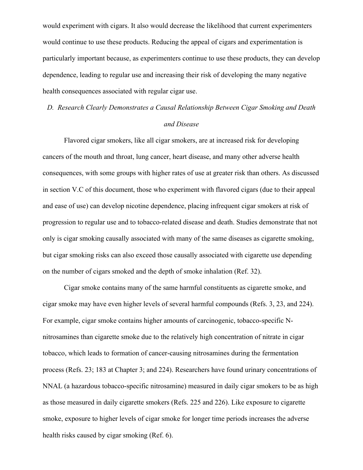would experiment with cigars. It also would decrease the likelihood that current experimenters would continue to use these products. Reducing the appeal of cigars and experimentation is particularly important because, as experimenters continue to use these products, they can develop dependence, leading to regular use and increasing their risk of developing the many negative health consequences associated with regular cigar use.

*D. Research Clearly Demonstrates a Causal Relationship Between Cigar Smoking and Death* 

## *and Disease*

Flavored cigar smokers, like all cigar smokers, are at increased risk for developing cancers of the mouth and throat, lung cancer, heart disease, and many other adverse health consequences, with some groups with higher rates of use at greater risk than others. As discussed in section V.C of this document, those who experiment with flavored cigars (due to their appeal and ease of use) can develop nicotine dependence, placing infrequent cigar smokers at risk of progression to regular use and to tobacco-related disease and death. Studies demonstrate that not only is cigar smoking causally associated with many of the same diseases as cigarette smoking, but cigar smoking risks can also exceed those causally associated with cigarette use depending on the number of cigars smoked and the depth of smoke inhalation (Ref. 32).

Cigar smoke contains many of the same harmful constituents as cigarette smoke, and cigar smoke may have even higher levels of several harmful compounds (Refs. 3, 23, and 224). For example, cigar smoke contains higher amounts of carcinogenic, tobacco-specific Nnitrosamines than cigarette smoke due to the relatively high concentration of nitrate in cigar tobacco, which leads to formation of cancer-causing nitrosamines during the fermentation process (Refs. 23; 183 at Chapter 3; and 224). Researchers have found urinary concentrations of NNAL (a hazardous tobacco-specific nitrosamine) measured in daily cigar smokers to be as high as those measured in daily cigarette smokers (Refs. 225 and 226). Like exposure to cigarette smoke, exposure to higher levels of cigar smoke for longer time periods increases the adverse health risks caused by cigar smoking (Ref. 6).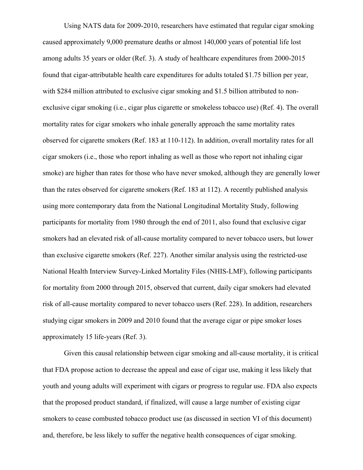Using NATS data for 2009-2010, researchers have estimated that regular cigar smoking caused approximately 9,000 premature deaths or almost 140,000 years of potential life lost among adults 35 years or older (Ref. 3). A study of healthcare expenditures from 2000-2015 found that cigar-attributable health care expenditures for adults totaled \$1.75 billion per year, with \$284 million attributed to exclusive cigar smoking and \$1.5 billion attributed to nonexclusive cigar smoking (i.e., cigar plus cigarette or smokeless tobacco use) (Ref. 4). The overall mortality rates for cigar smokers who inhale generally approach the same mortality rates observed for cigarette smokers (Ref. 183 at 110-112). In addition, overall mortality rates for all cigar smokers (i.e., those who report inhaling as well as those who report not inhaling cigar smoke) are higher than rates for those who have never smoked, although they are generally lower than the rates observed for cigarette smokers (Ref. 183 at 112). A recently published analysis using more contemporary data from the National Longitudinal Mortality Study, following participants for mortality from 1980 through the end of 2011, also found that exclusive cigar smokers had an elevated risk of all-cause mortality compared to never tobacco users, but lower than exclusive cigarette smokers (Ref. 227). Another similar analysis using the restricted-use National Health Interview Survey-Linked Mortality Files (NHIS-LMF), following participants for mortality from 2000 through 2015, observed that current, daily cigar smokers had elevated risk of all-cause mortality compared to never tobacco users (Ref. 228). In addition, researchers studying cigar smokers in 2009 and 2010 found that the average cigar or pipe smoker loses approximately 15 life-years (Ref. 3).

Given this causal relationship between cigar smoking and all-cause mortality, it is critical that FDA propose action to decrease the appeal and ease of cigar use, making it less likely that youth and young adults will experiment with cigars or progress to regular use. FDA also expects that the proposed product standard, if finalized, will cause a large number of existing cigar smokers to cease combusted tobacco product use (as discussed in section VI of this document) and, therefore, be less likely to suffer the negative health consequences of cigar smoking.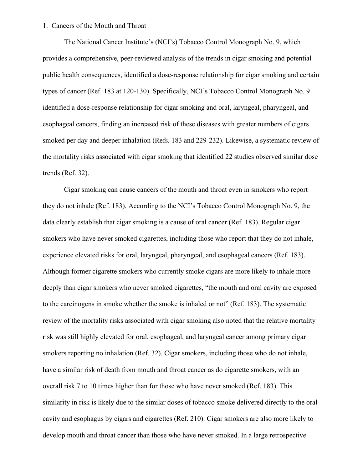#### 1. Cancers of the Mouth and Throat

The National Cancer Institute's (NCI's) Tobacco Control Monograph No. 9, which provides a comprehensive, peer-reviewed analysis of the trends in cigar smoking and potential public health consequences, identified a dose-response relationship for cigar smoking and certain types of cancer (Ref. 183 at 120-130). Specifically, NCI's Tobacco Control Monograph No. 9 identified a dose-response relationship for cigar smoking and oral, laryngeal, pharyngeal, and esophageal cancers, finding an increased risk of these diseases with greater numbers of cigars smoked per day and deeper inhalation (Refs. 183 and 229-232). Likewise, a systematic review of the mortality risks associated with cigar smoking that identified 22 studies observed similar dose trends (Ref. 32).

Cigar smoking can cause cancers of the mouth and throat even in smokers who report they do not inhale (Ref. 183). According to the NCI's Tobacco Control Monograph No. 9, the data clearly establish that cigar smoking is a cause of oral cancer (Ref. 183). Regular cigar smokers who have never smoked cigarettes, including those who report that they do not inhale, experience elevated risks for oral, laryngeal, pharyngeal, and esophageal cancers (Ref. 183). Although former cigarette smokers who currently smoke cigars are more likely to inhale more deeply than cigar smokers who never smoked cigarettes, "the mouth and oral cavity are exposed to the carcinogens in smoke whether the smoke is inhaled or not" (Ref. 183). The systematic review of the mortality risks associated with cigar smoking also noted that the relative mortality risk was still highly elevated for oral, esophageal, and laryngeal cancer among primary cigar smokers reporting no inhalation (Ref. 32). Cigar smokers, including those who do not inhale, have a similar risk of death from mouth and throat cancer as do cigarette smokers, with an overall risk 7 to 10 times higher than for those who have never smoked (Ref. 183). This similarity in risk is likely due to the similar doses of tobacco smoke delivered directly to the oral cavity and esophagus by cigars and cigarettes (Ref. 210). Cigar smokers are also more likely to develop mouth and throat cancer than those who have never smoked. In a large retrospective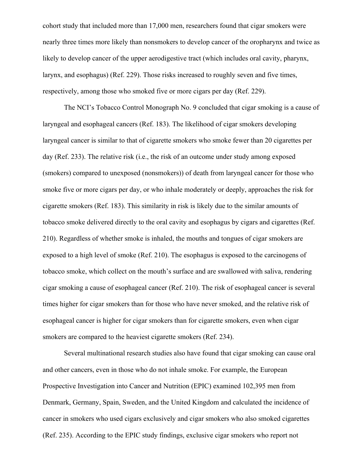cohort study that included more than 17,000 men, researchers found that cigar smokers were nearly three times more likely than nonsmokers to develop cancer of the oropharynx and twice as likely to develop cancer of the upper aerodigestive tract (which includes oral cavity, pharynx, larynx, and esophagus) (Ref. 229). Those risks increased to roughly seven and five times, respectively, among those who smoked five or more cigars per day (Ref. 229).

The NCI's Tobacco Control Monograph No. 9 concluded that cigar smoking is a cause of laryngeal and esophageal cancers (Ref. 183). The likelihood of cigar smokers developing laryngeal cancer is similar to that of cigarette smokers who smoke fewer than 20 cigarettes per day (Ref. 233). The relative risk (i.e., the risk of an outcome under study among exposed (smokers) compared to unexposed (nonsmokers)) of death from laryngeal cancer for those who smoke five or more cigars per day, or who inhale moderately or deeply, approaches the risk for cigarette smokers (Ref. 183). This similarity in risk is likely due to the similar amounts of tobacco smoke delivered directly to the oral cavity and esophagus by cigars and cigarettes (Ref. 210). Regardless of whether smoke is inhaled, the mouths and tongues of cigar smokers are exposed to a high level of smoke (Ref. 210). The esophagus is exposed to the carcinogens of tobacco smoke, which collect on the mouth's surface and are swallowed with saliva, rendering cigar smoking a cause of esophageal cancer (Ref. 210). The risk of esophageal cancer is several times higher for cigar smokers than for those who have never smoked, and the relative risk of esophageal cancer is higher for cigar smokers than for cigarette smokers, even when cigar smokers are compared to the heaviest cigarette smokers (Ref. 234).

Several multinational research studies also have found that cigar smoking can cause oral and other cancers, even in those who do not inhale smoke. For example, the European Prospective Investigation into Cancer and Nutrition (EPIC) examined 102,395 men from Denmark, Germany, Spain, Sweden, and the United Kingdom and calculated the incidence of cancer in smokers who used cigars exclusively and cigar smokers who also smoked cigarettes (Ref. 235). According to the EPIC study findings, exclusive cigar smokers who report not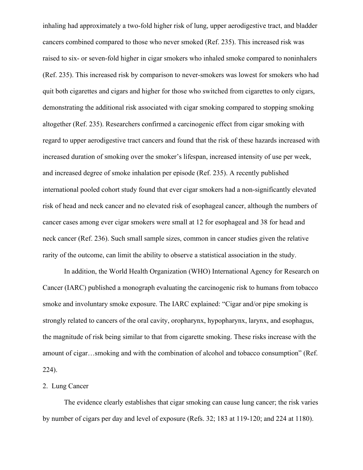inhaling had approximately a two-fold higher risk of lung, upper aerodigestive tract, and bladder cancers combined compared to those who never smoked (Ref. 235). This increased risk was raised to six- or seven-fold higher in cigar smokers who inhaled smoke compared to noninhalers (Ref. 235). This increased risk by comparison to never-smokers was lowest for smokers who had quit both cigarettes and cigars and higher for those who switched from cigarettes to only cigars, demonstrating the additional risk associated with cigar smoking compared to stopping smoking altogether (Ref. 235). Researchers confirmed a carcinogenic effect from cigar smoking with regard to upper aerodigestive tract cancers and found that the risk of these hazards increased with increased duration of smoking over the smoker's lifespan, increased intensity of use per week, and increased degree of smoke inhalation per episode (Ref. 235). A recently published international pooled cohort study found that ever cigar smokers had a non-significantly elevated risk of head and neck cancer and no elevated risk of esophageal cancer, although the numbers of cancer cases among ever cigar smokers were small at 12 for esophageal and 38 for head and neck cancer (Ref. 236). Such small sample sizes, common in cancer studies given the relative rarity of the outcome, can limit the ability to observe a statistical association in the study.

In addition, the World Health Organization (WHO) International Agency for Research on Cancer (IARC) published a monograph evaluating the carcinogenic risk to humans from tobacco smoke and involuntary smoke exposure. The IARC explained: "Cigar and/or pipe smoking is strongly related to cancers of the oral cavity, oropharynx, hypopharynx, larynx, and esophagus, the magnitude of risk being similar to that from cigarette smoking. These risks increase with the amount of cigar…smoking and with the combination of alcohol and tobacco consumption" (Ref. 224).

# 2. Lung Cancer

The evidence clearly establishes that cigar smoking can cause lung cancer; the risk varies by number of cigars per day and level of exposure (Refs. 32; 183 at 119-120; and 224 at 1180).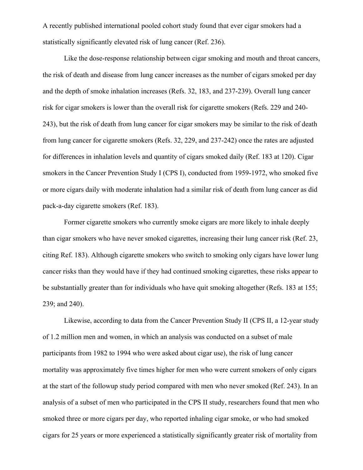A recently published international pooled cohort study found that ever cigar smokers had a statistically significantly elevated risk of lung cancer (Ref. 236).

Like the dose-response relationship between cigar smoking and mouth and throat cancers, the risk of death and disease from lung cancer increases as the number of cigars smoked per day and the depth of smoke inhalation increases (Refs. 32, 183, and 237-239). Overall lung cancer risk for cigar smokers is lower than the overall risk for cigarette smokers (Refs. 229 and 240- 243), but the risk of death from lung cancer for cigar smokers may be similar to the risk of death from lung cancer for cigarette smokers (Refs. 32, 229, and 237-242) once the rates are adjusted for differences in inhalation levels and quantity of cigars smoked daily (Ref. 183 at 120). Cigar smokers in the Cancer Prevention Study I (CPS I), conducted from 1959-1972, who smoked five or more cigars daily with moderate inhalation had a similar risk of death from lung cancer as did pack-a-day cigarette smokers (Ref. 183).

Former cigarette smokers who currently smoke cigars are more likely to inhale deeply than cigar smokers who have never smoked cigarettes, increasing their lung cancer risk (Ref. 23, citing Ref. 183). Although cigarette smokers who switch to smoking only cigars have lower lung cancer risks than they would have if they had continued smoking cigarettes, these risks appear to be substantially greater than for individuals who have quit smoking altogether (Refs. 183 at 155; 239; and 240).

Likewise, according to data from the Cancer Prevention Study II (CPS II, a 12-year study of 1.2 million men and women, in which an analysis was conducted on a subset of male participants from 1982 to 1994 who were asked about cigar use), the risk of lung cancer mortality was approximately five times higher for men who were current smokers of only cigars at the start of the followup study period compared with men who never smoked (Ref. 243). In an analysis of a subset of men who participated in the CPS II study, researchers found that men who smoked three or more cigars per day, who reported inhaling cigar smoke, or who had smoked cigars for 25 years or more experienced a statistically significantly greater risk of mortality from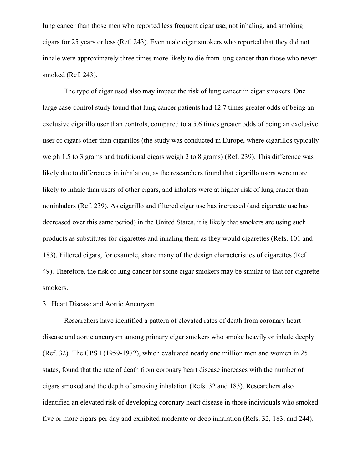lung cancer than those men who reported less frequent cigar use, not inhaling, and smoking cigars for 25 years or less (Ref. 243). Even male cigar smokers who reported that they did not inhale were approximately three times more likely to die from lung cancer than those who never smoked (Ref. 243).

The type of cigar used also may impact the risk of lung cancer in cigar smokers. One large case-control study found that lung cancer patients had 12.7 times greater odds of being an exclusive cigarillo user than controls, compared to a 5.6 times greater odds of being an exclusive user of cigars other than cigarillos (the study was conducted in Europe, where cigarillos typically weigh 1.5 to 3 grams and traditional cigars weigh 2 to 8 grams) (Ref. 239). This difference was likely due to differences in inhalation, as the researchers found that cigarillo users were more likely to inhale than users of other cigars, and inhalers were at higher risk of lung cancer than noninhalers (Ref. 239). As cigarillo and filtered cigar use has increased (and cigarette use has decreased over this same period) in the United States, it is likely that smokers are using such products as substitutes for cigarettes and inhaling them as they would cigarettes (Refs. 101 and 183). Filtered cigars, for example, share many of the design characteristics of cigarettes (Ref. 49). Therefore, the risk of lung cancer for some cigar smokers may be similar to that for cigarette smokers.

## 3. Heart Disease and Aortic Aneurysm

Researchers have identified a pattern of elevated rates of death from coronary heart disease and aortic aneurysm among primary cigar smokers who smoke heavily or inhale deeply (Ref. 32). The CPS I (1959-1972), which evaluated nearly one million men and women in 25 states, found that the rate of death from coronary heart disease increases with the number of cigars smoked and the depth of smoking inhalation (Refs. 32 and 183). Researchers also identified an elevated risk of developing coronary heart disease in those individuals who smoked five or more cigars per day and exhibited moderate or deep inhalation (Refs. 32, 183, and 244).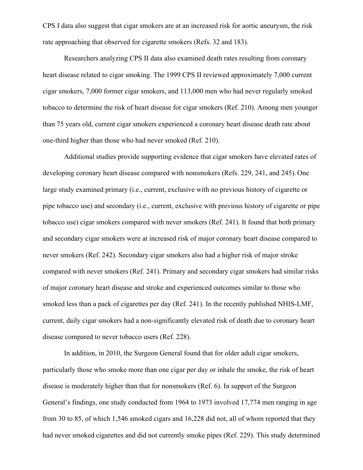CPS I data also suggest that cigar smokers are at an increased risk for aortic aneurysm, the risk rate approaching that observed for cigarette smokers (Refs. 32 and 183).

Researchers analyzing CPS II data also examined death rates resulting from coronary heart disease related to cigar smoking. The 1999 CPS II reviewed approximately 7,000 current cigar smokers, 7,000 former cigar smokers, and 113,000 men who had never regularly smoked tobacco to determine the risk of heart disease for cigar smokers (Ref. 210). Among men younger than 75 years old, current cigar smokers experienced a coronary heart disease death rate about one-third higher than those who had never smoked (Ref. 210).

Additional studies provide supporting evidence that cigar smokers have elevated rates of developing coronary heart disease compared with nonsmokers (Refs. 229, 241, and 245). One large study examined primary (i.e., current, exclusive with no previous history of cigarette or pipe tobacco use) and secondary (i.e., current, exclusive with previous history of cigarette or pipe tobacco use) cigar smokers compared with never smokers (Ref. 241). It found that both primary and secondary cigar smokers were at increased risk of major coronary heart disease compared to never smokers (Ref. 242). Secondary cigar smokers also had a higher risk of major stroke compared with never smokers (Ref. 241). Primary and secondary cigar smokers had similar risks of major coronary heart disease and stroke and experienced outcomes similar to those who smoked less than a pack of cigarettes per day (Ref. 241). In the recently published NHIS-LMF, current, daily cigar smokers had a non-significantly elevated risk of death due to coronary heart disease compared to never tobacco users (Ref. 228).

In addition, in 2010, the Surgeon General found that for older adult cigar smokers, particularly those who smoke more than one cigar per day or inhale the smoke, the risk of heart disease is moderately higher than that for nonsmokers (Ref. 6). In support of the Surgeon General's findings, one study conducted from 1964 to 1973 involved 17,774 men ranging in age from 30 to 85, of which 1,546 smoked cigars and 16,228 did not, all of whom reported that they had never smoked cigarettes and did not currently smoke pipes (Ref. 229). This study determined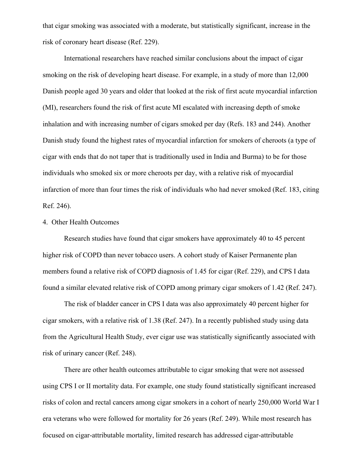that cigar smoking was associated with a moderate, but statistically significant, increase in the risk of coronary heart disease (Ref. 229).

International researchers have reached similar conclusions about the impact of cigar smoking on the risk of developing heart disease. For example, in a study of more than 12,000 Danish people aged 30 years and older that looked at the risk of first acute myocardial infarction (MI), researchers found the risk of first acute MI escalated with increasing depth of smoke inhalation and with increasing number of cigars smoked per day (Refs. 183 and 244). Another Danish study found the highest rates of myocardial infarction for smokers of cheroots (a type of cigar with ends that do not taper that is traditionally used in India and Burma) to be for those individuals who smoked six or more cheroots per day, with a relative risk of myocardial infarction of more than four times the risk of individuals who had never smoked (Ref. 183, citing Ref. 246).

### 4. Other Health Outcomes

Research studies have found that cigar smokers have approximately 40 to 45 percent higher risk of COPD than never tobacco users. A cohort study of Kaiser Permanente plan members found a relative risk of COPD diagnosis of 1.45 for cigar (Ref. 229), and CPS I data found a similar elevated relative risk of COPD among primary cigar smokers of 1.42 (Ref. 247).

The risk of bladder cancer in CPS I data was also approximately 40 percent higher for cigar smokers, with a relative risk of 1.38 (Ref. 247). In a recently published study using data from the Agricultural Health Study, ever cigar use was statistically significantly associated with risk of urinary cancer (Ref. 248).

There are other health outcomes attributable to cigar smoking that were not assessed using CPS I or II mortality data. For example, one study found statistically significant increased risks of colon and rectal cancers among cigar smokers in a cohort of nearly 250,000 World War I era veterans who were followed for mortality for 26 years (Ref. 249). While most research has focused on cigar-attributable mortality, limited research has addressed cigar-attributable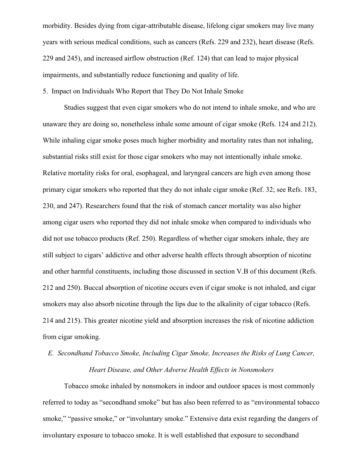morbidity. Besides dying from cigar-attributable disease, lifelong cigar smokers may live many years with serious medical conditions, such as cancers (Refs. 229 and 232), heart disease (Refs. 229 and 245), and increased airflow obstruction (Ref. 124) that can lead to major physical impairments, and substantially reduce functioning and quality of life.

5. Impact on Individuals Who Report that They Do Not Inhale Smoke

Studies suggest that even cigar smokers who do not intend to inhale smoke, and who are unaware they are doing so, nonetheless inhale some amount of cigar smoke (Refs. 124 and 212). While inhaling cigar smoke poses much higher morbidity and mortality rates than not inhaling, substantial risks still exist for those cigar smokers who may not intentionally inhale smoke. Relative mortality risks for oral, esophageal, and laryngeal cancers are high even among those primary cigar smokers who reported that they do not inhale cigar smoke (Ref. 32; see Refs. 183, 230, and 247). Researchers found that the risk of stomach cancer mortality was also higher among cigar users who reported they did not inhale smoke when compared to individuals who did not use tobacco products (Ref. 250). Regardless of whether cigar smokers inhale, they are still subject to cigars' addictive and other adverse health effects through absorption of nicotine and other harmful constituents, including those discussed in section V.B of this document (Refs. 212 and 250). Buccal absorption of nicotine occurs even if cigar smoke is not inhaled, and cigar smokers may also absorb nicotine through the lips due to the alkalinity of cigar tobacco (Refs. 214 and 215). This greater nicotine yield and absorption increases the risk of nicotine addiction from cigar smoking.

# *E. Secondhand Tobacco Smoke, Including Cigar Smoke, Increases the Risks of Lung Cancer, Heart Disease, and Other Adverse Health Effects in Nonsmokers*

Tobacco smoke inhaled by nonsmokers in indoor and outdoor spaces is most commonly referred to today as "secondhand smoke" but has also been referred to as "environmental tobacco smoke," "passive smoke," or "involuntary smoke." Extensive data exist regarding the dangers of involuntary exposure to tobacco smoke. It is well established that exposure to secondhand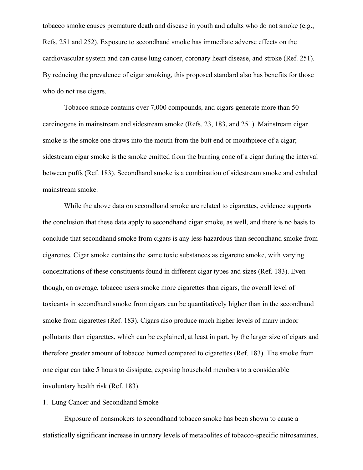tobacco smoke causes premature death and disease in youth and adults who do not smoke (e.g., Refs. 251 and 252). Exposure to secondhand smoke has immediate adverse effects on the cardiovascular system and can cause lung cancer, coronary heart disease, and stroke (Ref. 251). By reducing the prevalence of cigar smoking, this proposed standard also has benefits for those who do not use cigars.

Tobacco smoke contains over 7,000 compounds, and cigars generate more than 50 carcinogens in mainstream and sidestream smoke (Refs. 23, 183, and 251). Mainstream cigar smoke is the smoke one draws into the mouth from the butt end or mouthpiece of a cigar; sidestream cigar smoke is the smoke emitted from the burning cone of a cigar during the interval between puffs (Ref. 183). Secondhand smoke is a combination of sidestream smoke and exhaled mainstream smoke.

While the above data on secondhand smoke are related to cigarettes, evidence supports the conclusion that these data apply to secondhand cigar smoke, as well, and there is no basis to conclude that secondhand smoke from cigars is any less hazardous than secondhand smoke from cigarettes. Cigar smoke contains the same toxic substances as cigarette smoke, with varying concentrations of these constituents found in different cigar types and sizes (Ref. 183). Even though, on average, tobacco users smoke more cigarettes than cigars, the overall level of toxicants in secondhand smoke from cigars can be quantitatively higher than in the secondhand smoke from cigarettes (Ref. 183). Cigars also produce much higher levels of many indoor pollutants than cigarettes, which can be explained, at least in part, by the larger size of cigars and therefore greater amount of tobacco burned compared to cigarettes (Ref. 183). The smoke from one cigar can take 5 hours to dissipate, exposing household members to a considerable involuntary health risk (Ref. 183).

#### 1. Lung Cancer and Secondhand Smoke

Exposure of nonsmokers to secondhand tobacco smoke has been shown to cause a statistically significant increase in urinary levels of metabolites of tobacco-specific nitrosamines,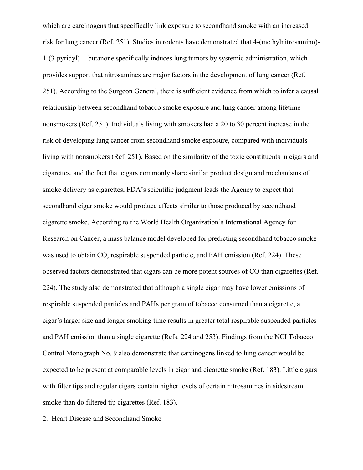which are carcinogens that specifically link exposure to secondhand smoke with an increased risk for lung cancer (Ref. 251). Studies in rodents have demonstrated that 4-(methylnitrosamino)- 1-(3-pyridyl)-1-butanone specifically induces lung tumors by systemic administration, which provides support that nitrosamines are major factors in the development of lung cancer (Ref. 251). According to the Surgeon General, there is sufficient evidence from which to infer a causal relationship between secondhand tobacco smoke exposure and lung cancer among lifetime nonsmokers (Ref. 251). Individuals living with smokers had a 20 to 30 percent increase in the risk of developing lung cancer from secondhand smoke exposure, compared with individuals living with nonsmokers (Ref. 251). Based on the similarity of the toxic constituents in cigars and cigarettes, and the fact that cigars commonly share similar product design and mechanisms of smoke delivery as cigarettes, FDA's scientific judgment leads the Agency to expect that secondhand cigar smoke would produce effects similar to those produced by secondhand cigarette smoke. According to the World Health Organization's International Agency for Research on Cancer, a mass balance model developed for predicting secondhand tobacco smoke was used to obtain CO, respirable suspended particle, and PAH emission (Ref. 224). These observed factors demonstrated that cigars can be more potent sources of CO than cigarettes (Ref. 224). The study also demonstrated that although a single cigar may have lower emissions of respirable suspended particles and PAHs per gram of tobacco consumed than a cigarette, a cigar's larger size and longer smoking time results in greater total respirable suspended particles and PAH emission than a single cigarette (Refs. 224 and 253). Findings from the NCI Tobacco Control Monograph No. 9 also demonstrate that carcinogens linked to lung cancer would be expected to be present at comparable levels in cigar and cigarette smoke (Ref. 183). Little cigars with filter tips and regular cigars contain higher levels of certain nitrosamines in sidestream smoke than do filtered tip cigarettes (Ref. 183).

2. Heart Disease and Secondhand Smoke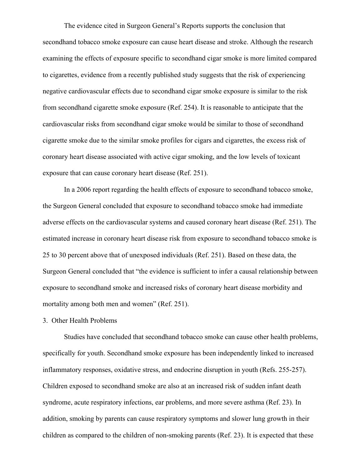The evidence cited in Surgeon General's Reports supports the conclusion that secondhand tobacco smoke exposure can cause heart disease and stroke. Although the research examining the effects of exposure specific to secondhand cigar smoke is more limited compared to cigarettes, evidence from a recently published study suggests that the risk of experiencing negative cardiovascular effects due to secondhand cigar smoke exposure is similar to the risk from secondhand cigarette smoke exposure (Ref. 254). It is reasonable to anticipate that the cardiovascular risks from secondhand cigar smoke would be similar to those of secondhand cigarette smoke due to the similar smoke profiles for cigars and cigarettes, the excess risk of coronary heart disease associated with active cigar smoking, and the low levels of toxicant exposure that can cause coronary heart disease (Ref. 251).

In a 2006 report regarding the health effects of exposure to secondhand tobacco smoke, the Surgeon General concluded that exposure to secondhand tobacco smoke had immediate adverse effects on the cardiovascular systems and caused coronary heart disease (Ref. 251). The estimated increase in coronary heart disease risk from exposure to secondhand tobacco smoke is 25 to 30 percent above that of unexposed individuals (Ref. 251). Based on these data, the Surgeon General concluded that "the evidence is sufficient to infer a causal relationship between exposure to secondhand smoke and increased risks of coronary heart disease morbidity and mortality among both men and women" (Ref. 251).

3. Other Health Problems

Studies have concluded that secondhand tobacco smoke can cause other health problems, specifically for youth. Secondhand smoke exposure has been independently linked to increased inflammatory responses, oxidative stress, and endocrine disruption in youth (Refs. 255-257). Children exposed to secondhand smoke are also at an increased risk of sudden infant death syndrome, acute respiratory infections, ear problems, and more severe asthma (Ref. 23). In addition, smoking by parents can cause respiratory symptoms and slower lung growth in their children as compared to the children of non-smoking parents (Ref. 23). It is expected that these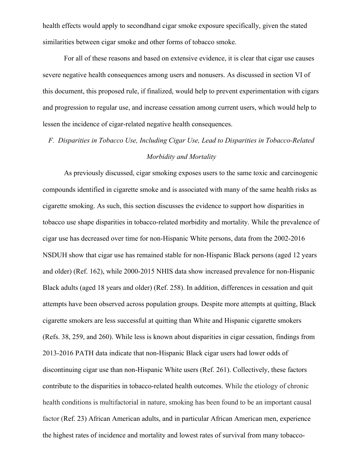health effects would apply to secondhand cigar smoke exposure specifically, given the stated similarities between cigar smoke and other forms of tobacco smoke.

For all of these reasons and based on extensive evidence, it is clear that cigar use causes severe negative health consequences among users and nonusers. As discussed in section VI of this document, this proposed rule, if finalized, would help to prevent experimentation with cigars and progression to regular use, and increase cessation among current users, which would help to lessen the incidence of cigar-related negative health consequences.

# *F. Disparities in Tobacco Use, Including Cigar Use, Lead to Disparities in Tobacco-Related Morbidity and Mortality*

As previously discussed, cigar smoking exposes users to the same toxic and carcinogenic compounds identified in cigarette smoke and is associated with many of the same health risks as cigarette smoking. As such, this section discusses the evidence to support how disparities in tobacco use shape disparities in tobacco-related morbidity and mortality. While the prevalence of cigar use has decreased over time for non-Hispanic White persons, data from the 2002-2016 NSDUH show that cigar use has remained stable for non-Hispanic Black persons (aged 12 years and older) (Ref. 162), while 2000-2015 NHIS data show increased prevalence for non-Hispanic Black adults (aged 18 years and older) (Ref. 258). In addition, differences in cessation and quit attempts have been observed across population groups. Despite more attempts at quitting, Black cigarette smokers are less successful at quitting than White and Hispanic cigarette smokers (Refs. 38, 259, and 260). While less is known about disparities in cigar cessation, findings from 2013-2016 PATH data indicate that non-Hispanic Black cigar users had lower odds of discontinuing cigar use than non-Hispanic White users (Ref. 261). Collectively, these factors contribute to the disparities in tobacco-related health outcomes. While the etiology of chronic health conditions is multifactorial in nature, smoking has been found to be an important causal factor (Ref. 23) African American adults, and in particular African American men, experience the highest rates of incidence and mortality and lowest rates of survival from many tobacco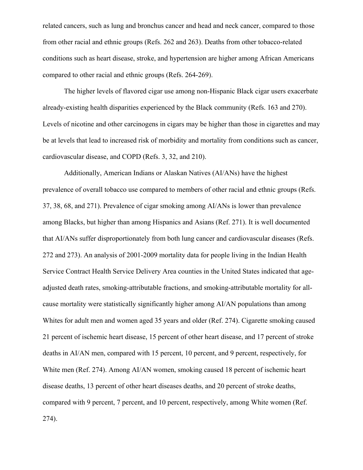related cancers, such as lung and bronchus cancer and head and neck cancer, compared to those from other racial and ethnic groups (Refs. 262 and 263). Deaths from other tobacco-related conditions such as heart disease, stroke, and hypertension are higher among African Americans compared to other racial and ethnic groups (Refs. 264-269).

The higher levels of flavored cigar use among non-Hispanic Black cigar users exacerbate already-existing health disparities experienced by the Black community (Refs. 163 and 270). Levels of nicotine and other carcinogens in cigars may be higher than those in cigarettes and may be at levels that lead to increased risk of morbidity and mortality from conditions such as cancer, cardiovascular disease, and COPD (Refs. 3, 32, and 210).

Additionally, American Indians or Alaskan Natives (AI/ANs) have the highest prevalence of overall tobacco use compared to members of other racial and ethnic groups (Refs. 37, 38, 68, and 271). Prevalence of cigar smoking among AI/ANs is lower than prevalence among Blacks, but higher than among Hispanics and Asians (Ref. 271). It is well documented that AI/ANs suffer disproportionately from both lung cancer and cardiovascular diseases (Refs. 272 and 273). An analysis of 2001-2009 mortality data for people living in the Indian Health Service Contract Health Service Delivery Area counties in the United States indicated that ageadjusted death rates, smoking-attributable fractions, and smoking-attributable mortality for allcause mortality were statistically significantly higher among AI/AN populations than among Whites for adult men and women aged 35 years and older (Ref. 274). Cigarette smoking caused 21 percent of ischemic heart disease, 15 percent of other heart disease, and 17 percent of stroke deaths in AI/AN men, compared with 15 percent, 10 percent, and 9 percent, respectively, for White men (Ref. 274). Among AI/AN women, smoking caused 18 percent of ischemic heart disease deaths, 13 percent of other heart diseases deaths, and 20 percent of stroke deaths, compared with 9 percent, 7 percent, and 10 percent, respectively, among White women (Ref. 274).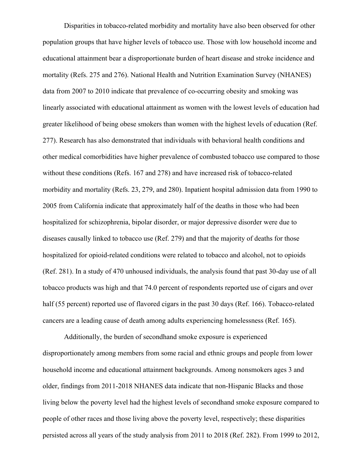Disparities in tobacco-related morbidity and mortality have also been observed for other population groups that have higher levels of tobacco use. Those with low household income and educational attainment bear a disproportionate burden of heart disease and stroke incidence and mortality (Refs. 275 and 276). National Health and Nutrition Examination Survey (NHANES) data from 2007 to 2010 indicate that prevalence of co-occurring obesity and smoking was linearly associated with educational attainment as women with the lowest levels of education had greater likelihood of being obese smokers than women with the highest levels of education (Ref. 277). Research has also demonstrated that individuals with behavioral health conditions and other medical comorbidities have higher prevalence of combusted tobacco use compared to those without these conditions (Refs. 167 and 278) and have increased risk of tobacco-related morbidity and mortality (Refs. 23, 279, and 280). Inpatient hospital admission data from 1990 to 2005 from California indicate that approximately half of the deaths in those who had been hospitalized for schizophrenia, bipolar disorder, or major depressive disorder were due to diseases causally linked to tobacco use (Ref. 279) and that the majority of deaths for those hospitalized for opioid-related conditions were related to tobacco and alcohol, not to opioids (Ref. 281). In a study of 470 unhoused individuals, the analysis found that past 30-day use of all tobacco products was high and that 74.0 percent of respondents reported use of cigars and over half (55 percent) reported use of flavored cigars in the past 30 days (Ref. 166). Tobacco-related cancers are a leading cause of death among adults experiencing homelessness (Ref. 165).

Additionally, the burden of secondhand smoke exposure is experienced disproportionately among members from some racial and ethnic groups and people from lower household income and educational attainment backgrounds. Among nonsmokers ages 3 and older, findings from 2011-2018 NHANES data indicate that non-Hispanic Blacks and those living below the poverty level had the highest levels of secondhand smoke exposure compared to people of other races and those living above the poverty level, respectively; these disparities persisted across all years of the study analysis from 2011 to 2018 (Ref. 282). From 1999 to 2012,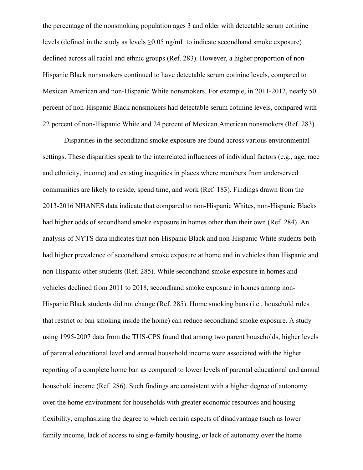the percentage of the nonsmoking population ages 3 and older with detectable serum cotinine levels (defined in the study as levels  $\geq 0.05$  ng/mL to indicate secondhand smoke exposure) declined across all racial and ethnic groups (Ref. 283). However, a higher proportion of non-Hispanic Black nonsmokers continued to have detectable serum cotinine levels, compared to Mexican American and non-Hispanic White nonsmokers. For example, in 2011-2012, nearly 50 percent of non-Hispanic Black nonsmokers had detectable serum cotinine levels, compared with 22 percent of non-Hispanic White and 24 percent of Mexican American nonsmokers (Ref. 283).

Disparities in the secondhand smoke exposure are found across various environmental settings. These disparities speak to the interrelated influences of individual factors (e.g., age, race and ethnicity, income) and existing inequities in places where members from underserved communities are likely to reside, spend time, and work (Ref. 183). Findings drawn from the 2013-2016 NHANES data indicate that compared to non-Hispanic Whites, non-Hispanic Blacks had higher odds of secondhand smoke exposure in homes other than their own (Ref. 284). An analysis of NYTS data indicates that non-Hispanic Black and non-Hispanic White students both had higher prevalence of secondhand smoke exposure at home and in vehicles than Hispanic and non-Hispanic other students (Ref. 285). While secondhand smoke exposure in homes and vehicles declined from 2011 to 2018, secondhand smoke exposure in homes among non-Hispanic Black students did not change (Ref. 285). Home smoking bans (i.e., household rules that restrict or ban smoking inside the home) can reduce secondhand smoke exposure. A study using 1995-2007 data from the TUS-CPS found that among two parent households, higher levels of parental educational level and annual household income were associated with the higher reporting of a complete home ban as compared to lower levels of parental educational and annual household income (Ref. 286). Such findings are consistent with a higher degree of autonomy over the home environment for households with greater economic resources and housing flexibility, emphasizing the degree to which certain aspects of disadvantage (such as lower family income, lack of access to single-family housing, or lack of autonomy over the home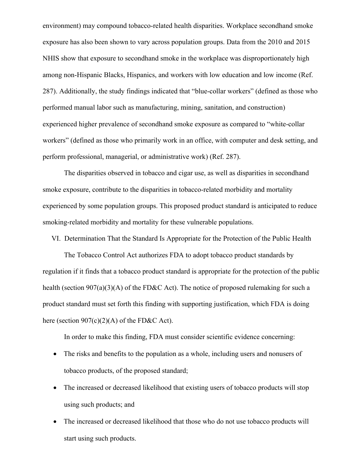environment) may compound tobacco-related health disparities. Workplace secondhand smoke exposure has also been shown to vary across population groups. Data from the 2010 and 2015 NHIS show that exposure to secondhand smoke in the workplace was disproportionately high among non-Hispanic Blacks, Hispanics, and workers with low education and low income (Ref. 287). Additionally, the study findings indicated that "blue-collar workers" (defined as those who performed manual labor such as manufacturing, mining, sanitation, and construction) experienced higher prevalence of secondhand smoke exposure as compared to "white-collar workers" (defined as those who primarily work in an office, with computer and desk setting, and perform professional, managerial, or administrative work) (Ref. 287).

The disparities observed in tobacco and cigar use, as well as disparities in secondhand smoke exposure, contribute to the disparities in tobacco-related morbidity and mortality experienced by some population groups. This proposed product standard is anticipated to reduce smoking-related morbidity and mortality for these vulnerable populations.

VI. Determination That the Standard Is Appropriate for the Protection of the Public Health

The Tobacco Control Act authorizes FDA to adopt tobacco product standards by regulation if it finds that a tobacco product standard is appropriate for the protection of the public health (section 907(a)(3)(A) of the FD&C Act). The notice of proposed rulemaking for such a product standard must set forth this finding with supporting justification, which FDA is doing here (section 907(c)(2)(A) of the FD&C Act).

In order to make this finding, FDA must consider scientific evidence concerning:

- The risks and benefits to the population as a whole, including users and nonusers of tobacco products, of the proposed standard;
- The increased or decreased likelihood that existing users of tobacco products will stop using such products; and
- The increased or decreased likelihood that those who do not use tobacco products will start using such products.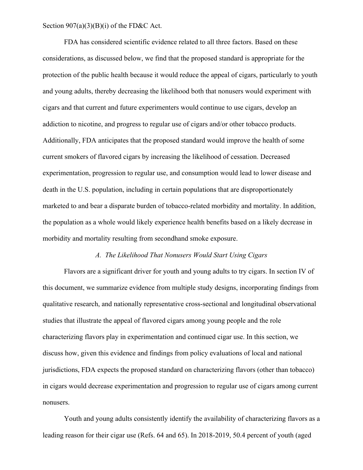Section  $907(a)(3)(B)(i)$  of the FD&C Act.

FDA has considered scientific evidence related to all three factors. Based on these considerations, as discussed below, we find that the proposed standard is appropriate for the protection of the public health because it would reduce the appeal of cigars, particularly to youth and young adults, thereby decreasing the likelihood both that nonusers would experiment with cigars and that current and future experimenters would continue to use cigars, develop an addiction to nicotine, and progress to regular use of cigars and/or other tobacco products. Additionally, FDA anticipates that the proposed standard would improve the health of some current smokers of flavored cigars by increasing the likelihood of cessation. Decreased experimentation, progression to regular use, and consumption would lead to lower disease and death in the U.S. population, including in certain populations that are disproportionately marketed to and bear a disparate burden of tobacco-related morbidity and mortality. In addition, the population as a whole would likely experience health benefits based on a likely decrease in morbidity and mortality resulting from secondhand smoke exposure.

### *A. The Likelihood That Nonusers Would Start Using Cigars*

Flavors are a significant driver for youth and young adults to try cigars. In section IV of this document, we summarize evidence from multiple study designs, incorporating findings from qualitative research, and nationally representative cross-sectional and longitudinal observational studies that illustrate the appeal of flavored cigars among young people and the role characterizing flavors play in experimentation and continued cigar use. In this section, we discuss how, given this evidence and findings from policy evaluations of local and national jurisdictions, FDA expects the proposed standard on characterizing flavors (other than tobacco) in cigars would decrease experimentation and progression to regular use of cigars among current nonusers.

Youth and young adults consistently identify the availability of characterizing flavors as a leading reason for their cigar use (Refs. 64 and 65). In 2018-2019, 50.4 percent of youth (aged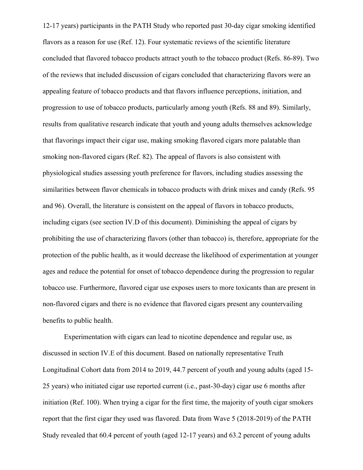12-17 years) participants in the PATH Study who reported past 30-day cigar smoking identified flavors as a reason for use (Ref. 12). Four systematic reviews of the scientific literature concluded that flavored tobacco products attract youth to the tobacco product (Refs. 86-89). Two of the reviews that included discussion of cigars concluded that characterizing flavors were an appealing feature of tobacco products and that flavors influence perceptions, initiation, and progression to use of tobacco products, particularly among youth (Refs. 88 and 89). Similarly, results from qualitative research indicate that youth and young adults themselves acknowledge that flavorings impact their cigar use, making smoking flavored cigars more palatable than smoking non-flavored cigars (Ref. 82). The appeal of flavors is also consistent with physiological studies assessing youth preference for flavors, including studies assessing the similarities between flavor chemicals in tobacco products with drink mixes and candy (Refs. 95 and 96). Overall, the literature is consistent on the appeal of flavors in tobacco products, including cigars (see section IV.D of this document). Diminishing the appeal of cigars by prohibiting the use of characterizing flavors (other than tobacco) is, therefore, appropriate for the protection of the public health, as it would decrease the likelihood of experimentation at younger ages and reduce the potential for onset of tobacco dependence during the progression to regular tobacco use. Furthermore, flavored cigar use exposes users to more toxicants than are present in non-flavored cigars and there is no evidence that flavored cigars present any countervailing benefits to public health.

Experimentation with cigars can lead to nicotine dependence and regular use, as discussed in section IV.E of this document. Based on nationally representative Truth Longitudinal Cohort data from 2014 to 2019, 44.7 percent of youth and young adults (aged 15- 25 years) who initiated cigar use reported current (i.e., past-30-day) cigar use 6 months after initiation (Ref. 100). When trying a cigar for the first time, the majority of youth cigar smokers report that the first cigar they used was flavored. Data from Wave 5 (2018-2019) of the PATH Study revealed that 60.4 percent of youth (aged 12-17 years) and 63.2 percent of young adults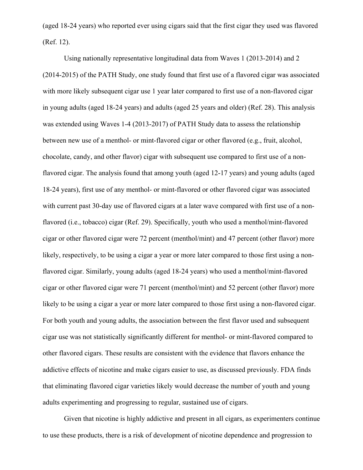(aged 18-24 years) who reported ever using cigars said that the first cigar they used was flavored (Ref. 12).

Using nationally representative longitudinal data from Waves 1 (2013-2014) and 2 (2014-2015) of the PATH Study, one study found that first use of a flavored cigar was associated with more likely subsequent cigar use 1 year later compared to first use of a non-flavored cigar in young adults (aged 18-24 years) and adults (aged 25 years and older) (Ref. 28). This analysis was extended using Waves 1-4 (2013-2017) of PATH Study data to assess the relationship between new use of a menthol- or mint-flavored cigar or other flavored (e.g., fruit, alcohol, chocolate, candy, and other flavor) cigar with subsequent use compared to first use of a nonflavored cigar. The analysis found that among youth (aged 12-17 years) and young adults (aged 18-24 years), first use of any menthol- or mint-flavored or other flavored cigar was associated with current past 30-day use of flavored cigars at a later wave compared with first use of a nonflavored (i.e., tobacco) cigar (Ref. 29). Specifically, youth who used a menthol/mint-flavored cigar or other flavored cigar were 72 percent (menthol/mint) and 47 percent (other flavor) more likely, respectively, to be using a cigar a year or more later compared to those first using a nonflavored cigar. Similarly, young adults (aged 18-24 years) who used a menthol/mint-flavored cigar or other flavored cigar were 71 percent (menthol/mint) and 52 percent (other flavor) more likely to be using a cigar a year or more later compared to those first using a non-flavored cigar. For both youth and young adults, the association between the first flavor used and subsequent cigar use was not statistically significantly different for menthol- or mint-flavored compared to other flavored cigars. These results are consistent with the evidence that flavors enhance the addictive effects of nicotine and make cigars easier to use, as discussed previously. FDA finds that eliminating flavored cigar varieties likely would decrease the number of youth and young adults experimenting and progressing to regular, sustained use of cigars.

Given that nicotine is highly addictive and present in all cigars, as experimenters continue to use these products, there is a risk of development of nicotine dependence and progression to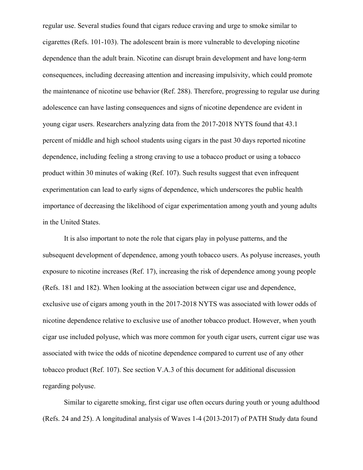regular use. Several studies found that cigars reduce craving and urge to smoke similar to cigarettes (Refs. 101-103). The adolescent brain is more vulnerable to developing nicotine dependence than the adult brain. Nicotine can disrupt brain development and have long-term consequences, including decreasing attention and increasing impulsivity, which could promote the maintenance of nicotine use behavior (Ref. 288). Therefore, progressing to regular use during adolescence can have lasting consequences and signs of nicotine dependence are evident in young cigar users. Researchers analyzing data from the 2017-2018 NYTS found that 43.1 percent of middle and high school students using cigars in the past 30 days reported nicotine dependence, including feeling a strong craving to use a tobacco product or using a tobacco product within 30 minutes of waking (Ref. 107). Such results suggest that even infrequent experimentation can lead to early signs of dependence, which underscores the public health importance of decreasing the likelihood of cigar experimentation among youth and young adults in the United States.

It is also important to note the role that cigars play in polyuse patterns, and the subsequent development of dependence, among youth tobacco users. As polyuse increases, youth exposure to nicotine increases (Ref. 17), increasing the risk of dependence among young people (Refs. 181 and 182). When looking at the association between cigar use and dependence, exclusive use of cigars among youth in the 2017-2018 NYTS was associated with lower odds of nicotine dependence relative to exclusive use of another tobacco product. However, when youth cigar use included polyuse, which was more common for youth cigar users, current cigar use was associated with twice the odds of nicotine dependence compared to current use of any other tobacco product (Ref. 107). See section V.A.3 of this document for additional discussion regarding polyuse.

Similar to cigarette smoking, first cigar use often occurs during youth or young adulthood (Refs. 24 and 25). A longitudinal analysis of Waves 1-4 (2013-2017) of PATH Study data found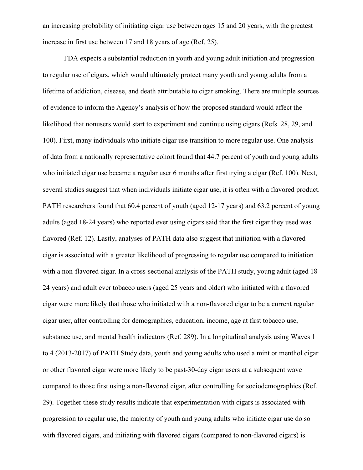an increasing probability of initiating cigar use between ages 15 and 20 years, with the greatest increase in first use between 17 and 18 years of age (Ref. 25).

FDA expects a substantial reduction in youth and young adult initiation and progression to regular use of cigars, which would ultimately protect many youth and young adults from a lifetime of addiction, disease, and death attributable to cigar smoking. There are multiple sources of evidence to inform the Agency's analysis of how the proposed standard would affect the likelihood that nonusers would start to experiment and continue using cigars (Refs. 28, 29, and 100). First, many individuals who initiate cigar use transition to more regular use. One analysis of data from a nationally representative cohort found that 44.7 percent of youth and young adults who initiated cigar use became a regular user 6 months after first trying a cigar (Ref. 100). Next, several studies suggest that when individuals initiate cigar use, it is often with a flavored product. PATH researchers found that 60.4 percent of youth (aged 12-17 years) and 63.2 percent of young adults (aged 18-24 years) who reported ever using cigars said that the first cigar they used was flavored (Ref. 12). Lastly, analyses of PATH data also suggest that initiation with a flavored cigar is associated with a greater likelihood of progressing to regular use compared to initiation with a non-flavored cigar. In a cross-sectional analysis of the PATH study, young adult (aged 18- 24 years) and adult ever tobacco users (aged 25 years and older) who initiated with a flavored cigar were more likely that those who initiated with a non-flavored cigar to be a current regular cigar user, after controlling for demographics, education, income, age at first tobacco use, substance use, and mental health indicators (Ref. 289). In a longitudinal analysis using Waves 1 to 4 (2013-2017) of PATH Study data, youth and young adults who used a mint or menthol cigar or other flavored cigar were more likely to be past-30-day cigar users at a subsequent wave compared to those first using a non-flavored cigar, after controlling for sociodemographics (Ref. 29). Together these study results indicate that experimentation with cigars is associated with progression to regular use, the majority of youth and young adults who initiate cigar use do so with flavored cigars, and initiating with flavored cigars (compared to non-flavored cigars) is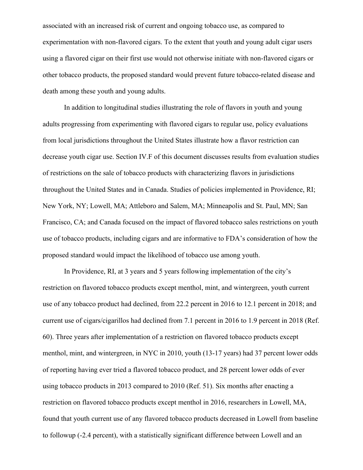associated with an increased risk of current and ongoing tobacco use, as compared to experimentation with non-flavored cigars. To the extent that youth and young adult cigar users using a flavored cigar on their first use would not otherwise initiate with non-flavored cigars or other tobacco products, the proposed standard would prevent future tobacco-related disease and death among these youth and young adults.

In addition to longitudinal studies illustrating the role of flavors in youth and young adults progressing from experimenting with flavored cigars to regular use, policy evaluations from local jurisdictions throughout the United States illustrate how a flavor restriction can decrease youth cigar use. Section IV.F of this document discusses results from evaluation studies of restrictions on the sale of tobacco products with characterizing flavors in jurisdictions throughout the United States and in Canada. Studies of policies implemented in Providence, RI; New York, NY; Lowell, MA; Attleboro and Salem, MA; Minneapolis and St. Paul, MN; San Francisco, CA; and Canada focused on the impact of flavored tobacco sales restrictions on youth use of tobacco products, including cigars and are informative to FDA's consideration of how the proposed standard would impact the likelihood of tobacco use among youth.

In Providence, RI, at 3 years and 5 years following implementation of the city's restriction on flavored tobacco products except menthol, mint, and wintergreen, youth current use of any tobacco product had declined, from 22.2 percent in 2016 to 12.1 percent in 2018; and current use of cigars/cigarillos had declined from 7.1 percent in 2016 to 1.9 percent in 2018 (Ref. 60). Three years after implementation of a restriction on flavored tobacco products except menthol, mint, and wintergreen, in NYC in 2010, youth (13-17 years) had 37 percent lower odds of reporting having ever tried a flavored tobacco product, and 28 percent lower odds of ever using tobacco products in 2013 compared to 2010 (Ref. 51). Six months after enacting a restriction on flavored tobacco products except menthol in 2016, researchers in Lowell, MA, found that youth current use of any flavored tobacco products decreased in Lowell from baseline to followup (-2.4 percent), with a statistically significant difference between Lowell and an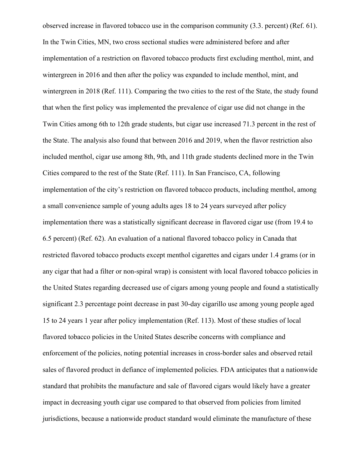observed increase in flavored tobacco use in the comparison community (3.3. percent) (Ref. 61). In the Twin Cities, MN, two cross sectional studies were administered before and after implementation of a restriction on flavored tobacco products first excluding menthol, mint, and wintergreen in 2016 and then after the policy was expanded to include menthol, mint, and wintergreen in 2018 (Ref. 111). Comparing the two cities to the rest of the State, the study found that when the first policy was implemented the prevalence of cigar use did not change in the Twin Cities among 6th to 12th grade students, but cigar use increased 71.3 percent in the rest of the State. The analysis also found that between 2016 and 2019, when the flavor restriction also included menthol, cigar use among 8th, 9th, and 11th grade students declined more in the Twin Cities compared to the rest of the State (Ref. 111). In San Francisco, CA, following implementation of the city's restriction on flavored tobacco products, including menthol, among a small convenience sample of young adults ages 18 to 24 years surveyed after policy implementation there was a statistically significant decrease in flavored cigar use (from 19.4 to 6.5 percent) (Ref. 62). An evaluation of a national flavored tobacco policy in Canada that restricted flavored tobacco products except menthol cigarettes and cigars under 1.4 grams (or in any cigar that had a filter or non-spiral wrap) is consistent with local flavored tobacco policies in the United States regarding decreased use of cigars among young people and found a statistically significant 2.3 percentage point decrease in past 30-day cigarillo use among young people aged 15 to 24 years 1 year after policy implementation (Ref. 113). Most of these studies of local flavored tobacco policies in the United States describe concerns with compliance and enforcement of the policies, noting potential increases in cross-border sales and observed retail sales of flavored product in defiance of implemented policies. FDA anticipates that a nationwide standard that prohibits the manufacture and sale of flavored cigars would likely have a greater impact in decreasing youth cigar use compared to that observed from policies from limited jurisdictions, because a nationwide product standard would eliminate the manufacture of these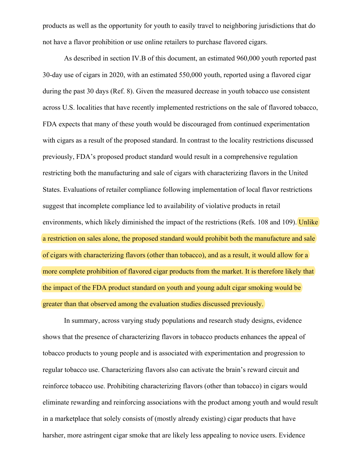products as well as the opportunity for youth to easily travel to neighboring jurisdictions that do not have a flavor prohibition or use online retailers to purchase flavored cigars.

As described in section IV.B of this document, an estimated 960,000 youth reported past 30-day use of cigars in 2020, with an estimated 550,000 youth, reported using a flavored cigar during the past 30 days (Ref. 8). Given the measured decrease in youth tobacco use consistent across U.S. localities that have recently implemented restrictions on the sale of flavored tobacco, FDA expects that many of these youth would be discouraged from continued experimentation with cigars as a result of the proposed standard. In contrast to the locality restrictions discussed previously, FDA's proposed product standard would result in a comprehensive regulation restricting both the manufacturing and sale of cigars with characterizing flavors in the United States. Evaluations of retailer compliance following implementation of local flavor restrictions suggest that incomplete compliance led to availability of violative products in retail environments, which likely diminished the impact of the restrictions (Refs. 108 and 109). Unlike a restriction on sales alone, the proposed standard would prohibit both the manufacture and sale of cigars with characterizing flavors (other than tobacco), and as a result, it would allow for a more complete prohibition of flavored cigar products from the market. It is therefore likely that the impact of the FDA product standard on youth and young adult cigar smoking would be greater than that observed among the evaluation studies discussed previously.

In summary, across varying study populations and research study designs, evidence shows that the presence of characterizing flavors in tobacco products enhances the appeal of tobacco products to young people and is associated with experimentation and progression to regular tobacco use. Characterizing flavors also can activate the brain's reward circuit and reinforce tobacco use. Prohibiting characterizing flavors (other than tobacco) in cigars would eliminate rewarding and reinforcing associations with the product among youth and would result in a marketplace that solely consists of (mostly already existing) cigar products that have harsher, more astringent cigar smoke that are likely less appealing to novice users. Evidence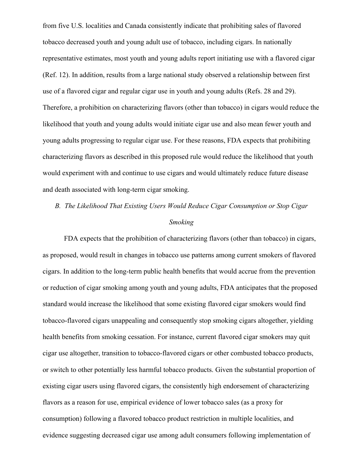from five U.S. localities and Canada consistently indicate that prohibiting sales of flavored tobacco decreased youth and young adult use of tobacco, including cigars. In nationally representative estimates, most youth and young adults report initiating use with a flavored cigar (Ref. 12). In addition, results from a large national study observed a relationship between first use of a flavored cigar and regular cigar use in youth and young adults (Refs. 28 and 29). Therefore, a prohibition on characterizing flavors (other than tobacco) in cigars would reduce the likelihood that youth and young adults would initiate cigar use and also mean fewer youth and young adults progressing to regular cigar use. For these reasons, FDA expects that prohibiting characterizing flavors as described in this proposed rule would reduce the likelihood that youth would experiment with and continue to use cigars and would ultimately reduce future disease and death associated with long-term cigar smoking.

# *B. The Likelihood That Existing Users Would Reduce Cigar Consumption or Stop Cigar Smoking*

FDA expects that the prohibition of characterizing flavors (other than tobacco) in cigars, as proposed, would result in changes in tobacco use patterns among current smokers of flavored cigars. In addition to the long-term public health benefits that would accrue from the prevention or reduction of cigar smoking among youth and young adults, FDA anticipates that the proposed standard would increase the likelihood that some existing flavored cigar smokers would find tobacco-flavored cigars unappealing and consequently stop smoking cigars altogether, yielding health benefits from smoking cessation. For instance, current flavored cigar smokers may quit cigar use altogether, transition to tobacco-flavored cigars or other combusted tobacco products, or switch to other potentially less harmful tobacco products. Given the substantial proportion of existing cigar users using flavored cigars, the consistently high endorsement of characterizing flavors as a reason for use, empirical evidence of lower tobacco sales (as a proxy for consumption) following a flavored tobacco product restriction in multiple localities, and evidence suggesting decreased cigar use among adult consumers following implementation of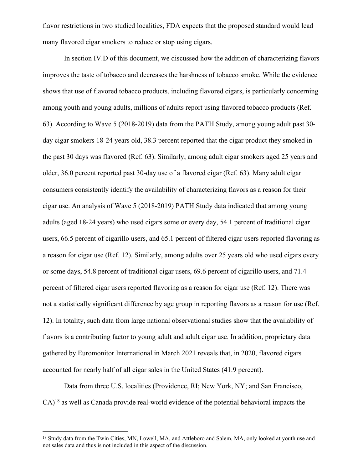flavor restrictions in two studied localities, FDA expects that the proposed standard would lead many flavored cigar smokers to reduce or stop using cigars.

In section IV.D of this document, we discussed how the addition of characterizing flavors improves the taste of tobacco and decreases the harshness of tobacco smoke. While the evidence shows that use of flavored tobacco products, including flavored cigars, is particularly concerning among youth and young adults, millions of adults report using flavored tobacco products (Ref. 63). According to Wave 5 (2018-2019) data from the PATH Study, among young adult past 30 day cigar smokers 18-24 years old, 38.3 percent reported that the cigar product they smoked in the past 30 days was flavored (Ref. 63). Similarly, among adult cigar smokers aged 25 years and older, 36.0 percent reported past 30-day use of a flavored cigar (Ref. 63). Many adult cigar consumers consistently identify the availability of characterizing flavors as a reason for their cigar use. An analysis of Wave 5 (2018-2019) PATH Study data indicated that among young adults (aged 18-24 years) who used cigars some or every day, 54.1 percent of traditional cigar users, 66.5 percent of cigarillo users, and 65.1 percent of filtered cigar users reported flavoring as a reason for cigar use (Ref. 12). Similarly, among adults over 25 years old who used cigars every or some days, 54.8 percent of traditional cigar users, 69.6 percent of cigarillo users, and 71.4 percent of filtered cigar users reported flavoring as a reason for cigar use (Ref. 12). There was not a statistically significant difference by age group in reporting flavors as a reason for use (Ref. 12). In totality, such data from large national observational studies show that the availability of flavors is a contributing factor to young adult and adult cigar use. In addition, proprietary data gathered by Euromonitor International in March 2021 reveals that, in 2020, flavored cigars accounted for nearly half of all cigar sales in the United States (41.9 percent).

Data from three U.S. localities (Providence, RI; New York, NY; and San Francisco, CA)<sup>18</sup> as well as Canada provide real-world evidence of the potential behavioral impacts the

<sup>&</sup>lt;sup>18</sup> Study data from the Twin Cities, MN, Lowell, MA, and Attleboro and Salem, MA, only looked at youth use and not sales data and thus is not included in this aspect of the discussion.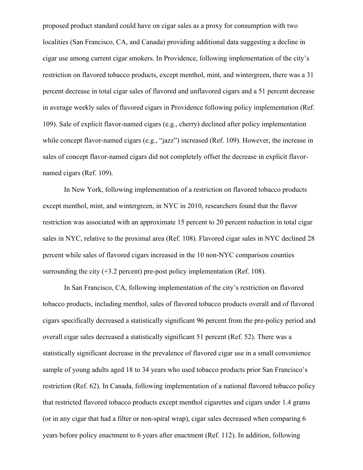proposed product standard could have on cigar sales as a proxy for consumption with two localities (San Francisco, CA, and Canada) providing additional data suggesting a decline in cigar use among current cigar smokers. In Providence, following implementation of the city's restriction on flavored tobacco products, except menthol, mint, and wintergreen, there was a 31 percent decrease in total cigar sales of flavored and unflavored cigars and a 51 percent decrease in average weekly sales of flavored cigars in Providence following policy implementation (Ref. 109). Sale of explicit flavor-named cigars (e.g., cherry) declined after policy implementation while concept flavor-named cigars (e.g., "jazz") increased (Ref. 109). However, the increase in sales of concept flavor-named cigars did not completely offset the decrease in explicit flavornamed cigars (Ref. 109).

In New York, following implementation of a restriction on flavored tobacco products except menthol, mint, and wintergreen, in NYC in 2010, researchers found that the flavor restriction was associated with an approximate 15 percent to 20 percent reduction in total cigar sales in NYC, relative to the proximal area (Ref. 108). Flavored cigar sales in NYC declined 28 percent while sales of flavored cigars increased in the 10 non-NYC comparison counties surrounding the city  $(+3.2$  percent) pre-post policy implementation (Ref. 108).

In San Francisco, CA, following implementation of the city's restriction on flavored tobacco products, including menthol, sales of flavored tobacco products overall and of flavored cigars specifically decreased a statistically significant 96 percent from the pre-policy period and overall cigar sales decreased a statistically significant 51 percent (Ref. 52). There was a statistically significant decrease in the prevalence of flavored cigar use in a small convenience sample of young adults aged 18 to 34 years who used tobacco products prior San Francisco's restriction (Ref. 62). In Canada, following implementation of a national flavored tobacco policy that restricted flavored tobacco products except menthol cigarettes and cigars under 1.4 grams (or in any cigar that had a filter or non-spiral wrap), cigar sales decreased when comparing 6 years before policy enactment to 6 years after enactment (Ref. 112). In addition, following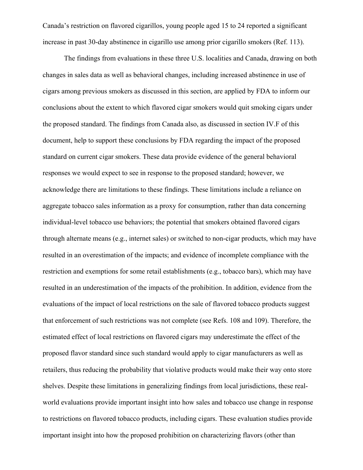Canada's restriction on flavored cigarillos, young people aged 15 to 24 reported a significant increase in past 30-day abstinence in cigarillo use among prior cigarillo smokers (Ref. 113).

The findings from evaluations in these three U.S. localities and Canada, drawing on both changes in sales data as well as behavioral changes, including increased abstinence in use of cigars among previous smokers as discussed in this section, are applied by FDA to inform our conclusions about the extent to which flavored cigar smokers would quit smoking cigars under the proposed standard. The findings from Canada also, as discussed in section IV.F of this document, help to support these conclusions by FDA regarding the impact of the proposed standard on current cigar smokers. These data provide evidence of the general behavioral responses we would expect to see in response to the proposed standard; however, we acknowledge there are limitations to these findings. These limitations include a reliance on aggregate tobacco sales information as a proxy for consumption, rather than data concerning individual-level tobacco use behaviors; the potential that smokers obtained flavored cigars through alternate means (e.g., internet sales) or switched to non-cigar products, which may have resulted in an overestimation of the impacts; and evidence of incomplete compliance with the restriction and exemptions for some retail establishments (e.g., tobacco bars), which may have resulted in an underestimation of the impacts of the prohibition. In addition, evidence from the evaluations of the impact of local restrictions on the sale of flavored tobacco products suggest that enforcement of such restrictions was not complete (see Refs. 108 and 109). Therefore, the estimated effect of local restrictions on flavored cigars may underestimate the effect of the proposed flavor standard since such standard would apply to cigar manufacturers as well as retailers, thus reducing the probability that violative products would make their way onto store shelves. Despite these limitations in generalizing findings from local jurisdictions, these realworld evaluations provide important insight into how sales and tobacco use change in response to restrictions on flavored tobacco products, including cigars. These evaluation studies provide important insight into how the proposed prohibition on characterizing flavors (other than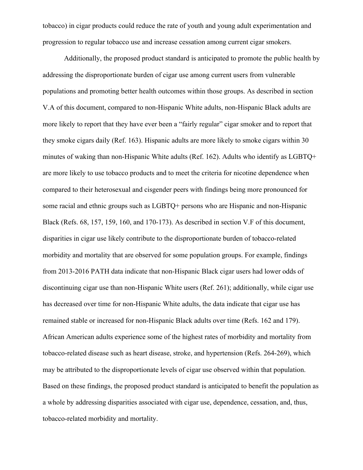tobacco) in cigar products could reduce the rate of youth and young adult experimentation and progression to regular tobacco use and increase cessation among current cigar smokers.

Additionally, the proposed product standard is anticipated to promote the public health by addressing the disproportionate burden of cigar use among current users from vulnerable populations and promoting better health outcomes within those groups. As described in section V.A of this document, compared to non-Hispanic White adults, non-Hispanic Black adults are more likely to report that they have ever been a "fairly regular" cigar smoker and to report that they smoke cigars daily (Ref. 163). Hispanic adults are more likely to smoke cigars within 30 minutes of waking than non-Hispanic White adults (Ref. 162). Adults who identify as LGBTQ+ are more likely to use tobacco products and to meet the criteria for nicotine dependence when compared to their heterosexual and cisgender peers with findings being more pronounced for some racial and ethnic groups such as LGBTQ+ persons who are Hispanic and non-Hispanic Black (Refs. 68, 157, 159, 160, and 170-173). As described in section V.F of this document, disparities in cigar use likely contribute to the disproportionate burden of tobacco-related morbidity and mortality that are observed for some population groups. For example, findings from 2013-2016 PATH data indicate that non-Hispanic Black cigar users had lower odds of discontinuing cigar use than non-Hispanic White users (Ref. 261); additionally, while cigar use has decreased over time for non-Hispanic White adults, the data indicate that cigar use has remained stable or increased for non-Hispanic Black adults over time (Refs. 162 and 179). African American adults experience some of the highest rates of morbidity and mortality from tobacco-related disease such as heart disease, stroke, and hypertension (Refs. 264-269), which may be attributed to the disproportionate levels of cigar use observed within that population. Based on these findings, the proposed product standard is anticipated to benefit the population as a whole by addressing disparities associated with cigar use, dependence, cessation, and, thus, tobacco-related morbidity and mortality.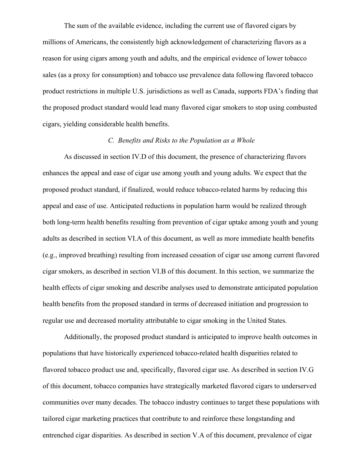The sum of the available evidence, including the current use of flavored cigars by millions of Americans, the consistently high acknowledgement of characterizing flavors as a reason for using cigars among youth and adults, and the empirical evidence of lower tobacco sales (as a proxy for consumption) and tobacco use prevalence data following flavored tobacco product restrictions in multiple U.S. jurisdictions as well as Canada, supports FDA's finding that the proposed product standard would lead many flavored cigar smokers to stop using combusted cigars, yielding considerable health benefits.

### *C. Benefits and Risks to the Population as a Whole*

As discussed in section IV.D of this document, the presence of characterizing flavors enhances the appeal and ease of cigar use among youth and young adults. We expect that the proposed product standard, if finalized, would reduce tobacco-related harms by reducing this appeal and ease of use. Anticipated reductions in population harm would be realized through both long-term health benefits resulting from prevention of cigar uptake among youth and young adults as described in section VI.A of this document, as well as more immediate health benefits (e.g., improved breathing) resulting from increased cessation of cigar use among current flavored cigar smokers, as described in section VI.B of this document. In this section, we summarize the health effects of cigar smoking and describe analyses used to demonstrate anticipated population health benefits from the proposed standard in terms of decreased initiation and progression to regular use and decreased mortality attributable to cigar smoking in the United States.

Additionally, the proposed product standard is anticipated to improve health outcomes in populations that have historically experienced tobacco-related health disparities related to flavored tobacco product use and, specifically, flavored cigar use. As described in section IV.G of this document, tobacco companies have strategically marketed flavored cigars to underserved communities over many decades. The tobacco industry continues to target these populations with tailored cigar marketing practices that contribute to and reinforce these longstanding and entrenched cigar disparities. As described in section V.A of this document, prevalence of cigar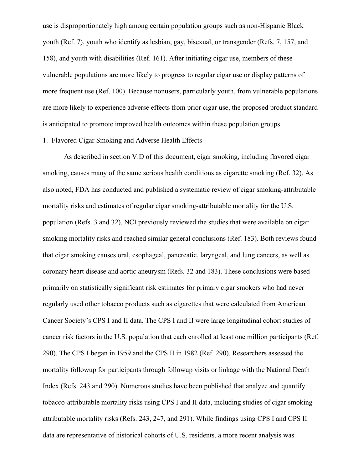use is disproportionately high among certain population groups such as non-Hispanic Black youth (Ref. 7), youth who identify as lesbian, gay, bisexual, or transgender (Refs. 7, 157, and 158), and youth with disabilities (Ref. 161). After initiating cigar use, members of these vulnerable populations are more likely to progress to regular cigar use or display patterns of more frequent use (Ref. 100). Because nonusers, particularly youth, from vulnerable populations are more likely to experience adverse effects from prior cigar use, the proposed product standard is anticipated to promote improved health outcomes within these population groups.

# 1. Flavored Cigar Smoking and Adverse Health Effects

As described in section V.D of this document, cigar smoking, including flavored cigar smoking, causes many of the same serious health conditions as cigarette smoking (Ref. 32). As also noted, FDA has conducted and published a systematic review of cigar smoking-attributable mortality risks and estimates of regular cigar smoking-attributable mortality for the U.S. population (Refs. 3 and 32). NCI previously reviewed the studies that were available on cigar smoking mortality risks and reached similar general conclusions (Ref. 183). Both reviews found that cigar smoking causes oral, esophageal, pancreatic, laryngeal, and lung cancers, as well as coronary heart disease and aortic aneurysm (Refs. 32 and 183). These conclusions were based primarily on statistically significant risk estimates for primary cigar smokers who had never regularly used other tobacco products such as cigarettes that were calculated from American Cancer Society's CPS I and II data. The CPS I and II were large longitudinal cohort studies of cancer risk factors in the U.S. population that each enrolled at least one million participants (Ref. 290). The CPS I began in 1959 and the CPS II in 1982 (Ref. 290). Researchers assessed the mortality followup for participants through followup visits or linkage with the National Death Index (Refs. 243 and 290). Numerous studies have been published that analyze and quantify tobacco-attributable mortality risks using CPS I and II data, including studies of cigar smokingattributable mortality risks (Refs. 243, 247, and 291). While findings using CPS I and CPS II data are representative of historical cohorts of U.S. residents, a more recent analysis was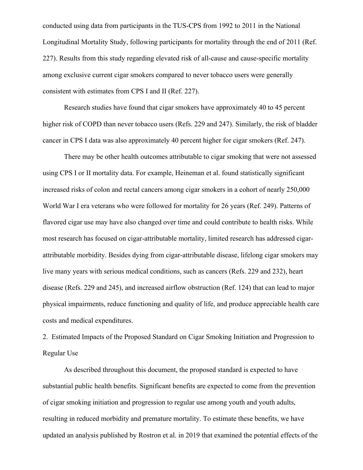conducted using data from participants in the TUS-CPS from 1992 to 2011 in the National Longitudinal Mortality Study, following participants for mortality through the end of 2011 (Ref. 227). Results from this study regarding elevated risk of all-cause and cause-specific mortality among exclusive current cigar smokers compared to never tobacco users were generally consistent with estimates from CPS I and II (Ref. 227).

Research studies have found that cigar smokers have approximately 40 to 45 percent higher risk of COPD than never tobacco users (Refs. 229 and 247). Similarly, the risk of bladder cancer in CPS I data was also approximately 40 percent higher for cigar smokers (Ref. 247).

There may be other health outcomes attributable to cigar smoking that were not assessed using CPS I or II mortality data. For example, Heineman et al. found statistically significant increased risks of colon and rectal cancers among cigar smokers in a cohort of nearly 250,000 World War I era veterans who were followed for mortality for 26 years (Ref. 249). Patterns of flavored cigar use may have also changed over time and could contribute to health risks. While most research has focused on cigar-attributable mortality, limited research has addressed cigarattributable morbidity. Besides dying from cigar-attributable disease, lifelong cigar smokers may live many years with serious medical conditions, such as cancers (Refs. 229 and 232), heart disease (Refs. 229 and 245), and increased airflow obstruction (Ref. 124) that can lead to major physical impairments, reduce functioning and quality of life, and produce appreciable health care costs and medical expenditures.

2. Estimated Impacts of the Proposed Standard on Cigar Smoking Initiation and Progression to Regular Use

As described throughout this document, the proposed standard is expected to have substantial public health benefits. Significant benefits are expected to come from the prevention of cigar smoking initiation and progression to regular use among youth and youth adults, resulting in reduced morbidity and premature mortality. To estimate these benefits, we have updated an analysis published by Rostron et al. in 2019 that examined the potential effects of the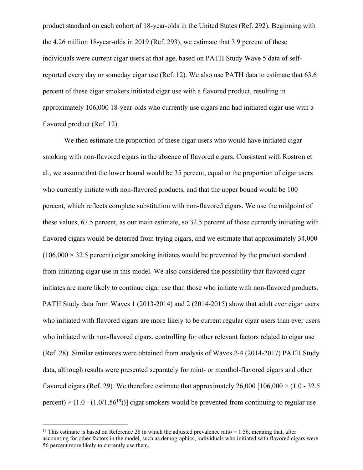product standard on each cohort of 18-year-olds in the United States (Ref. 292). Beginning with the 4.26 million 18-year-olds in 2019 (Ref. 293), we estimate that 3.9 percent of these individuals were current cigar users at that age, based on PATH Study Wave 5 data of selfreported every day or someday cigar use (Ref. 12). We also use PATH data to estimate that 63.6 percent of these cigar smokers initiated cigar use with a flavored product, resulting in approximately 106,000 18-year-olds who currently use cigars and had initiated cigar use with a flavored product (Ref. 12).

We then estimate the proportion of these cigar users who would have initiated cigar smoking with non-flavored cigars in the absence of flavored cigars. Consistent with Rostron et al., we assume that the lower bound would be 35 percent, equal to the proportion of cigar users who currently initiate with non-flavored products, and that the upper bound would be 100 percent, which reflects complete substitution with non-flavored cigars. We use the midpoint of these values, 67.5 percent, as our main estimate, so 32.5 percent of those currently initiating with flavored cigars would be deterred from trying cigars, and we estimate that approximately 34,000  $(106,000 \times 32.5$  percent) cigar smoking initiates would be prevented by the product standard from initiating cigar use in this model. We also considered the possibility that flavored cigar initiates are more likely to continue cigar use than those who initiate with non-flavored products. PATH Study data from Waves 1 (2013-2014) and 2 (2014-2015) show that adult ever cigar users who initiated with flavored cigars are more likely to be current regular cigar users than ever users who initiated with non-flavored cigars, controlling for other relevant factors related to cigar use (Ref. 28). Similar estimates were obtained from analysis of Waves 2-4 (2014-2017) PATH Study data, although results were presented separately for mint- or menthol-flavored cigars and other flavored cigars (Ref. 29). We therefore estimate that approximately  $26,000$  [106,000  $\times$  (1.0 - 32.5) percent)  $\times (1.0 - (1.0/1.56^{19}))$ ] cigar smokers would be prevented from continuing to regular use

<sup>&</sup>lt;sup>19</sup> This estimate is based on Reference 28 in which the adjusted prevalence ratio  $= 1.56$ , meaning that, after accounting for other factors in the model, such as demographics, individuals who initiated with flavored cigars were 56 percent more likely to currently use them.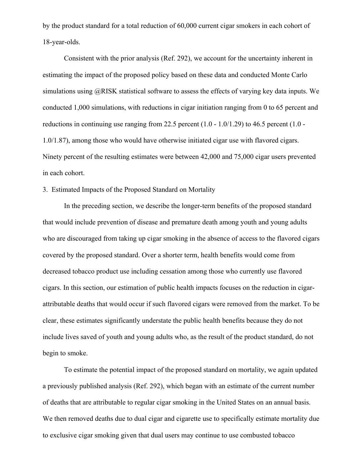by the product standard for a total reduction of 60,000 current cigar smokers in each cohort of 18-year-olds.

Consistent with the prior analysis (Ref. 292), we account for the uncertainty inherent in estimating the impact of the proposed policy based on these data and conducted Monte Carlo simulations using @RISK statistical software to assess the effects of varying key data inputs. We conducted 1,000 simulations, with reductions in cigar initiation ranging from 0 to 65 percent and reductions in continuing use ranging from 22.5 percent (1.0 - 1.0/1.29) to 46.5 percent (1.0 - 1.0/1.87), among those who would have otherwise initiated cigar use with flavored cigars. Ninety percent of the resulting estimates were between 42,000 and 75,000 cigar users prevented in each cohort.

# 3. Estimated Impacts of the Proposed Standard on Mortality

In the preceding section, we describe the longer-term benefits of the proposed standard that would include prevention of disease and premature death among youth and young adults who are discouraged from taking up cigar smoking in the absence of access to the flavored cigars covered by the proposed standard. Over a shorter term, health benefits would come from decreased tobacco product use including cessation among those who currently use flavored cigars. In this section, our estimation of public health impacts focuses on the reduction in cigarattributable deaths that would occur if such flavored cigars were removed from the market. To be clear, these estimates significantly understate the public health benefits because they do not include lives saved of youth and young adults who, as the result of the product standard, do not begin to smoke.

To estimate the potential impact of the proposed standard on mortality, we again updated a previously published analysis (Ref. 292), which began with an estimate of the current number of deaths that are attributable to regular cigar smoking in the United States on an annual basis. We then removed deaths due to dual cigar and cigarette use to specifically estimate mortality due to exclusive cigar smoking given that dual users may continue to use combusted tobacco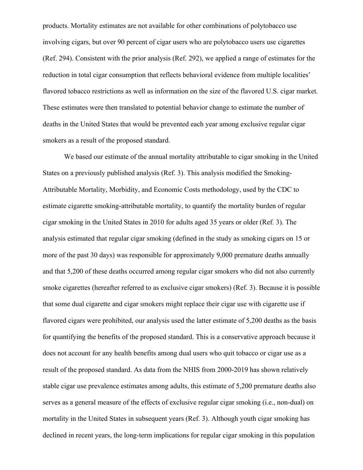products. Mortality estimates are not available for other combinations of polytobacco use involving cigars, but over 90 percent of cigar users who are polytobacco users use cigarettes (Ref. 294). Consistent with the prior analysis (Ref. 292), we applied a range of estimates for the reduction in total cigar consumption that reflects behavioral evidence from multiple localities' flavored tobacco restrictions as well as information on the size of the flavored U.S. cigar market. These estimates were then translated to potential behavior change to estimate the number of deaths in the United States that would be prevented each year among exclusive regular cigar smokers as a result of the proposed standard.

We based our estimate of the annual mortality attributable to cigar smoking in the United States on a previously published analysis (Ref. 3). This analysis modified the Smoking-Attributable Mortality, Morbidity, and Economic Costs methodology, used by the CDC to estimate cigarette smoking-attributable mortality, to quantify the mortality burden of regular cigar smoking in the United States in 2010 for adults aged 35 years or older (Ref. 3). The analysis estimated that regular cigar smoking (defined in the study as smoking cigars on 15 or more of the past 30 days) was responsible for approximately 9,000 premature deaths annually and that 5,200 of these deaths occurred among regular cigar smokers who did not also currently smoke cigarettes (hereafter referred to as exclusive cigar smokers) (Ref. 3). Because it is possible that some dual cigarette and cigar smokers might replace their cigar use with cigarette use if flavored cigars were prohibited, our analysis used the latter estimate of 5,200 deaths as the basis for quantifying the benefits of the proposed standard. This is a conservative approach because it does not account for any health benefits among dual users who quit tobacco or cigar use as a result of the proposed standard. As data from the NHIS from 2000-2019 has shown relatively stable cigar use prevalence estimates among adults, this estimate of 5,200 premature deaths also serves as a general measure of the effects of exclusive regular cigar smoking (i.e., non-dual) on mortality in the United States in subsequent years (Ref. 3). Although youth cigar smoking has declined in recent years, the long-term implications for regular cigar smoking in this population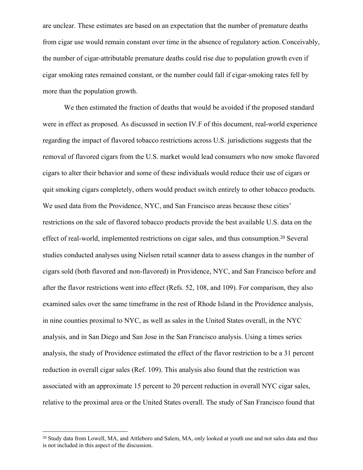are unclear. These estimates are based on an expectation that the number of premature deaths from cigar use would remain constant over time in the absence of regulatory action.Conceivably, the number of cigar-attributable premature deaths could rise due to population growth even if cigar smoking rates remained constant, or the number could fall if cigar-smoking rates fell by more than the population growth.

We then estimated the fraction of deaths that would be avoided if the proposed standard were in effect as proposed. As discussed in section IV.F of this document, real-world experience regarding the impact of flavored tobacco restrictions across U.S. jurisdictions suggests that the removal of flavored cigars from the U.S. market would lead consumers who now smoke flavored cigars to alter their behavior and some of these individuals would reduce their use of cigars or quit smoking cigars completely, others would product switch entirely to other tobacco products. We used data from the Providence, NYC, and San Francisco areas because these cities' restrictions on the sale of flavored tobacco products provide the best available U.S. data on the effect of real-world, implemented restrictions on cigar sales, and thus consumption.<sup>20</sup> Several studies conducted analyses using Nielsen retail scanner data to assess changes in the number of cigars sold (both flavored and non-flavored) in Providence, NYC, and San Francisco before and after the flavor restrictions went into effect (Refs. 52, 108, and 109). For comparison, they also examined sales over the same timeframe in the rest of Rhode Island in the Providence analysis, in nine counties proximal to NYC, as well as sales in the United States overall, in the NYC analysis, and in San Diego and San Jose in the San Francisco analysis. Using a times series analysis, the study of Providence estimated the effect of the flavor restriction to be a 31 percent reduction in overall cigar sales (Ref. 109). This analysis also found that the restriction was associated with an approximate 15 percent to 20 percent reduction in overall NYC cigar sales, relative to the proximal area or the United States overall. The study of San Francisco found that

<sup>&</sup>lt;sup>20</sup> Study data from Lowell, MA, and Attleboro and Salem, MA, only looked at youth use and not sales data and thus is not included in this aspect of the discussion.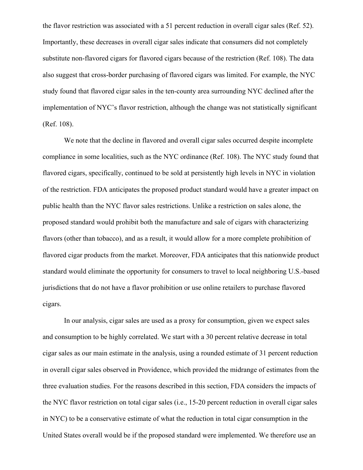the flavor restriction was associated with a 51 percent reduction in overall cigar sales (Ref. 52). Importantly, these decreases in overall cigar sales indicate that consumers did not completely substitute non-flavored cigars for flavored cigars because of the restriction (Ref. 108). The data also suggest that cross-border purchasing of flavored cigars was limited. For example, the NYC study found that flavored cigar sales in the ten-county area surrounding NYC declined after the implementation of NYC's flavor restriction, although the change was not statistically significant (Ref. 108).

We note that the decline in flavored and overall cigar sales occurred despite incomplete compliance in some localities, such as the NYC ordinance (Ref. 108). The NYC study found that flavored cigars, specifically, continued to be sold at persistently high levels in NYC in violation of the restriction. FDA anticipates the proposed product standard would have a greater impact on public health than the NYC flavor sales restrictions. Unlike a restriction on sales alone, the proposed standard would prohibit both the manufacture and sale of cigars with characterizing flavors (other than tobacco), and as a result, it would allow for a more complete prohibition of flavored cigar products from the market. Moreover, FDA anticipates that this nationwide product standard would eliminate the opportunity for consumers to travel to local neighboring U.S.-based jurisdictions that do not have a flavor prohibition or use online retailers to purchase flavored cigars.

In our analysis, cigar sales are used as a proxy for consumption, given we expect sales and consumption to be highly correlated. We start with a 30 percent relative decrease in total cigar sales as our main estimate in the analysis, using a rounded estimate of 31 percent reduction in overall cigar sales observed in Providence, which provided the midrange of estimates from the three evaluation studies. For the reasons described in this section, FDA considers the impacts of the NYC flavor restriction on total cigar sales (i.e., 15-20 percent reduction in overall cigar sales in NYC) to be a conservative estimate of what the reduction in total cigar consumption in the United States overall would be if the proposed standard were implemented. We therefore use an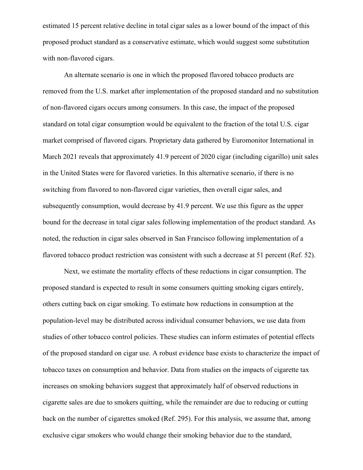estimated 15 percent relative decline in total cigar sales as a lower bound of the impact of this proposed product standard as a conservative estimate, which would suggest some substitution with non-flavored cigars.

An alternate scenario is one in which the proposed flavored tobacco products are removed from the U.S. market after implementation of the proposed standard and no substitution of non-flavored cigars occurs among consumers. In this case, the impact of the proposed standard on total cigar consumption would be equivalent to the fraction of the total U.S. cigar market comprised of flavored cigars. Proprietary data gathered by Euromonitor International in March 2021 reveals that approximately 41.9 percent of 2020 cigar (including cigarillo) unit sales in the United States were for flavored varieties. In this alternative scenario, if there is no switching from flavored to non-flavored cigar varieties, then overall cigar sales, and subsequently consumption, would decrease by 41.9 percent. We use this figure as the upper bound for the decrease in total cigar sales following implementation of the product standard. As noted, the reduction in cigar sales observed in San Francisco following implementation of a flavored tobacco product restriction was consistent with such a decrease at 51 percent (Ref. 52).

Next, we estimate the mortality effects of these reductions in cigar consumption. The proposed standard is expected to result in some consumers quitting smoking cigars entirely, others cutting back on cigar smoking. To estimate how reductions in consumption at the population-level may be distributed across individual consumer behaviors, we use data from studies of other tobacco control policies. These studies can inform estimates of potential effects of the proposed standard on cigar use. A robust evidence base exists to characterize the impact of tobacco taxes on consumption and behavior. Data from studies on the impacts of cigarette tax increases on smoking behaviors suggest that approximately half of observed reductions in cigarette sales are due to smokers quitting, while the remainder are due to reducing or cutting back on the number of cigarettes smoked (Ref. 295). For this analysis, we assume that, among exclusive cigar smokers who would change their smoking behavior due to the standard,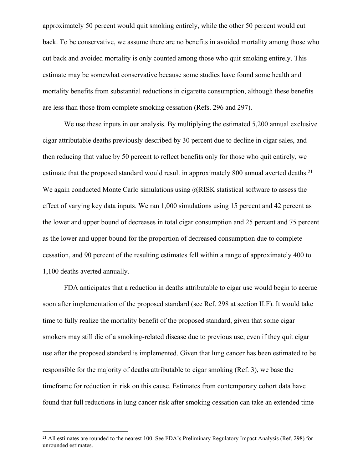approximately 50 percent would quit smoking entirely, while the other 50 percent would cut back. To be conservative, we assume there are no benefits in avoided mortality among those who cut back and avoided mortality is only counted among those who quit smoking entirely. This estimate may be somewhat conservative because some studies have found some health and mortality benefits from substantial reductions in cigarette consumption, although these benefits are less than those from complete smoking cessation (Refs. 296 and 297).

We use these inputs in our analysis. By multiplying the estimated 5,200 annual exclusive cigar attributable deaths previously described by 30 percent due to decline in cigar sales, and then reducing that value by 50 percent to reflect benefits only for those who quit entirely, we estimate that the proposed standard would result in approximately 800 annual averted deaths.<sup>21</sup> We again conducted Monte Carlo simulations using @RISK statistical software to assess the effect of varying key data inputs. We ran 1,000 simulations using 15 percent and 42 percent as the lower and upper bound of decreases in total cigar consumption and 25 percent and 75 percent as the lower and upper bound for the proportion of decreased consumption due to complete cessation, and 90 percent of the resulting estimates fell within a range of approximately 400 to 1,100 deaths averted annually.

FDA anticipates that a reduction in deaths attributable to cigar use would begin to accrue soon after implementation of the proposed standard (see Ref. 298 at section II.F). It would take time to fully realize the mortality benefit of the proposed standard, given that some cigar smokers may still die of a smoking-related disease due to previous use, even if they quit cigar use after the proposed standard is implemented. Given that lung cancer has been estimated to be responsible for the majority of deaths attributable to cigar smoking (Ref. 3), we base the timeframe for reduction in risk on this cause. Estimates from contemporary cohort data have found that full reductions in lung cancer risk after smoking cessation can take an extended time

<sup>&</sup>lt;sup>21</sup> All estimates are rounded to the nearest 100. See FDA's Preliminary Regulatory Impact Analysis (Ref. 298) for unrounded estimates.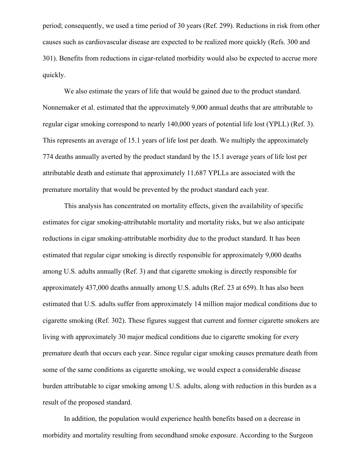period; consequently, we used a time period of 30 years (Ref. 299). Reductions in risk from other causes such as cardiovascular disease are expected to be realized more quickly (Refs. 300 and 301). Benefits from reductions in cigar-related morbidity would also be expected to accrue more quickly.

We also estimate the years of life that would be gained due to the product standard. Nonnemaker et al. estimated that the approximately 9,000 annual deaths that are attributable to regular cigar smoking correspond to nearly 140,000 years of potential life lost (YPLL) (Ref. 3). This represents an average of 15.1 years of life lost per death. We multiply the approximately 774 deaths annually averted by the product standard by the 15.1 average years of life lost per attributable death and estimate that approximately 11,687 YPLLs are associated with the premature mortality that would be prevented by the product standard each year.

This analysis has concentrated on mortality effects, given the availability of specific estimates for cigar smoking-attributable mortality and mortality risks, but we also anticipate reductions in cigar smoking-attributable morbidity due to the product standard. It has been estimated that regular cigar smoking is directly responsible for approximately 9,000 deaths among U.S. adults annually (Ref. 3) and that cigarette smoking is directly responsible for approximately 437,000 deaths annually among U.S. adults (Ref. 23 at 659). It has also been estimated that U.S. adults suffer from approximately 14 million major medical conditions due to cigarette smoking (Ref. 302). These figures suggest that current and former cigarette smokers are living with approximately 30 major medical conditions due to cigarette smoking for every premature death that occurs each year. Since regular cigar smoking causes premature death from some of the same conditions as cigarette smoking, we would expect a considerable disease burden attributable to cigar smoking among U.S. adults, along with reduction in this burden as a result of the proposed standard.

In addition, the population would experience health benefits based on a decrease in morbidity and mortality resulting from secondhand smoke exposure. According to the Surgeon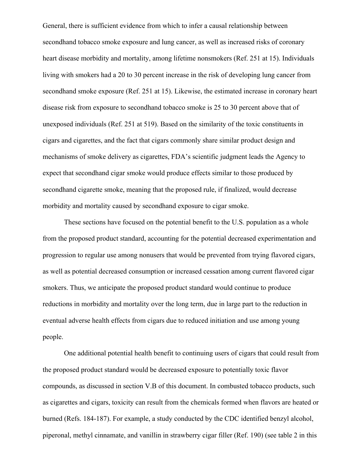General, there is sufficient evidence from which to infer a causal relationship between secondhand tobacco smoke exposure and lung cancer, as well as increased risks of coronary heart disease morbidity and mortality, among lifetime nonsmokers (Ref. 251 at 15). Individuals living with smokers had a 20 to 30 percent increase in the risk of developing lung cancer from secondhand smoke exposure (Ref. 251 at 15). Likewise, the estimated increase in coronary heart disease risk from exposure to secondhand tobacco smoke is 25 to 30 percent above that of unexposed individuals (Ref. 251 at 519). Based on the similarity of the toxic constituents in cigars and cigarettes, and the fact that cigars commonly share similar product design and mechanisms of smoke delivery as cigarettes, FDA's scientific judgment leads the Agency to expect that secondhand cigar smoke would produce effects similar to those produced by secondhand cigarette smoke, meaning that the proposed rule, if finalized, would decrease morbidity and mortality caused by secondhand exposure to cigar smoke.

These sections have focused on the potential benefit to the U.S. population as a whole from the proposed product standard, accounting for the potential decreased experimentation and progression to regular use among nonusers that would be prevented from trying flavored cigars, as well as potential decreased consumption or increased cessation among current flavored cigar smokers. Thus, we anticipate the proposed product standard would continue to produce reductions in morbidity and mortality over the long term, due in large part to the reduction in eventual adverse health effects from cigars due to reduced initiation and use among young people.

One additional potential health benefit to continuing users of cigars that could result from the proposed product standard would be decreased exposure to potentially toxic flavor compounds, as discussed in section V.B of this document. In combusted tobacco products, such as cigarettes and cigars, toxicity can result from the chemicals formed when flavors are heated or burned (Refs. 184-187). For example, a study conducted by the CDC identified benzyl alcohol, piperonal, methyl cinnamate, and vanillin in strawberry cigar filler (Ref. 190) (see table 2 in this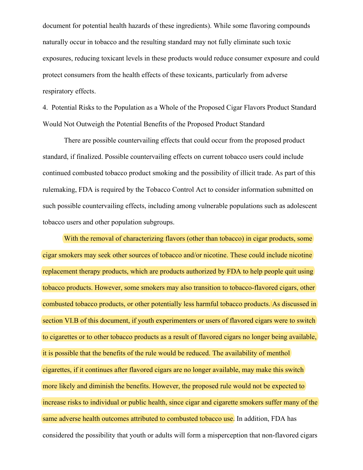document for potential health hazards of these ingredients). While some flavoring compounds naturally occur in tobacco and the resulting standard may not fully eliminate such toxic exposures, reducing toxicant levels in these products would reduce consumer exposure and could protect consumers from the health effects of these toxicants, particularly from adverse respiratory effects.

4. Potential Risks to the Population as a Whole of the Proposed Cigar Flavors Product Standard Would Not Outweigh the Potential Benefits of the Proposed Product Standard

There are possible countervailing effects that could occur from the proposed product standard, if finalized. Possible countervailing effects on current tobacco users could include continued combusted tobacco product smoking and the possibility of illicit trade. As part of this rulemaking, FDA is required by the Tobacco Control Act to consider information submitted on such possible countervailing effects, including among vulnerable populations such as adolescent tobacco users and other population subgroups.

With the removal of characterizing flavors (other than tobacco) in cigar products, some cigar smokers may seek other sources of tobacco and/or nicotine. These could include nicotine replacement therapy products, which are products authorized by FDA to help people quit using tobacco products. However, some smokers may also transition to tobacco-flavored cigars, other combusted tobacco products, or other potentially less harmful tobacco products. As discussed in section VI.B of this document, if youth experimenters or users of flavored cigars were to switch to cigarettes or to other tobacco products as a result of flavored cigars no longer being available, it is possible that the benefits of the rule would be reduced. The availability of menthol cigarettes, if it continues after flavored cigars are no longer available, may make this switch more likely and diminish the benefits. However, the proposed rule would not be expected to increase risks to individual or public health, since cigar and cigarette smokers suffer many of the same adverse health outcomes attributed to combusted tobacco use. In addition, FDA has considered the possibility that youth or adults will form a misperception that non-flavored cigars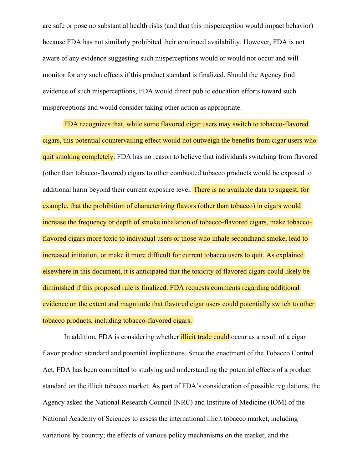are safe or pose no substantial health risks (and that this misperception would impact behavior) because FDA has not similarly prohibited their continued availability. However, FDA is not aware of any evidence suggesting such misperceptions would or would not occur and will monitor for any such effects if this product standard is finalized. Should the Agency find evidence of such misperceptions, FDA would direct public education efforts toward such misperceptions and would consider taking other action as appropriate.

FDA recognizes that, while some flavored cigar users may switch to tobacco-flavored cigars, this potential countervailing effect would not outweigh the benefits from cigar users who quit smoking completely. FDA has no reason to believe that individuals switching from flavored (other than tobacco-flavored) cigars to other combusted tobacco products would be exposed to additional harm beyond their current exposure level. There is no available data to suggest, for example, that the prohibition of characterizing flavors (other than tobacco) in cigars would increase the frequency or depth of smoke inhalation of tobacco-flavored cigars, make tobaccoflavored cigars more toxic to individual users or those who inhale secondhand smoke, lead to increased initiation, or make it more difficult for current tobacco users to quit. As explained elsewhere in this document, it is anticipated that the toxicity of flavored cigars could likely be diminished if this proposed rule is finalized. FDA requests comments regarding additional evidence on the extent and magnitude that flavored cigar users could potentially switch to other tobacco products, including tobacco-flavored cigars.

In addition, FDA is considering whether *illicit trade could* occur as a result of a cigar flavor product standard and potential implications. Since the enactment of the Tobacco Control Act, FDA has been committed to studying and understanding the potential effects of a product standard on the illicit tobacco market. As part of FDA's consideration of possible regulations, the Agency asked the National Research Council (NRC) and Institute of Medicine (IOM) of the National Academy of Sciences to assess the international illicit tobacco market, including variations by country; the effects of various policy mechanisms on the market; and the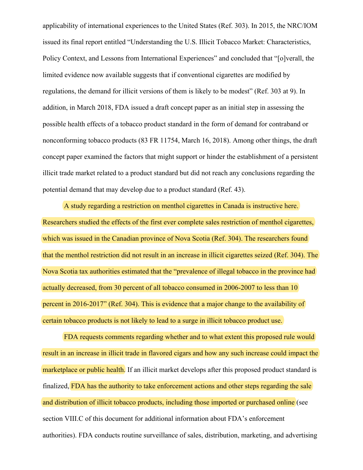applicability of international experiences to the United States (Ref. 303). In 2015, the NRC/IOM issued its final report entitled "Understanding the U.S. Illicit Tobacco Market: Characteristics, Policy Context, and Lessons from International Experiences" and concluded that "[o]verall, the limited evidence now available suggests that if conventional cigarettes are modified by regulations, the demand for illicit versions of them is likely to be modest" (Ref. 303 at 9). In addition, in March 2018, FDA issued a draft concept paper as an initial step in assessing the possible health effects of a tobacco product standard in the form of demand for contraband or nonconforming tobacco products (83 FR 11754, March 16, 2018). Among other things, the draft concept paper examined the factors that might support or hinder the establishment of a persistent illicit trade market related to a product standard but did not reach any conclusions regarding the potential demand that may develop due to a product standard (Ref. 43).

A study regarding a restriction on menthol cigarettes in Canada is instructive here. Researchers studied the effects of the first ever complete sales restriction of menthol cigarettes, which was issued in the Canadian province of Nova Scotia (Ref. 304). The researchers found that the menthol restriction did not result in an increase in illicit cigarettes seized (Ref. 304). The Nova Scotia tax authorities estimated that the "prevalence of illegal tobacco in the province had actually decreased, from 30 percent of all tobacco consumed in 2006-2007 to less than 10 percent in 2016-2017" (Ref. 304). This is evidence that a major change to the availability of certain tobacco products is not likely to lead to a surge in illicit tobacco product use.

FDA requests comments regarding whether and to what extent this proposed rule would result in an increase in illicit trade in flavored cigars and how any such increase could impact the marketplace or public health. If an illicit market develops after this proposed product standard is finalized, FDA has the authority to take enforcement actions and other steps regarding the sale and distribution of illicit tobacco products, including those imported or purchased online (see section VIII.C of this document for additional information about FDA's enforcement authorities). FDA conducts routine surveillance of sales, distribution, marketing, and advertising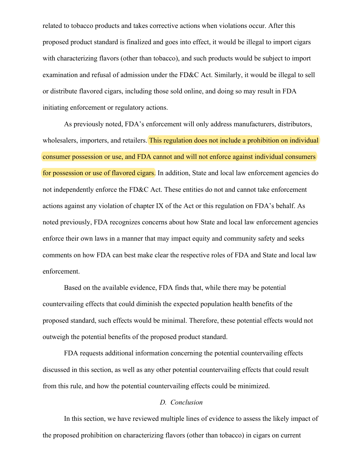related to tobacco products and takes corrective actions when violations occur. After this proposed product standard is finalized and goes into effect, it would be illegal to import cigars with characterizing flavors (other than tobacco), and such products would be subject to import examination and refusal of admission under the FD&C Act. Similarly, it would be illegal to sell or distribute flavored cigars, including those sold online, and doing so may result in FDA initiating enforcement or regulatory actions.

As previously noted, FDA's enforcement will only address manufacturers, distributors, wholesalers, importers, and retailers. This regulation does not include a prohibition on individual consumer possession or use, and FDA cannot and will not enforce against individual consumers for possession or use of flavored cigars. In addition, State and local law enforcement agencies do not independently enforce the FD&C Act. These entities do not and cannot take enforcement actions against any violation of chapter IX of the Act or this regulation on FDA's behalf. As noted previously, FDA recognizes concerns about how State and local law enforcement agencies enforce their own laws in a manner that may impact equity and community safety and seeks comments on how FDA can best make clear the respective roles of FDA and State and local law enforcement.

Based on the available evidence, FDA finds that, while there may be potential countervailing effects that could diminish the expected population health benefits of the proposed standard, such effects would be minimal. Therefore, these potential effects would not outweigh the potential benefits of the proposed product standard.

FDA requests additional information concerning the potential countervailing effects discussed in this section, as well as any other potential countervailing effects that could result from this rule, and how the potential countervailing effects could be minimized.

# *D. Conclusion*

In this section, we have reviewed multiple lines of evidence to assess the likely impact of the proposed prohibition on characterizing flavors (other than tobacco) in cigars on current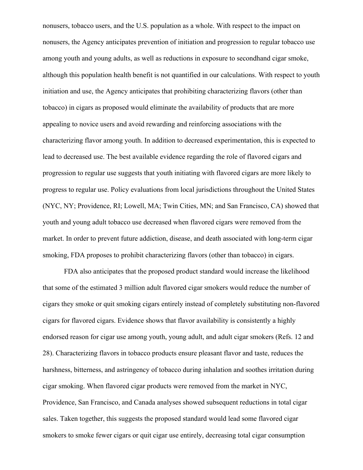nonusers, tobacco users, and the U.S. population as a whole. With respect to the impact on nonusers, the Agency anticipates prevention of initiation and progression to regular tobacco use among youth and young adults, as well as reductions in exposure to secondhand cigar smoke, although this population health benefit is not quantified in our calculations. With respect to youth initiation and use, the Agency anticipates that prohibiting characterizing flavors (other than tobacco) in cigars as proposed would eliminate the availability of products that are more appealing to novice users and avoid rewarding and reinforcing associations with the characterizing flavor among youth. In addition to decreased experimentation, this is expected to lead to decreased use. The best available evidence regarding the role of flavored cigars and progression to regular use suggests that youth initiating with flavored cigars are more likely to progress to regular use. Policy evaluations from local jurisdictions throughout the United States (NYC, NY; Providence, RI; Lowell, MA; Twin Cities, MN; and San Francisco, CA) showed that youth and young adult tobacco use decreased when flavored cigars were removed from the market. In order to prevent future addiction, disease, and death associated with long-term cigar smoking, FDA proposes to prohibit characterizing flavors (other than tobacco) in cigars.

FDA also anticipates that the proposed product standard would increase the likelihood that some of the estimated 3 million adult flavored cigar smokers would reduce the number of cigars they smoke or quit smoking cigars entirely instead of completely substituting non-flavored cigars for flavored cigars. Evidence shows that flavor availability is consistently a highly endorsed reason for cigar use among youth, young adult, and adult cigar smokers (Refs. 12 and 28). Characterizing flavors in tobacco products ensure pleasant flavor and taste, reduces the harshness, bitterness, and astringency of tobacco during inhalation and soothes irritation during cigar smoking. When flavored cigar products were removed from the market in NYC, Providence, San Francisco, and Canada analyses showed subsequent reductions in total cigar sales. Taken together, this suggests the proposed standard would lead some flavored cigar smokers to smoke fewer cigars or quit cigar use entirely, decreasing total cigar consumption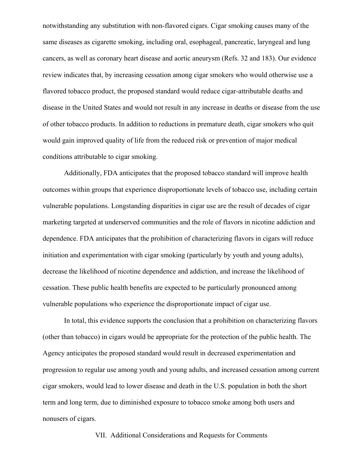notwithstanding any substitution with non-flavored cigars. Cigar smoking causes many of the same diseases as cigarette smoking, including oral, esophageal, pancreatic, laryngeal and lung cancers, as well as coronary heart disease and aortic aneurysm (Refs. 32 and 183). Our evidence review indicates that, by increasing cessation among cigar smokers who would otherwise use a flavored tobacco product, the proposed standard would reduce cigar-attributable deaths and disease in the United States and would not result in any increase in deaths or disease from the use of other tobacco products. In addition to reductions in premature death, cigar smokers who quit would gain improved quality of life from the reduced risk or prevention of major medical conditions attributable to cigar smoking.

Additionally, FDA anticipates that the proposed tobacco standard will improve health outcomes within groups that experience disproportionate levels of tobacco use, including certain vulnerable populations. Longstanding disparities in cigar use are the result of decades of cigar marketing targeted at underserved communities and the role of flavors in nicotine addiction and dependence. FDA anticipates that the prohibition of characterizing flavors in cigars will reduce initiation and experimentation with cigar smoking (particularly by youth and young adults), decrease the likelihood of nicotine dependence and addiction, and increase the likelihood of cessation. These public health benefits are expected to be particularly pronounced among vulnerable populations who experience the disproportionate impact of cigar use.

In total, this evidence supports the conclusion that a prohibition on characterizing flavors (other than tobacco) in cigars would be appropriate for the protection of the public health. The Agency anticipates the proposed standard would result in decreased experimentation and progression to regular use among youth and young adults, and increased cessation among current cigar smokers, would lead to lower disease and death in the U.S. population in both the short term and long term, due to diminished exposure to tobacco smoke among both users and nonusers of cigars.

# VII. Additional Considerations and Requests for Comments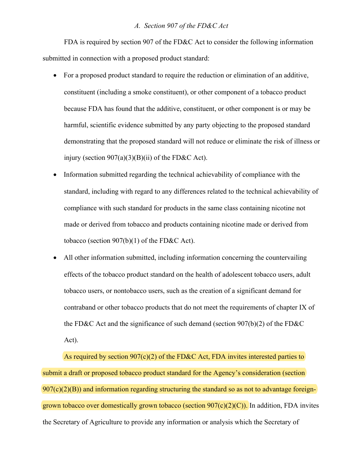#### *A. Section 907 of the FD&C Act*

FDA is required by section 907 of the FD&C Act to consider the following information submitted in connection with a proposed product standard:

- For a proposed product standard to require the reduction or elimination of an additive, constituent (including a smoke constituent), or other component of a tobacco product because FDA has found that the additive, constituent, or other component is or may be harmful, scientific evidence submitted by any party objecting to the proposed standard demonstrating that the proposed standard will not reduce or eliminate the risk of illness or injury (section  $907(a)(3)(B)(ii)$  of the FD&C Act).
- Information submitted regarding the technical achievability of compliance with the standard, including with regard to any differences related to the technical achievability of compliance with such standard for products in the same class containing nicotine not made or derived from tobacco and products containing nicotine made or derived from tobacco (section 907(b)(1) of the FD&C Act).
- All other information submitted, including information concerning the countervailing effects of the tobacco product standard on the health of adolescent tobacco users, adult tobacco users, or nontobacco users, such as the creation of a significant demand for contraband or other tobacco products that do not meet the requirements of chapter IX of the FD&C Act and the significance of such demand (section 907(b)(2) of the FD&C Act).

As required by section  $907(c)(2)$  of the FD&C Act, FDA invites interested parties to submit a draft or proposed tobacco product standard for the Agency's consideration (section  $907(c)(2)(B)$  and information regarding structuring the standard so as not to advantage foreigngrown tobacco over domestically grown tobacco (section  $907(c)(2)(C)$ ). In addition, FDA invites the Secretary of Agriculture to provide any information or analysis which the Secretary of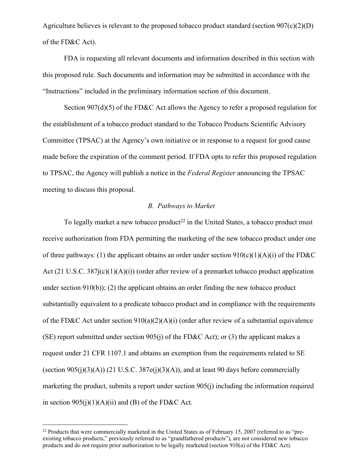Agriculture believes is relevant to the proposed tobacco product standard (section  $907(c)(2)(D)$ ) of the FD&C Act).

FDA is requesting all relevant documents and information described in this section with this proposed rule. Such documents and information may be submitted in accordance with the "Instructions" included in the preliminary information section of this document.

Section 907(d)(5) of the FD&C Act allows the Agency to refer a proposed regulation for the establishment of a tobacco product standard to the Tobacco Products Scientific Advisory Committee (TPSAC) at the Agency's own initiative or in response to a request for good cause made before the expiration of the comment period. If FDA opts to refer this proposed regulation to TPSAC, the Agency will publish a notice in the *Federal Register* announcing the TPSAC meeting to discuss this proposal.

#### *B. Pathways to Market*

To legally market a new tobacco product<sup>22</sup> in the United States, a tobacco product must receive authorization from FDA permitting the marketing of the new tobacco product under one of three pathways: (1) the applicant obtains an order under section  $910(c)(1)(A)(i)$  of the FD&C Act (21 U.S.C. 387j(c)(1)(A)(i)) (order after review of a premarket tobacco product application under section  $910(b)$ ; (2) the applicant obtains an order finding the new tobacco product substantially equivalent to a predicate tobacco product and in compliance with the requirements of the FD&C Act under section  $910(a)(2)(A)(i)$  (order after review of a substantial equivalence (SE) report submitted under section 905(j) of the FD&C Act); or (3) the applicant makes a request under 21 CFR 1107.1 and obtains an exemption from the requirements related to SE (section  $905(i)(3)(A)$ ) (21 U.S.C. 387e(j)(3)(A)), and at least 90 days before commercially marketing the product, submits a report under section 905(j) including the information required in section  $905(i)(1)(A)(ii)$  and (B) of the FD&C Act.

<sup>&</sup>lt;sup>22</sup> Products that were commercially marketed in the United States as of February 15, 2007 (referred to as "preexisting tobacco products," previously referred to as "grandfathered products"), are not considered new tobacco products and do not require prior authorization to be legally marketed (section 910(a) of the FD&C Act).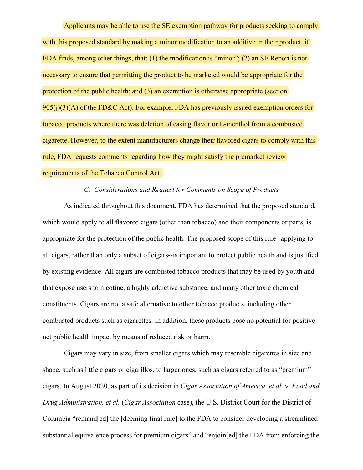Applicants may be able to use the SE exemption pathway for products seeking to comply with this proposed standard by making a minor modification to an additive in their product, if FDA finds, among other things, that: (1) the modification is "minor"; (2) an SE Report is not necessary to ensure that permitting the product to be marketed would be appropriate for the protection of the public health; and (3) an exemption is otherwise appropriate (section  $905(i)(3)(A)$  of the FD&C Act). For example, FDA has previously issued exemption orders for tobacco products where there was deletion of casing flavor or L-menthol from a combusted cigarette. However, to the extent manufacturers change their flavored cigars to comply with this rule, FDA requests comments regarding how they might satisfy the premarket review requirements of the Tobacco Control Act.

# *C. Considerations and Request for Comments on Scope of Products*

As indicated throughout this document, FDA has determined that the proposed standard, which would apply to all flavored cigars (other than tobacco) and their components or parts, is appropriate for the protection of the public health. The proposed scope of this rule--applying to all cigars, rather than only a subset of cigars--is important to protect public health and is justified by existing evidence. All cigars are combusted tobacco products that may be used by youth and that expose users to nicotine, a highly addictive substance, and many other toxic chemical constituents. Cigars are not a safe alternative to other tobacco products, including other combusted products such as cigarettes. In addition, these products pose no potential for positive net public health impact by means of reduced risk or harm.

Cigars may vary in size, from smaller cigars which may resemble cigarettes in size and shape, such as little cigars or cigarillos, to larger ones, such as cigars referred to as "premium" cigars. In August 2020, as part of its decision in *Cigar Association of America, et al.* v. *Food and Drug Administration, et al.* (*Cigar Association* case), the U.S. District Court for the District of Columbia "remand[ed] the [deeming final rule] to the FDA to consider developing a streamlined substantial equivalence process for premium cigars" and "enjoin[ed] the FDA from enforcing the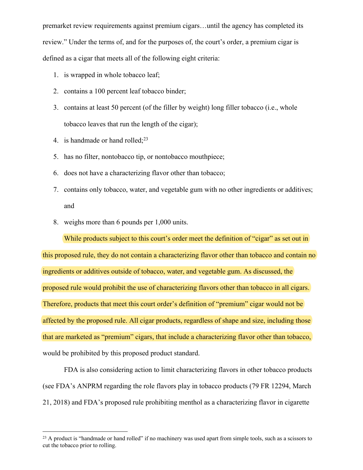premarket review requirements against premium cigars…until the agency has completed its review." Under the terms of, and for the purposes of, the court's order, a premium cigar is defined as a cigar that meets all of the following eight criteria:

- 1. is wrapped in whole tobacco leaf;
- 2. contains a 100 percent leaf tobacco binder;
- 3. contains at least 50 percent (of the filler by weight) long filler tobacco (i.e., whole tobacco leaves that run the length of the cigar);
- 4. is handmade or hand rolled; $2<sup>3</sup>$
- 5. has no filter, nontobacco tip, or nontobacco mouthpiece;
- 6. does not have a characterizing flavor other than tobacco;
- 7. contains only tobacco, water, and vegetable gum with no other ingredients or additives; and
- 8. weighs more than 6 pounds per 1,000 units.

While products subject to this court's order meet the definition of "cigar" as set out in this proposed rule, they do not contain a characterizing flavor other than tobacco and contain no ingredients or additives outside of tobacco, water, and vegetable gum. As discussed, the proposed rule would prohibit the use of characterizing flavors other than tobacco in all cigars. Therefore, products that meet this court order's definition of "premium" cigar would not be affected by the proposed rule. All cigar products, regardless of shape and size, including those that are marketed as "premium" cigars, that include a characterizing flavor other than tobacco, would be prohibited by this proposed product standard.

FDA is also considering action to limit characterizing flavors in other tobacco products (see FDA's ANPRM regarding the role flavors play in tobacco products (79 FR 12294, March 21, 2018) and FDA's proposed rule prohibiting menthol as a characterizing flavor in cigarette

<sup>&</sup>lt;sup>23</sup> A product is "handmade or hand rolled" if no machinery was used apart from simple tools, such as a scissors to cut the tobacco prior to rolling.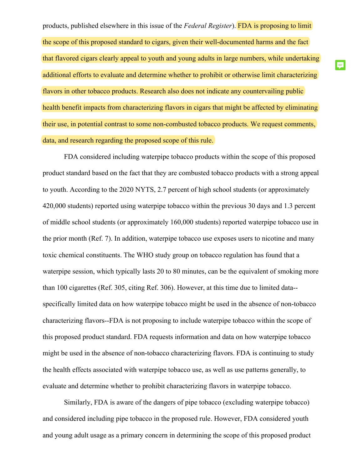products, published elsewhere in this issue of the *Federal Register*). FDA is proposing to limit the scope of this proposed standard to cigars, given their well-documented harms and the fact that flavored cigars clearly appeal to youth and young adults in large numbers, while undertaking additional efforts to evaluate and determine whether to prohibit or otherwise limit characterizing flavors in other tobacco products. Research also does not indicate any countervailing public health benefit impacts from characterizing flavors in cigars that might be affected by eliminating their use, in potential contrast to some non-combusted tobacco products. We request comments, data, and research regarding the proposed scope of this rule.

厚

FDA considered including waterpipe tobacco products within the scope of this proposed product standard based on the fact that they are combusted tobacco products with a strong appeal to youth. According to the 2020 NYTS, 2.7 percent of high school students (or approximately 420,000 students) reported using waterpipe tobacco within the previous 30 days and 1.3 percent of middle school students (or approximately 160,000 students) reported waterpipe tobacco use in the prior month (Ref. 7). In addition, waterpipe tobacco use exposes users to nicotine and many toxic chemical constituents. The WHO study group on tobacco regulation has found that a waterpipe session, which typically lasts 20 to 80 minutes, can be the equivalent of smoking more than 100 cigarettes (Ref. 305, citing Ref. 306). However, at this time due to limited data- specifically limited data on how waterpipe tobacco might be used in the absence of non-tobacco characterizing flavors--FDA is not proposing to include waterpipe tobacco within the scope of this proposed product standard. FDA requests information and data on how waterpipe tobacco might be used in the absence of non-tobacco characterizing flavors. FDA is continuing to study the health effects associated with waterpipe tobacco use, as well as use patterns generally, to evaluate and determine whether to prohibit characterizing flavors in waterpipe tobacco.

Similarly, FDA is aware of the dangers of pipe tobacco (excluding waterpipe tobacco) and considered including pipe tobacco in the proposed rule. However, FDA considered youth and young adult usage as a primary concern in determining the scope of this proposed product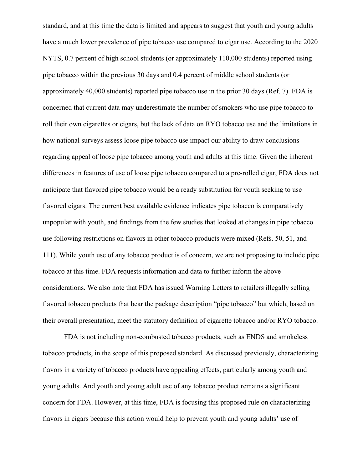standard, and at this time the data is limited and appears to suggest that youth and young adults have a much lower prevalence of pipe tobacco use compared to cigar use. According to the 2020 NYTS, 0.7 percent of high school students (or approximately 110,000 students) reported using pipe tobacco within the previous 30 days and 0.4 percent of middle school students (or approximately 40,000 students) reported pipe tobacco use in the prior 30 days (Ref. 7). FDA is concerned that current data may underestimate the number of smokers who use pipe tobacco to roll their own cigarettes or cigars, but the lack of data on RYO tobacco use and the limitations in how national surveys assess loose pipe tobacco use impact our ability to draw conclusions regarding appeal of loose pipe tobacco among youth and adults at this time. Given the inherent differences in features of use of loose pipe tobacco compared to a pre-rolled cigar, FDA does not anticipate that flavored pipe tobacco would be a ready substitution for youth seeking to use flavored cigars. The current best available evidence indicates pipe tobacco is comparatively unpopular with youth, and findings from the few studies that looked at changes in pipe tobacco use following restrictions on flavors in other tobacco products were mixed (Refs. 50, 51, and 111). While youth use of any tobacco product is of concern, we are not proposing to include pipe tobacco at this time. FDA requests information and data to further inform the above considerations. We also note that FDA has issued Warning Letters to retailers illegally selling flavored tobacco products that bear the package description "pipe tobacco" but which, based on their overall presentation, meet the statutory definition of cigarette tobacco and/or RYO tobacco.

FDA is not including non-combusted tobacco products, such as ENDS and smokeless tobacco products, in the scope of this proposed standard. As discussed previously, characterizing flavors in a variety of tobacco products have appealing effects, particularly among youth and young adults. And youth and young adult use of any tobacco product remains a significant concern for FDA. However, at this time, FDA is focusing this proposed rule on characterizing flavors in cigars because this action would help to prevent youth and young adults' use of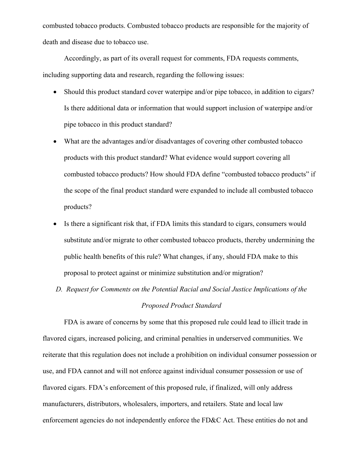combusted tobacco products. Combusted tobacco products are responsible for the majority of death and disease due to tobacco use.

Accordingly, as part of its overall request for comments, FDA requests comments, including supporting data and research, regarding the following issues:

- Should this product standard cover waterpipe and/or pipe tobacco, in addition to cigars? Is there additional data or information that would support inclusion of waterpipe and/or pipe tobacco in this product standard?
- What are the advantages and/or disadvantages of covering other combusted tobacco products with this product standard? What evidence would support covering all combusted tobacco products? How should FDA define "combusted tobacco products" if the scope of the final product standard were expanded to include all combusted tobacco products?
- Is there a significant risk that, if FDA limits this standard to cigars, consumers would substitute and/or migrate to other combusted tobacco products, thereby undermining the public health benefits of this rule? What changes, if any, should FDA make to this proposal to protect against or minimize substitution and/or migration?
- *D. Request for Comments on the Potential Racial and Social Justice Implications of the Proposed Product Standard*

FDA is aware of concerns by some that this proposed rule could lead to illicit trade in flavored cigars, increased policing, and criminal penalties in underserved communities. We reiterate that this regulation does not include a prohibition on individual consumer possession or use, and FDA cannot and will not enforce against individual consumer possession or use of flavored cigars. FDA's enforcement of this proposed rule, if finalized, will only address manufacturers, distributors, wholesalers, importers, and retailers. State and local law enforcement agencies do not independently enforce the FD&C Act. These entities do not and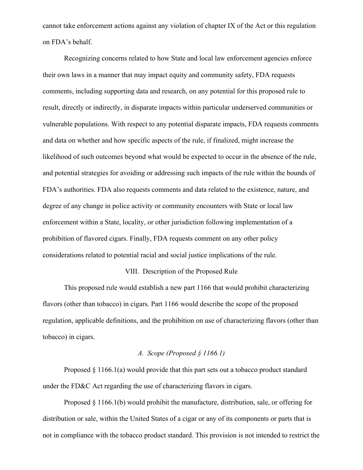cannot take enforcement actions against any violation of chapter IX of the Act or this regulation on FDA's behalf.

Recognizing concerns related to how State and local law enforcement agencies enforce their own laws in a manner that may impact equity and community safety, FDA requests comments, including supporting data and research, on any potential for this proposed rule to result, directly or indirectly, in disparate impacts within particular underserved communities or vulnerable populations. With respect to any potential disparate impacts, FDA requests comments and data on whether and how specific aspects of the rule, if finalized, might increase the likelihood of such outcomes beyond what would be expected to occur in the absence of the rule, and potential strategies for avoiding or addressing such impacts of the rule within the bounds of FDA's authorities. FDA also requests comments and data related to the existence, nature, and degree of any change in police activity or community encounters with State or local law enforcement within a State, locality, or other jurisdiction following implementation of a prohibition of flavored cigars. Finally, FDA requests comment on any other policy considerations related to potential racial and social justice implications of the rule.

#### VIII. Description of the Proposed Rule

This proposed rule would establish a new part 1166 that would prohibit characterizing flavors (other than tobacco) in cigars. Part 1166 would describe the scope of the proposed regulation, applicable definitions, and the prohibition on use of characterizing flavors (other than tobacco) in cigars.

## *A. Scope (Proposed § 1166.1)*

Proposed § 1166.1(a) would provide that this part sets out a tobacco product standard under the FD&C Act regarding the use of characterizing flavors in cigars.

Proposed § 1166.1(b) would prohibit the manufacture, distribution, sale, or offering for distribution or sale, within the United States of a cigar or any of its components or parts that is not in compliance with the tobacco product standard. This provision is not intended to restrict the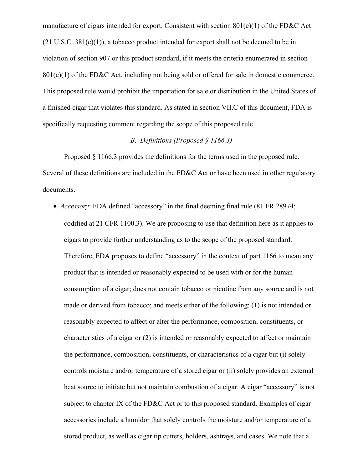manufacture of cigars intended for export. Consistent with section 801(e)(1) of the FD&C Act  $(21 \text{ U.S.C. } 381(e)(1))$ , a tobacco product intended for export shall not be deemed to be in violation of section 907 or this product standard, if it meets the criteria enumerated in section  $801(e)(1)$  of the FD&C Act, including not being sold or offered for sale in domestic commerce. This proposed rule would prohibit the importation for sale or distribution in the United States of a finished cigar that violates this standard. As stated in section VII.C of this document, FDA is specifically requesting comment regarding the scope of this proposed rule.

# *B. Definitions (Proposed § 1166.3)*

Proposed § 1166.3 provides the definitions for the terms used in the proposed rule. Several of these definitions are included in the FD&C Act or have been used in other regulatory documents.

 *Accessory*: FDA defined "accessory" in the final deeming final rule (81 FR 28974; codified at 21 CFR 1100.3). We are proposing to use that definition here as it applies to cigars to provide further understanding as to the scope of the proposed standard. Therefore, FDA proposes to define "accessory" in the context of part 1166 to mean any product that is intended or reasonably expected to be used with or for the human consumption of a cigar; does not contain tobacco or nicotine from any source and is not made or derived from tobacco; and meets either of the following: (1) is not intended or reasonably expected to affect or alter the performance, composition, constituents, or characteristics of a cigar or (2) is intended or reasonably expected to affect or maintain the performance, composition, constituents, or characteristics of a cigar but (i) solely controls moisture and/or temperature of a stored cigar or (ii) solely provides an external heat source to initiate but not maintain combustion of a cigar. A cigar "accessory" is not subject to chapter IX of the FD&C Act or to this proposed standard. Examples of cigar accessories include a humidor that solely controls the moisture and/or temperature of a stored product, as well as cigar tip cutters, holders, ashtrays, and cases. We note that a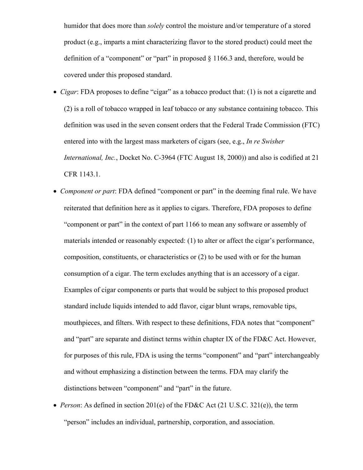humidor that does more than *solely* control the moisture and/or temperature of a stored product (e.g., imparts a mint characterizing flavor to the stored product) could meet the definition of a "component" or "part" in proposed § 1166.3 and, therefore, would be covered under this proposed standard.

- *Cigar*: FDA proposes to define "cigar" as a tobacco product that: (1) is not a cigarette and (2) is a roll of tobacco wrapped in leaf tobacco or any substance containing tobacco. This definition was used in the seven consent orders that the Federal Trade Commission (FTC) entered into with the largest mass marketers of cigars (see, e.g., *In re Swisher International, Inc.*, Docket No. C-3964 (FTC August 18, 2000)) and also is codified at 21 CFR 1143.1.
- *Component or part*: FDA defined "component or part" in the deeming final rule. We have reiterated that definition here as it applies to cigars. Therefore, FDA proposes to define "component or part" in the context of part 1166 to mean any software or assembly of materials intended or reasonably expected: (1) to alter or affect the cigar's performance, composition, constituents, or characteristics or (2) to be used with or for the human consumption of a cigar. The term excludes anything that is an accessory of a cigar. Examples of cigar components or parts that would be subject to this proposed product standard include liquids intended to add flavor, cigar blunt wraps, removable tips, mouthpieces, and filters. With respect to these definitions, FDA notes that "component" and "part" are separate and distinct terms within chapter IX of the FD&C Act. However, for purposes of this rule, FDA is using the terms "component" and "part" interchangeably and without emphasizing a distinction between the terms. FDA may clarify the distinctions between "component" and "part" in the future.
- *Person*: As defined in section 201(e) of the FD&C Act (21 U.S.C. 321(e)), the term "person" includes an individual, partnership, corporation, and association.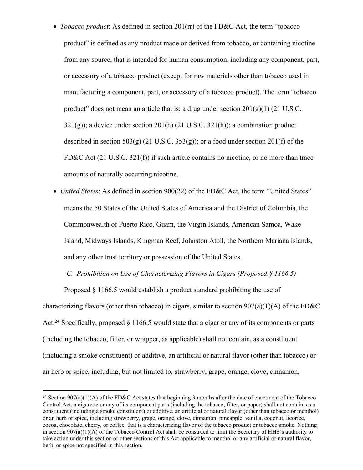- *Tobacco product*: As defined in section 201(rr) of the FD&C Act, the term "tobacco product" is defined as any product made or derived from tobacco, or containing nicotine from any source, that is intended for human consumption, including any component, part, or accessory of a tobacco product (except for raw materials other than tobacco used in manufacturing a component, part, or accessory of a tobacco product). The term "tobacco product" does not mean an article that is: a drug under section  $201(g)(1)$  (21 U.S.C.  $321(g)$ ; a device under section  $201(h)$  (21 U.S.C.  $321(h)$ ); a combination product described in section  $503(g)$  (21 U.S.C.  $353(g)$ ); or a food under section 201(f) of the FD&C Act (21 U.S.C. 321(f)) if such article contains no nicotine, or no more than trace amounts of naturally occurring nicotine.
- *United States*: As defined in section 900(22) of the FD&C Act, the term "United States" means the 50 States of the United States of America and the District of Columbia, the Commonwealth of Puerto Rico, Guam, the Virgin Islands, American Samoa, Wake Island, Midways Islands, Kingman Reef, Johnston Atoll, the Northern Mariana Islands, and any other trust territory or possession of the United States.

# *C. Prohibition on Use of Characterizing Flavors in Cigars (Proposed § 1166.5)*

Proposed § 1166.5 would establish a product standard prohibiting the use of characterizing flavors (other than tobacco) in cigars, similar to section  $907(a)(1)(A)$  of the FD&C Act.<sup>24</sup> Specifically, proposed § 1166.5 would state that a cigar or any of its components or parts (including the tobacco, filter, or wrapper, as applicable) shall not contain, as a constituent (including a smoke constituent) or additive, an artificial or natural flavor (other than tobacco) or an herb or spice, including, but not limited to, strawberry, grape, orange, clove, cinnamon,

<sup>&</sup>lt;sup>24</sup> Section 907(a)(1)(A) of the FD&C Act states that beginning 3 months after the date of enactment of the Tobacco Control Act, a cigarette or any of its component parts (including the tobacco, filter, or paper) shall not contain, as a constituent (including a smoke constituent) or additive, an artificial or natural flavor (other than tobacco or menthol) or an herb or spice, including strawberry, grape, orange, clove, cinnamon, pineapple, vanilla, coconut, licorice, cocoa, chocolate, cherry, or coffee, that is a characterizing flavor of the tobacco product or tobacco smoke. Nothing in section 907(a)(1)(A) of the Tobacco Control Act shall be construed to limit the Secretary of HHS's authority to take action under this section or other sections of this Act applicable to menthol or any artificial or natural flavor, herb, or spice not specified in this section.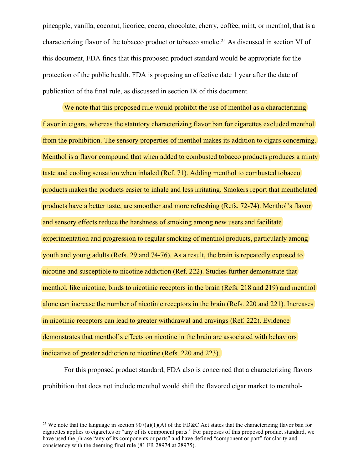pineapple, vanilla, coconut, licorice, cocoa, chocolate, cherry, coffee, mint, or menthol, that is a characterizing flavor of the tobacco product or tobacco smoke.<sup>25</sup> As discussed in section VI of this document, FDA finds that this proposed product standard would be appropriate for the protection of the public health. FDA is proposing an effective date 1 year after the date of publication of the final rule, as discussed in section IX of this document.

We note that this proposed rule would prohibit the use of menthol as a characterizing flavor in cigars, whereas the statutory characterizing flavor ban for cigarettes excluded menthol from the prohibition. The sensory properties of menthol makes its addition to cigars concerning. Menthol is a flavor compound that when added to combusted tobacco products produces a minty taste and cooling sensation when inhaled (Ref. 71). Adding menthol to combusted tobacco products makes the products easier to inhale and less irritating. Smokers report that mentholated products have a better taste, are smoother and more refreshing (Refs. 72-74). Menthol's flavor and sensory effects reduce the harshness of smoking among new users and facilitate experimentation and progression to regular smoking of menthol products, particularly among youth and young adults (Refs. 29 and 74-76). As a result, the brain is repeatedly exposed to nicotine and susceptible to nicotine addiction (Ref. 222). Studies further demonstrate that menthol, like nicotine, binds to nicotinic receptors in the brain (Refs. 218 and 219) and menthol alone can increase the number of nicotinic receptors in the brain (Refs. 220 and 221). Increases in nicotinic receptors can lead to greater withdrawal and cravings (Ref. 222). Evidence demonstrates that menthol's effects on nicotine in the brain are associated with behaviors indicative of greater addiction to nicotine (Refs. 220 and 223).

For this proposed product standard, FDA also is concerned that a characterizing flavors prohibition that does not include menthol would shift the flavored cigar market to menthol-

<sup>&</sup>lt;sup>25</sup> We note that the language in section  $907(a)(1)(A)$  of the FD&C Act states that the characterizing flavor ban for cigarettes applies to cigarettes or "any of its component parts." For purposes of this proposed product standard, we have used the phrase "any of its components or parts" and have defined "component or part" for clarity and consistency with the deeming final rule (81 FR 28974 at 28975).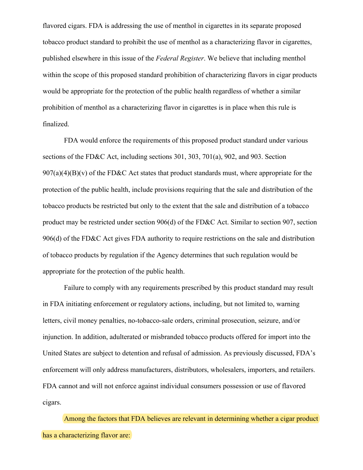flavored cigars. FDA is addressing the use of menthol in cigarettes in its separate proposed tobacco product standard to prohibit the use of menthol as a characterizing flavor in cigarettes, published elsewhere in this issue of the *Federal Register*. We believe that including menthol within the scope of this proposed standard prohibition of characterizing flavors in cigar products would be appropriate for the protection of the public health regardless of whether a similar prohibition of menthol as a characterizing flavor in cigarettes is in place when this rule is finalized.

FDA would enforce the requirements of this proposed product standard under various sections of the FD&C Act, including sections 301, 303, 701(a), 902, and 903. Section  $907(a)(4)(B)(v)$  of the FD&C Act states that product standards must, where appropriate for the protection of the public health, include provisions requiring that the sale and distribution of the tobacco products be restricted but only to the extent that the sale and distribution of a tobacco product may be restricted under section 906(d) of the FD&C Act. Similar to section 907, section 906(d) of the FD&C Act gives FDA authority to require restrictions on the sale and distribution of tobacco products by regulation if the Agency determines that such regulation would be appropriate for the protection of the public health.

Failure to comply with any requirements prescribed by this product standard may result in FDA initiating enforcement or regulatory actions, including, but not limited to, warning letters, civil money penalties, no-tobacco-sale orders, criminal prosecution, seizure, and/or injunction. In addition, adulterated or misbranded tobacco products offered for import into the United States are subject to detention and refusal of admission. As previously discussed, FDA's enforcement will only address manufacturers, distributors, wholesalers, importers, and retailers. FDA cannot and will not enforce against individual consumers possession or use of flavored cigars.

Among the factors that FDA believes are relevant in determining whether a cigar product has a characterizing flavor are: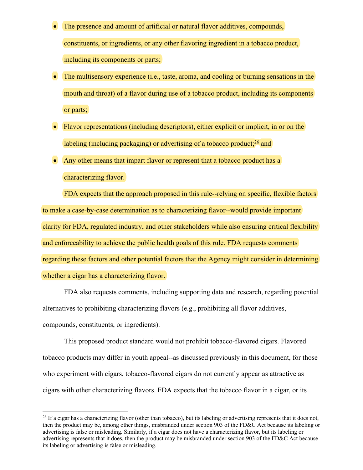- The presence and amount of artificial or natural flavor additives, compounds, constituents, or ingredients, or any other flavoring ingredient in a tobacco product, including its components or parts;
- The multisensory experience (i.e., taste, aroma, and cooling or burning sensations in the mouth and throat) of a flavor during use of a tobacco product, including its components or parts;
- Flavor representations (including descriptors), either explicit or implicit, in or on the labeling (including packaging) or advertising of a tobacco product;<sup>26</sup> and
- Any other means that impart flavor or represent that a tobacco product has a characterizing flavor.

FDA expects that the approach proposed in this rule--relying on specific, flexible factors to make a case-by-case determination as to characterizing flavor--would provide important clarity for FDA, regulated industry, and other stakeholders while also ensuring critical flexibility and enforceability to achieve the public health goals of this rule. FDA requests comments regarding these factors and other potential factors that the Agency might consider in determining whether a cigar has a characterizing flavor.

FDA also requests comments, including supporting data and research, regarding potential alternatives to prohibiting characterizing flavors (e.g., prohibiting all flavor additives, compounds, constituents, or ingredients).

This proposed product standard would not prohibit tobacco-flavored cigars. Flavored tobacco products may differ in youth appeal--as discussed previously in this document, for those who experiment with cigars, tobacco-flavored cigars do not currently appear as attractive as cigars with other characterizing flavors. FDA expects that the tobacco flavor in a cigar, or its

 $^{26}$  If a cigar has a characterizing flavor (other than tobacco), but its labeling or advertising represents that it does not, then the product may be, among other things, misbranded under section 903 of the FD&C Act because its labeling or advertising is false or misleading. Similarly, if a cigar does not have a characterizing flavor, but its labeling or advertising represents that it does, then the product may be misbranded under section 903 of the FD&C Act because its labeling or advertising is false or misleading.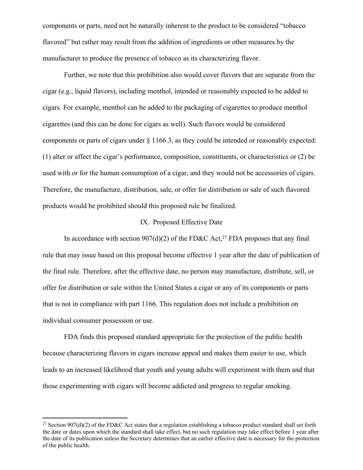components or parts, need not be naturally inherent to the product to be considered "tobacco flavored" but rather may result from the addition of ingredients or other measures by the manufacturer to produce the presence of tobacco as its characterizing flavor.

Further, we note that this prohibition also would cover flavors that are separate from the cigar (e.g., liquid flavors), including menthol, intended or reasonably expected to be added to cigars. For example, menthol can be added to the packaging of cigarettes to produce menthol cigarettes (and this can be done for cigars as well). Such flavors would be considered components or parts of cigars under § 1166.3, as they could be intended or reasonably expected: (1) alter or affect the cigar's performance, composition, constituents, or characteristics or (2) be used with or for the human consumption of a cigar, and they would not be accessories of cigars. Therefore, the manufacture, distribution, sale, or offer for distribution or sale of such flavored products would be prohibited should this proposed rule be finalized.

#### IX. Proposed Effective Date

In accordance with section  $907(d)(2)$  of the FD&C Act,<sup>27</sup> FDA proposes that any final rule that may issue based on this proposal become effective 1 year after the date of publication of the final rule. Therefore, after the effective date, no person may manufacture, distribute, sell, or offer for distribution or sale within the United States a cigar or any of its components or parts that is not in compliance with part 1166. This regulation does not include a prohibition on individual consumer possession or use.

FDA finds this proposed standard appropriate for the protection of the public health because characterizing flavors in cigars increase appeal and makes them easier to use, which leads to an increased likelihood that youth and young adults will experiment with them and that those experimenting with cigars will become addicted and progress to regular smoking.

<sup>&</sup>lt;sup>27</sup> Section 907(d)(2) of the FD&C Act states that a regulation establishing a tobacco product standard shall set forth the date or dates upon which the standard shall take effect, but no such regulation may take effect before 1 year after the date of its publication unless the Secretary determines that an earlier effective date is necessary for the protection of the public health.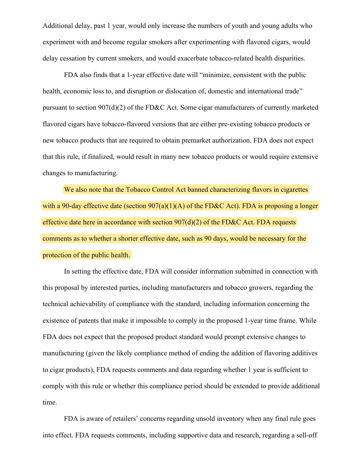Additional delay, past 1 year, would only increase the numbers of youth and young adults who experiment with and become regular smokers after experimenting with flavored cigars, would delay cessation by current smokers, and would exacerbate tobacco-related health disparities.

FDA also finds that a 1-year effective date will "minimize, consistent with the public health, economic loss to, and disruption or dislocation of, domestic and international trade" pursuant to section 907(d)(2) of the FD&C Act. Some cigar manufacturers of currently marketed flavored cigars have tobacco-flavored versions that are either pre-existing tobacco products or new tobacco products that are required to obtain premarket authorization. FDA does not expect that this rule, if finalized, would result in many new tobacco products or would require extensive changes to manufacturing.

We also note that the Tobacco Control Act banned characterizing flavors in cigarettes with a 90-day effective date (section  $907(a)(1)(A)$  of the FD&C Act). FDA is proposing a longer effective date here in accordance with section  $907(d)(2)$  of the FD&C Act. FDA requests comments as to whether a shorter effective date, such as 90 days, would be necessary for the protection of the public health.

In setting the effective date, FDA will consider information submitted in connection with this proposal by interested parties, including manufacturers and tobacco growers, regarding the technical achievability of compliance with the standard, including information concerning the existence of patents that make it impossible to comply in the proposed 1-year time frame. While FDA does not expect that the proposed product standard would prompt extensive changes to manufacturing (given the likely compliance method of ending the addition of flavoring additives to cigar products), FDA requests comments and data regarding whether 1 year is sufficient to comply with this rule or whether this compliance period should be extended to provide additional time.

FDA is aware of retailers' concerns regarding unsold inventory when any final rule goes into effect. FDA requests comments, including supportive data and research, regarding a sell-off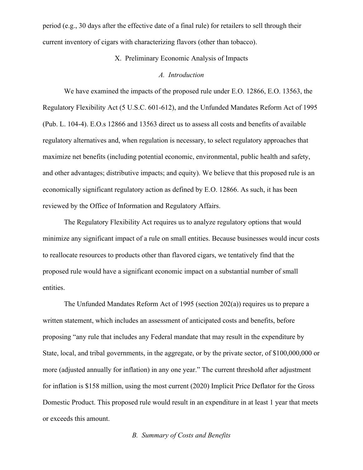period (e.g., 30 days after the effective date of a final rule) for retailers to sell through their current inventory of cigars with characterizing flavors (other than tobacco).

# X. Preliminary Economic Analysis of Impacts

#### *A. Introduction*

We have examined the impacts of the proposed rule under E.O. 12866, E.O. 13563, the Regulatory Flexibility Act (5 U.S.C. 601-612), and the Unfunded Mandates Reform Act of 1995 (Pub. L. 104-4). E.O.s 12866 and 13563 direct us to assess all costs and benefits of available regulatory alternatives and, when regulation is necessary, to select regulatory approaches that maximize net benefits (including potential economic, environmental, public health and safety, and other advantages; distributive impacts; and equity). We believe that this proposed rule is an economically significant regulatory action as defined by E.O. 12866. As such, it has been reviewed by the Office of Information and Regulatory Affairs.

The Regulatory Flexibility Act requires us to analyze regulatory options that would minimize any significant impact of a rule on small entities. Because businesses would incur costs to reallocate resources to products other than flavored cigars, we tentatively find that the proposed rule would have a significant economic impact on a substantial number of small entities.

The Unfunded Mandates Reform Act of 1995 (section 202(a)) requires us to prepare a written statement, which includes an assessment of anticipated costs and benefits, before proposing "any rule that includes any Federal mandate that may result in the expenditure by State, local, and tribal governments, in the aggregate, or by the private sector, of \$100,000,000 or more (adjusted annually for inflation) in any one year." The current threshold after adjustment for inflation is \$158 million, using the most current (2020) Implicit Price Deflator for the Gross Domestic Product. This proposed rule would result in an expenditure in at least 1 year that meets or exceeds this amount.

# *B. Summary of Costs and Benefits*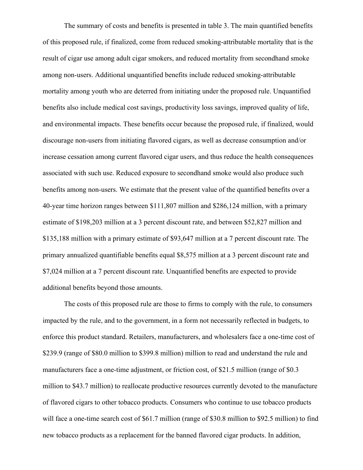The summary of costs and benefits is presented in table 3. The main quantified benefits of this proposed rule, if finalized, come from reduced smoking-attributable mortality that is the result of cigar use among adult cigar smokers, and reduced mortality from secondhand smoke among non-users. Additional unquantified benefits include reduced smoking-attributable mortality among youth who are deterred from initiating under the proposed rule. Unquantified benefits also include medical cost savings, productivity loss savings, improved quality of life, and environmental impacts. These benefits occur because the proposed rule, if finalized, would discourage non-users from initiating flavored cigars, as well as decrease consumption and/or increase cessation among current flavored cigar users, and thus reduce the health consequences associated with such use. Reduced exposure to secondhand smoke would also produce such benefits among non-users. We estimate that the present value of the quantified benefits over a 40-year time horizon ranges between \$111,807 million and \$286,124 million, with a primary estimate of \$198,203 million at a 3 percent discount rate, and between \$52,827 million and \$135,188 million with a primary estimate of \$93,647 million at a 7 percent discount rate. The primary annualized quantifiable benefits equal \$8,575 million at a 3 percent discount rate and \$7,024 million at a 7 percent discount rate. Unquantified benefits are expected to provide additional benefits beyond those amounts.

The costs of this proposed rule are those to firms to comply with the rule, to consumers impacted by the rule, and to the government, in a form not necessarily reflected in budgets, to enforce this product standard. Retailers, manufacturers, and wholesalers face a one-time cost of \$239.9 (range of \$80.0 million to \$399.8 million) million to read and understand the rule and manufacturers face a one-time adjustment, or friction cost, of \$21.5 million (range of \$0.3 million to \$43.7 million) to reallocate productive resources currently devoted to the manufacture of flavored cigars to other tobacco products. Consumers who continue to use tobacco products will face a one-time search cost of \$61.7 million (range of \$30.8 million to \$92.5 million) to find new tobacco products as a replacement for the banned flavored cigar products. In addition,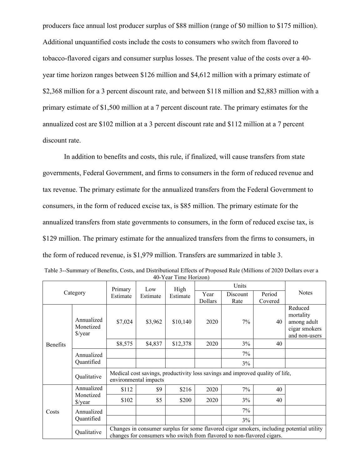producers face annual lost producer surplus of \$88 million (range of \$0 million to \$175 million). Additional unquantified costs include the costs to consumers who switch from flavored to tobacco-flavored cigars and consumer surplus losses. The present value of the costs over a 40 year time horizon ranges between \$126 million and \$4,612 million with a primary estimate of \$2,368 million for a 3 percent discount rate, and between \$118 million and \$2,883 million with a primary estimate of \$1,500 million at a 7 percent discount rate. The primary estimates for the annualized cost are \$102 million at a 3 percent discount rate and \$112 million at a 7 percent discount rate.

In addition to benefits and costs, this rule, if finalized, will cause transfers from state governments, Federal Government, and firms to consumers in the form of reduced revenue and tax revenue. The primary estimate for the annualized transfers from the Federal Government to consumers, in the form of reduced excise tax, is \$85 million. The primary estimate for the annualized transfers from state governments to consumers, in the form of reduced excise tax, is \$129 million. The primary estimate for the annualized transfers from the firms to consumers, in the form of reduced revenue, is \$1,979 million. Transfers are summarized in table 3.

| Category        |                                    | Primary<br>Estimate                                                                                                                                                | Low<br>Estimate | High<br>Estimate | Units           |            |               |                                                                       |
|-----------------|------------------------------------|--------------------------------------------------------------------------------------------------------------------------------------------------------------------|-----------------|------------------|-----------------|------------|---------------|-----------------------------------------------------------------------|
|                 |                                    |                                                                                                                                                                    |                 |                  | Year            | Discount   | Period        | <b>Notes</b>                                                          |
| <b>Benefits</b> | Annualized<br>Monetized<br>\$/year | \$7,024                                                                                                                                                            | \$3,962         | \$10,140         | Dollars<br>2020 | Rate<br>7% | Covered<br>40 | Reduced<br>mortality<br>among adult<br>cigar smokers<br>and non-users |
|                 |                                    | \$8,575                                                                                                                                                            | \$4,837         | \$12,378         | 2020            | 3%         | 40            |                                                                       |
|                 | Annualized<br>Quantified           |                                                                                                                                                                    |                 |                  |                 | 7%         |               |                                                                       |
|                 |                                    |                                                                                                                                                                    |                 |                  |                 | 3%         |               |                                                                       |
|                 | Qualitative                        | Medical cost savings, productivity loss savings and improved quality of life,<br>environmental impacts                                                             |                 |                  |                 |            |               |                                                                       |
| Costs           | Annualized                         | \$112                                                                                                                                                              | \$9             | \$216            | 2020            | 7%         | 40            |                                                                       |
|                 | Monetized<br>$\frac{\sqrt{2}}{2}$  | \$102                                                                                                                                                              | \$5             | \$200            | 2020            | 3%         | 40            |                                                                       |
|                 | Annualized                         |                                                                                                                                                                    |                 |                  |                 | 7%         |               |                                                                       |
|                 | Quantified                         |                                                                                                                                                                    |                 |                  |                 | $3\%$      |               |                                                                       |
|                 | Qualitative                        | Changes in consumer surplus for some flavored cigar smokers, including potential utility<br>changes for consumers who switch from flavored to non-flavored cigars. |                 |                  |                 |            |               |                                                                       |

| Table 3--Summary of Benefits, Costs, and Distributional Effects of Proposed Rule (Millions of 2020 Dollars over a |  |
|-------------------------------------------------------------------------------------------------------------------|--|
| 40-Year Time Horizon)                                                                                             |  |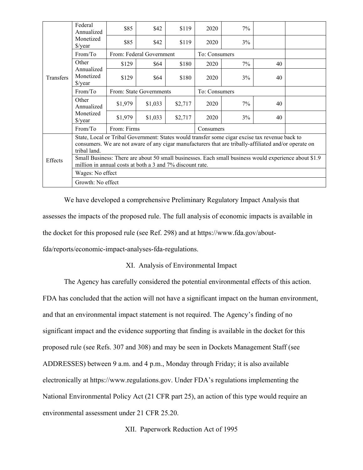| Transfers | Federal<br>Annualized                                                                                                                                                                                                   | \$85                     | \$42                    | \$119   | 2020          | 7%    |    |  |  |  |
|-----------|-------------------------------------------------------------------------------------------------------------------------------------------------------------------------------------------------------------------------|--------------------------|-------------------------|---------|---------------|-------|----|--|--|--|
|           | Monetized<br>$\frac{\sqrt{2}}{2}$                                                                                                                                                                                       | \$85                     | \$42                    | \$119   | 2020          | 3%    |    |  |  |  |
|           | From/To                                                                                                                                                                                                                 | From: Federal Government |                         |         | To: Consumers |       |    |  |  |  |
|           | Other                                                                                                                                                                                                                   | \$129                    | \$64                    | \$180   | 2020          | 7%    | 40 |  |  |  |
|           | Annualized<br>Monetized<br>\$/year                                                                                                                                                                                      | \$129                    | \$64                    | \$180   | 2020          | 3%    | 40 |  |  |  |
|           | From/To                                                                                                                                                                                                                 |                          | From: State Governments |         | To: Consumers |       |    |  |  |  |
|           | Other<br>Annualized                                                                                                                                                                                                     | \$1,979                  | \$1,033                 | \$2,717 | 2020          | $7\%$ | 40 |  |  |  |
|           | Monetized<br>$\frac{\sqrt{2}}{2}$                                                                                                                                                                                       | \$1,979                  | \$1,033                 | \$2,717 | 2020          | 3%    | 40 |  |  |  |
|           | From/T <sub>O</sub>                                                                                                                                                                                                     | From: Firms              |                         |         | Consumers     |       |    |  |  |  |
| Effects   | State, Local or Tribal Government: States would transfer some cigar excise tax revenue back to<br>consumers. We are not aware of any cigar manufacturers that are tribally-affiliated and/or operate on<br>tribal land. |                          |                         |         |               |       |    |  |  |  |
|           | Small Business: There are about 50 small businesses. Each small business would experience about \$1.9<br>million in annual costs at both a 3 and 7% discount rate.                                                      |                          |                         |         |               |       |    |  |  |  |
|           | Wages: No effect                                                                                                                                                                                                        |                          |                         |         |               |       |    |  |  |  |
|           | Growth: No effect                                                                                                                                                                                                       |                          |                         |         |               |       |    |  |  |  |

We have developed a comprehensive Preliminary Regulatory Impact Analysis that assesses the impacts of the proposed rule. The full analysis of economic impacts is available in the docket for this proposed rule (see Ref. 298) and at https://www.fda.gov/about-

fda/reports/economic-impact-analyses-fda-regulations.

# XI. Analysis of Environmental Impact

The Agency has carefully considered the potential environmental effects of this action.

FDA has concluded that the action will not have a significant impact on the human environment, and that an environmental impact statement is not required. The Agency's finding of no significant impact and the evidence supporting that finding is available in the docket for this proposed rule (see Refs. 307 and 308) and may be seen in Dockets Management Staff (see ADDRESSES) between 9 a.m. and 4 p.m., Monday through Friday; it is also available electronically at https://www.regulations.gov. Under FDA's regulations implementing the National Environmental Policy Act (21 CFR part 25), an action of this type would require an environmental assessment under 21 CFR 25.20.

XII. Paperwork Reduction Act of 1995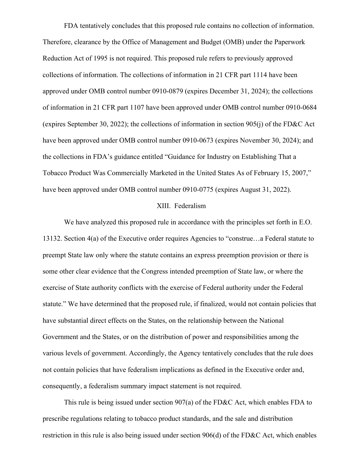FDA tentatively concludes that this proposed rule contains no collection of information. Therefore, clearance by the Office of Management and Budget (OMB) under the Paperwork Reduction Act of 1995 is not required. This proposed rule refers to previously approved collections of information. The collections of information in 21 CFR part 1114 have been approved under OMB control number 0910-0879 (expires December 31, 2024); the collections of information in 21 CFR part 1107 have been approved under OMB control number 0910-0684 (expires September 30, 2022); the collections of information in section 905(j) of the FD&C Act have been approved under OMB control number 0910-0673 (expires November 30, 2024); and the collections in FDA's guidance entitled "Guidance for Industry on Establishing That a Tobacco Product Was Commercially Marketed in the United States As of February 15, 2007," have been approved under OMB control number 0910-0775 (expires August 31, 2022).

#### XIII. Federalism

We have analyzed this proposed rule in accordance with the principles set forth in E.O. 13132. Section 4(a) of the Executive order requires Agencies to "construe…a Federal statute to preempt State law only where the statute contains an express preemption provision or there is some other clear evidence that the Congress intended preemption of State law, or where the exercise of State authority conflicts with the exercise of Federal authority under the Federal statute." We have determined that the proposed rule, if finalized, would not contain policies that have substantial direct effects on the States, on the relationship between the National Government and the States, or on the distribution of power and responsibilities among the various levels of government. Accordingly, the Agency tentatively concludes that the rule does not contain policies that have federalism implications as defined in the Executive order and, consequently, a federalism summary impact statement is not required.

This rule is being issued under section 907(a) of the FD&C Act, which enables FDA to prescribe regulations relating to tobacco product standards, and the sale and distribution restriction in this rule is also being issued under section 906(d) of the FD&C Act, which enables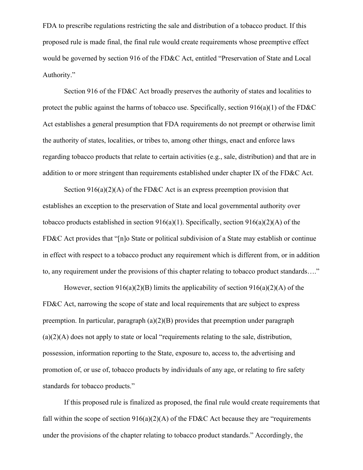FDA to prescribe regulations restricting the sale and distribution of a tobacco product. If this proposed rule is made final, the final rule would create requirements whose preemptive effect would be governed by section 916 of the FD&C Act, entitled "Preservation of State and Local Authority."

Section 916 of the FD&C Act broadly preserves the authority of states and localities to protect the public against the harms of tobacco use. Specifically, section 916(a)(1) of the FD&C Act establishes a general presumption that FDA requirements do not preempt or otherwise limit the authority of states, localities, or tribes to, among other things, enact and enforce laws regarding tobacco products that relate to certain activities (e.g., sale, distribution) and that are in addition to or more stringent than requirements established under chapter IX of the FD&C Act.

Section  $916(a)(2)(A)$  of the FD&C Act is an express preemption provision that establishes an exception to the preservation of State and local governmental authority over tobacco products established in section 916(a)(1). Specifically, section 916(a)(2)(A) of the FD&C Act provides that "[n]o State or political subdivision of a State may establish or continue in effect with respect to a tobacco product any requirement which is different from, or in addition to, any requirement under the provisions of this chapter relating to tobacco product standards…."

However, section  $916(a)(2)(B)$  limits the applicability of section  $916(a)(2)(A)$  of the FD&C Act, narrowing the scope of state and local requirements that are subject to express preemption. In particular, paragraph (a)(2)(B) provides that preemption under paragraph  $(a)(2)(A)$  does not apply to state or local "requirements relating to the sale, distribution, possession, information reporting to the State, exposure to, access to, the advertising and promotion of, or use of, tobacco products by individuals of any age, or relating to fire safety standards for tobacco products."

If this proposed rule is finalized as proposed, the final rule would create requirements that fall within the scope of section  $916(a)(2)(A)$  of the FD&C Act because they are "requirements" under the provisions of the chapter relating to tobacco product standards." Accordingly, the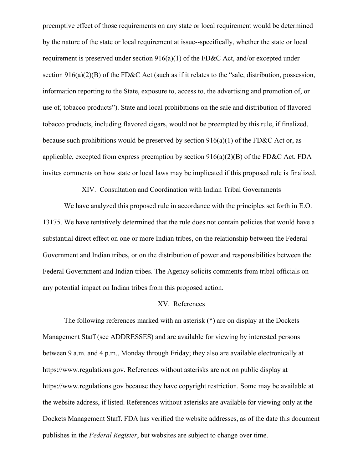preemptive effect of those requirements on any state or local requirement would be determined by the nature of the state or local requirement at issue--specifically, whether the state or local requirement is preserved under section  $916(a)(1)$  of the FD&C Act, and/or excepted under section 916(a)(2)(B) of the FD&C Act (such as if it relates to the "sale, distribution, possession, information reporting to the State, exposure to, access to, the advertising and promotion of, or use of, tobacco products"). State and local prohibitions on the sale and distribution of flavored tobacco products, including flavored cigars, would not be preempted by this rule, if finalized, because such prohibitions would be preserved by section  $916(a)(1)$  of the FD&C Act or, as applicable, excepted from express preemption by section  $916(a)(2)(B)$  of the FD&C Act. FDA invites comments on how state or local laws may be implicated if this proposed rule is finalized.

XIV. Consultation and Coordination with Indian Tribal Governments

We have analyzed this proposed rule in accordance with the principles set forth in E.O. 13175. We have tentatively determined that the rule does not contain policies that would have a substantial direct effect on one or more Indian tribes, on the relationship between the Federal Government and Indian tribes, or on the distribution of power and responsibilities between the Federal Government and Indian tribes. The Agency solicits comments from tribal officials on any potential impact on Indian tribes from this proposed action.

# XV. References

The following references marked with an asterisk (\*) are on display at the Dockets Management Staff (see ADDRESSES) and are available for viewing by interested persons between 9 a.m. and 4 p.m., Monday through Friday; they also are available electronically at https://www.regulations.gov. References without asterisks are not on public display at https://www.regulations.gov because they have copyright restriction. Some may be available at the website address, if listed. References without asterisks are available for viewing only at the Dockets Management Staff. FDA has verified the website addresses, as of the date this document publishes in the *Federal Register*, but websites are subject to change over time.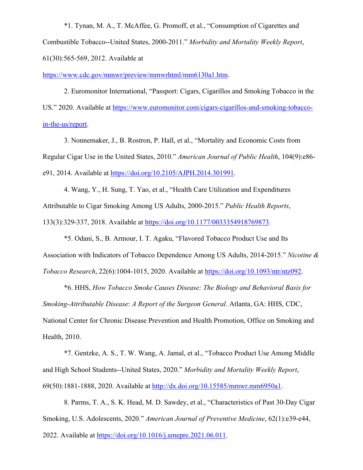\*1. Tynan, M. A., T. McAffee, G. Promoff, et al., "Consumption of Cigarettes and Combustible Tobacco--United States, 2000-2011." *Morbidity and Mortality Weekly Report*, 61(30):565-569, 2012. Available at

https://www.cdc.gov/mmwr/preview/mmwrhtml/mm6130a1.htm.

2. Euromonitor International, "Passport: Cigars, Cigarillos and Smoking Tobacco in the US." 2020. Available at https://www.euromonitor.com/cigars-cigarillos-and-smoking-tobaccoin-the-us/report.

3. Nonnemaker, J., B. Rostron, P. Hall, et al., "Mortality and Economic Costs from Regular Cigar Use in the United States, 2010." *American Journal of Public Health*, 104(9):e86 e91, 2014. Available at https://doi.org/10.2105/AJPH.2014.301991.

4. Wang, Y., H. Sung, T. Yao, et al., "Health Care Utilization and Expenditures Attributable to Cigar Smoking Among US Adults, 2000-2015." *Public Health Reports*, 133(3):329-337, 2018. Available at https://doi.org/10.1177/0033354918769873.

\*5. Odani, S., B. Armour, I. T. Agaku, "Flavored Tobacco Product Use and Its Association with Indicators of Tobacco Dependence Among US Adults, 2014-2015." *Nicotine & Tobacco Research*, 22(6):1004-1015, 2020. Available at https://doi.org/10.1093/ntr/ntz092.

\*6. HHS, *How Tobacco Smoke Causes Disease: The Biology and Behavioral Basis for Smoking-Attributable Disease*: *A Report of the Surgeon General*. Atlanta, GA: HHS, CDC, National Center for Chronic Disease Prevention and Health Promotion, Office on Smoking and Health, 2010.

\*7. Gentzke, A. S., T. W. Wang, A. Jamal, et al., "Tobacco Product Use Among Middle and High School Students--United States, 2020." *Morbidity and Mortality Weekly Report*, 69(50):1881-1888, 2020. Available at http://dx.doi.org/10.15585/mmwr.mm6950a1.

8. Parms, T. A., S. K. Head, M. D. Sawdey, et al., "Characteristics of Past 30-Day Cigar Smoking, U.S. Adolescents, 2020." *American Journal of Preventive Medicine*, 62(1):e39-e44, 2022. Available at https://doi.org/10.1016/j.amepre.2021.06.011.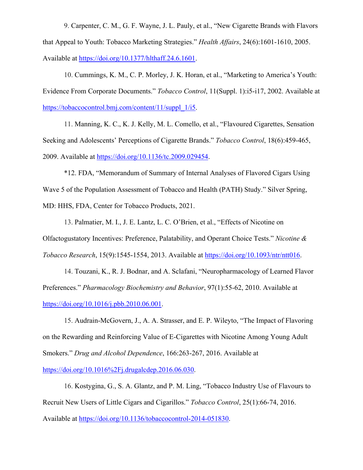9. Carpenter, C. M., G. F. Wayne, J. L. Pauly, et al., "New Cigarette Brands with Flavors that Appeal to Youth: Tobacco Marketing Strategies." *Health Affairs*, 24(6):1601-1610, 2005. Available at https://doi.org/10.1377/hlthaff.24.6.1601.

10. Cummings, K. M., C. P. Morley, J. K. Horan, et al., "Marketing to America's Youth: Evidence From Corporate Documents." *Tobacco Control*, 11(Suppl. 1):i5-i17, 2002. Available at https://tobaccocontrol.bmj.com/content/11/suppl\_1/i5.

11. Manning, K. C., K. J. Kelly, M. L. Comello, et al., "Flavoured Cigarettes, Sensation Seeking and Adolescents' Perceptions of Cigarette Brands." *Tobacco Control*, 18(6):459-465, 2009. Available at https://doi.org/10.1136/tc.2009.029454.

\*12. FDA, "Memorandum of Summary of Internal Analyses of Flavored Cigars Using Wave 5 of the Population Assessment of Tobacco and Health (PATH) Study." Silver Spring, MD: HHS, FDA, Center for Tobacco Products, 2021.

13. Palmatier, M. I., J. E. Lantz, L. C. O'Brien, et al., "Effects of Nicotine on Olfactogustatory Incentives: Preference, Palatability, and Operant Choice Tests." *Nicotine & Tobacco Research*, 15(9):1545-1554, 2013. Available at https://doi.org/10.1093/ntr/ntt016.

14. Touzani, K., R. J. Bodnar, and A. Sclafani, "Neuropharmacology of Learned Flavor Preferences." *Pharmacology Biochemistry and Behavior*, 97(1):55-62, 2010. Available at https://doi.org/10.1016/j.pbb.2010.06.001.

15. Audrain-McGovern, J., A. A. Strasser, and E. P. Wileyto, "The Impact of Flavoring on the Rewarding and Reinforcing Value of E-Cigarettes with Nicotine Among Young Adult Smokers." *Drug and Alcohol Dependence*, 166:263-267, 2016. Available at

https://doi.org/10.1016%2Fj.drugalcdep.2016.06.030.

16. Kostygina, G., S. A. Glantz, and P. M. Ling, "Tobacco Industry Use of Flavours to Recruit New Users of Little Cigars and Cigarillos." *Tobacco Control*, 25(1):66-74, 2016. Available at https://doi.org/10.1136/tobaccocontrol-2014-051830.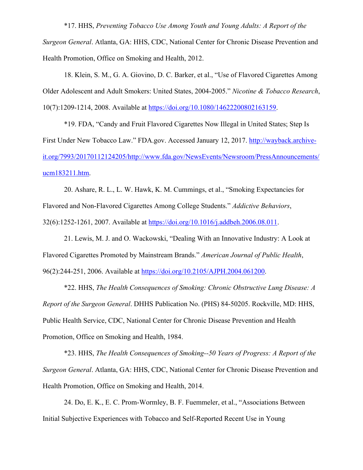\*17. HHS, *Preventing Tobacco Use Among Youth and Young Adults: A Report of the* 

*Surgeon General*. Atlanta, GA: HHS, CDC, National Center for Chronic Disease Prevention and Health Promotion, Office on Smoking and Health, 2012.

18. Klein, S. M., G. A. Giovino, D. C. Barker, et al., "Use of Flavored Cigarettes Among Older Adolescent and Adult Smokers: United States, 2004-2005." *Nicotine & Tobacco Research*, 10(7):1209-1214, 2008. Available at https://doi.org/10.1080/14622200802163159.

\*19. FDA, "Candy and Fruit Flavored Cigarettes Now Illegal in United States; Step Is First Under New Tobacco Law." FDA.gov. Accessed January 12, 2017. http://wayback.archiveit.org/7993/20170112124205/http://www.fda.gov/NewsEvents/Newsroom/PressAnnouncements/ ucm183211.htm.

20. Ashare, R. L., L. W. Hawk, K. M. Cummings, et al., "Smoking Expectancies for Flavored and Non-Flavored Cigarettes Among College Students." *Addictive Behaviors*, 32(6):1252-1261, 2007. Available at https://doi.org/10.1016/j.addbeh.2006.08.011.

21. Lewis, M. J. and O. Wackowski, "Dealing With an Innovative Industry: A Look at Flavored Cigarettes Promoted by Mainstream Brands." *American Journal of Public Health*, 96(2):244-251, 2006. Available at https://doi.org/10.2105/AJPH.2004.061200.

\*22. HHS, *The Health Consequences of Smoking: Chronic Obstructive Lung Disease: A Report of the Surgeon General*. DHHS Publication No. (PHS) 84-50205. Rockville, MD: HHS, Public Health Service, CDC, National Center for Chronic Disease Prevention and Health Promotion, Office on Smoking and Health, 1984.

\*23. HHS, *The Health Consequences of Smoking--50 Years of Progress: A Report of the Surgeon General*. Atlanta, GA: HHS, CDC, National Center for Chronic Disease Prevention and Health Promotion, Office on Smoking and Health, 2014.

24. Do, E. K., E. C. Prom-Wormley, B. F. Fuemmeler, et al., "Associations Between Initial Subjective Experiences with Tobacco and Self-Reported Recent Use in Young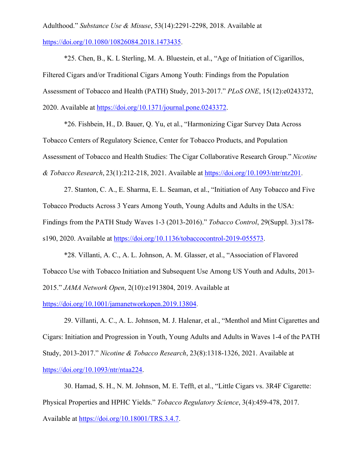Adulthood." *Substance Use & Misuse*, 53(14):2291-2298, 2018. Available at https://doi.org/10.1080/10826084.2018.1473435.

\*25. Chen, B., K. L Sterling, M. A. Bluestein, et al., "Age of Initiation of Cigarillos, Filtered Cigars and/or Traditional Cigars Among Youth: Findings from the Population Assessment of Tobacco and Health (PATH) Study, 2013-2017." *PLoS ONE*, 15(12):e0243372, 2020. Available at https://doi.org/10.1371/journal.pone.0243372.

\*26. Fishbein, H., D. Bauer, Q. Yu, et al., "Harmonizing Cigar Survey Data Across Tobacco Centers of Regulatory Science, Center for Tobacco Products, and Population Assessment of Tobacco and Health Studies: The Cigar Collaborative Research Group." *Nicotine & Tobacco Research*, 23(1):212-218, 2021. Available at https://doi.org/10.1093/ntr/ntz201.

27. Stanton, C. A., E. Sharma, E. L. Seaman, et al., "Initiation of Any Tobacco and Five Tobacco Products Across 3 Years Among Youth, Young Adults and Adults in the USA: Findings from the PATH Study Waves 1-3 (2013-2016)." *Tobacco Control*, 29(Suppl. 3):s178 s190, 2020. Available at https://doi.org/10.1136/tobaccocontrol-2019-055573.

\*28. Villanti, A. C., A. L. Johnson, A. M. Glasser, et al., "Association of Flavored Tobacco Use with Tobacco Initiation and Subsequent Use Among US Youth and Adults, 2013- 2015." *JAMA Network Open*, 2(10):e1913804, 2019. Available at

https://doi.org/10.1001/jamanetworkopen.2019.13804.

29. Villanti, A. C., A. L. Johnson, M. J. Halenar, et al., "Menthol and Mint Cigarettes and Cigars: Initiation and Progression in Youth, Young Adults and Adults in Waves 1-4 of the PATH Study, 2013-2017." *Nicotine & Tobacco Research*, 23(8):1318-1326, 2021. Available at https://doi.org/10.1093/ntr/ntaa224.

30. Hamad, S. H., N. M. Johnson, M. E. Tefft, et al., "Little Cigars vs. 3R4F Cigarette: Physical Properties and HPHC Yields." *Tobacco Regulatory Science*, 3(4):459-478, 2017. Available at https://doi.org/10.18001/TRS.3.4.7.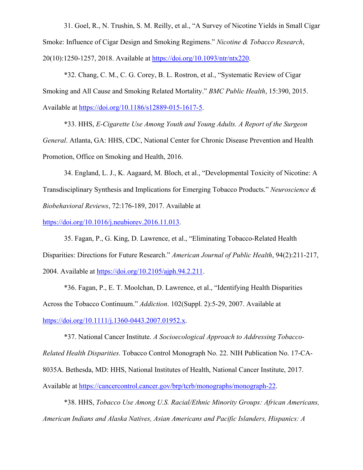31. Goel, R., N. Trushin, S. M. Reilly, et al., "A Survey of Nicotine Yields in Small Cigar Smoke: Influence of Cigar Design and Smoking Regimens." *Nicotine & Tobacco Research*, 20(10):1250-1257, 2018. Available at https://doi.org/10.1093/ntr/ntx220.

\*32. Chang, C. M., C. G. Corey, B. L. Rostron, et al., "Systematic Review of Cigar Smoking and All Cause and Smoking Related Mortality." *BMC Public Health*, 15:390, 2015. Available at https://doi.org/10.1186/s12889-015-1617-5.

\*33. HHS, *E-Cigarette Use Among Youth and Young Adults. A Report of the Surgeon General*. Atlanta, GA: HHS, CDC, National Center for Chronic Disease Prevention and Health Promotion, Office on Smoking and Health, 2016.

34. England, L. J., K. Aagaard, M. Bloch, et al., "Developmental Toxicity of Nicotine: A Transdisciplinary Synthesis and Implications for Emerging Tobacco Products." *Neuroscience & Biobehavioral Reviews*, 72:176-189, 2017. Available at

https://doi.org/10.1016/j.neubiorev.2016.11.013.

35. Fagan, P., G. King, D. Lawrence, et al., "Eliminating Tobacco-Related Health Disparities: Directions for Future Research." *American Journal of Public Health*, 94(2):211-217, 2004. Available at https://doi.org/10.2105/ajph.94.2.211.

\*36. Fagan, P., E. T. Moolchan, D. Lawrence, et al., "Identifying Health Disparities Across the Tobacco Continuum." *Addiction*. 102(Suppl. 2):5-29, 2007. Available at https://doi.org/10.1111/j.1360-0443.2007.01952.x.

\*37. National Cancer Institute. *A Socioecological Approach to Addressing Tobacco-Related Health Disparities.* Tobacco Control Monograph No. 22. NIH Publication No. 17-CA-8035A. Bethesda, MD: HHS, National Institutes of Health, National Cancer Institute, 2017. Available at https://cancercontrol.cancer.gov/brp/tcrb/monographs/monograph-22.

\*38. HHS, *Tobacco Use Among U.S. Racial/Ethnic Minority Groups: African Americans, American Indians and Alaska Natives, Asian Americans and Pacific Islanders, Hispanics: A*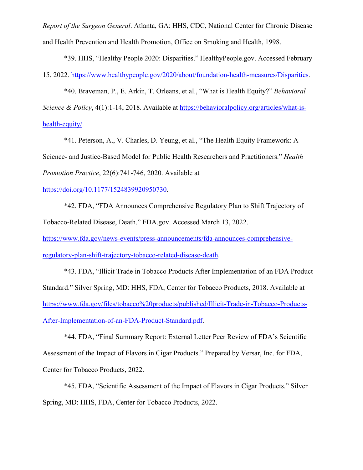*Report of the Surgeon General*. Atlanta, GA: HHS, CDC, National Center for Chronic Disease and Health Prevention and Health Promotion, Office on Smoking and Health, 1998.

\*39. HHS, "Healthy People 2020: Disparities." HealthyPeople.gov. Accessed February 15, 2022. https://www.healthypeople.gov/2020/about/foundation-health-measures/Disparities.

\*40. Braveman, P., E. Arkin, T. Orleans, et al., "What is Health Equity?" *Behavioral Science & Policy*, 4(1):1-14, 2018. Available at https://behavioralpolicy.org/articles/what-ishealth-equity/.

\*41. Peterson, A., V. Charles, D. Yeung, et al., "The Health Equity Framework: A Science- and Justice-Based Model for Public Health Researchers and Practitioners." *Health Promotion Practice*, 22(6):741-746, 2020. Available at

https://doi.org/10.1177/1524839920950730.

\*42. FDA, "FDA Announces Comprehensive Regulatory Plan to Shift Trajectory of Tobacco-Related Disease, Death." FDA.gov. Accessed March 13, 2022.

https://www.fda.gov/news-events/press-announcements/fda-announces-comprehensiveregulatory-plan-shift-trajectory-tobacco-related-disease-death.

\*43. FDA, "Illicit Trade in Tobacco Products After Implementation of an FDA Product Standard." Silver Spring, MD: HHS, FDA, Center for Tobacco Products, 2018. Available at https://www.fda.gov/files/tobacco%20products/published/Illicit-Trade-in-Tobacco-Products-After-Implementation-of-an-FDA-Product-Standard.pdf.

\*44. FDA, "Final Summary Report: External Letter Peer Review of FDA's Scientific Assessment of the Impact of Flavors in Cigar Products." Prepared by Versar, Inc. for FDA, Center for Tobacco Products, 2022.

\*45. FDA, "Scientific Assessment of the Impact of Flavors in Cigar Products." Silver Spring, MD: HHS, FDA, Center for Tobacco Products, 2022.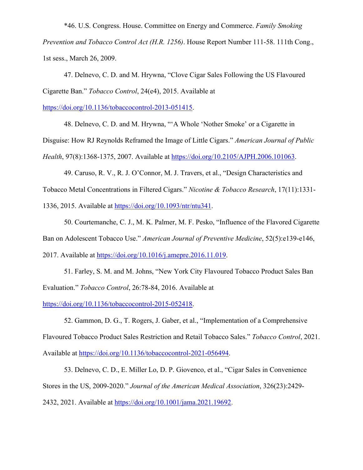\*46. U.S. Congress. House. Committee on Energy and Commerce. *Family Smoking Prevention and Tobacco Control Act (H.R. 1256)*. House Report Number 111-58. 111th Cong., 1st sess., March 26, 2009.

47. Delnevo, C. D. and M. Hrywna, "Clove Cigar Sales Following the US Flavoured Cigarette Ban." *Tobacco Control*, 24(e4), 2015. Available at

https://doi.org/10.1136/tobaccocontrol-2013-051415.

48. Delnevo, C. D. and M. Hrywna, "'A Whole 'Nother Smoke' or a Cigarette in Disguise: How RJ Reynolds Reframed the Image of Little Cigars." *American Journal of Public Health*, 97(8):1368-1375, 2007. Available at https://doi.org/10.2105/AJPH.2006.101063.

49. Caruso, R. V., R. J. O'Connor, M. J. Travers, et al., "Design Characteristics and Tobacco Metal Concentrations in Filtered Cigars." *Nicotine & Tobacco Research*, 17(11):1331- 1336, 2015. Available at https://doi.org/10.1093/ntr/ntu341.

50. Courtemanche, C. J., M. K. Palmer, M. F. Pesko, "Influence of the Flavored Cigarette Ban on Adolescent Tobacco Use." *American Journal of Preventive Medicine*, 52(5):e139-e146, 2017. Available at https://doi.org/10.1016/j.amepre.2016.11.019.

51. Farley, S. M. and M. Johns, "New York City Flavoured Tobacco Product Sales Ban Evaluation." *Tobacco Control*, 26:78-84, 2016. Available at

https://doi.org/10.1136/tobaccocontrol-2015-052418.

52. Gammon, D. G., T. Rogers, J. Gaber, et al., "Implementation of a Comprehensive Flavoured Tobacco Product Sales Restriction and Retail Tobacco Sales." *Tobacco Control*, 2021. Available at https://doi.org/10.1136/tobaccocontrol-2021-056494.

53. Delnevo, C. D., E. Miller Lo, D. P. Giovenco, et al., "Cigar Sales in Convenience Stores in the US, 2009-2020." *Journal of the American Medical Association*, 326(23):2429- 2432, 2021. Available at https://doi.org/10.1001/jama.2021.19692.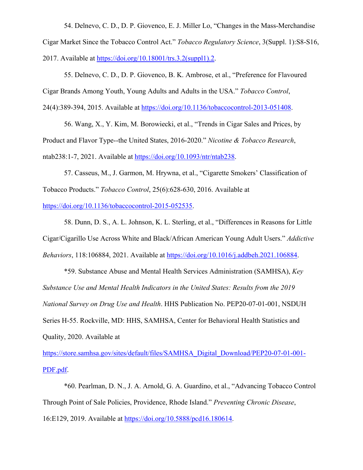54. Delnevo, C. D., D. P. Giovenco, E. J. Miller Lo, "Changes in the Mass-Merchandise Cigar Market Since the Tobacco Control Act." *Tobacco Regulatory Science*, 3(Suppl. 1):S8-S16, 2017. Available at https://doi.org/10.18001/trs.3.2(suppl1).2.

55. Delnevo, C. D., D. P. Giovenco, B. K. Ambrose, et al., "Preference for Flavoured Cigar Brands Among Youth, Young Adults and Adults in the USA." *Tobacco Control*, 24(4):389-394, 2015. Available at https://doi.org/10.1136/tobaccocontrol-2013-051408.

56. Wang, X., Y. Kim, M. Borowiecki, et al., "Trends in Cigar Sales and Prices, by Product and Flavor Type--the United States, 2016-2020." *Nicotine & Tobacco Research*, ntab238:1-7, 2021. Available at https://doi.org/10.1093/ntr/ntab238.

57. Casseus, M., J. Garmon, M. Hrywna, et al., "Cigarette Smokers' Classification of Tobacco Products." *Tobacco Control*, 25(6):628-630, 2016. Available at

https://doi.org/10.1136/tobaccocontrol-2015-052535.

58. Dunn, D. S., A. L. Johnson, K. L. Sterling, et al., "Differences in Reasons for Little Cigar/Cigarillo Use Across White and Black/African American Young Adult Users." *Addictive Behaviors*, 118:106884, 2021. Available at https://doi.org/10.1016/j.addbeh.2021.106884.

\*59. Substance Abuse and Mental Health Services Administration (SAMHSA), *Key Substance Use and Mental Health Indicators in the United States: Results from the 2019 National Survey on Drug Use and Health*. HHS Publication No. PEP20-07-01-001, NSDUH Series H-55. Rockville, MD: HHS, SAMHSA, Center for Behavioral Health Statistics and Quality, 2020. Available at

https://store.samhsa.gov/sites/default/files/SAMHSA\_Digital\_Download/PEP20-07-01-001- PDF.pdf.

\*60. Pearlman, D. N., J. A. Arnold, G. A. Guardino, et al., "Advancing Tobacco Control Through Point of Sale Policies, Providence, Rhode Island." *Preventing Chronic Disease*, 16:E129, 2019. Available at https://doi.org/10.5888/pcd16.180614.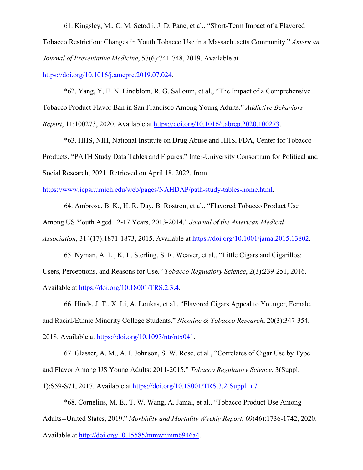61. Kingsley, M., C. M. Setodji, J. D. Pane, et al., "Short-Term Impact of a Flavored Tobacco Restriction: Changes in Youth Tobacco Use in a Massachusetts Community." *American Journal of Preventative Medicine*, 57(6):741-748, 2019. Available at https://doi.org/10.1016/j.amepre.2019.07.024.

\*62. Yang, Y, E. N. Lindblom, R. G. Salloum, et al., "The Impact of a Comprehensive Tobacco Product Flavor Ban in San Francisco Among Young Adults." *Addictive Behaviors Report*, 11:100273, 2020. Available at https://doi.org/10.1016/j.abrep.2020.100273.

\*63. HHS, NIH, National Institute on Drug Abuse and HHS, FDA, Center for Tobacco Products. "PATH Study Data Tables and Figures." Inter-University Consortium for Political and Social Research, 2021. Retrieved on April 18, 2022, from

https://www.icpsr.umich.edu/web/pages/NAHDAP/path-study-tables-home.html.

64. Ambrose, B. K., H. R. Day, B. Rostron, et al., "Flavored Tobacco Product Use Among US Youth Aged 12-17 Years, 2013-2014." *Journal of the American Medical Association*, 314(17):1871-1873, 2015. Available at https://doi.org/10.1001/jama.2015.13802.

65. Nyman, A. L., K. L. Sterling, S. R. Weaver, et al., "Little Cigars and Cigarillos: Users, Perceptions, and Reasons for Use." *Tobacco Regulatory Science*, 2(3):239-251, 2016. Available at https://doi.org/10.18001/TRS.2.3.4.

66. Hinds, J. T., X. Li, A. Loukas, et al., "Flavored Cigars Appeal to Younger, Female, and Racial/Ethnic Minority College Students." *Nicotine & Tobacco Research*, 20(3):347-354, 2018. Available at https://doi.org/10.1093/ntr/ntx041.

67. Glasser, A. M., A. I. Johnson, S. W. Rose, et al., "Correlates of Cigar Use by Type and Flavor Among US Young Adults: 2011-2015." *Tobacco Regulatory Science*, 3(Suppl. 1):S59-S71, 2017. Available at https://doi.org/10.18001/TRS.3.2(Suppl1).7.

\*68. Cornelius, M. E., T. W. Wang, A. Jamal, et al., "Tobacco Product Use Among Adults--United States, 2019." *Morbidity and Mortality Weekly Report*, 69(46):1736-1742, 2020. Available at http://doi.org/10.15585/mmwr.mm6946a4.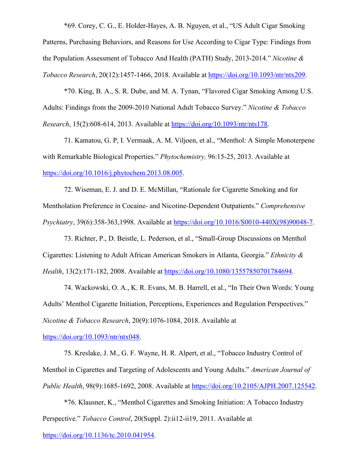\*69. Corey, C. G., E. Holder-Hayes, A. B. Nguyen, et al., "US Adult Cigar Smoking

Patterns, Purchasing Behaviors, and Reasons for Use According to Cigar Type: Findings from the Population Assessment of Tobacco And Health (PATH) Study, 2013-2014." *Nicotine & Tobacco Research*, 20(12):1457-1466, 2018. Available at https://doi.org/10.1093/ntr/ntx209.

\*70. King, B. A., S. R. Dube, and M. A. Tynan, "Flavored Cigar Smoking Among U.S. Adults: Findings from the 2009-2010 National Adult Tobacco Survey." *Nicotine & Tobacco Research*, 15(2):608-614, 2013. Available at https://doi.org/10.1093/ntr/nts178.

71. Kamatou, G. P, I. Vermaak, A. M. Viljoen, et al., "Menthol: A Simple Monoterpene with Remarkable Biological Properties." *Phytochemistry,* 96:15-25, 2013. Available at https://doi.org/10.1016/j.phytochem.2013.08.005.

72. Wiseman, E. J. and D. E. McMillan, "Rationale for Cigarette Smoking and for Mentholation Preference in Cocaine- and Nicotine-Dependent Outpatients." *Comprehensive Psychiatry*, 39(6):358-363,1998. Available at https://doi.org/10.1016/S0010-440X(98)90048-7.

73. Richter, P., D. Beistle, L. Pederson, et al., "Small-Group Discussions on Menthol Cigarettes: Listening to Adult African American Smokers in Atlanta, Georgia." *Ethnicity & Health*, 13(2):171-182, 2008. Available at https://doi.org/10.1080/13557850701784694.

74. Wackowski, O. A., K. R. Evans, M. B. Harrell, et al., "In Their Own Words: Young Adults' Menthol Cigarette Initiation, Perceptions, Experiences and Regulation Perspectives." *Nicotine & Tobacco Research*, 20(9):1076-1084, 2018. Available at

https://doi.org/10.1093/ntr/ntx048.

75. Kreslake, J. M., G. F. Wayne, H. R. Alpert, et al., "Tobacco Industry Control of Menthol in Cigarettes and Targeting of Adolescents and Young Adults." *American Journal of Public Health*, 98(9):1685-1692, 2008. Available at https://doi.org/10.2105/AJPH.2007.125542.

\*76. Klausner, K., "Menthol Cigarettes and Smoking Initiation: A Tobacco Industry Perspective." *Tobacco Control*, 20(Suppl. 2):ii12-ii19, 2011. Available at

https://doi.org/10.1136/tc.2010.041954.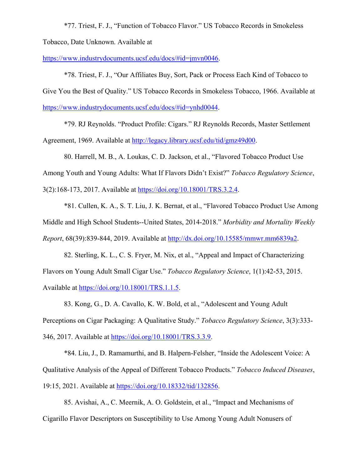\*77. Triest, F. J., "Function of Tobacco Flavor." US Tobacco Records in Smokeless

Tobacco, Date Unknown. Available at

https://www.industrydocuments.ucsf.edu/docs/#id=jmvn0046.

\*78. Triest, F. J., "Our Affiliates Buy, Sort, Pack or Process Each Kind of Tobacco to Give You the Best of Quality." US Tobacco Records in Smokeless Tobacco, 1966. Available at https://www.industrydocuments.ucsf.edu/docs/#id=ynhd0044.

\*79. RJ Reynolds. "Product Profile: Cigars." RJ Reynolds Records, Master Settlement Agreement, 1969. Available at http://legacy.library.ucsf.edu/tid/gmz49d00.

80. Harrell, M. B., A. Loukas, C. D. Jackson, et al., "Flavored Tobacco Product Use Among Youth and Young Adults: What If Flavors Didn't Exist?" *Tobacco Regulatory Science*, 3(2):168-173, 2017. Available at https://doi.org/10.18001/TRS.3.2.4.

\*81. Cullen, K. A., S. T. Liu, J. K. Bernat, et al., "Flavored Tobacco Product Use Among Middle and High School Students--United States, 2014-2018." *Morbidity and Mortality Weekly Report*, 68(39):839-844, 2019. Available at http://dx.doi.org/10.15585/mmwr.mm6839a2.

82. Sterling, K. L., C. S. Fryer, M. Nix, et al., "Appeal and Impact of Characterizing Flavors on Young Adult Small Cigar Use." *Tobacco Regulatory Science*, 1(1):42-53, 2015. Available at https://doi.org/10.18001/TRS.1.1.5.

83. Kong, G., D. A. Cavallo, K. W. Bold, et al., "Adolescent and Young Adult Perceptions on Cigar Packaging: A Qualitative Study." *Tobacco Regulatory Science*, 3(3):333- 346, 2017. Available at https://doi.org/10.18001/TRS.3.3.9.

\*84. Liu, J., D. Ramamurthi, and B. Halpern-Felsher, "Inside the Adolescent Voice: A Qualitative Analysis of the Appeal of Different Tobacco Products." *Tobacco Induced Diseases*, 19:15, 2021. Available at https://doi.org/10.18332/tid/132856.

85. Avishai, A., C. Meernik, A. O. Goldstein, et al., "Impact and Mechanisms of Cigarillo Flavor Descriptors on Susceptibility to Use Among Young Adult Nonusers of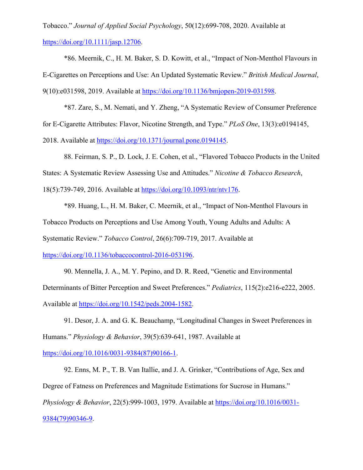Tobacco." *Journal of Applied Social Psychology*, 50(12):699-708, 2020. Available at https://doi.org/10.1111/jasp.12706.

\*86. Meernik, C., H. M. Baker, S. D. Kowitt, et al., "Impact of Non-Menthol Flavours in E-Cigarettes on Perceptions and Use: An Updated Systematic Review." *British Medical Journal*, 9(10):e031598, 2019. Available at https://doi.org/10.1136/bmjopen-2019-031598.

\*87. Zare, S., M. Nemati, and Y. Zheng, "A Systematic Review of Consumer Preference for E-Cigarette Attributes: Flavor, Nicotine Strength, and Type." *PLoS One*, 13(3):e0194145, 2018. Available at https://doi.org/10.1371/journal.pone.0194145.

88. Feirman, S. P., D. Lock, J. E. Cohen, et al., "Flavored Tobacco Products in the United States: A Systematic Review Assessing Use and Attitudes." *Nicotine & Tobacco Research*, 18(5):739-749, 2016. Available at https://doi.org/10.1093/ntr/ntv176.

\*89. Huang, L., H. M. Baker, C. Meernik, et al., "Impact of Non-Menthol Flavours in Tobacco Products on Perceptions and Use Among Youth, Young Adults and Adults: A Systematic Review." *Tobacco Control*, 26(6):709-719, 2017. Available at

https://doi.org/10.1136/tobaccocontrol-2016-053196.

90. Mennella, J. A., M. Y. Pepino, and D. R. Reed, "Genetic and Environmental Determinants of Bitter Perception and Sweet Preferences." *Pediatrics*, 115(2):e216-e222, 2005. Available at https://doi.org/10.1542/peds.2004-1582.

91. Desor, J. A. and G. K. Beauchamp, "Longitudinal Changes in Sweet Preferences in Humans." *Physiology & Behavior*, 39(5):639-641, 1987. Available at

https://doi.org/10.1016/0031-9384(87)90166-1.

92. Enns, M. P., T. B. Van Itallie, and J. A. Grinker, "Contributions of Age, Sex and Degree of Fatness on Preferences and Magnitude Estimations for Sucrose in Humans." *Physiology & Behavior*, 22(5):999-1003, 1979. Available at https://doi.org/10.1016/0031- 9384(79)90346-9.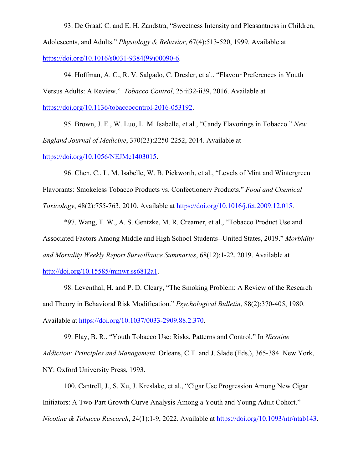93. De Graaf, C. and E. H. Zandstra, "Sweetness Intensity and Pleasantness in Children, Adolescents, and Adults." *Physiology & Behavior*, 67(4):513-520, 1999. Available at https://doi.org/10.1016/s0031-9384(99)00090-6.

94. Hoffman, A. C., R. V. Salgado, C. Dresler, et al., "Flavour Preferences in Youth Versus Adults: A Review." *Tobacco Control*, 25:ii32-ii39, 2016. Available at https://doi.org/10.1136/tobaccocontrol-2016-053192.

95. Brown, J. E., W. Luo, L. M. Isabelle, et al., "Candy Flavorings in Tobacco." *New England Journal of Medicine*, 370(23):2250-2252, 2014. Available at https://doi.org/10.1056/NEJMc1403015.

96. Chen, C., L. M. Isabelle, W. B. Pickworth, et al., "Levels of Mint and Wintergreen Flavorants: Smokeless Tobacco Products vs. Confectionery Products." *Food and Chemical Toxicology*, 48(2):755-763, 2010. Available at https://doi.org/10.1016/j.fct.2009.12.015.

\*97. Wang, T. W., A. S. Gentzke, M. R. Creamer, et al., "Tobacco Product Use and Associated Factors Among Middle and High School Students--United States, 2019." *Morbidity and Mortality Weekly Report Surveillance Summaries*, 68(12):1-22, 2019. Available at http://doi.org/10.15585/mmwr.ss6812a1.

98. Leventhal, H. and P. D. Cleary, "The Smoking Problem: A Review of the Research and Theory in Behavioral Risk Modification." *Psychological Bulletin*, 88(2):370-405, 1980. Available at https://doi.org/10.1037/0033-2909.88.2.370.

99. Flay, B. R., "Youth Tobacco Use: Risks, Patterns and Control." In *Nicotine Addiction: Principles and Management*. Orleans, C.T. and J. Slade (Eds.), 365-384. New York, NY: Oxford University Press, 1993.

100. Cantrell, J., S. Xu, J. Kreslake, et al., "Cigar Use Progression Among New Cigar Initiators: A Two-Part Growth Curve Analysis Among a Youth and Young Adult Cohort." *Nicotine & Tobacco Research*, 24(1):1-9, 2022. Available at https://doi.org/10.1093/ntr/ntab143.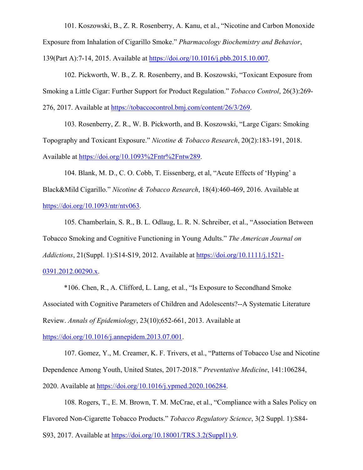101. Koszowski, B., Z. R. Rosenberry, A. Kanu, et al., "Nicotine and Carbon Monoxide Exposure from Inhalation of Cigarillo Smoke." *Pharmacology Biochemistry and Behavior*,

139(Part A):7-14, 2015. Available at https://doi.org/10.1016/j.pbb.2015.10.007.

102. Pickworth, W. B., Z. R. Rosenberry, and B. Koszowski, "Toxicant Exposure from Smoking a Little Cigar: Further Support for Product Regulation." *Tobacco Control*, 26(3):269- 276, 2017. Available at https://tobaccocontrol.bmj.com/content/26/3/269.

103. Rosenberry, Z. R., W. B. Pickworth, and B. Koszowski, "Large Cigars: Smoking Topography and Toxicant Exposure." *Nicotine & Tobacco Research*, 20(2):183-191, 2018. Available at https://doi.org/10.1093%2Fntr%2Fntw289.

104. Blank, M. D., C. O. Cobb, T. Eissenberg, et al, "Acute Effects of 'Hyping' a Black&Mild Cigarillo." *Nicotine & Tobacco Research*, 18(4):460-469, 2016. Available at https://doi.org/10.1093/ntr/ntv063.

105. Chamberlain, S. R., B. L. Odlaug, L. R. N. Schreiber, et al., "Association Between Tobacco Smoking and Cognitive Functioning in Young Adults." *The American Journal on Addictions*, 21(Suppl. 1):S14-S19, 2012. Available at https://doi.org/10.1111/j.1521- 0391.2012.00290.x.

\*106. Chen, R., A. Clifford, L. Lang, et al., "Is Exposure to Secondhand Smoke Associated with Cognitive Parameters of Children and Adolescents?--A Systematic Literature Review. *Annals of Epidemiology*, 23(10);652-661, 2013. Available at

https://doi.org/10.1016/j.annepidem.2013.07.001.

107. Gomez, Y., M. Creamer, K. F. Trivers, et al., "Patterns of Tobacco Use and Nicotine Dependence Among Youth, United States, 2017-2018." *Preventative Medicine*, 141:106284, 2020. Available at https://doi.org/10.1016/j.ypmed.2020.106284.

108. Rogers, T., E. M. Brown, T. M. McCrae, et al., "Compliance with a Sales Policy on Flavored Non-Cigarette Tobacco Products." *Tobacco Regulatory Science*, 3(2 Suppl. 1):S84- S93, 2017. Available at https://doi.org/10.18001/TRS.3.2(Suppl1).9.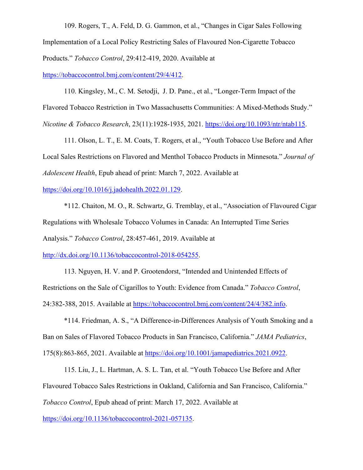109. Rogers, T., A. Feld, D. G. Gammon, et al., "Changes in Cigar Sales Following Implementation of a Local Policy Restricting Sales of Flavoured Non-Cigarette Tobacco Products." *Tobacco Control*, 29:412-419, 2020. Available at

https://tobaccocontrol.bmj.com/content/29/4/412.

110. Kingsley, M., C. M. Setodji, J. D. Pane., et al., "Longer-Term Impact of the Flavored Tobacco Restriction in Two Massachusetts Communities: A Mixed-Methods Study." *Nicotine & Tobacco Research*, 23(11):1928-1935, 2021. https://doi.org/10.1093/ntr/ntab115.

111. Olson, L. T., E. M. Coats, T. Rogers, et al., "Youth Tobacco Use Before and After Local Sales Restrictions on Flavored and Menthol Tobacco Products in Minnesota." *Journal of Adolescent Health*, Epub ahead of print: March 7, 2022. Available at

https://doi.org/10.1016/j.jadohealth.2022.01.129.

\*112. Chaiton, M. O., R. Schwartz, G. Tremblay, et al., "Association of Flavoured Cigar Regulations with Wholesale Tobacco Volumes in Canada: An Interrupted Time Series Analysis." *Tobacco Control*, 28:457-461, 2019. Available at

http://dx.doi.org/10.1136/tobaccocontrol-2018-054255.

113. Nguyen, H. V. and P. Grootendorst, "Intended and Unintended Effects of Restrictions on the Sale of Cigarillos to Youth: Evidence from Canada." *Tobacco Control*, 24:382-388, 2015. Available at https://tobaccocontrol.bmj.com/content/24/4/382.info.

\*114. Friedman, A. S., "A Difference-in-Differences Analysis of Youth Smoking and a Ban on Sales of Flavored Tobacco Products in San Francisco, California." *JAMA Pediatrics*, 175(8):863-865, 2021. Available at https://doi.org/10.1001/jamapediatrics.2021.0922.

115. Liu, J., L. Hartman, A. S. L. Tan, et al. "Youth Tobacco Use Before and After Flavoured Tobacco Sales Restrictions in Oakland, California and San Francisco, California." *Tobacco Control*, Epub ahead of print: March 17, 2022. Available at

https://doi.org/10.1136/tobaccocontrol-2021-057135.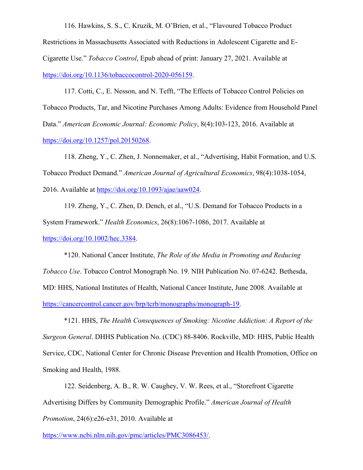116. Hawkins, S. S., C. Kruzik, M. O'Brien, et al., "Flavoured Tobacco Product Restrictions in Massachusetts Associated with Reductions in Adolescent Cigarette and E-Cigarette Use." *Tobacco Control*, Epub ahead of print: January 27, 2021. Available at https://doi.org/10.1136/tobaccocontrol-2020-056159.

117. Cotti, C., E. Nesson, and N. Tefft, "The Effects of Tobacco Control Policies on Tobacco Products, Tar, and Nicotine Purchases Among Adults: Evidence from Household Panel Data." *American Economic Journal: Economic Policy*, 8(4):103-123, 2016. Available at https://doi.org/10.1257/pol.20150268.

118. Zheng, Y., C. Zhen, J. Nonnemaker, et al., "Advertising, Habit Formation, and U.S. Tobacco Product Demand." *American Journal of Agricultural Economics*, 98(4):1038-1054, 2016. Available at https://doi.org/10.1093/ajae/aaw024.

119. Zheng, Y., C. Zhen, D. Dench, et al., "U.S. Demand for Tobacco Products in a System Framework." *Health Economics*, 26(8):1067-1086, 2017. Available at https://doi.org/10.1002/hec.3384.

\*120. National Cancer Institute, *The Role of the Media in Promoting and Reducing Tobacco Use*. Tobacco Control Monograph No. 19. NIH Publication No. 07-6242. Bethesda, MD: HHS, National Institutes of Health, National Cancer Institute, June 2008. Available at https://cancercontrol.cancer.gov/brp/tcrb/monographs/monograph-19.

\*121. HHS, *The Health Consequences of Smoking: Nicotine Addiction: A Report of the Surgeon General*. DHHS Publication No. (CDC) 88-8406. Rockville, MD: HHS, Public Health Service, CDC, National Center for Chronic Disease Prevention and Health Promotion, Office on Smoking and Health, 1988.

122. Seidenberg, A. B., R. W. Caughey, V. W. Rees, et al., "Storefront Cigarette Advertising Differs by Community Demographic Profile." *American Journal of Health Promotion*, 24(6):e26-e31, 2010. Available at

https://www.ncbi.nlm.nih.gov/pmc/articles/PMC3086453/.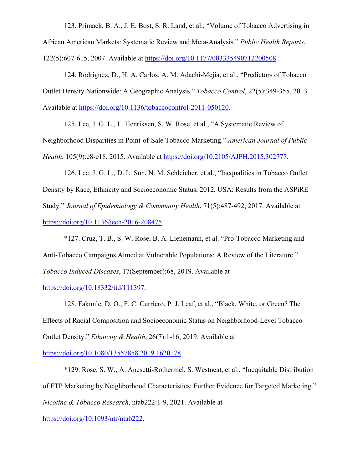123. Primack, B. A., J. E. Bost, S. R. Land, et al., "Volume of Tobacco Advertising in African American Markets: Systematic Review and Meta-Analysis." *Public Health Reports*, 122(5):607-615, 2007. Available at https://doi.org/10.1177/003335490712200508.

124. Rodriguez, D., H. A. Carlos, A. M. Adachi-Mejia, et al., "Predictors of Tobacco Outlet Density Nationwide: A Geographic Analysis." *Tobacco Control*, 22(5):349-355, 2013. Available at https://doi.org/10.1136/tobaccocontrol-2011-050120.

125. Lee, J. G. L., L. Henriksen, S. W. Rose, et al., "A Systematic Review of Neighborhood Disparities in Point-of-Sale Tobacco Marketing." *American Journal of Public Health*, 105(9):e8-e18, 2015. Available at https://doi.org/10.2105/AJPH.2015.302777.

126. Lee, J. G. L., D. L. Sun, N. M. Schleicher, et al., "Inequalities in Tobacco Outlet Density by Race, Ethnicity and Socioeconomic Status, 2012, USA: Results from the ASPiRE Study." *Journal of Epidemiology & Community Health*, 71(5):487-492, 2017. Available at https://doi.org/10.1136/jech-2016-208475.

\*127. Cruz, T. B., S. W. Rose, B. A. Lienemann, et al. "Pro-Tobacco Marketing and Anti-Tobacco Campaigns Aimed at Vulnerable Populations: A Review of the Literature." *Tobacco Induced Diseases*, 17(September):68, 2019. Available at

https://doi.org/10.18332/tid/111397.

128. Fakunle, D. O., F. C. Curriero, P. J. Leaf, et al., "Black, White, or Green? The Effects of Racial Composition and Socioeconomic Status on Neighborhood-Level Tobacco Outlet Density." *Ethnicity & Health*, 26(7):1-16, 2019. Available at

https://doi.org/10.1080/13557858.2019.1620178.

\*129. Rose, S. W., A. Anesetti-Rothermel, S. Westneat, et al., "Inequitable Distribution of FTP Marketing by Neighborhood Characteristics: Further Evidence for Targeted Marketing." *Nicotine & Tobacco Research*, ntab222:1-9, 2021. Available at

https://doi.org/10.1093/ntr/ntab222.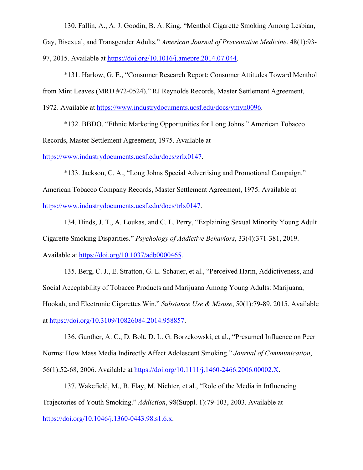130. Fallin, A., A. J. Goodin, B. A. King, "Menthol Cigarette Smoking Among Lesbian,

Gay, Bisexual, and Transgender Adults." *American Journal of Preventative Medicine*. 48(1):93-

97, 2015. Available at https://doi.org/10.1016/j.amepre.2014.07.044.

\*131. Harlow, G. E., "Consumer Research Report: Consumer Attitudes Toward Menthol from Mint Leaves (MRD #72-0524)." RJ Reynolds Records, Master Settlement Agreement,

1972. Available at https://www.industrydocuments.ucsf.edu/docs/ymyn0096.

\*132. BBDO, "Ethnic Marketing Opportunities for Long Johns." American Tobacco Records, Master Settlement Agreement, 1975. Available at

https://www.industrydocuments.ucsf.edu/docs/zrlx0147.

\*133. Jackson, C. A., "Long Johns Special Advertising and Promotional Campaign." American Tobacco Company Records, Master Settlement Agreement, 1975. Available at https://www.industrydocuments.ucsf.edu/docs/trlx0147.

134. Hinds, J. T., A. Loukas, and C. L. Perry, "Explaining Sexual Minority Young Adult Cigarette Smoking Disparities." *Psychology of Addictive Behaviors*, 33(4):371-381, 2019. Available at https://doi.org/10.1037/adb0000465.

135. Berg, C. J., E. Stratton, G. L. Schauer, et al., "Perceived Harm, Addictiveness, and Social Acceptability of Tobacco Products and Marijuana Among Young Adults: Marijuana, Hookah, and Electronic Cigarettes Win." *Substance Use & Misuse*, 50(1):79-89, 2015. Available at https://doi.org/10.3109/10826084.2014.958857.

136. Gunther, A. C., D. Bolt, D. L. G. Borzekowski, et al., "Presumed Influence on Peer Norms: How Mass Media Indirectly Affect Adolescent Smoking." *Journal of Communication*, 56(1):52-68, 2006. Available at https://doi.org/10.1111/j.1460-2466.2006.00002.X.

137. Wakefield, M., B. Flay, M. Nichter, et al., "Role of the Media in Influencing Trajectories of Youth Smoking." *Addiction*, 98(Suppl. 1):79-103, 2003. Available at https://doi.org/10.1046/j.1360-0443.98.s1.6.x.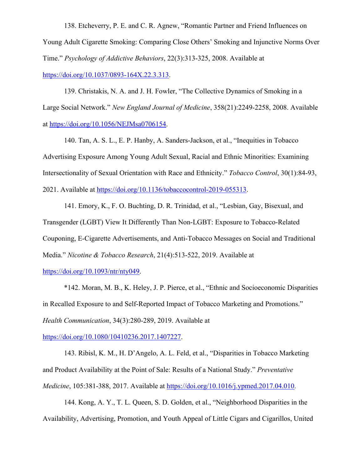138. Etcheverry, P. E. and C. R. Agnew, "Romantic Partner and Friend Influences on Young Adult Cigarette Smoking: Comparing Close Others' Smoking and Injunctive Norms Over Time." *Psychology of Addictive Behaviors*, 22(3):313-325, 2008. Available at https://doi.org/10.1037/0893-164X.22.3.313.

139. Christakis, N. A. and J. H. Fowler, "The Collective Dynamics of Smoking in a Large Social Network." *New England Journal of Medicine*, 358(21):2249-2258, 2008. Available at https://doi.org/10.1056/NEJMsa0706154.

140. Tan, A. S. L., E. P. Hanby, A. Sanders-Jackson, et al., "Inequities in Tobacco Advertising Exposure Among Young Adult Sexual, Racial and Ethnic Minorities: Examining Intersectionality of Sexual Orientation with Race and Ethnicity." *Tobacco Control*, 30(1):84-93, 2021. Available at https://doi.org/10.1136/tobaccocontrol-2019-055313.

141. Emory, K., F. O. Buchting, D. R. Trinidad, et al., "Lesbian, Gay, Bisexual, and Transgender (LGBT) View It Differently Than Non-LGBT: Exposure to Tobacco-Related Couponing, E-Cigarette Advertisements, and Anti-Tobacco Messages on Social and Traditional Media." *Nicotine & Tobacco Research*, 21(4):513-522, 2019. Available at

https://doi.org/10.1093/ntr/nty049.

\*142. Moran, M. B., K. Heley, J. P. Pierce, et al., "Ethnic and Socioeconomic Disparities in Recalled Exposure to and Self-Reported Impact of Tobacco Marketing and Promotions." *Health Communication*, 34(3):280-289, 2019. Available at

https://doi.org/10.1080/10410236.2017.1407227.

143. Ribisl, K. M., H. D'Angelo, A. L. Feld, et al., "Disparities in Tobacco Marketing and Product Availability at the Point of Sale: Results of a National Study." *Preventative Medicine*, 105:381-388, 2017. Available at https://doi.org/10.1016/j.ypmed.2017.04.010.

144. Kong, A. Y., T. L. Queen, S. D. Golden, et al., "Neighborhood Disparities in the Availability, Advertising, Promotion, and Youth Appeal of Little Cigars and Cigarillos, United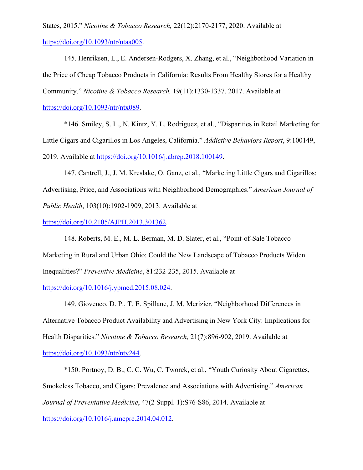States, 2015." *Nicotine & Tobacco Research,* 22(12):2170-2177, 2020. Available at https://doi.org/10.1093/ntr/ntaa005.

145. Henriksen, L., E. Andersen-Rodgers, X. Zhang, et al., "Neighborhood Variation in the Price of Cheap Tobacco Products in California: Results From Healthy Stores for a Healthy Community." *Nicotine & Tobacco Research,* 19(11):1330-1337, 2017. Available at

https://doi.org/10.1093/ntr/ntx089.

\*146. Smiley, S. L., N. Kintz, Y. L. Rodriguez, et al., "Disparities in Retail Marketing for Little Cigars and Cigarillos in Los Angeles, California." *Addictive Behaviors Report*, 9:100149, 2019. Available at https://doi.org/10.1016/j.abrep.2018.100149.

147. Cantrell, J., J. M. Kreslake, O. Ganz, et al., "Marketing Little Cigars and Cigarillos: Advertising, Price, and Associations with Neighborhood Demographics." *American Journal of Public Health*, 103(10):1902-1909, 2013. Available at

https://doi.org/10.2105/AJPH.2013.301362.

148. Roberts, M. E., M. L. Berman, M. D. Slater, et al., "Point-of-Sale Tobacco Marketing in Rural and Urban Ohio: Could the New Landscape of Tobacco Products Widen Inequalities?" *Preventive Medicine*, 81:232-235, 2015. Available at

https://doi.org/10.1016/j.ypmed.2015.08.024.

149. Giovenco, D. P., T. E. Spillane, J. M. Merizier, "Neighborhood Differences in Alternative Tobacco Product Availability and Advertising in New York City: Implications for Health Disparities." *Nicotine & Tobacco Research,* 21(7):896-902, 2019. Available at

https://doi.org/10.1093/ntr/nty244.

\*150. Portnoy, D. B., C. C. Wu, C. Tworek, et al., "Youth Curiosity About Cigarettes, Smokeless Tobacco, and Cigars: Prevalence and Associations with Advertising." *American Journal of Preventative Medicine*, 47(2 Suppl. 1):S76-S86, 2014. Available at https://doi.org/10.1016/j.amepre.2014.04.012.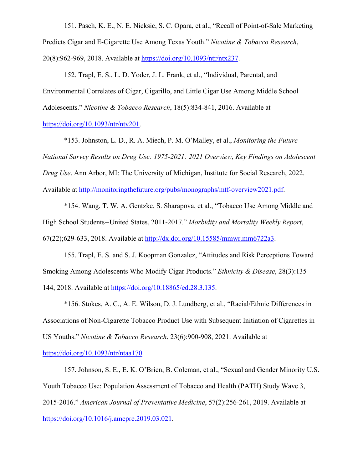151. Pasch, K. E., N. E. Nicksic, S. C. Opara, et al., "Recall of Point-of-Sale Marketing Predicts Cigar and E-Cigarette Use Among Texas Youth." *Nicotine & Tobacco Research*, 20(8):962-969, 2018. Available at https://doi.org/10.1093/ntr/ntx237.

152. Trapl, E. S., L. D. Yoder, J. L. Frank, et al., "Individual, Parental, and Environmental Correlates of Cigar, Cigarillo, and Little Cigar Use Among Middle School Adolescents." *Nicotine & Tobacco Research*, 18(5):834-841, 2016. Available at https://doi.org/10.1093/ntr/ntv201.

\*153. Johnston, L. D., R. A. Miech, P. M. O'Malley, et al., *Monitoring the Future National Survey Results on Drug Use: 1975-2021: 2021 Overview, Key Findings on Adolescent Drug Use*. Ann Arbor, MI: The University of Michigan, Institute for Social Research, 2022. Available at http://monitoringthefuture.org/pubs/monographs/mtf-overview2021.pdf.

\*154. Wang, T. W, A. Gentzke, S. Sharapova, et al., "Tobacco Use Among Middle and High School Students--United States, 2011-2017." *Morbidity and Mortality Weekly Report*, 67(22);629-633, 2018. Available at http://dx.doi.org/10.15585/mmwr.mm6722a3.

155. Trapl, E. S. and S. J. Koopman Gonzalez, "Attitudes and Risk Perceptions Toward Smoking Among Adolescents Who Modify Cigar Products." *Ethnicity & Disease*, 28(3):135- 144, 2018. Available at https://doi.org/10.18865/ed.28.3.135.

\*156. Stokes, A. C., A. E. Wilson, D. J. Lundberg, et al., "Racial/Ethnic Differences in Associations of Non-Cigarette Tobacco Product Use with Subsequent Initiation of Cigarettes in US Youths." *Nicotine & Tobacco Research*, 23(6):900-908, 2021. Available at

https://doi.org/10.1093/ntr/ntaa170.

157. Johnson, S. E., E. K. O'Brien, B. Coleman, et al., "Sexual and Gender Minority U.S. Youth Tobacco Use: Population Assessment of Tobacco and Health (PATH) Study Wave 3, 2015-2016." *American Journal of Preventative Medicine*, 57(2):256-261, 2019. Available at https://doi.org/10.1016/j.amepre.2019.03.021.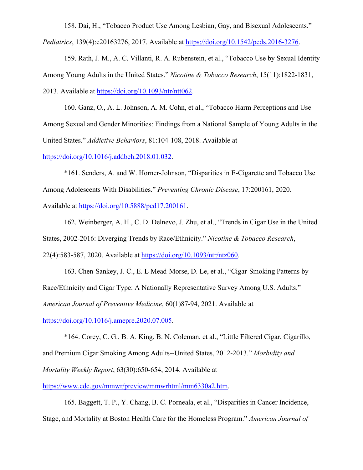158. Dai, H., "Tobacco Product Use Among Lesbian, Gay, and Bisexual Adolescents."

*Pediatrics*, 139(4):e20163276, 2017. Available at https://doi.org/10.1542/peds.2016-3276.

159. Rath, J. M., A. C. Villanti, R. A. Rubenstein, et al., "Tobacco Use by Sexual Identity Among Young Adults in the United States." *Nicotine & Tobacco Research*, 15(11):1822-1831, 2013. Available at https://doi.org/10.1093/ntr/ntt062.

160. Ganz, O., A. L. Johnson, A. M. Cohn, et al., "Tobacco Harm Perceptions and Use Among Sexual and Gender Minorities: Findings from a National Sample of Young Adults in the United States." *Addictive Behaviors*, 81:104-108, 2018. Available at

https://doi.org/10.1016/j.addbeh.2018.01.032.

\*161. Senders, A. and W. Horner-Johnson, "Disparities in E-Cigarette and Tobacco Use Among Adolescents With Disabilities." *Preventing Chronic Disease*, 17:200161, 2020. Available at https://doi.org/10.5888/pcd17.200161.

162. Weinberger, A. H., C. D. Delnevo, J. Zhu, et al., "Trends in Cigar Use in the United States, 2002-2016: Diverging Trends by Race/Ethnicity." *Nicotine & Tobacco Research*, 22(4):583-587, 2020. Available at https://doi.org/10.1093/ntr/ntz060.

163. Chen-Sankey, J. C., E. L Mead-Morse, D. Le, et al., "Cigar-Smoking Patterns by Race/Ethnicity and Cigar Type: A Nationally Representative Survey Among U.S. Adults." *American Journal of Preventive Medicine*, 60(1)87-94, 2021. Available at https://doi.org/10.1016/j.amepre.2020.07.005.

\*164. Corey, C. G., B. A. King, B. N. Coleman, et al., "Little Filtered Cigar, Cigarillo, and Premium Cigar Smoking Among Adults--United States, 2012-2013." *Morbidity and Mortality Weekly Report*, 63(30):650-654, 2014. Available at https://www.cdc.gov/mmwr/preview/mmwrhtml/mm6330a2.htm.

165. Baggett, T. P., Y. Chang, B. C. Porneala, et al., "Disparities in Cancer Incidence, Stage, and Mortality at Boston Health Care for the Homeless Program." *American Journal of*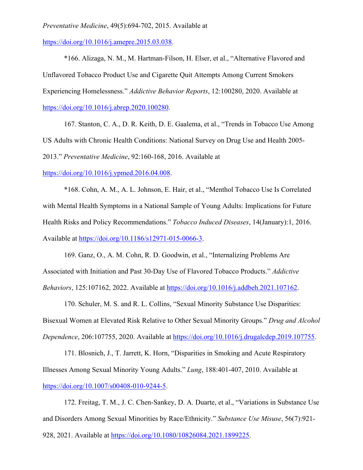## *Preventative Medicine*, 49(5):694-702, 2015. Available at

https://doi.org/10.1016/j.amepre.2015.03.038.

\*166. Alizaga, N. M., M. Hartman-Filson, H. Elser, et al., "Alternative Flavored and Unflavored Tobacco Product Use and Cigarette Quit Attempts Among Current Smokers Experiencing Homelessness." *Addictive Behavior Reports*, 12:100280, 2020. Available at https://doi.org/10.1016/j.abrep.2020.100280.

167. Stanton, C. A., D. R. Keith, D. E. Gaalema, et al., "Trends in Tobacco Use Among US Adults with Chronic Health Conditions: National Survey on Drug Use and Health 2005- 2013." *Preventative Medicine*, 92:160-168, 2016. Available at

## https://doi.org/10.1016/j.ypmed.2016.04.008.

\*168. Cohn, A. M., A. L. Johnson, E. Hair, et al., "Menthol Tobacco Use Is Correlated with Mental Health Symptoms in a National Sample of Young Adults: Implications for Future Health Risks and Policy Recommendations." *Tobacco Induced Diseases*, 14(January):1, 2016. Available at https://doi.org/10.1186/s12971-015-0066-3.

169. Ganz, O., A. M. Cohn, R. D. Goodwin, et al., "Internalizing Problems Are Associated with Initiation and Past 30-Day Use of Flavored Tobacco Products." *Addictive Behaviors*, 125:107162, 2022. Available at https://doi.org/10.1016/j.addbeh.2021.107162.

170. Schuler, M. S. and R. L. Collins, "Sexual Minority Substance Use Disparities: Bisexual Women at Elevated Risk Relative to Other Sexual Minority Groups." *Drug and Alcohol Dependence*, 206:107755, 2020. Available at https://doi.org/10.1016/j.drugalcdep.2019.107755.

171. Blosnich, J., T. Jarrett, K. Horn, "Disparities in Smoking and Acute Respiratory Illnesses Among Sexual Minority Young Adults." *Lung*, 188:401-407, 2010. Available at https://doi.org/10.1007/s00408-010-9244-5.

172. Freitag, T. M., J. C. Chen-Sankey, D. A. Duarte, et al., "Variations in Substance Use and Disorders Among Sexual Minorities by Race/Ethnicity." *Substance Use Misuse*, 56(7):921- 928, 2021. Available at https://doi.org/10.1080/10826084.2021.1899225.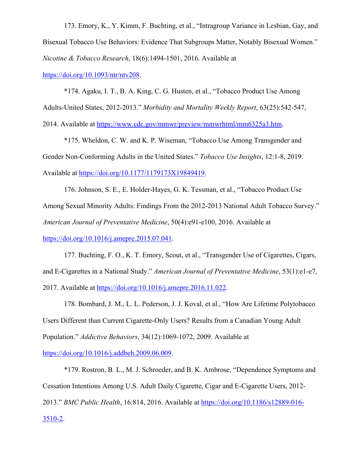173. Emory, K., Y. Kimm, F. Buchting, et al., "Intragroup Variance in Lesbian, Gay, and Bisexual Tobacco Use Behaviors: Evidence That Subgroups Matter, Notably Bisexual Women." *Nicotine & Tobacco Research*, 18(6):1494-1501, 2016. Available at

https://doi.org/10.1093/ntr/ntv208.

\*174. Agaku, I. T., B. A. King, C. G. Husten, et al., "Tobacco Product Use Among Adults-United States, 2012-2013." *Morbidity and Mortality Weekly Report*, 63(25):542-547, 2014. Available at https://www.cdc.gov/mmwr/preview/mmwrhtml/mm6325a3.htm.

\*175. Wheldon, C. W. and K. P. Wiseman, "Tobacco Use Among Transgender and Gender Non-Conforming Adults in the United States." *Tobacco Use Insights*, 12:1-8, 2019. Available at https://doi.org/10.1177/1179173X19849419.

176. Johnson, S. E., E. Holder-Hayes, G. K. Tessman, et al., "Tobacco Product Use Among Sexual Minority Adults: Findings From the 2012-2013 National Adult Tobacco Survey." *American Journal of Preventative Medicine*, 50(4):e91-e100, 2016. Available at https://doi.org/10.1016/j.amepre.2015.07.041.

177. Buchting, F. O., K. T. Emory, Scout, et al., "Transgender Use of Cigarettes, Cigars, and E-Cigarettes in a National Study." *American Journal of Preventative Medicine*, 53(1):e1-e7, 2017. Available at https://doi.org/10.1016/j.amepre.2016.11.022.

178. Bombard, J. M., L. L. Pederson, J. J. Koval, et al., "How Are Lifetime Polytobacco Users Different than Current Cigarette-Only Users? Results from a Canadian Young Adult Population." *Addictive Behaviors*, 34(12):1069-1072, 2009. Available at

https://doi.org/10.1016/j.addbeh.2009.06.009.

\*179. Rostron, B. L., M. J. Schroeder, and B. K. Ambrose, "Dependence Symptoms and Cessation Intentions Among U.S. Adult Daily Cigarette, Cigar and E-Cigarette Users, 2012- 2013." *BMC Public Health*, 16:814, 2016. Available at https://doi.org/10.1186/s12889-016- 3510-2.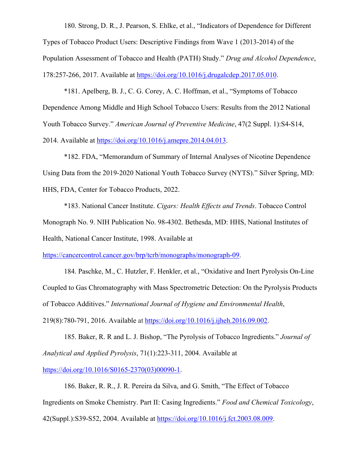180. Strong, D. R., J. Pearson, S. Ehlke, et al., "Indicators of Dependence for Different

Types of Tobacco Product Users: Descriptive Findings from Wave 1 (2013-2014) of the Population Assessment of Tobacco and Health (PATH) Study." *Drug and Alcohol Dependence*, 178:257-266, 2017. Available at https://doi.org/10.1016/j.drugalcdep.2017.05.010.

\*181. Apelberg, B. J., C. G. Corey, A. C. Hoffman, et al., "Symptoms of Tobacco Dependence Among Middle and High School Tobacco Users: Results from the 2012 National Youth Tobacco Survey." *American Journal of Preventive Medicine*, 47(2 Suppl. 1):S4-S14, 2014. Available at https://doi.org/10.1016/j.amepre.2014.04.013.

\*182. FDA, "Memorandum of Summary of Internal Analyses of Nicotine Dependence Using Data from the 2019-2020 National Youth Tobacco Survey (NYTS)." Silver Spring, MD: HHS, FDA, Center for Tobacco Products, 2022.

\*183. National Cancer Institute. *Cigars: Health Effects and Trends*. Tobacco Control Monograph No. 9. NIH Publication No. 98-4302. Bethesda, MD: HHS, National Institutes of Health, National Cancer Institute, 1998. Available at

https://cancercontrol.cancer.gov/brp/tcrb/monographs/monograph-09.

184. Paschke, M., C. Hutzler, F. Henkler, et al., "Oxidative and Inert Pyrolysis On-Line Coupled to Gas Chromatography with Mass Spectrometric Detection: On the Pyrolysis Products of Tobacco Additives." *International Journal of Hygiene and Environmental Health*, 219(8):780-791, 2016. Available at https://doi.org/10.1016/j.ijheh.2016.09.002.

185. Baker, R. R and L. J. Bishop, "The Pyrolysis of Tobacco Ingredients." *Journal of Analytical and Applied Pyrolysis*, 71(1):223-311, 2004. Available at https://doi.org/10.1016/S0165-2370(03)00090-1.

186. Baker, R. R., J. R. Pereira da Silva, and G. Smith, "The Effect of Tobacco Ingredients on Smoke Chemistry. Part II: Casing Ingredients." *Food and Chemical Toxicology*, 42(Suppl.):S39-S52, 2004. Available at https://doi.org/10.1016/j.fct.2003.08.009.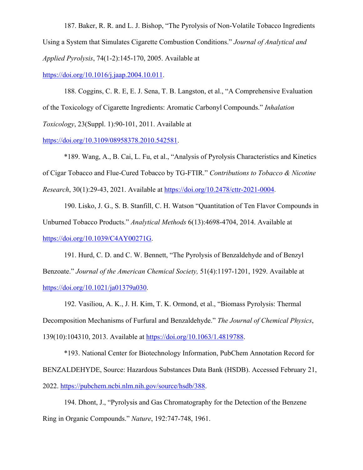187. Baker, R. R. and L. J. Bishop, "The Pyrolysis of Non-Volatile Tobacco Ingredients Using a System that Simulates Cigarette Combustion Conditions." *Journal of Analytical and Applied Pyrolysis*, 74(1-2):145-170, 2005. Available at

https://doi.org/10.1016/j.jaap.2004.10.011.

188. Coggins, C. R. E, E. J. Sena, T. B. Langston, et al., "A Comprehensive Evaluation of the Toxicology of Cigarette Ingredients: Aromatic Carbonyl Compounds." *Inhalation Toxicology*, 23(Suppl. 1):90-101, 2011. Available at

https://doi.org/10.3109/08958378.2010.542581.

\*189. Wang, A., B. Cai, L. Fu, et al., "Analysis of Pyrolysis Characteristics and Kinetics of Cigar Tobacco and Flue-Cured Tobacco by TG-FTIR." *Contributions to Tobacco & Nicotine Research*, 30(1):29-43, 2021. Available at https://doi.org/10.2478/cttr-2021-0004.

190. Lisko, J. G., S. B. Stanfill, C. H. Watson "Quantitation of Ten Flavor Compounds in Unburned Tobacco Products." *Analytical Methods* 6(13):4698-4704, 2014. Available at https://doi.org/10.1039/C4AY00271G.

191. Hurd, C. D. and C. W. Bennett, "The Pyrolysis of Benzaldehyde and of Benzyl Benzoate." *Journal of the American Chemical Society,* 51(4):1197-1201, 1929. Available at https://doi.org/10.1021/ja01379a030.

192. Vasiliou, A. K., J. H. Kim, T. K. Ormond, et al., "Biomass Pyrolysis: Thermal Decomposition Mechanisms of Furfural and Benzaldehyde." *The Journal of Chemical Physics*, 139(10):104310, 2013. Available at https://doi.org/10.1063/1.4819788.

\*193. National Center for Biotechnology Information, PubChem Annotation Record for BENZALDEHYDE, Source: Hazardous Substances Data Bank (HSDB). Accessed February 21, 2022. https://pubchem.ncbi.nlm.nih.gov/source/hsdb/388.

194. Dhont, J., "Pyrolysis and Gas Chromatography for the Detection of the Benzene Ring in Organic Compounds." *Nature*, 192:747-748, 1961.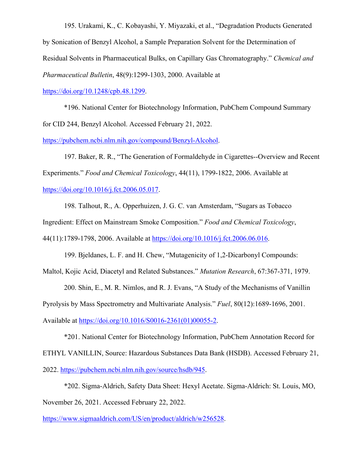195. Urakami, K., C. Kobayashi, Y. Miyazaki, et al., "Degradation Products Generated by Sonication of Benzyl Alcohol, a Sample Preparation Solvent for the Determination of Residual Solvents in Pharmaceutical Bulks, on Capillary Gas Chromatography." *Chemical and Pharmaceutical Bulletin*, 48(9):1299-1303, 2000. Available at

https://doi.org/10.1248/cpb.48.1299.

\*196. National Center for Biotechnology Information, PubChem Compound Summary for CID 244, Benzyl Alcohol. Accessed February 21, 2022.

https://pubchem.ncbi.nlm.nih.gov/compound/Benzyl-Alcohol.

197. Baker, R. R., "The Generation of Formaldehyde in Cigarettes--Overview and Recent Experiments." *Food and Chemical Toxicology*, 44(11), 1799-1822, 2006. Available at https://doi.org/10.1016/j.fct.2006.05.017.

198. Talhout, R., A. Opperhuizen, J. G. C. van Amsterdam, "Sugars as Tobacco

Ingredient: Effect on Mainstream Smoke Composition." *Food and Chemical Toxicology*,

44(11):1789-1798, 2006. Available at https://doi.org/10.1016/j.fct.2006.06.016.

199. Bjeldanes, L. F. and H. Chew, "Mutagenicity of 1,2-Dicarbonyl Compounds:

Maltol, Kojic Acid, Diacetyl and Related Substances." *Mutation Research*, 67:367-371, 1979.

200. Shin, E., M. R. Nimlos, and R. J. Evans, "A Study of the Mechanisms of Vanillin

Pyrolysis by Mass Spectrometry and Multivariate Analysis." *Fuel*, 80(12):1689-1696, 2001.

Available at https://doi.org/10.1016/S0016-2361(01)00055-2.

\*201. National Center for Biotechnology Information, PubChem Annotation Record for ETHYL VANILLIN, Source: Hazardous Substances Data Bank (HSDB). Accessed February 21, 2022. https://pubchem.ncbi.nlm.nih.gov/source/hsdb/945.

\*202. Sigma-Aldrich, Safety Data Sheet: Hexyl Acetate. Sigma-Aldrich: St. Louis, MO, November 26, 2021. Accessed February 22, 2022.

https://www.sigmaaldrich.com/US/en/product/aldrich/w256528.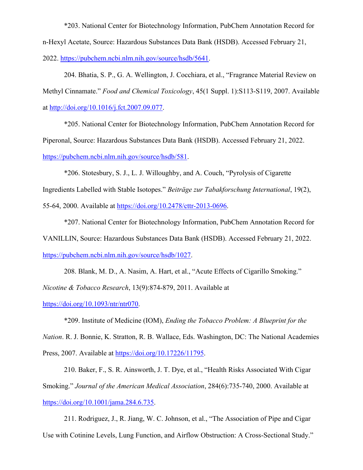\*203. National Center for Biotechnology Information, PubChem Annotation Record for n-Hexyl Acetate, Source: Hazardous Substances Data Bank (HSDB). Accessed February 21, 2022. https://pubchem.ncbi.nlm.nih.gov/source/hsdb/5641.

204. Bhatia, S. P., G. A. Wellington, J. Cocchiara, et al., "Fragrance Material Review on Methyl Cinnamate." *Food and Chemical Toxicology*, 45(1 Suppl. 1):S113-S119, 2007. Available at http://doi.org/10.1016/j.fct.2007.09.077.

\*205. National Center for Biotechnology Information, PubChem Annotation Record for Piperonal, Source: Hazardous Substances Data Bank (HSDB). Accessed February 21, 2022. https://pubchem.ncbi.nlm.nih.gov/source/hsdb/581.

\*206. Stotesbury, S. J., L. J. Willoughby, and A. Couch, "Pyrolysis of Cigarette

Ingredients Labelled with Stable Isotopes." *Beiträge zur Tabakforschung International*, 19(2),

55-64, 2000. Available at https://doi.org/10.2478/cttr-2013-0696.

\*207. National Center for Biotechnology Information, PubChem Annotation Record for VANILLIN, Source: Hazardous Substances Data Bank (HSDB). Accessed February 21, 2022. https://pubchem.ncbi.nlm.nih.gov/source/hsdb/1027.

208. Blank, M. D., A. Nasim, A. Hart, et al., "Acute Effects of Cigarillo Smoking."

*Nicotine & Tobacco Research*, 13(9):874-879, 2011. Available at

https://doi.org/10.1093/ntr/ntr070.

\*209. Institute of Medicine (IOM), *Ending the Tobacco Problem: A Blueprint for the* 

*Nation*. R. J. Bonnie, K. Stratton, R. B. Wallace, Eds. Washington, DC: The National Academies Press, 2007. Available at https://doi.org/10.17226/11795.

210. Baker, F., S. R. Ainsworth, J. T. Dye, et al., "Health Risks Associated With Cigar Smoking." *Journal of the American Medical Association*, 284(6):735-740, 2000. Available at https://doi.org/10.1001/jama.284.6.735.

211. Rodriguez, J., R. Jiang, W. C. Johnson, et al., "The Association of Pipe and Cigar Use with Cotinine Levels, Lung Function, and Airflow Obstruction: A Cross-Sectional Study."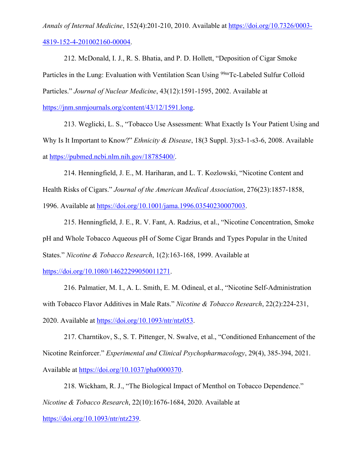*Annals of Internal Medicine*, 152(4):201-210, 2010. Available at https://doi.org/10.7326/0003- 4819-152-4-201002160-00004.

212. McDonald, I. J., R. S. Bhatia, and P. D. Hollett, "Deposition of Cigar Smoke Particles in the Lung: Evaluation with Ventilation Scan Using <sup>99m</sup>Tc-Labeled Sulfur Colloid Particles." *Journal of Nuclear Medicine*, 43(12):1591-1595, 2002. Available at

https://jnm.snmjournals.org/content/43/12/1591.long.

213. Weglicki, L. S., "Tobacco Use Assessment: What Exactly Is Your Patient Using and Why Is It Important to Know?" *Ethnicity & Disease*, 18(3 Suppl. 3):s3-1-s3-6, 2008. Available at https://pubmed.ncbi.nlm.nih.gov/18785400/.

214. Henningfield, J. E., M. Hariharan, and L. T. Kozlowski, "Nicotine Content and Health Risks of Cigars." *Journal of the American Medical Association*, 276(23):1857-1858, 1996. Available at https://doi.org/10.1001/jama.1996.03540230007003.

215. Henningfield, J. E., R. V. Fant, A. Radzius, et al., "Nicotine Concentration, Smoke pH and Whole Tobacco Aqueous pH of Some Cigar Brands and Types Popular in the United States." *Nicotine & Tobacco Research*, 1(2):163-168, 1999. Available at

https://doi.org/10.1080/14622299050011271.

216. Palmatier, M. I., A. L. Smith, E. M. Odineal, et al., "Nicotine Self-Administration with Tobacco Flavor Additives in Male Rats." *Nicotine & Tobacco Research*, 22(2):224-231, 2020. Available at https://doi.org/10.1093/ntr/ntz053.

217. Charntikov, S., S. T. Pittenger, N. Swalve, et al., "Conditioned Enhancement of the Nicotine Reinforcer." *Experimental and Clinical Psychopharmacology*, 29(4), 385-394, 2021. Available at https://doi.org/10.1037/pha0000370.

218. Wickham, R. J., "The Biological Impact of Menthol on Tobacco Dependence." *Nicotine & Tobacco Research*, 22(10):1676-1684, 2020. Available at

https://doi.org/10.1093/ntr/ntz239.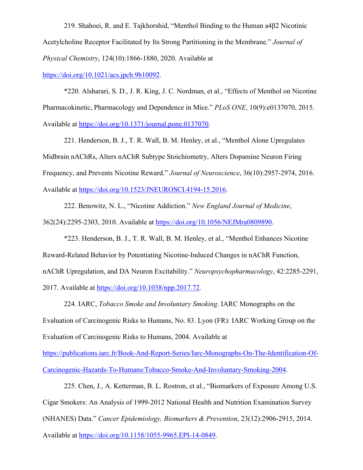219. Shahoei, R. and E. Tajkhorshid, "Menthol Binding to the Human a4β2 Nicotinic Acetylcholine Receptor Facilitated by Its Strong Partitioning in the Membrane." *Journal of Physical Chemistry*, 124(10):1866-1880, 2020. Available at

https://doi.org/10.1021/acs.jpcb.9b10092.

\*220. Alsharari, S. D., J. R. King, J. C. Nordman, et al., "Effects of Menthol on Nicotine Pharmacokinetic, Pharmacology and Dependence in Mice." *PLoS ONE*, 10(9):e0137070, 2015. Available at https://doi.org/10.1371/journal.pone.0137070.

221. Henderson, B. J., T. R. Wall, B. M. Henley, et al., "Menthol Alone Upregulates Midbrain nAChRs, Alters nAChR Subtype Stoichiometry, Alters Dopamine Neuron Firing Frequency, and Prevents Nicotine Reward." *Journal of Neuroscience*, 36(10):2957-2974, 2016. Available at https://doi.org/10.1523/JNEUROSCI.4194-15.2016.

222. Benowitz, N. L., "Nicotine Addiction." *New England Journal of Medicine*, 362(24):2295-2303, 2010. Available at https://doi.org/10.1056/NEJMra0809890.

\*223. Henderson, B. J., T. R. Wall, B. M. Henley, et al., "Menthol Enhances Nicotine Reward-Related Behavior by Potentiating Nicotine-Induced Changes in nAChR Function, nAChR Upregulation, and DA Neuron Excitability." *Neuropsychopharmacology*, 42:2285-2291, 2017. Available at https://doi.org/10.1038/npp.2017.72.

224. IARC, *Tobacco Smoke and Involuntary Smoking*. IARC Monographs on the Evaluation of Carcinogenic Risks to Humans, No. 83. Lyon (FR): IARC Working Group on the Evaluation of Carcinogenic Risks to Humans, 2004. Available at

https://publications.iarc.fr/Book-And-Report-Series/Iarc-Monographs-On-The-Identification-Of-Carcinogenic-Hazards-To-Humans/Tobacco-Smoke-And-Involuntary-Smoking-2004.

225. Chen, J., A. Ketterman, B. L. Rostron, et al., "Biomarkers of Exposure Among U.S. Cigar Smokers: An Analysis of 1999-2012 National Health and Nutrition Examination Survey (NHANES) Data." *Cancer Epidemiology, Biomarkers & Prevention*, 23(12):2906-2915, 2014. Available at https://doi.org/10.1158/1055-9965.EPI-14-0849.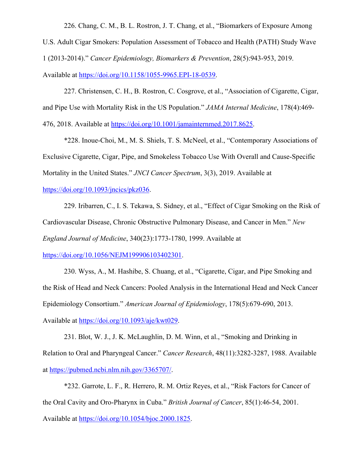226. Chang, C. M., B. L. Rostron, J. T. Chang, et al., "Biomarkers of Exposure Among U.S. Adult Cigar Smokers: Population Assessment of Tobacco and Health (PATH) Study Wave 1 (2013-2014)." *Cancer Epidemiology, Biomarkers & Prevention*, 28(5):943-953, 2019. Available at https://doi.org/10.1158/1055-9965.EPI-18-0539.

227. Christensen, C. H., B. Rostron, C. Cosgrove, et al., "Association of Cigarette, Cigar, and Pipe Use with Mortality Risk in the US Population." *JAMA Internal Medicine*, 178(4):469- 476, 2018. Available at https://doi.org/10.1001/jamainternmed.2017.8625.

\*228. Inoue-Choi, M., M. S. Shiels, T. S. McNeel, et al., "Contemporary Associations of Exclusive Cigarette, Cigar, Pipe, and Smokeless Tobacco Use With Overall and Cause-Specific Mortality in the United States." *JNCI Cancer Spectrum*, 3(3), 2019. Available at

https://doi.org/10.1093/jncics/pkz036.

229. Iribarren, C., I. S. Tekawa, S. Sidney, et al., "Effect of Cigar Smoking on the Risk of Cardiovascular Disease, Chronic Obstructive Pulmonary Disease, and Cancer in Men." *New England Journal of Medicine*, 340(23):1773-1780, 1999. Available at

https://doi.org/10.1056/NEJM199906103402301.

230. Wyss, A., M. Hashibe, S. Chuang, et al., "Cigarette, Cigar, and Pipe Smoking and the Risk of Head and Neck Cancers: Pooled Analysis in the International Head and Neck Cancer Epidemiology Consortium." *American Journal of Epidemiology*, 178(5):679-690, 2013.

Available at https://doi.org/10.1093/aje/kwt029.

231. Blot, W. J., J. K. McLaughlin, D. M. Winn, et al., "Smoking and Drinking in Relation to Oral and Pharyngeal Cancer." *Cancer Research*, 48(11):3282-3287, 1988. Available at https://pubmed.ncbi.nlm.nih.gov/3365707/.

\*232. Garrote, L. F., R. Herrero, R. M. Ortiz Reyes, et al., "Risk Factors for Cancer of the Oral Cavity and Oro-Pharynx in Cuba." *British Journal of Cancer*, 85(1):46-54, 2001. Available at https://doi.org/10.1054/bjoc.2000.1825.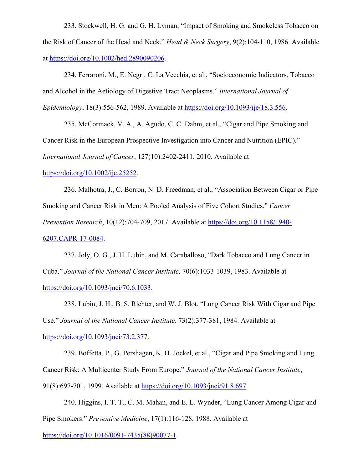233. Stockwell, H. G. and G. H. Lyman, "Impact of Smoking and Smokeless Tobacco on the Risk of Cancer of the Head and Neck." *Head & Neck Surgery*, 9(2):104-110, 1986. Available at https://doi.org/10.1002/hed.2890090206.

234. Ferraroni, M., E. Negri, C. La Vecchia, et al., "Socioeconomic Indicators, Tobacco and Alcohol in the Aetiology of Digestive Tract Neoplasms." *International Journal of Epidemiology*, 18(3):556-562, 1989. Available at https://doi.org/10.1093/ije/18.3.556.

235. McCormack, V. A., A. Agudo, C. C. Dahm, et al., "Cigar and Pipe Smoking and Cancer Risk in the European Prospective Investigation into Cancer and Nutrition (EPIC)." *International Journal of Cancer*, 127(10):2402-2411, 2010. Available at

## https://doi.org/10.1002/ijc.25252.

236. Malhotra, J., C. Borron, N. D. Freedman, et al., "Association Between Cigar or Pipe Smoking and Cancer Risk in Men: A Pooled Analysis of Five Cohort Studies." *Cancer Prevention Research*, 10(12):704-709, 2017. Available at https://doi.org/10.1158/1940- 6207.CAPR-17-0084.

237. Joly, O. G., J. H. Lubin, and M. Caraballoso, "Dark Tobacco and Lung Cancer in Cuba." *Journal of the National Cancer Institute,* 70(6):1033-1039, 1983. Available at https://doi.org/10.1093/jnci/70.6.1033.

238. Lubin, J. H., B. S. Richter, and W. J. Blot, "Lung Cancer Risk With Cigar and Pipe Use." *Journal of the National Cancer Institute,* 73(2):377-381, 1984. Available at https://doi.org/10.1093/jnci/73.2.377.

239. Boffetta, P., G. Pershagen, K. H. Jockel, et al., "Cigar and Pipe Smoking and Lung Cancer Risk: A Multicenter Study From Europe." *Journal of the National Cancer Institute*, 91(8):697-701, 1999. Available at https://doi.org/10.1093/jnci/91.8.697.

240. Higgins, I. T. T., C. M. Mahan, and E. L. Wynder, "Lung Cancer Among Cigar and Pipe Smokers." *Preventive Medicine*, 17(1):116-128, 1988. Available at https://doi.org/10.1016/0091-7435(88)90077-1.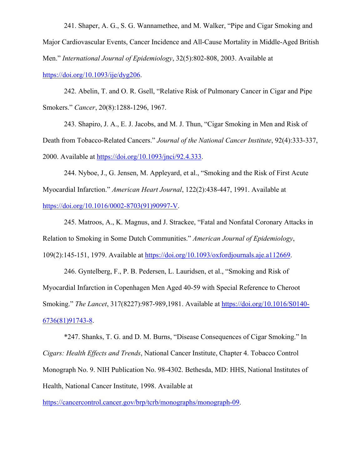241. Shaper, A. G., S. G. Wannamethee, and M. Walker, "Pipe and Cigar Smoking and Major Cardiovascular Events, Cancer Incidence and All-Cause Mortality in Middle-Aged British Men." *International Journal of Epidemiology*, 32(5):802-808, 2003. Available at https://doi.org/10.1093/ije/dyg206.

242. Abelin, T. and O. R. Gsell, "Relative Risk of Pulmonary Cancer in Cigar and Pipe Smokers." *Cancer*, 20(8):1288-1296, 1967.

243. Shapiro, J. A., E. J. Jacobs, and M. J. Thun, "Cigar Smoking in Men and Risk of Death from Tobacco-Related Cancers." *Journal of the National Cancer Institute*, 92(4):333-337, 2000. Available at https://doi.org/10.1093/jnci/92.4.333.

244. Nyboe, J., G. Jensen, M. Appleyard, et al., "Smoking and the Risk of First Acute Myocardial Infarction." *American Heart Journal*, 122(2):438-447, 1991. Available at https://doi.org/10.1016/0002-8703(91)90997-V.

245. Matroos, A., K. Magnus, and J. Strackee, "Fatal and Nonfatal Coronary Attacks in Relation to Smoking in Some Dutch Communities." *American Journal of Epidemiology*, 109(2):145-151, 1979. Available at https://doi.org/10.1093/oxfordjournals.aje.a112669.

246. Gyntelberg, F., P. B. Pedersen, L. Lauridsen, et al., "Smoking and Risk of Myocardial Infarction in Copenhagen Men Aged 40-59 with Special Reference to Cheroot Smoking." *The Lancet*, 317(8227):987-989,1981. Available at https://doi.org/10.1016/S0140- 6736(81)91743-8.

\*247. Shanks, T. G. and D. M. Burns, "Disease Consequences of Cigar Smoking." In *Cigars: Health Effects and Trends*, National Cancer Institute, Chapter 4. Tobacco Control Monograph No. 9. NIH Publication No. 98-4302. Bethesda, MD: HHS, National Institutes of Health, National Cancer Institute, 1998. Available at

https://cancercontrol.cancer.gov/brp/tcrb/monographs/monograph-09.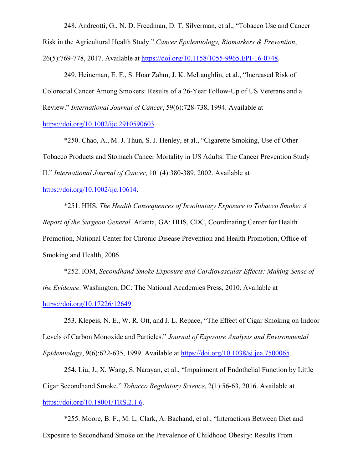248. Andreotti, G., N. D. Freedman, D. T. Silverman, et al., "Tobacco Use and Cancer Risk in the Agricultural Health Study." *Cancer Epidemiology, Biomarkers & Prevention*, 26(5):769-778, 2017. Available at https://doi.org/10.1158/1055-9965.EPI-16-0748.

249. Heineman, E. F., S. Hoar Zahm, J. K. McLaughlin, et al., "Increased Risk of Colorectal Cancer Among Smokers: Results of a 26-Year Follow-Up of US Veterans and a Review." *International Journal of Cancer*, 59(6):728-738, 1994. Available at https://doi.org/10.1002/ijc.2910590603.

\*250. Chao, A., M. J. Thun, S. J. Henley, et al., "Cigarette Smoking, Use of Other Tobacco Products and Stomach Cancer Mortality in US Adults: The Cancer Prevention Study II." *International Journal of Cancer*, 101(4):380-389, 2002. Available at

https://doi.org/10.1002/ijc.10614.

\*251. HHS, *The Health Consequences of Involuntary Exposure to Tobacco Smoke: A Report of the Surgeon General*. Atlanta, GA: HHS, CDC, Coordinating Center for Health Promotion, National Center for Chronic Disease Prevention and Health Promotion, Office of Smoking and Health, 2006.

\*252. IOM, *Secondhand Smoke Exposure and Cardiovascular Effects: Making Sense of the Evidence*. Washington, DC: The National Academies Press, 2010. Available at https://doi.org/10.17226/12649.

253. Klepeis, N. E., W. R. Ott, and J. L. Repace, "The Effect of Cigar Smoking on Indoor Levels of Carbon Monoxide and Particles." *Journal of Exposure Analysis and Environmental Epidemiology*, 9(6):622-635, 1999. Available at https://doi.org/10.1038/sj.jea.7500065.

254. Liu, J., X. Wang, S. Narayan, et al., "Impairment of Endothelial Function by Little Cigar Secondhand Smoke." *Tobacco Regulatory Science*, 2(1):56-63, 2016. Available at https://doi.org/10.18001/TRS.2.1.6.

\*255. Moore, B. F., M. L. Clark, A. Bachand, et al., "Interactions Between Diet and Exposure to Secondhand Smoke on the Prevalence of Childhood Obesity: Results From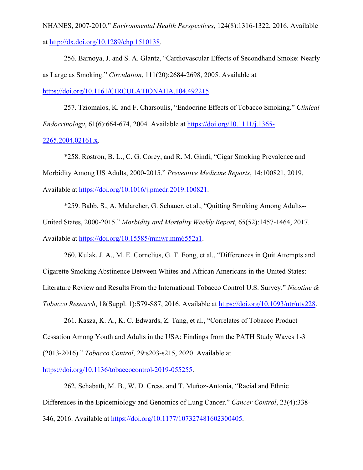NHANES, 2007-2010." *Environmental Health Perspectives*, 124(8):1316-1322, 2016. Available at http://dx.doi.org/10.1289/ehp.1510138.

256. Barnoya, J. and S. A. Glantz, "Cardiovascular Effects of Secondhand Smoke: Nearly as Large as Smoking." *Circulation*, 111(20):2684-2698, 2005. Available at https://doi.org/10.1161/CIRCULATIONAHA.104.492215.

257. Tziomalos, K. and F. Charsoulis, "Endocrine Effects of Tobacco Smoking." *Clinical Endocrinology*, 61(6):664-674, 2004. Available at https://doi.org/10.1111/j.1365- 2265.2004.02161.x.

\*258. Rostron, B. L., C. G. Corey, and R. M. Gindi, "Cigar Smoking Prevalence and Morbidity Among US Adults, 2000-2015." *Preventive Medicine Reports*, 14:100821, 2019. Available at https://doi.org/10.1016/j.pmedr.2019.100821.

\*259. Babb, S., A. Malarcher, G. Schauer, et al., "Quitting Smoking Among Adults-- United States, 2000-2015." *Morbidity and Mortality Weekly Report*, 65(52):1457-1464, 2017. Available at https://doi.org/10.15585/mmwr.mm6552a1.

260. Kulak, J. A., M. E. Cornelius, G. T. Fong, et al., "Differences in Quit Attempts and Cigarette Smoking Abstinence Between Whites and African Americans in the United States: Literature Review and Results From the International Tobacco Control U.S. Survey." *Nicotine & Tobacco Research*, 18(Suppl. 1):S79-S87, 2016. Available at https://doi.org/10.1093/ntr/ntv228.

261. Kasza, K. A., K. C. Edwards, Z. Tang, et al., "Correlates of Tobacco Product Cessation Among Youth and Adults in the USA: Findings from the PATH Study Waves 1-3 (2013-2016)." *Tobacco Control*, 29:s203-s215, 2020. Available at

https://doi.org/10.1136/tobaccocontrol-2019-055255.

262. Schabath, M. B., W. D. Cress, and T. Muñoz-Antonia, "Racial and Ethnic Differences in the Epidemiology and Genomics of Lung Cancer." *Cancer Control*, 23(4):338- 346, 2016. Available at https://doi.org/10.1177/107327481602300405.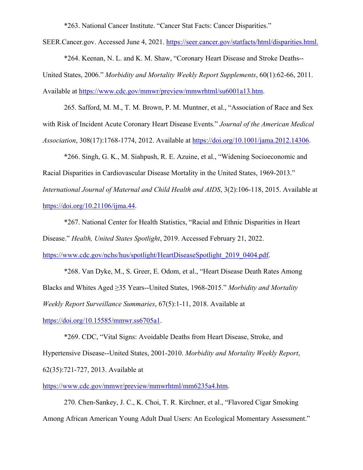\*263. National Cancer Institute. "Cancer Stat Facts: Cancer Disparities."

SEER.Cancer.gov. Accessed June 4, 2021. https://seer.cancer.gov/statfacts/html/disparities.html.

\*264. Keenan, N. L. and K. M. Shaw, "Coronary Heart Disease and Stroke Deaths-- United States, 2006." *Morbidity and Mortality Weekly Report Supplements*, 60(1):62-66, 2011. Available at https://www.cdc.gov/mmwr/preview/mmwrhtml/su6001a13.htm.

265. Safford, M. M., T. M. Brown, P. M. Muntner, et al., "Association of Race and Sex with Risk of Incident Acute Coronary Heart Disease Events." *Journal of the American Medical Association*, 308(17):1768-1774, 2012. Available at https://doi.org/10.1001/jama.2012.14306.

\*266. Singh, G. K., M. Siahpush, R. E. Azuine, et al., "Widening Socioeconomic and Racial Disparities in Cardiovascular Disease Mortality in the United States, 1969-2013." *International Journal of Maternal and Child Health and AIDS*, 3(2):106-118, 2015. Available at https://doi.org/10.21106/ijma.44.

\*267. National Center for Health Statistics, "Racial and Ethnic Disparities in Heart Disease." *Health, United States Spotlight*, 2019. Accessed February 21, 2022.

https://www.cdc.gov/nchs/hus/spotlight/HeartDiseaseSpotlight\_2019\_0404.pdf.

\*268. Van Dyke, M., S. Greer, E. Odom, et al., "Heart Disease Death Rates Among Blacks and Whites Aged ≥35 Years--United States, 1968-2015." *Morbidity and Mortality Weekly Report Surveillance Summaries*, 67(5):1-11, 2018. Available at https://doi.org/10.15585/mmwr.ss6705a1.

\*269. CDC, "Vital Signs: Avoidable Deaths from Heart Disease, Stroke, and Hypertensive Disease--United States, 2001-2010. *Morbidity and Mortality Weekly Report*, 62(35):721-727, 2013. Available at

https://www.cdc.gov/mmwr/preview/mmwrhtml/mm6235a4.htm.

270. Chen-Sankey, J. C., K. Choi, T. R. Kirchner, et al., "Flavored Cigar Smoking Among African American Young Adult Dual Users: An Ecological Momentary Assessment."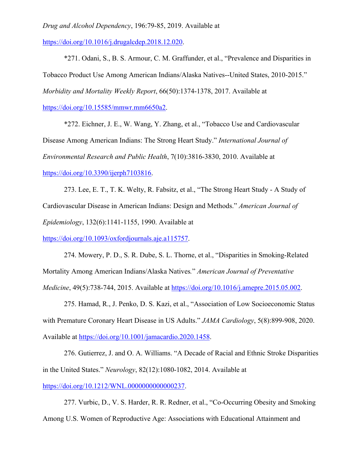*Drug and Alcohol Dependency*, 196:79-85, 2019. Available at

https://doi.org/10.1016/j.drugalcdep.2018.12.020.

\*271. Odani, S., B. S. Armour, C. M. Graffunder, et al., "Prevalence and Disparities in Tobacco Product Use Among American Indians/Alaska Natives--United States, 2010-2015." *Morbidity and Mortality Weekly Report*, 66(50):1374-1378, 2017. Available at

https://doi.org/10.15585/mmwr.mm6650a2.

\*272. Eichner, J. E., W. Wang, Y. Zhang, et al., "Tobacco Use and Cardiovascular Disease Among American Indians: The Strong Heart Study." *International Journal of Environmental Research and Public Health*, 7(10):3816-3830, 2010. Available at https://doi.org/10.3390/ijerph7103816.

273. Lee, E. T., T. K. Welty, R. Fabsitz, et al., "The Strong Heart Study - A Study of Cardiovascular Disease in American Indians: Design and Methods." *American Journal of Epidemiology*, 132(6):1141-1155, 1990. Available at

https://doi.org/10.1093/oxfordjournals.aje.a115757.

274. Mowery, P. D., S. R. Dube, S. L. Thorne, et al., "Disparities in Smoking-Related Mortality Among American Indians/Alaska Natives*.*" *American Journal of Preventative Medicine*, 49(5):738-744, 2015. Available at https://doi.org/10.1016/j.amepre.2015.05.002.

275. Hamad, R., J. Penko, D. S. Kazi, et al., "Association of Low Socioeconomic Status with Premature Coronary Heart Disease in US Adults." *JAMA Cardiology*, 5(8):899-908, 2020. Available at https://doi.org/10.1001/jamacardio.2020.1458.

276. Gutierrez, J. and O. A. Williams. "A Decade of Racial and Ethnic Stroke Disparities in the United States." *Neurology*, 82(12):1080-1082, 2014. Available at https://doi.org/10.1212/WNL.0000000000000237.

277. Vurbic, D., V. S. Harder, R. R. Redner, et al., "Co-Occurring Obesity and Smoking Among U.S. Women of Reproductive Age: Associations with Educational Attainment and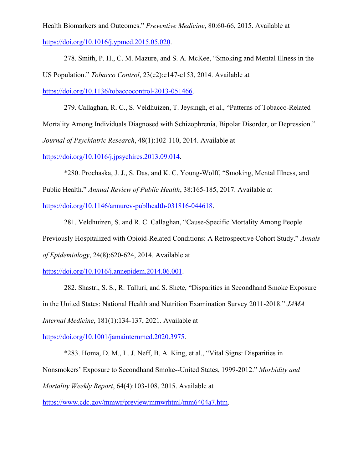Health Biomarkers and Outcomes." *Preventive Medicine*, 80:60-66, 2015. Available at https://doi.org/10.1016/j.ypmed.2015.05.020.

278. Smith, P. H., C. M. Mazure, and S. A. McKee, "Smoking and Mental Illness in the US Population." *Tobacco Control*, 23(e2):e147-e153, 2014. Available at https://doi.org/10.1136/tobaccocontrol-2013-051466.

279. Callaghan, R. C., S. Veldhuizen, T. Jeysingh, et al., "Patterns of Tobacco-Related Mortality Among Individuals Diagnosed with Schizophrenia, Bipolar Disorder, or Depression." *Journal of Psychiatric Research*, 48(1):102-110, 2014. Available at

https://doi.org/10.1016/j.jpsychires.2013.09.014.

\*280. Prochaska, J. J., S. Das, and K. C. Young-Wolff, "Smoking, Mental Illness, and Public Health." *Annual Review of Public Health*, 38:165-185, 2017. Available at https://doi.org/10.1146/annurev-publhealth-031816-044618.

281. Veldhuizen, S. and R. C. Callaghan, "Cause-Specific Mortality Among People Previously Hospitalized with Opioid-Related Conditions: A Retrospective Cohort Study." *Annals of Epidemiology*, 24(8):620-624, 2014. Available at

https://doi.org/10.1016/j.annepidem.2014.06.001.

282. Shastri, S. S., R. Talluri, and S. Shete, "Disparities in Secondhand Smoke Exposure in the United States: National Health and Nutrition Examination Survey 2011-2018." *JAMA Internal Medicine*, 181(1):134-137, 2021. Available at

https://doi.org/10.1001/jamainternmed.2020.3975.

\*283. Homa, D. M., L. J. Neff, B. A. King, et al., "Vital Signs: Disparities in Nonsmokers' Exposure to Secondhand Smoke--United States, 1999-2012." *Morbidity and Mortality Weekly Report*, 64(4):103-108, 2015. Available at

https://www.cdc.gov/mmwr/preview/mmwrhtml/mm6404a7.htm.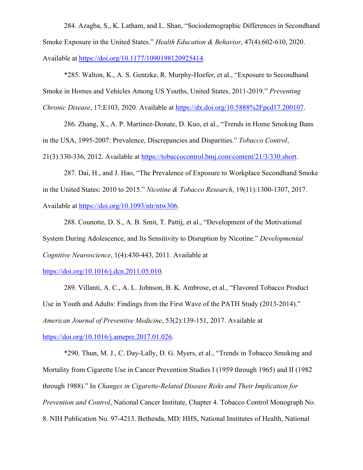284. Azagba, S., K. Latham, and L. Shan, "Sociodemographic Differences in Secondhand Smoke Exposure in the United States." *Health Education & Behavior*, 47(4):602-610, 2020. Available at https://doi.org/10.1177/1090198120925414.

\*285. Walton, K., A. S. Gentzke, R. Murphy-Hoefer, et al., "Exposure to Secondhand Smoke in Homes and Vehicles Among US Youths, United States, 2011-2019." *Preventing Chronic Disease*, 17:E103, 2020. Available at https://dx.doi.org/10.5888%2Fpcd17.200107.

286. Zhang, X., A. P. Martinez-Donate, D. Kuo, et al., "Trends in Home Smoking Bans in the USA, 1995-2007: Prevalence, Discrepancies and Disparities." *Tobacco Control*, 21(3):330-336, 2012. Available at https://tobaccocontrol.bmj.com/content/21/3/330.short.

287. Dai, H., and J. Hao, "The Prevalence of Exposure to Workplace Secondhand Smoke in the United States: 2010 to 2015." *Nicotine & Tobacco Research*, 19(11):1300-1307, 2017. Available at https://doi.org/10.1093/ntr/ntw306.

288. Counotte, D. S., A. B. Smit, T. Pattij, et al., "Development of the Motivational System During Adolescence, and Its Sensitivity to Disruption by Nicotine." *Developmental Cognitive Neuroscience*, 1(4):430-443, 2011. Available at

https://doi.org/10.1016/j.dcn.2011.05.010.

289. Villanti, A. C., A. L. Johnson, B. K. Ambrose, et al., "Flavored Tobacco Product Use in Youth and Adults: Findings from the First Wave of the PATH Study (2013-2014)." *American Journal of Preventive Medicine*, 53(2):139-151, 2017. Available at https://doi.org/10.1016/j.amepre.2017.01.026.

\*290. Thun, M. J., C. Day-Lally, D. G. Myers, et al., "Trends in Tobacco Smoking and Mortality from Cigarette Use in Cancer Prevention Studies I (1959 through 1965) and II (1982 through 1988)." In *Changes in Cigarette-Related Disease Risks and Their Implication for Prevention and Control*, National Cancer Institute, Chapter 4. Tobacco Control Monograph No. 8. NIH Publication No. 97-4213. Bethesda, MD: HHS, National Institutes of Health, National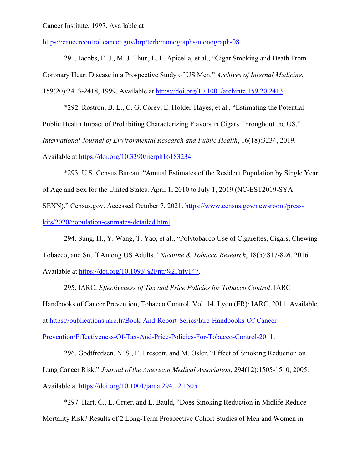## Cancer Institute, 1997. Available at

https://cancercontrol.cancer.gov/brp/tcrb/monographs/monograph-08.

291. Jacobs, E. J., M. J. Thun, L. F. Apicella, et al., "Cigar Smoking and Death From Coronary Heart Disease in a Prospective Study of US Men." *Archives of Internal Medicine*, 159(20):2413-2418, 1999. Available at https://doi.org/10.1001/archinte.159.20.2413.

\*292. Rostron, B. L., C. G. Corey, E. Holder-Hayes, et al., "Estimating the Potential Public Health Impact of Prohibiting Characterizing Flavors in Cigars Throughout the US." *International Journal of Environmental Research and Public Health*, 16(18):3234, 2019. Available at https://doi.org/10.3390/ijerph16183234.

\*293. U.S. Census Bureau. "Annual Estimates of the Resident Population by Single Year of Age and Sex for the United States: April 1, 2010 to July 1, 2019 (NC-EST2019-SYA SEXN)." Census.gov. Accessed October 7, 2021. https://www.census.gov/newsroom/presskits/2020/population-estimates-detailed.html.

294. Sung, H., Y. Wang, T. Yao, et al., "Polytobacco Use of Cigarettes, Cigars, Chewing Tobacco, and Snuff Among US Adults." *Nicotine & Tobacco Research*, 18(5):817-826, 2016. Available at https://doi.org/10.1093%2Fntr%2Fntv147.

295. IARC, *Effectiveness of Tax and Price Policies for Tobacco Control*. IARC Handbooks of Cancer Prevention, Tobacco Control, Vol. 14. Lyon (FR): IARC, 2011. Available at https://publications.iarc.fr/Book-And-Report-Series/Iarc-Handbooks-Of-Cancer-Prevention/Effectiveness-Of-Tax-And-Price-Policies-For-Tobacco-Control-2011.

296. Godtfredsen, N. S., E. Prescott, and M. Osler, "Effect of Smoking Reduction on Lung Cancer Risk." *Journal of the American Medical Association*, 294(12):1505-1510, 2005. Available at https://doi.org/10.1001/jama.294.12.1505.

\*297. Hart, C., L. Gruer, and L. Bauld, "Does Smoking Reduction in Midlife Reduce Mortality Risk? Results of 2 Long-Term Prospective Cohort Studies of Men and Women in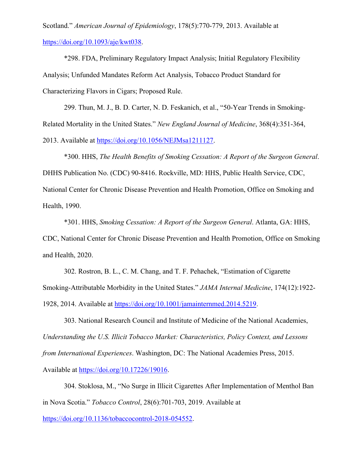Scotland." *American Journal of Epidemiology*, 178(5):770-779, 2013. Available at https://doi.org/10.1093/aje/kwt038.

\*298. FDA, Preliminary Regulatory Impact Analysis; Initial Regulatory Flexibility Analysis; Unfunded Mandates Reform Act Analysis, Tobacco Product Standard for Characterizing Flavors in Cigars; Proposed Rule.

299. Thun, M. J., B. D. Carter, N. D. Feskanich, et al., "50-Year Trends in Smoking-Related Mortality in the United States." *New England Journal of Medicine*, 368(4):351-364, 2013. Available at https://doi.org/10.1056/NEJMsa1211127.

\*300. HHS, *The Health Benefits of Smoking Cessation: A Report of the Surgeon General*. DHHS Publication No. (CDC) 90-8416. Rockville, MD: HHS, Public Health Service, CDC, National Center for Chronic Disease Prevention and Health Promotion, Office on Smoking and Health, 1990.

\*301. HHS, *Smoking Cessation: A Report of the Surgeon General*. Atlanta, GA: HHS, CDC, National Center for Chronic Disease Prevention and Health Promotion, Office on Smoking and Health, 2020.

302. Rostron, B. L., C. M. Chang, and T. F. Pehachek, "Estimation of Cigarette Smoking-Attributable Morbidity in the United States." *JAMA Internal Medicine*, 174(12):1922- 1928, 2014. Available at https://doi.org/10.1001/jamainternmed.2014.5219.

303. National Research Council and Institute of Medicine of the National Academies, *Understanding the U.S. Illicit Tobacco Market: Characteristics, Policy Context, and Lessons from International Experiences*. Washington, DC: The National Academies Press, 2015. Available at https://doi.org/10.17226/19016.

304. Stoklosa, M., "No Surge in Illicit Cigarettes After Implementation of Menthol Ban in Nova Scotia." *Tobacco Control*, 28(6):701-703, 2019. Available at

https://doi.org/10.1136/tobaccocontrol-2018-054552.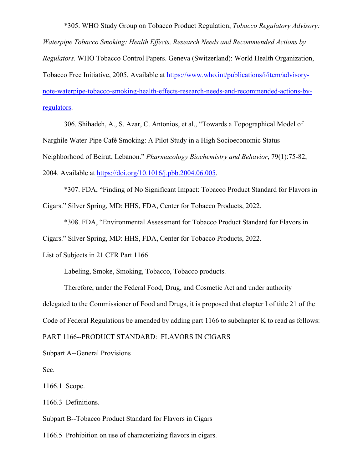\*305. WHO Study Group on Tobacco Product Regulation, *Tobacco Regulatory Advisory: Waterpipe Tobacco Smoking: Health Effects, Research Needs and Recommended Actions by Regulators*. WHO Tobacco Control Papers. Geneva (Switzerland): World Health Organization, Tobacco Free Initiative, 2005. Available at https://www.who.int/publications/i/item/advisorynote-waterpipe-tobacco-smoking-health-effects-research-needs-and-recommended-actions-byregulators.

306. Shihadeh, A., S. Azar, C. Antonios, et al., "Towards a Topographical Model of Narghile Water-Pipe Café Smoking: A Pilot Study in a High Socioeconomic Status Neighborhood of Beirut, Lebanon." *Pharmacology Biochemistry and Behavior*, 79(1):75-82, 2004. Available at https://doi.org/10.1016/j.pbb.2004.06.005.

\*307. FDA, "Finding of No Significant Impact: Tobacco Product Standard for Flavors in Cigars." Silver Spring, MD: HHS, FDA, Center for Tobacco Products, 2022.

\*308. FDA, "Environmental Assessment for Tobacco Product Standard for Flavors in Cigars." Silver Spring, MD: HHS, FDA, Center for Tobacco Products, 2022.

List of Subjects in 21 CFR Part 1166

Labeling, Smoke, Smoking, Tobacco, Tobacco products.

Therefore, under the Federal Food, Drug, and Cosmetic Act and under authority delegated to the Commissioner of Food and Drugs, it is proposed that chapter I of title 21 of the Code of Federal Regulations be amended by adding part 1166 to subchapter K to read as follows:

PART 1166--PRODUCT STANDARD: FLAVORS IN CIGARS

Subpart A--General Provisions

Sec.

1166.1 Scope.

1166.3 Definitions.

Subpart B--Tobacco Product Standard for Flavors in Cigars

1166.5 Prohibition on use of characterizing flavors in cigars.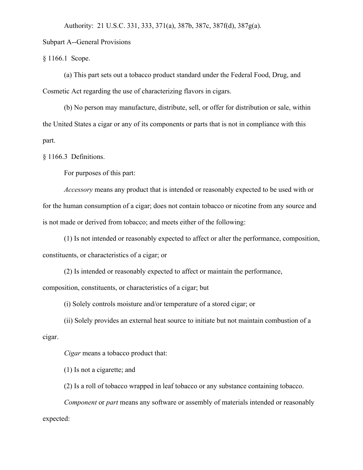Authority: 21 U.S.C. 331, 333, 371(a), 387b, 387c, 387f(d), 387g(a).

Subpart A--General Provisions

§ 1166.1 Scope.

(a) This part sets out a tobacco product standard under the Federal Food, Drug, and Cosmetic Act regarding the use of characterizing flavors in cigars.

(b) No person may manufacture, distribute, sell, or offer for distribution or sale, within the United States a cigar or any of its components or parts that is not in compliance with this part.

§ 1166.3 Definitions.

For purposes of this part:

*Accessory* means any product that is intended or reasonably expected to be used with or for the human consumption of a cigar; does not contain tobacco or nicotine from any source and is not made or derived from tobacco; and meets either of the following:

(1) Is not intended or reasonably expected to affect or alter the performance, composition, constituents, or characteristics of a cigar; or

(2) Is intended or reasonably expected to affect or maintain the performance,

composition, constituents, or characteristics of a cigar; but

(i) Solely controls moisture and/or temperature of a stored cigar; or

(ii) Solely provides an external heat source to initiate but not maintain combustion of a cigar.

*Cigar* means a tobacco product that:

(1) Is not a cigarette; and

(2) Is a roll of tobacco wrapped in leaf tobacco or any substance containing tobacco.

*Component* or *part* means any software or assembly of materials intended or reasonably expected: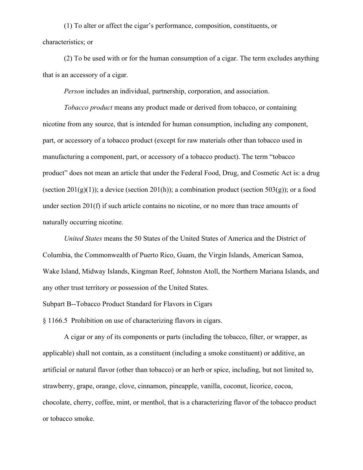(1) To alter or affect the cigar's performance, composition, constituents, or characteristics; or

(2) To be used with or for the human consumption of a cigar. The term excludes anything that is an accessory of a cigar.

*Person* includes an individual, partnership, corporation, and association.

*Tobacco product* means any product made or derived from tobacco, or containing nicotine from any source, that is intended for human consumption, including any component, part, or accessory of a tobacco product (except for raw materials other than tobacco used in manufacturing a component, part, or accessory of a tobacco product). The term "tobacco product" does not mean an article that under the Federal Food, Drug, and Cosmetic Act is: a drug (section  $201(g)(1)$ ); a device (section  $201(h)$ ); a combination product (section  $503(g)$ ); or a food under section 201(f) if such article contains no nicotine, or no more than trace amounts of naturally occurring nicotine.

*United States* means the 50 States of the United States of America and the District of Columbia, the Commonwealth of Puerto Rico, Guam, the Virgin Islands, American Samoa, Wake Island, Midway Islands, Kingman Reef, Johnston Atoll, the Northern Mariana Islands, and any other trust territory or possession of the United States.

Subpart B--Tobacco Product Standard for Flavors in Cigars

§ 1166.5 Prohibition on use of characterizing flavors in cigars.

A cigar or any of its components or parts (including the tobacco, filter, or wrapper, as applicable) shall not contain, as a constituent (including a smoke constituent) or additive, an artificial or natural flavor (other than tobacco) or an herb or spice, including, but not limited to, strawberry, grape, orange, clove, cinnamon, pineapple, vanilla, coconut, licorice, cocoa, chocolate, cherry, coffee, mint, or menthol, that is a characterizing flavor of the tobacco product or tobacco smoke.